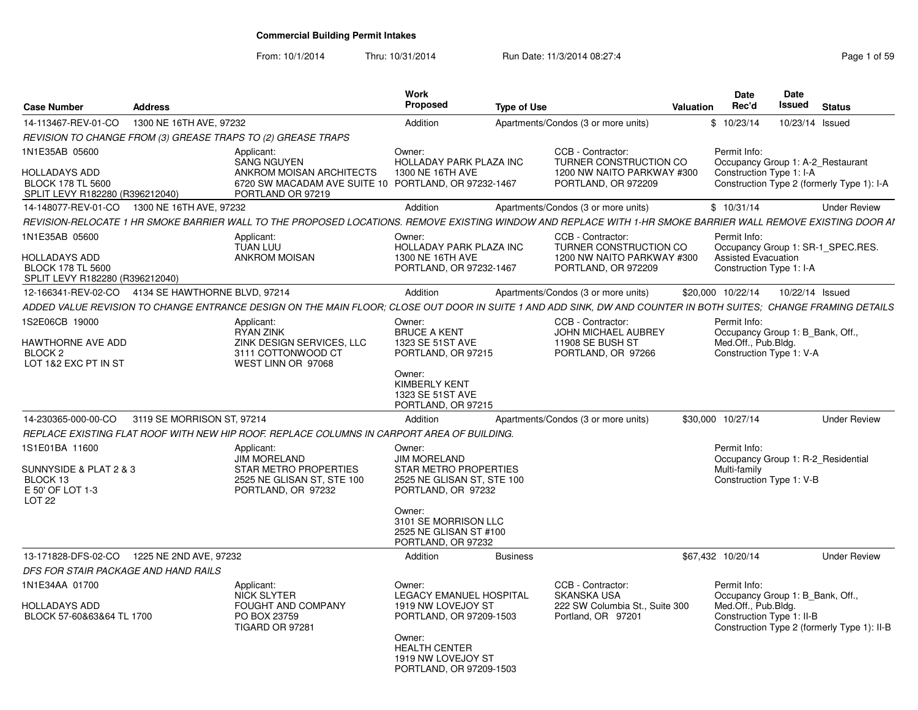| <b>Case Number</b>                                                           | <b>Address</b>             |                                                                                                                                                                  | Work<br>Proposed                                                                | <b>Type of Use</b> |                                                      | <b>Valuation</b> | <b>Date</b><br>Rec'd                                   | Date<br>Issued  | <b>Status</b>                               |
|------------------------------------------------------------------------------|----------------------------|------------------------------------------------------------------------------------------------------------------------------------------------------------------|---------------------------------------------------------------------------------|--------------------|------------------------------------------------------|------------------|--------------------------------------------------------|-----------------|---------------------------------------------|
| 14-113467-REV-01-CO                                                          | 1300 NE 16TH AVE, 97232    |                                                                                                                                                                  | Addition                                                                        |                    | Apartments/Condos (3 or more units)                  |                  | \$10/23/14                                             | 10/23/14 Issued |                                             |
|                                                                              |                            | REVISION TO CHANGE FROM (3) GREASE TRAPS TO (2) GREASE TRAPS                                                                                                     |                                                                                 |                    |                                                      |                  |                                                        |                 |                                             |
| 1N1E35AB 05600                                                               |                            | Applicant:<br><b>SANG NGUYEN</b>                                                                                                                                 | Owner:<br>HOLLADAY PARK PLAZA INC                                               |                    | CCB - Contractor:<br>TURNER CONSTRUCTION CO          |                  | Permit Info:<br>Occupancy Group 1: A-2_Restaurant      |                 |                                             |
| HOLLADAYS ADD<br><b>BLOCK 178 TL 5600</b><br>SPLIT LEVY R182280 (R396212040) |                            | ANKROM MOISAN ARCHITECTS<br>6720 SW MACADAM AVE SUITE 10 PORTLAND, OR 97232-1467<br>PORTLAND OR 97219                                                            | 1300 NE 16TH AVE                                                                |                    | 1200 NW NAITO PARKWAY #300<br>PORTLAND, OR 972209    |                  | Construction Type 1: I-A                               |                 | Construction Type 2 (formerly Type 1): I-A  |
| 14-148077-REV-01-CO                                                          | 1300 NE 16TH AVE, 97232    |                                                                                                                                                                  | Addition                                                                        |                    | Apartments/Condos (3 or more units)                  |                  | \$10/31/14                                             |                 | <b>Under Review</b>                         |
|                                                                              |                            | REVISION-RELOCATE 1 HR SMOKE BARRIER WALL TO THE PROPOSED LOCATIONS. REMOVE EXISTING WINDOW AND REPLACE WITH 1-HR SMOKE BARRIER WALL REMOVE EXISTING DOOR AI     |                                                                                 |                    |                                                      |                  |                                                        |                 |                                             |
| 1N1E35AB 05600                                                               |                            | Applicant:<br><b>TUAN LUU</b>                                                                                                                                    | Owner:<br>HOLLADAY PARK PLAZA INC                                               |                    | CCB - Contractor:<br>TURNER CONSTRUCTION CO          |                  | Permit Info:                                           |                 | Occupancy Group 1: SR-1 SPEC.RES.           |
| HOLLADAYS ADD<br><b>BLOCK 178 TL 5600</b><br>SPLIT LEVY R182280 (R396212040) |                            | <b>ANKROM MOISAN</b>                                                                                                                                             | 1300 NE 16TH AVE<br>PORTLAND, OR 97232-1467                                     |                    | 1200 NW NAITO PARKWAY #300<br>PORTLAND, OR 972209    |                  | <b>Assisted Evacuation</b><br>Construction Type 1: I-A |                 |                                             |
| 12-166341-REV-02-CO  4134 SE HAWTHORNE BLVD, 97214                           |                            |                                                                                                                                                                  | Addition                                                                        |                    | Apartments/Condos (3 or more units)                  |                  | \$20,000 10/22/14                                      | 10/22/14 Issued |                                             |
|                                                                              |                            | ADDED VALUE REVISION TO CHANGE ENTRANCE DESIGN ON THE MAIN FLOOR: CLOSE OUT DOOR IN SUITE 1 AND ADD SINK. DW AND COUNTER IN BOTH SUITES:  CHANGE FRAMING DETAILS |                                                                                 |                    |                                                      |                  |                                                        |                 |                                             |
| 1S2E06CB 19000                                                               |                            | Applicant:<br><b>RYAN ZINK</b>                                                                                                                                   | Owner:<br><b>BRUCE A KENT</b>                                                   |                    | CCB - Contractor:<br><b>JOHN MICHAEL AUBREY</b>      |                  | Permit Info:<br>Occupancy Group 1: B Bank, Off.,       |                 |                                             |
| HAWTHORNE AVE ADD<br>BLOCK <sub>2</sub>                                      |                            | ZINK DESIGN SERVICES, LLC<br>3111 COTTONWOOD CT                                                                                                                  | 1323 SE 51ST AVE<br>PORTLAND, OR 97215                                          |                    | 11908 SE BUSH ST<br>PORTLAND, OR 97266               |                  | Med.Off., Pub.Bldg.<br>Construction Type 1: V-A        |                 |                                             |
| LOT 1&2 EXC PT IN ST                                                         |                            | WEST LINN OR 97068                                                                                                                                               | Owner:                                                                          |                    |                                                      |                  |                                                        |                 |                                             |
|                                                                              |                            |                                                                                                                                                                  | <b>KIMBERLY KENT</b><br>1323 SE 51ST AVE<br>PORTLAND, OR 97215                  |                    |                                                      |                  |                                                        |                 |                                             |
| 14-230365-000-00-CO                                                          | 3119 SE MORRISON ST, 97214 |                                                                                                                                                                  | Addition                                                                        |                    | Apartments/Condos (3 or more units)                  |                  | \$30,000 10/27/14                                      |                 | <b>Under Review</b>                         |
|                                                                              |                            | REPLACE EXISTING FLAT ROOF WITH NEW HIP ROOF. REPLACE COLUMNS IN CARPORT AREA OF BUILDING.                                                                       |                                                                                 |                    |                                                      |                  |                                                        |                 |                                             |
| 1S1E01BA 11600                                                               |                            | Applicant:                                                                                                                                                       | Owner:                                                                          |                    |                                                      |                  | Permit Info:                                           |                 |                                             |
| SUNNYSIDE & PLAT 2 & 3                                                       |                            | <b>JIM MORELAND</b><br>STAR METRO PROPERTIES                                                                                                                     | <b>JIM MORELAND</b><br>STAR METRO PROPERTIES                                    |                    |                                                      |                  | Occupancy Group 1: R-2 Residential<br>Multi-family     |                 |                                             |
| BLOCK 13<br>E 50' OF LOT 1-3<br>LOT <sub>22</sub>                            |                            | 2525 NE GLISAN ST, STE 100<br>PORTLAND, OR 97232                                                                                                                 | 2525 NE GLISAN ST, STE 100<br>PORTLAND, OR 97232                                |                    |                                                      |                  | Construction Type 1: V-B                               |                 |                                             |
|                                                                              |                            |                                                                                                                                                                  | Owner:<br>3101 SE MORRISON LLC<br>2525 NE GLISAN ST #100<br>PORTLAND, OR 97232  |                    |                                                      |                  |                                                        |                 |                                             |
| 13-171828-DFS-02-CO                                                          | 1225 NE 2ND AVE, 97232     |                                                                                                                                                                  | Addition                                                                        | <b>Business</b>    |                                                      |                  | \$67,432 10/20/14                                      |                 | <b>Under Review</b>                         |
| DFS FOR STAIR PACKAGE AND HAND RAILS                                         |                            |                                                                                                                                                                  |                                                                                 |                    |                                                      |                  |                                                        |                 |                                             |
| 1N1E34AA 01700                                                               |                            | Applicant:<br><b>NICK SLYTER</b>                                                                                                                                 | Owner:<br><b>LEGACY EMANUEL HOSPITAL</b>                                        |                    | CCB - Contractor:<br><b>SKANSKA USA</b>              |                  | Permit Info:<br>Occupancy Group 1: B_Bank, Off.,       |                 |                                             |
| HOLLADAYS ADD<br>BLOCK 57-60&63&64 TL 1700                                   |                            | FOUGHT AND COMPANY<br>PO BOX 23759<br>TIGARD OR 97281                                                                                                            | 1919 NW LOVEJOY ST<br>PORTLAND, OR 97209-1503                                   |                    | 222 SW Columbia St., Suite 300<br>Portland, OR 97201 |                  | Med.Off., Pub.Bldg.<br>Construction Type 1: II-B       |                 | Construction Type 2 (formerly Type 1): II-B |
|                                                                              |                            |                                                                                                                                                                  | Owner:<br><b>HEALTH CENTER</b><br>1919 NW LOVEJOY ST<br>PORTLAND, OR 97209-1503 |                    |                                                      |                  |                                                        |                 |                                             |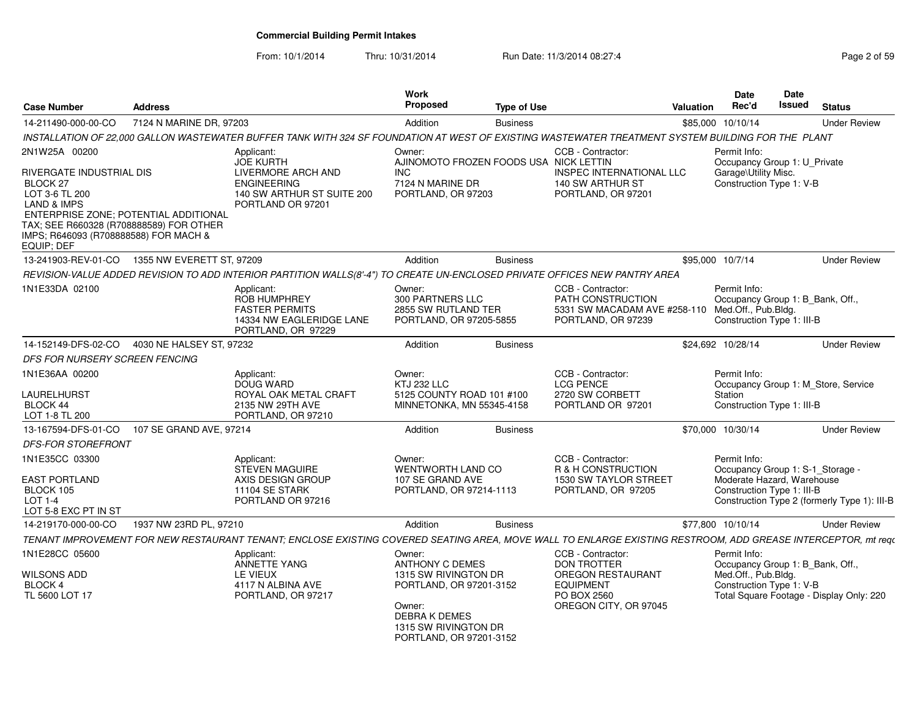From: 10/1/2014

Thru: 10/31/2014 Run Date: 11/3/2014 08:27:4<br> **Thru: 10/31/2014** Page 2 of 59

| <b>Case Number</b>                                                                                                                                              | <b>Address</b>                                                                   |                                                                                                                                                              | Work<br>Proposed                                                                                                                                                        | <b>Type of Use</b> |                                                                                                                          | Valuation        | <b>Date</b><br>Rec'd                                                                             | <b>Date</b><br>Issued | <b>Status</b>                                                                    |
|-----------------------------------------------------------------------------------------------------------------------------------------------------------------|----------------------------------------------------------------------------------|--------------------------------------------------------------------------------------------------------------------------------------------------------------|-------------------------------------------------------------------------------------------------------------------------------------------------------------------------|--------------------|--------------------------------------------------------------------------------------------------------------------------|------------------|--------------------------------------------------------------------------------------------------|-----------------------|----------------------------------------------------------------------------------|
| 14-211490-000-00-CO                                                                                                                                             | 7124 N MARINE DR, 97203                                                          |                                                                                                                                                              | Addition                                                                                                                                                                | <b>Business</b>    |                                                                                                                          |                  | \$85,000 10/10/14                                                                                |                       | <b>Under Review</b>                                                              |
|                                                                                                                                                                 |                                                                                  | INSTALLATION OF 22.000 GALLON WASTEWATER BUFFER TANK WITH 324 SF FOUNDATION AT WEST OF EXISTING WASTEWATER TREATMENT SYSTEM BUILDING FOR THE PLANT           |                                                                                                                                                                         |                    |                                                                                                                          |                  |                                                                                                  |                       |                                                                                  |
| 2N1W25A 00200<br><b>RIVERGATE INDUSTRIAL DIS</b><br>BLOCK 27<br>LOT 3-6 TL 200<br><b>LAND &amp; IMPS</b><br>IMPS; R646093 (R708888588) FOR MACH &<br>EQUIP; DEF | ENTERPRISE ZONE; POTENTIAL ADDITIONAL<br>TAX; SEE R660328 (R708888589) FOR OTHER | Applicant:<br><b>JOE KURTH</b><br>LIVERMORE ARCH AND<br><b>ENGINEERING</b><br>140 SW ARTHUR ST SUITE 200<br>PORTLAND OR 97201                                | Owner:<br>AJINOMOTO FROZEN FOODS USA NICK LETTIN<br><b>INC</b><br>7124 N MARINE DR<br>PORTLAND, OR 97203                                                                |                    | CCB - Contractor:<br>INSPEC INTERNATIONAL LLC<br>140 SW ARTHUR ST<br>PORTLAND, OR 97201                                  |                  | Permit Info:<br>Occupancy Group 1: U_Private<br>Garage\Utility Misc.<br>Construction Type 1: V-B |                       |                                                                                  |
|                                                                                                                                                                 | 13-241903-REV-01-CO  1355 NW EVERETT ST, 97209                                   |                                                                                                                                                              | Addition                                                                                                                                                                | <b>Business</b>    |                                                                                                                          | \$95,000 10/7/14 |                                                                                                  |                       | <b>Under Review</b>                                                              |
|                                                                                                                                                                 |                                                                                  | REVISION-VALUE ADDED REVISION TO ADD INTERIOR PARTITION WALLS(8'-4") TO CREATE UN-ENCLOSED PRIVATE OFFICES NEW PANTRY AREA                                   |                                                                                                                                                                         |                    |                                                                                                                          |                  |                                                                                                  |                       |                                                                                  |
| 1N1E33DA 02100                                                                                                                                                  |                                                                                  | Applicant:<br>ROB HUMPHREY<br><b>FASTER PERMITS</b><br>14334 NW EAGLERIDGE LANE<br>PORTLAND, OR 97229                                                        | Owner:<br>300 PARTNERS LLC<br>2855 SW RUTLAND TER<br>PORTLAND, OR 97205-5855                                                                                            |                    | CCB - Contractor:<br>PATH CONSTRUCTION<br>5331 SW MACADAM AVE #258-110 Med.Off., Pub.Bldg.<br>PORTLAND, OR 97239         |                  | Permit Info:<br>Construction Type 1: III-B                                                       |                       | Occupancy Group 1: B_Bank, Off.,                                                 |
| 14-152149-DFS-02-CO                                                                                                                                             | 4030 NE HALSEY ST, 97232                                                         |                                                                                                                                                              | Addition                                                                                                                                                                | <b>Business</b>    |                                                                                                                          |                  | \$24,692 10/28/14                                                                                |                       | <b>Under Review</b>                                                              |
| DFS FOR NURSERY SCREEN FENCING                                                                                                                                  |                                                                                  |                                                                                                                                                              |                                                                                                                                                                         |                    |                                                                                                                          |                  |                                                                                                  |                       |                                                                                  |
| 1N1E36AA 00200<br><b>LAURELHURST</b><br>BLOCK 44<br>LOT 1-8 TL 200                                                                                              |                                                                                  | Applicant:<br>DOUG WARD<br>ROYAL OAK METAL CRAFT<br>2135 NW 29TH AVE<br>PORTLAND, OR 97210                                                                   | Owner:<br><b>KTJ 232 LLC</b><br>5125 COUNTY ROAD 101 #100<br>MINNETONKA, MN 55345-4158                                                                                  |                    | CCB - Contractor:<br><b>LCG PENCE</b><br>2720 SW CORBETT<br>PORTLAND OR 97201                                            |                  | Permit Info:<br>Station<br>Construction Type 1: III-B                                            |                       | Occupancy Group 1: M Store, Service                                              |
| 13-167594-DFS-01-CO                                                                                                                                             | 107 SE GRAND AVE, 97214                                                          |                                                                                                                                                              | Addition                                                                                                                                                                | <b>Business</b>    |                                                                                                                          |                  | \$70,000 10/30/14                                                                                |                       | <b>Under Review</b>                                                              |
| <b>DFS-FOR STOREFRONT</b>                                                                                                                                       |                                                                                  |                                                                                                                                                              |                                                                                                                                                                         |                    |                                                                                                                          |                  |                                                                                                  |                       |                                                                                  |
| 1N1E35CC 03300<br><b>EAST PORTLAND</b><br>BLOCK 105<br>LOT 1-4<br>LOT 5-8 EXC PT IN ST                                                                          |                                                                                  | Applicant:<br><b>STEVEN MAGUIRE</b><br>AXIS DESIGN GROUP<br><b>11104 SE STARK</b><br>PORTLAND OR 97216                                                       | Owner:<br>WENTWORTH LAND CO<br>107 SE GRAND AVE<br>PORTLAND, OR 97214-1113                                                                                              |                    | CCB - Contractor:<br><b>R &amp; H CONSTRUCTION</b><br>1530 SW TAYLOR STREET<br>PORTLAND, OR 97205                        |                  | Permit Info:<br>Moderate Hazard, Warehouse<br>Construction Type 1: III-B                         |                       | Occupancy Group 1: S-1_Storage -<br>Construction Type 2 (formerly Type 1): III-B |
| 14-219170-000-00-CO                                                                                                                                             | 1937 NW 23RD PL, 97210                                                           |                                                                                                                                                              | Addition                                                                                                                                                                | <b>Business</b>    |                                                                                                                          |                  | \$77,800 10/10/14                                                                                |                       | <b>Under Review</b>                                                              |
|                                                                                                                                                                 |                                                                                  | TENANT IMPROVEMENT FOR NEW RESTAURANT TENANT; ENCLOSE EXISTING COVERED SEATING AREA, MOVE WALL TO ENLARGE EXISTING RESTROOM, ADD GREASE INTERCEPTOR, mt requ |                                                                                                                                                                         |                    |                                                                                                                          |                  |                                                                                                  |                       |                                                                                  |
| 1N1E28CC 05600<br><b>WILSONS ADD</b><br>BLOCK 4<br>TL 5600 LOT 17                                                                                               |                                                                                  | Applicant:<br>ANNETTE YANG<br><b>LE VIEUX</b><br>4117 N ALBINA AVE<br>PORTLAND, OR 97217                                                                     | Owner:<br><b>ANTHONY C DEMES</b><br>1315 SW RIVINGTON DR<br>PORTLAND, OR 97201-3152<br>Owner:<br><b>DEBRAK DEMES</b><br>1315 SW RIVINGTON DR<br>PORTLAND, OR 97201-3152 |                    | CCB - Contractor:<br><b>DON TROTTER</b><br>OREGON RESTAURANT<br><b>EQUIPMENT</b><br>PO BOX 2560<br>OREGON CITY, OR 97045 |                  | Permit Info:<br>Med.Off., Pub.Bldg.<br>Construction Type 1: V-B                                  |                       | Occupancy Group 1: B_Bank, Off.,<br>Total Square Footage - Display Only: 220     |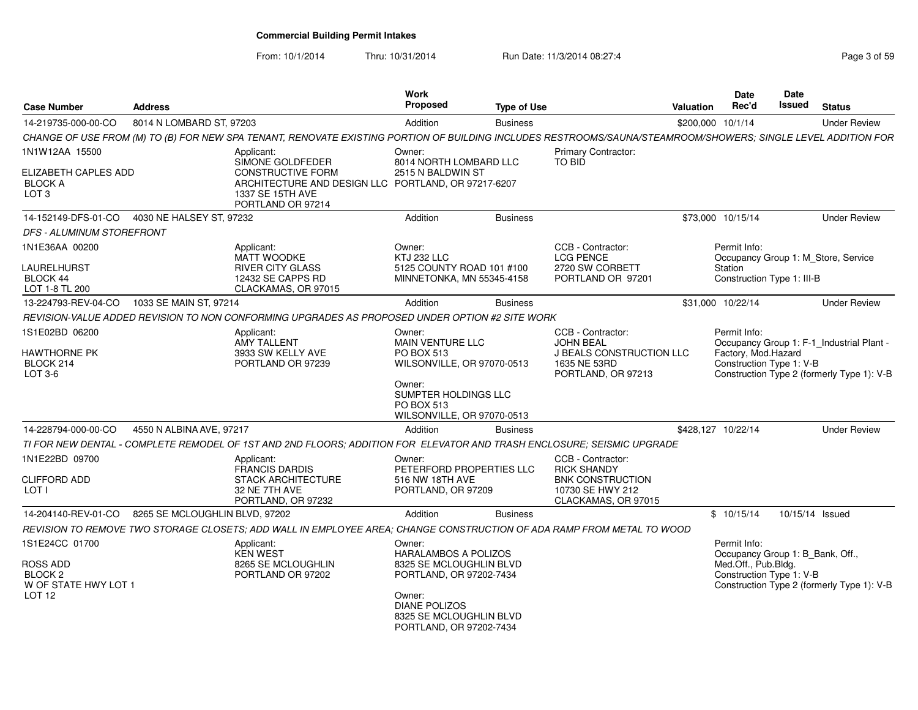From: 10/1/2014

| <b>Case Number</b>                                                                        | <b>Address</b>                 |                                                                                                                                                               | <b>Work</b><br>Proposed                                                                                                                                                      | <b>Type of Use</b> |                                                                                                               | <b>Valuation</b>   | Date<br>Rec'd                                                                                       | Date<br><b>Issued</b> | <b>Status</b>                                                                           |
|-------------------------------------------------------------------------------------------|--------------------------------|---------------------------------------------------------------------------------------------------------------------------------------------------------------|------------------------------------------------------------------------------------------------------------------------------------------------------------------------------|--------------------|---------------------------------------------------------------------------------------------------------------|--------------------|-----------------------------------------------------------------------------------------------------|-----------------------|-----------------------------------------------------------------------------------------|
| 14-219735-000-00-CO                                                                       | 8014 N LOMBARD ST, 97203       |                                                                                                                                                               | Addition                                                                                                                                                                     | <b>Business</b>    |                                                                                                               | \$200,000 10/1/14  |                                                                                                     |                       | <b>Under Review</b>                                                                     |
|                                                                                           |                                | CHANGE OF USE FROM (M) TO (B) FOR NEW SPA TENANT, RENOVATE EXISTING PORTION OF BUILDING INCLUDES RESTROOMS/SAUNA/STEAMROOM/SHOWERS; SINGLE LEVEL ADDITION FOR |                                                                                                                                                                              |                    |                                                                                                               |                    |                                                                                                     |                       |                                                                                         |
| 1N1W12AA 15500<br>ELIZABETH CAPLES ADD<br><b>BLOCK A</b><br>LOT <sub>3</sub>              |                                | Applicant:<br>SIMONE GOLDFEDER<br><b>CONSTRUCTIVE FORM</b><br>ARCHITECTURE AND DESIGN LLC PORTLAND, OR 97217-6207<br>1337 SE 15TH AVE<br>PORTLAND OR 97214    | Owner:<br>8014 NORTH LOMBARD LLC<br>2515 N BALDWIN ST                                                                                                                        |                    | <b>Primary Contractor:</b><br>TO BID                                                                          |                    |                                                                                                     |                       |                                                                                         |
| 14-152149-DFS-01-CO                                                                       | 4030 NE HALSEY ST, 97232       |                                                                                                                                                               | Addition                                                                                                                                                                     | <b>Business</b>    |                                                                                                               | \$73,000 10/15/14  |                                                                                                     |                       | <b>Under Review</b>                                                                     |
| DFS - ALUMINUM STOREFRONT                                                                 |                                |                                                                                                                                                               |                                                                                                                                                                              |                    |                                                                                                               |                    |                                                                                                     |                       |                                                                                         |
| 1N1E36AA 00200<br>LAURELHURST<br><b>BLOCK 44</b><br>LOT 1-8 TL 200                        |                                | Applicant:<br><b>MATT WOODKE</b><br><b>RIVER CITY GLASS</b><br>12432 SE CAPPS RD<br>CLACKAMAS, OR 97015                                                       | Owner:<br><b>KTJ 232 LLC</b><br>5125 COUNTY ROAD 101 #100<br>MINNETONKA, MN 55345-4158                                                                                       |                    | CCB - Contractor:<br><b>LCG PENCE</b><br>2720 SW CORBETT<br>PORTLAND OR 97201                                 |                    | Permit Info:<br>Station<br>Construction Type 1: III-B                                               |                       | Occupancy Group 1: M Store, Service                                                     |
| 13-224793-REV-04-CO                                                                       | 1033 SE MAIN ST, 97214         |                                                                                                                                                               | Addition                                                                                                                                                                     | <b>Business</b>    |                                                                                                               | \$31,000 10/22/14  |                                                                                                     |                       | <b>Under Review</b>                                                                     |
|                                                                                           |                                | REVISION-VALUE ADDED REVISION TO NON CONFORMING UPGRADES AS PROPOSED UNDER OPTION #2 SITE WORK                                                                |                                                                                                                                                                              |                    |                                                                                                               |                    |                                                                                                     |                       |                                                                                         |
| 1S1E02BD 06200<br><b>HAWTHORNE PK</b><br>BLOCK 214<br>LOT 3-6                             |                                | Applicant:<br><b>AMY TALLENT</b><br>3933 SW KELLY AVE<br>PORTLAND OR 97239                                                                                    | Owner:<br><b>MAIN VENTURE LLC</b><br><b>PO BOX 513</b><br>WILSONVILLE, OR 97070-0513<br>Owner:<br>SUMPTER HOLDINGS LLC<br>PO BOX 513<br>WILSONVILLE, OR 97070-0513           |                    | CCB - Contractor:<br><b>JOHN BEAL</b><br>J BEALS CONSTRUCTION LLC<br>1635 NE 53RD<br>PORTLAND, OR 97213       |                    | Permit Info:<br>Factory, Mod.Hazard<br>Construction Type 1: V-B                                     |                       | Occupancy Group 1: F-1_Industrial Plant -<br>Construction Type 2 (formerly Type 1): V-B |
| 14-228794-000-00-CO                                                                       | 4550 N ALBINA AVE, 97217       |                                                                                                                                                               | Addition                                                                                                                                                                     | <b>Business</b>    |                                                                                                               | \$428,127 10/22/14 |                                                                                                     |                       | <b>Under Review</b>                                                                     |
|                                                                                           |                                | TI FOR NEW DENTAL - COMPLETE REMODEL OF 1ST AND 2ND FLOORS: ADDITION FOR ELEVATOR AND TRASH ENCLOSURE: SEISMIC UPGRADE                                        |                                                                                                                                                                              |                    |                                                                                                               |                    |                                                                                                     |                       |                                                                                         |
| 1N1E22BD 09700<br><b>CLIFFORD ADD</b><br>LOT I                                            |                                | Applicant:<br><b>FRANCIS DARDIS</b><br><b>STACK ARCHITECTURE</b><br>32 NE 7TH AVE<br>PORTLAND, OR 97232                                                       | Owner:<br>PETERFORD PROPERTIES LLC<br>516 NW 18TH AVE<br>PORTLAND, OR 97209                                                                                                  |                    | CCB - Contractor:<br><b>RICK SHANDY</b><br><b>BNK CONSTRUCTION</b><br>10730 SE HWY 212<br>CLACKAMAS, OR 97015 |                    |                                                                                                     |                       |                                                                                         |
| 14-204140-REV-01-CO                                                                       | 8265 SE MCLOUGHLIN BLVD, 97202 |                                                                                                                                                               | Addition                                                                                                                                                                     | <b>Business</b>    |                                                                                                               |                    | \$10/15/14                                                                                          | 10/15/14 Issued       |                                                                                         |
|                                                                                           |                                | REVISION TO REMOVE TWO STORAGE CLOSETS; ADD WALL IN EMPLOYEE AREA; CHANGE CONSTRUCTION OF ADA RAMP FROM METAL TO WOOD                                         |                                                                                                                                                                              |                    |                                                                                                               |                    |                                                                                                     |                       |                                                                                         |
| 1S1E24CC 01700<br>ROSS ADD<br>BLOCK <sub>2</sub><br>W OF STATE HWY LOT 1<br><b>LOT 12</b> |                                | Applicant:<br><b>KEN WEST</b><br>8265 SE MCLOUGHLIN<br>PORTLAND OR 97202                                                                                      | Owner:<br>HARALAMBOS A POLIZOS<br>8325 SE MCLOUGHLIN BLVD<br>PORTLAND, OR 97202-7434<br>Owner:<br><b>DIANE POLIZOS</b><br>8325 SE MCLOUGHLIN BLVD<br>PORTLAND, OR 97202-7434 |                    |                                                                                                               |                    | Permit Info:<br>Occupancy Group 1: B_Bank, Off.,<br>Med.Off., Pub.Bldg.<br>Construction Type 1: V-B |                       | Construction Type 2 (formerly Type 1): V-B                                              |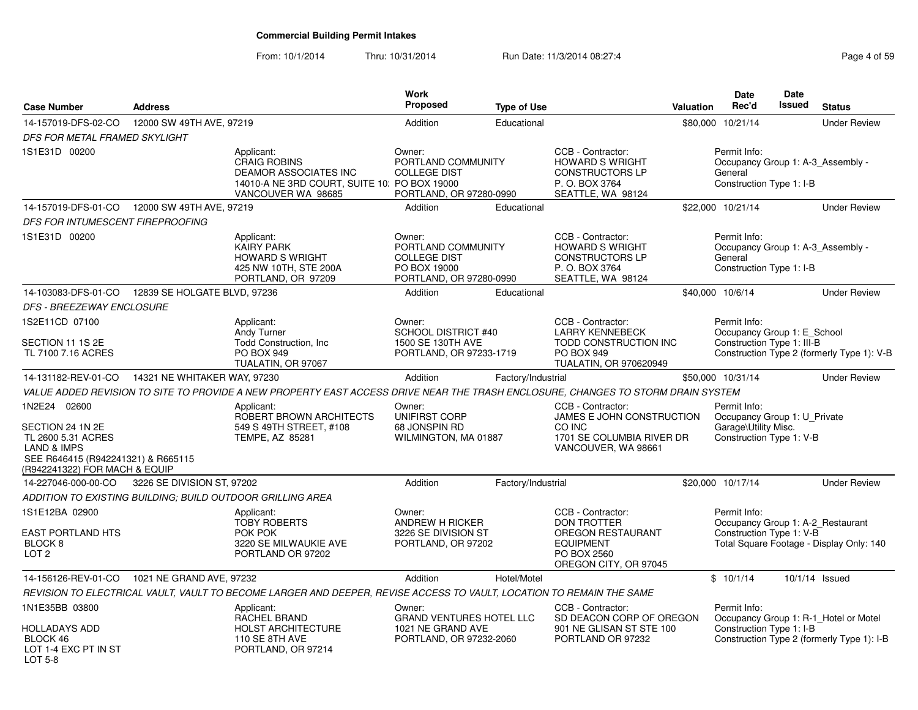| <b>Case Number</b>                                                                                                                                      | <b>Address</b>               |                                                                                                                                         | <b>Work</b><br><b>Proposed</b>                                                                 | <b>Type of Use</b> |                                                                                                                                 | <b>Valuation</b> | <b>Date</b><br>Rec'd                                                                             | <b>Date</b><br>Issued | <b>Status</b>                              |
|---------------------------------------------------------------------------------------------------------------------------------------------------------|------------------------------|-----------------------------------------------------------------------------------------------------------------------------------------|------------------------------------------------------------------------------------------------|--------------------|---------------------------------------------------------------------------------------------------------------------------------|------------------|--------------------------------------------------------------------------------------------------|-----------------------|--------------------------------------------|
| 14-157019-DFS-02-CO                                                                                                                                     | 12000 SW 49TH AVE, 97219     |                                                                                                                                         | Addition                                                                                       | Educational        |                                                                                                                                 |                  | \$80,000 10/21/14                                                                                |                       | <b>Under Review</b>                        |
| DFS FOR METAL FRAMED SKYLIGHT                                                                                                                           |                              |                                                                                                                                         |                                                                                                |                    |                                                                                                                                 |                  |                                                                                                  |                       |                                            |
| 1S1E31D 00200                                                                                                                                           |                              | Applicant:<br><b>CRAIG ROBINS</b><br><b>DEAMOR ASSOCIATES INC</b><br>14010-A NE 3RD COURT, SUITE 10: PO BOX 19000<br>VANCOUVER WA 98685 | Owner:<br>PORTLAND COMMUNITY<br><b>COLLEGE DIST</b><br>PORTLAND, OR 97280-0990                 |                    | CCB - Contractor:<br><b>HOWARD S WRIGHT</b><br><b>CONSTRUCTORS LP</b><br>P.O. BOX 3764<br>SEATTLE, WA 98124                     |                  | Permit Info:<br>General<br>Construction Type 1: I-B                                              |                       | Occupancy Group 1: A-3_Assembly -          |
| 14-157019-DFS-01-CO                                                                                                                                     | 12000 SW 49TH AVE, 97219     |                                                                                                                                         | Addition                                                                                       | Educational        |                                                                                                                                 |                  | \$22,000 10/21/14                                                                                |                       | <b>Under Review</b>                        |
| DFS FOR INTUMESCENT FIREPROOFING                                                                                                                        |                              |                                                                                                                                         |                                                                                                |                    |                                                                                                                                 |                  |                                                                                                  |                       |                                            |
| 1S1E31D 00200                                                                                                                                           |                              | Applicant:<br><b>KAIRY PARK</b><br><b>HOWARD S WRIGHT</b><br>425 NW 10TH, STE 200A<br>PORTLAND, OR 97209                                | Owner:<br>PORTLAND COMMUNITY<br><b>COLLEGE DIST</b><br>PO BOX 19000<br>PORTLAND, OR 97280-0990 |                    | CCB - Contractor:<br><b>HOWARD S WRIGHT</b><br><b>CONSTRUCTORS LP</b><br>P. O. BOX 3764<br>SEATTLE, WA 98124                    |                  | Permit Info:<br>General<br>Construction Type 1: I-B                                              |                       | Occupancy Group 1: A-3_Assembly -          |
| 14-103083-DFS-01-CO                                                                                                                                     | 12839 SE HOLGATE BLVD, 97236 |                                                                                                                                         | Addition                                                                                       | Educational        |                                                                                                                                 |                  | \$40,000 10/6/14                                                                                 |                       | <b>Under Review</b>                        |
| <b>DFS - BREEZEWAY ENCLOSURE</b>                                                                                                                        |                              |                                                                                                                                         |                                                                                                |                    |                                                                                                                                 |                  |                                                                                                  |                       |                                            |
| 1S2E11CD 07100                                                                                                                                          |                              | Applicant:<br>Andy Turner                                                                                                               | Owner:<br><b>SCHOOL DISTRICT #40</b>                                                           |                    | CCB - Contractor:<br><b>LARRY KENNEBECK</b>                                                                                     |                  | Permit Info:<br>Occupancy Group 1: E_School                                                      |                       |                                            |
| SECTION 11 1S 2E<br>TL 7100 7.16 ACRES                                                                                                                  |                              | Todd Construction, Inc.<br><b>PO BOX 949</b><br>TUALATIN, OR 97067                                                                      | 1500 SE 130TH AVE<br>PORTLAND, OR 97233-1719                                                   |                    | TODD CONSTRUCTION INC<br><b>PO BOX 949</b><br>TUALATIN, OR 970620949                                                            |                  | Construction Type 1: III-B                                                                       |                       | Construction Type 2 (formerly Type 1): V-B |
| 14-131182-REV-01-CO                                                                                                                                     | 14321 NE WHITAKER WAY, 97230 |                                                                                                                                         | Addition                                                                                       | Factory/Industrial |                                                                                                                                 |                  | \$50,000 10/31/14                                                                                |                       | <b>Under Review</b>                        |
|                                                                                                                                                         |                              | VALUE ADDED REVISION TO SITE TO PROVIDE A NEW PROPERTY EAST ACCESS DRIVE NEAR THE TRASH ENCLOSURE, CHANGES TO STORM DRAIN SYSTEM        |                                                                                                |                    |                                                                                                                                 |                  |                                                                                                  |                       |                                            |
| 1N2E24 02600<br>SECTION 24 1N 2E<br>TL 2600 5.31 ACRES<br><b>LAND &amp; IMPS</b><br>SEE R646415 (R942241321) & R665115<br>(R942241322) FOR MACH & EQUIP |                              | Applicant:<br>ROBERT BROWN ARCHITECTS<br>549 S 49TH STREET, #108<br>TEMPE, AZ 85281                                                     | Owner:<br>UNIFIRST CORP<br>68 JONSPIN RD<br>WILMINGTON, MA 01887                               |                    | CCB - Contractor:<br>JAMES E JOHN CONSTRUCTION<br>CO INC<br>1701 SE COLUMBIA RIVER DR<br>VANCOUVER, WA 98661                    |                  | Permit Info:<br>Occupancy Group 1: U_Private<br>Garage\Utility Misc.<br>Construction Type 1: V-B |                       |                                            |
| 14-227046-000-00-CO                                                                                                                                     | 3226 SE DIVISION ST, 97202   |                                                                                                                                         | Addition                                                                                       | Factory/Industrial |                                                                                                                                 |                  | \$20,000 10/17/14                                                                                |                       | <b>Under Review</b>                        |
| ADDITION TO EXISTING BUILDING: BUILD OUTDOOR GRILLING AREA                                                                                              |                              |                                                                                                                                         |                                                                                                |                    |                                                                                                                                 |                  |                                                                                                  |                       |                                            |
| 1S1E12BA 02900<br><b>EAST PORTLAND HTS</b><br>BLOCK <sub>8</sub><br>LOT <sub>2</sub>                                                                    |                              | Applicant:<br><b>TOBY ROBERTS</b><br>POK POK<br>3220 SE MILWAUKIE AVE<br>PORTLAND OR 97202                                              | Owner:<br>ANDREW H RICKER<br>3226 SE DIVISION ST<br>PORTLAND, OR 97202                         |                    | CCB - Contractor:<br><b>DON TROTTER</b><br><b>OREGON RESTAURANT</b><br><b>EQUIPMENT</b><br>PO BOX 2560<br>OREGON CITY, OR 97045 |                  | Permit Info:<br>Occupancy Group 1: A-2_Restaurant<br>Construction Type 1: V-B                    |                       | Total Square Footage - Display Only: 140   |
| 14-156126-REV-01-CO                                                                                                                                     | 1021 NE GRAND AVE, 97232     |                                                                                                                                         | Addition                                                                                       | Hotel/Motel        |                                                                                                                                 |                  | \$10/1/14                                                                                        |                       | 10/1/14 Issued                             |
|                                                                                                                                                         |                              | REVISION TO ELECTRICAL VAULT, VAULT TO BECOME LARGER AND DEEPER, REVISE ACCESS TO VAULT, LOCATION TO REMAIN THE SAME                    |                                                                                                |                    |                                                                                                                                 |                  |                                                                                                  |                       |                                            |
| 1N1E35BB 03800                                                                                                                                          |                              | Applicant:<br>RACHEL BRAND                                                                                                              | Owner:<br><b>GRAND VENTURES HOTEL LLC</b>                                                      |                    | CCB - Contractor:<br>SD DEACON CORP OF OREGON                                                                                   |                  | Permit Info:                                                                                     |                       | Occupancy Group 1: R-1_Hotel or Motel      |
| <b>HOLLADAYS ADD</b><br>BLOCK 46<br>LOT 1-4 EXC PT IN ST<br>LOT 5-8                                                                                     |                              | <b>HOLST ARCHITECTURE</b><br><b>110 SE 8TH AVE</b><br>PORTLAND, OR 97214                                                                | 1021 NE GRAND AVE<br>PORTLAND, OR 97232-2060                                                   |                    | 901 NE GLISAN ST STE 100<br>PORTLAND OR 97232                                                                                   |                  | Construction Type 1: I-B                                                                         |                       | Construction Type 2 (formerly Type 1): I-B |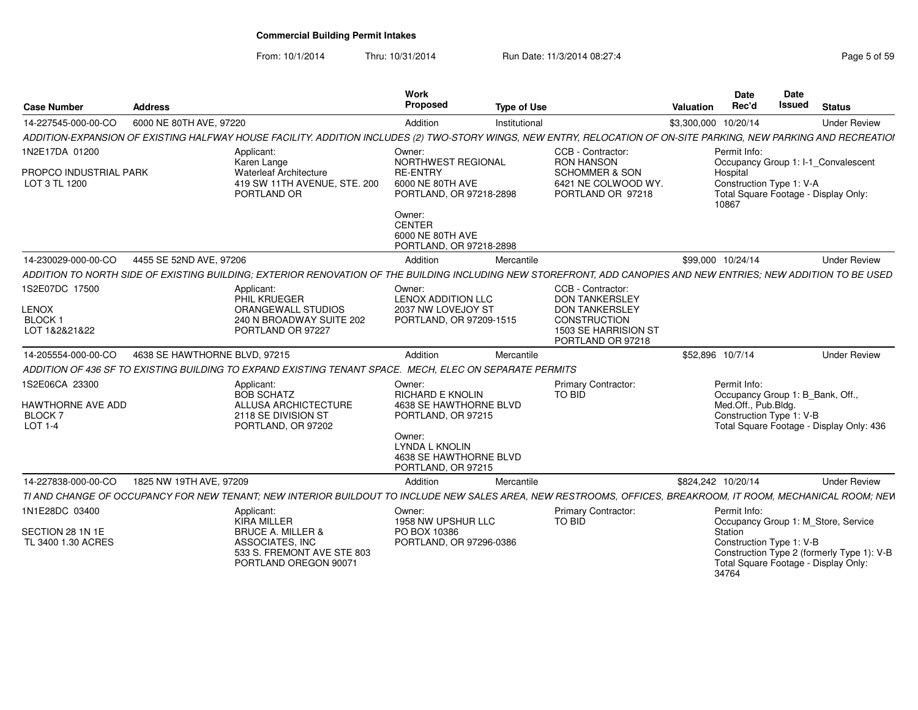From: 10/1/2014Thru: 10/31/2014 Run Date: 11/3/2014 08:27:4<br> **Thru: 10/31/2014** Page 5 of 59

| <b>Case Number</b>                                              | <b>Address</b>                |                                                                                                                                                                    | <b>Work</b><br>Propose                                                                      | <b>Type of Use</b> |                                                                                              | Date<br>Rec'd<br>Valuation                                      | Date<br><b>Issued</b><br><b>Status</b>                                             |
|-----------------------------------------------------------------|-------------------------------|--------------------------------------------------------------------------------------------------------------------------------------------------------------------|---------------------------------------------------------------------------------------------|--------------------|----------------------------------------------------------------------------------------------|-----------------------------------------------------------------|------------------------------------------------------------------------------------|
| 14-227545-000-00-CO                                             | 6000 NE 80TH AVE, 97220       |                                                                                                                                                                    | Addition                                                                                    | Institutional      |                                                                                              | \$3,300,000 10/20/14                                            | <b>Under Review</b>                                                                |
|                                                                 |                               | ADDITION-EXPANSION OF EXISTING HALFWAY HOUSE FACILITY. ADDITION INCLUDES (2) TWO-STORY WINGS. NEW ENTRY, RELOCATION OF ON-SITE PARKING, NEW PARKING AND RECREATIOI |                                                                                             |                    |                                                                                              |                                                                 |                                                                                    |
| 1N2E17DA 01200                                                  |                               | Applicant:<br>Karen Lange                                                                                                                                          | Owner:<br>NORTHWEST REGIONAL                                                                |                    | CCB - Contractor:<br><b>RON HANSON</b>                                                       | Permit Info:                                                    | Occupancy Group 1: I-1_Convalescent                                                |
| PROPCO INDUSTRIAL PARK<br>LOT 3 TL 1200                         |                               | <b>Waterleaf Architecture</b><br>419 SW 11TH AVENUE, STE, 200<br>PORTLAND OR                                                                                       | <b>RE-ENTRY</b><br>6000 NE 80TH AVE<br>PORTLAND, OR 97218-2898                              |                    | <b>SCHOMMER &amp; SON</b><br>6421 NE COLWOOD WY.<br>PORTLAND OR 97218                        | Hospital<br>Construction Type 1: V-A<br>10867                   | Total Square Footage - Display Only:                                               |
|                                                                 |                               |                                                                                                                                                                    | Owner:<br>CENTER<br>6000 NE 80TH AVE<br>PORTLAND, OR 97218-2898                             |                    |                                                                                              |                                                                 |                                                                                    |
| 14-230029-000-00-CO                                             | 4455 SE 52ND AVE, 97206       |                                                                                                                                                                    | Addition                                                                                    | Mercantile         |                                                                                              | \$99,000 10/24/14                                               | <b>Under Review</b>                                                                |
|                                                                 |                               | ADDITION TO NORTH SIDE OF EXISTING BUILDING; EXTERIOR RENOVATION OF                                                                                                |                                                                                             |                    | THE BUILDING INCLUDING NEW STOREFRONT, ADD CANOPIES AND NEW ENTRIES; NEW ADDITION TO BE USED |                                                                 |                                                                                    |
| 1S2E07DC 17500                                                  |                               | Applicant:<br>PHIL KRUEGER                                                                                                                                         | Owner:<br><b>LENOX ADDITION LLC</b>                                                         |                    | CCB - Contractor:<br><b>DON TANKERSLEY</b>                                                   |                                                                 |                                                                                    |
| LENOX<br><b>BLOCK</b><br>LOT 1&2&21&22                          |                               | ORANGEWALL STUDIOS<br>240 N BROADWAY SUITE 202<br>PORTLAND OR 97227                                                                                                | 2037 NW LOVEJOY ST<br>PORTLAND, OR 97209-1515                                               |                    | <b>DON TANKERSLEY</b><br><b>CONSTRUCTION</b><br>1503 SE HARRISION ST<br>PORTLAND OR 97218    |                                                                 |                                                                                    |
| 14-205554-000-00-CO                                             | 4638 SE HAWTHORNE BLVD, 97215 |                                                                                                                                                                    | Addition                                                                                    | Mercantile         |                                                                                              | \$52,896 10/7/14                                                | <b>Under Review</b>                                                                |
|                                                                 |                               | ADDITION OF 436 SF TO EXISTING BUILDING TO EXPAND EXISTING TENANT SPACE. MECH, ELEC ON SEPARATE PERMITS                                                            |                                                                                             |                    |                                                                                              |                                                                 |                                                                                    |
| 1S2E06CA 23300<br>HAWTHORNE AVE ADD<br><b>BLOCK7</b><br>LOT 1-4 |                               | Applicant:<br><b>BOB SCHATZ</b><br>ALLUSA ARCHICTECTURE<br>2118 SE DIVISION ST<br>PORTLAND, OR 97202                                                               | Owner:<br><b>RICHARD E KNOLIN</b><br>4638 SE HAWTHORNE BLVD<br>PORTLAND, OR 97215<br>Owner: |                    | Primary Contractor:<br>TO BID                                                                | Permit Info:<br>Med.Off., Pub.Bldg.<br>Construction Type 1: V-B | Occupancy Group 1: B_Bank, Off.,<br>Total Square Footage - Display Only: 436       |
|                                                                 |                               |                                                                                                                                                                    | <b>LYNDA L KNOLIN</b><br>4638 SE HAWTHORNE BLVD<br>PORTLAND, OR 97215                       |                    |                                                                                              |                                                                 |                                                                                    |
| 14-227838-000-00-CO                                             | 1825 NW 19TH AVE, 97209       |                                                                                                                                                                    | Addition                                                                                    | Mercantile         |                                                                                              | \$824,242 10/20/14                                              | <b>Under Review</b>                                                                |
|                                                                 |                               | TI AND CHANGE OF OCCUPANCY FOR NEW TENANT: NEW INTERIOR BUILDOUT                                                                                                   |                                                                                             |                    | TO INCLUDE NEW SALES AREA, NEW RESTROOMS, OFFICES, BREAKROOM, IT ROOM, MECHANICAL ROOM; NEW  |                                                                 |                                                                                    |
| 1N1E28DC 03400                                                  |                               | Applicant:<br>KIRA MILLER                                                                                                                                          | Owner:<br>1958 NW UPSHUR LLC                                                                |                    | <b>Primary Contractor:</b><br>TO BID                                                         | Permit Info:                                                    | Occupancy Group 1: M_Store, Service                                                |
| SECTION 28 1N 1E<br>TL 3400 1.30 ACRES                          |                               | <b>BRUCE A. MILLER &amp;</b><br>ASSOCIATES, INC<br>533 S. FREMONT AVE STE 803<br>PORTLAND OREGON 90071                                                             | PO BOX 10386<br>PORTLAND, OR 97296-0386                                                     |                    |                                                                                              | Station<br>Construction Type 1: V-B<br>34764                    | Construction Type 2 (formerly Type 1): V-B<br>Total Square Footage - Display Only: |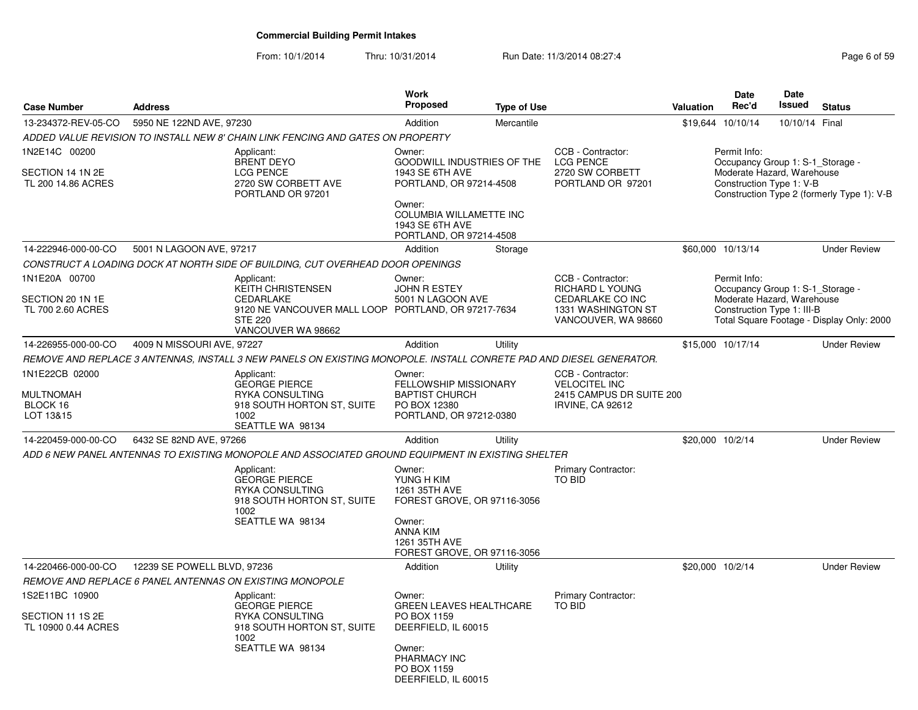|                                                           |                             |                                                                                                                                                    | Work                                                                                                                                                                         |                    |                                                                                                       |                  | <b>Date</b>                                                                                                  | Date           |                                            |
|-----------------------------------------------------------|-----------------------------|----------------------------------------------------------------------------------------------------------------------------------------------------|------------------------------------------------------------------------------------------------------------------------------------------------------------------------------|--------------------|-------------------------------------------------------------------------------------------------------|------------------|--------------------------------------------------------------------------------------------------------------|----------------|--------------------------------------------|
| <b>Case Number</b>                                        | <b>Address</b>              |                                                                                                                                                    | Proposed                                                                                                                                                                     | <b>Type of Use</b> |                                                                                                       | <b>Valuation</b> | Rec'd                                                                                                        | Issued         | <b>Status</b>                              |
| 13-234372-REV-05-CO                                       | 5950 NE 122ND AVE, 97230    |                                                                                                                                                    | Addition                                                                                                                                                                     | Mercantile         |                                                                                                       |                  | \$19,644 10/10/14                                                                                            | 10/10/14 Final |                                            |
|                                                           |                             | ADDED VALUE REVISION TO INSTALL NEW 8' CHAIN LINK FENCING AND GATES ON PROPERTY                                                                    |                                                                                                                                                                              |                    |                                                                                                       |                  |                                                                                                              |                |                                            |
| 1N2E14C 00200<br>SECTION 14 1N 2E<br>TL 200 14.86 ACRES   |                             | Applicant:<br><b>BRENT DEYO</b><br>LCG PENCE<br>2720 SW CORBETT AVE<br>PORTLAND OR 97201                                                           | Owner:<br><b>GOODWILL INDUSTRIES OF THE</b><br>1943 SE 6TH AVE<br>PORTLAND, OR 97214-4508<br>Owner:<br>COLUMBIA WILLAMETTE INC<br>1943 SE 6TH AVE<br>PORTLAND, OR 97214-4508 |                    | CCB - Contractor:<br><b>LCG PENCE</b><br>2720 SW CORBETT<br>PORTLAND OR 97201                         |                  | Permit Info:<br>Occupancy Group 1: S-1_Storage -<br>Moderate Hazard, Warehouse<br>Construction Type 1: V-B   |                | Construction Type 2 (formerly Type 1): V-B |
| 14-222946-000-00-CO                                       | 5001 N LAGOON AVE, 97217    |                                                                                                                                                    | Addition                                                                                                                                                                     | Storage            |                                                                                                       |                  | \$60,000 10/13/14                                                                                            |                | <b>Under Review</b>                        |
|                                                           |                             | CONSTRUCT A LOADING DOCK AT NORTH SIDE OF BUILDING, CUT OVERHEAD DOOR OPENINGS                                                                     |                                                                                                                                                                              |                    |                                                                                                       |                  |                                                                                                              |                |                                            |
| 1N1E20A 00700<br>SECTION 20 1N 1E<br>TL 700 2.60 ACRES    |                             | Applicant:<br><b>KEITH CHRISTENSEN</b><br>CEDARLAKE<br>9120 NE VANCOUVER MALL LOOP PORTLAND, OR 97217-7634<br><b>STE 220</b><br>VANCOUVER WA 98662 | Owner:<br><b>JOHN R ESTEY</b><br>5001 N LAGOON AVE                                                                                                                           |                    | CCB - Contractor:<br>RICHARD L YOUNG<br>CEDARLAKE CO INC<br>1331 WASHINGTON ST<br>VANCOUVER, WA 98660 |                  | Permit Info:<br>Occupancy Group 1: S-1_Storage -<br>Moderate Hazard, Warehouse<br>Construction Type 1: III-B |                | Total Square Footage - Display Only: 2000  |
| 14-226955-000-00-CO                                       | 4009 N MISSOURI AVE, 97227  |                                                                                                                                                    | Addition                                                                                                                                                                     | Utility            |                                                                                                       |                  | \$15,000 10/17/14                                                                                            |                | <b>Under Review</b>                        |
|                                                           |                             | REMOVE AND REPLACE 3 ANTENNAS, INSTALL 3 NEW PANELS ON EXISTING MONOPOLE. INSTALL CONRETE PAD AND DIESEL GENERATOR.                                |                                                                                                                                                                              |                    |                                                                                                       |                  |                                                                                                              |                |                                            |
| 1N1E22CB 02000<br>MULTNOMAH<br>BLOCK 16<br>LOT 13&15      |                             | Applicant:<br><b>GEORGE PIERCE</b><br>RYKA CONSULTING<br>918 SOUTH HORTON ST, SUITE<br>1002<br>SEATTLE WA 98134                                    | Owner:<br>FELLOWSHIP MISSIONARY<br><b>BAPTIST CHURCH</b><br>PO BOX 12380<br>PORTLAND, OR 97212-0380                                                                          |                    | CCB - Contractor:<br><b>VELOCITEL INC</b><br>2415 CAMPUS DR SUITE 200<br><b>IRVINE, CA 92612</b>      |                  |                                                                                                              |                |                                            |
| 14-220459-000-00-CO                                       | 6432 SE 82ND AVE, 97266     |                                                                                                                                                    | Addition                                                                                                                                                                     | Utility            |                                                                                                       | \$20,000 10/2/14 |                                                                                                              |                | <b>Under Review</b>                        |
|                                                           |                             | ADD 6 NEW PANEL ANTENNAS TO EXISTING MONOPOLE AND ASSOCIATED GROUND EQUIPMENT IN EXISTING SHELTER                                                  |                                                                                                                                                                              |                    |                                                                                                       |                  |                                                                                                              |                |                                            |
|                                                           |                             | Applicant:<br><b>GEORGE PIERCE</b><br>RYKA CONSULTING<br>918 SOUTH HORTON ST, SUITE<br>1002<br>SEATTLE WA 98134                                    | Owner:<br>YUNG H KIM<br>1261 35TH AVE<br>FOREST GROVE, OR 97116-3056<br>Owner:<br><b>ANNA KIM</b><br>1261 35TH AVE<br>FOREST GROVE, OR 97116-3056                            |                    | Primary Contractor:<br><b>TO BID</b>                                                                  |                  |                                                                                                              |                |                                            |
| 14-220466-000-00-CO                                       | 12239 SE POWELL BLVD, 97236 |                                                                                                                                                    | Addition                                                                                                                                                                     | Utility            |                                                                                                       | \$20,000 10/2/14 |                                                                                                              |                | <b>Under Review</b>                        |
|                                                           |                             | REMOVE AND REPLACE 6 PANEL ANTENNAS ON EXISTING MONOPOLE                                                                                           |                                                                                                                                                                              |                    |                                                                                                       |                  |                                                                                                              |                |                                            |
| 1S2E11BC 10900<br>SECTION 11 1S 2E<br>TL 10900 0.44 ACRES |                             | Applicant:<br><b>GEORGE PIERCE</b><br>RYKA CONSULTING<br>918 SOUTH HORTON ST, SUITE<br>1002<br>SEATTLE WA 98134                                    | Owner:<br><b>GREEN LEAVES HEALTHCARE</b><br>PO BOX 1159<br>DEERFIELD, IL 60015<br>Owner:<br>PHARMACY INC<br>PO BOX 1159<br>DEERFIELD, IL 60015                               |                    | Primary Contractor:<br><b>TO BID</b>                                                                  |                  |                                                                                                              |                |                                            |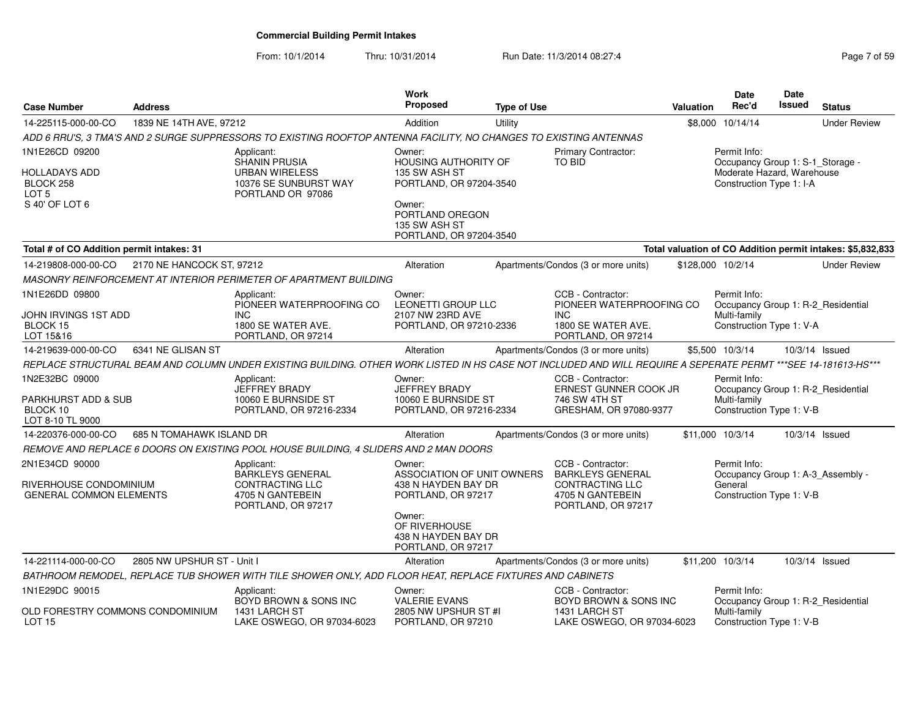|                                                   |                            |                                                                                                                                                                | Work<br><b>Proposed</b>                                                 |                    |                                                                       |                  | Date<br>Rec'd                                    | Date<br>Issued | <b>Status</b>                                              |
|---------------------------------------------------|----------------------------|----------------------------------------------------------------------------------------------------------------------------------------------------------------|-------------------------------------------------------------------------|--------------------|-----------------------------------------------------------------------|------------------|--------------------------------------------------|----------------|------------------------------------------------------------|
| <b>Case Number</b>                                | <b>Address</b>             |                                                                                                                                                                |                                                                         | <b>Type of Use</b> |                                                                       | <b>Valuation</b> |                                                  |                |                                                            |
| 14-225115-000-00-CO                               | 1839 NE 14TH AVE, 97212    |                                                                                                                                                                | Addition                                                                | Utility            |                                                                       |                  | \$8,000 10/14/14                                 |                | <b>Under Review</b>                                        |
|                                                   |                            | ADD 6 RRU'S, 3 TMA'S AND 2 SURGE SUPPRESSORS TO EXISTING ROOFTOP ANTENNA FACILITY, NO CHANGES TO EXISTING ANTENNAS                                             |                                                                         |                    |                                                                       |                  |                                                  |                |                                                            |
| 1N1E26CD 09200                                    |                            | Applicant:<br>SHANIN PRUSIA                                                                                                                                    | Owner:<br><b>HOUSING AUTHORITY OF</b>                                   |                    | <b>Primary Contractor:</b><br><b>TO BID</b>                           |                  | Permit Info:<br>Occupancy Group 1: S-1_Storage - |                |                                                            |
| HOLLADAYS ADD                                     |                            | <b>URBAN WIRELESS</b>                                                                                                                                          | 135 SW ASH ST                                                           |                    |                                                                       |                  | Moderate Hazard, Warehouse                       |                |                                                            |
| BLOCK 258                                         |                            | 10376 SE SUNBURST WAY                                                                                                                                          | PORTLAND, OR 97204-3540                                                 |                    |                                                                       |                  | Construction Type 1: I-A                         |                |                                                            |
| LOT <sub>5</sub>                                  |                            | PORTLAND OR 97086                                                                                                                                              |                                                                         |                    |                                                                       |                  |                                                  |                |                                                            |
| S 40' OF LOT 6                                    |                            |                                                                                                                                                                | Owner:<br>PORTLAND OREGON                                               |                    |                                                                       |                  |                                                  |                |                                                            |
|                                                   |                            |                                                                                                                                                                | 135 SW ASH ST                                                           |                    |                                                                       |                  |                                                  |                |                                                            |
|                                                   |                            |                                                                                                                                                                | PORTLAND, OR 97204-3540                                                 |                    |                                                                       |                  |                                                  |                |                                                            |
| Total # of CO Addition permit intakes: 31         |                            |                                                                                                                                                                |                                                                         |                    |                                                                       |                  |                                                  |                | Total valuation of CO Addition permit intakes: \$5,832,833 |
| 14-219808-000-00-CO                               | 2170 NE HANCOCK ST, 97212  |                                                                                                                                                                | Alteration                                                              |                    | Apartments/Condos (3 or more units)                                   |                  | \$128,000 10/2/14                                |                | <b>Under Review</b>                                        |
|                                                   |                            | MASONRY REINFORCEMENT AT INTERIOR PERIMETER OF APARTMENT BUILDING                                                                                              |                                                                         |                    |                                                                       |                  |                                                  |                |                                                            |
| 1N1E26DD 09800                                    |                            | Applicant:<br>PIONEER WATERPROOFING CO                                                                                                                         | Owner:<br><b>LEONETTI GROUP LLC</b>                                     |                    | CCB - Contractor:<br>PIONEER WATERPROOFING CO                         |                  | Permit Info:                                     |                | Occupancy Group 1: R-2_Residential                         |
| JOHN IRVINGS 1ST ADD                              |                            | <b>INC</b>                                                                                                                                                     | 2107 NW 23RD AVE                                                        |                    | INC.                                                                  |                  | Multi-family                                     |                |                                                            |
| BLOCK 15<br>LOT 15&16                             |                            | 1800 SE WATER AVE.<br>PORTLAND, OR 97214                                                                                                                       | PORTLAND, OR 97210-2336                                                 |                    | 1800 SE WATER AVE.<br>PORTLAND, OR 97214                              |                  | Construction Type 1: V-A                         |                |                                                            |
| 14-219639-000-00-CO                               | 6341 NE GLISAN ST          |                                                                                                                                                                | Alteration                                                              |                    | Apartments/Condos (3 or more units)                                   |                  | \$5,500 10/3/14                                  |                | 10/3/14 Issued                                             |
|                                                   |                            | REPLACE STRUCTURAL BEAM AND COLUMN UNDER EXISTING BUILDING. OTHER WORK LISTED IN HS CASE NOT INCLUDED AND WILL REQUIRE A SEPERATE PERMT ***SEE 14-181613-HS*** |                                                                         |                    |                                                                       |                  |                                                  |                |                                                            |
| 1N2E32BC 09000                                    |                            | Applicant:                                                                                                                                                     | Owner:                                                                  |                    | CCB - Contractor:                                                     |                  | Permit Info:                                     |                |                                                            |
|                                                   |                            | JEFFREY BRADY                                                                                                                                                  | <b>JEFFREY BRADY</b>                                                    |                    | ERNEST GUNNER COOK JR                                                 |                  |                                                  |                | Occupancy Group 1: R-2 Residential                         |
| PARKHURST ADD & SUB                               |                            | 10060 E BURNSIDE ST                                                                                                                                            | 10060 E BURNSIDE ST                                                     |                    | 746 SW 4TH ST                                                         |                  | Multi-family                                     |                |                                                            |
| BLOCK 10<br>LOT 8-10 TL 9000                      |                            | PORTLAND, OR 97216-2334                                                                                                                                        | PORTLAND, OR 97216-2334                                                 |                    | GRESHAM, OR 97080-9377                                                |                  | Construction Type 1: V-B                         |                |                                                            |
| 14-220376-000-00-CO                               | 685 N TOMAHAWK ISLAND DR   |                                                                                                                                                                | Alteration                                                              |                    | Apartments/Condos (3 or more units)                                   |                  | \$11.000 10/3/14                                 |                | 10/3/14 Issued                                             |
|                                                   |                            | REMOVE AND REPLACE 6 DOORS ON EXISTING POOL HOUSE BUILDING, 4 SLIDERS AND 2 MAN DOORS                                                                          |                                                                         |                    |                                                                       |                  |                                                  |                |                                                            |
| 2N1E34CD 90000                                    |                            | Applicant:                                                                                                                                                     | Owner:                                                                  |                    | CCB - Contractor:                                                     |                  | Permit Info:                                     |                |                                                            |
| RIVERHOUSE CONDOMINIUM<br>GENERAL COMMON ELEMENTS |                            | BARKLEYS GENERAL<br><b>CONTRACTING LLC</b><br>4705 N GANTEBEIN                                                                                                 | ASSOCIATION OF UNIT OWNERS<br>438 N HAYDEN BAY DR<br>PORTLAND, OR 97217 |                    | <b>BARKLEYS GENERAL</b><br><b>CONTRACTING LLC</b><br>4705 N GANTEBEIN |                  | General<br>Construction Type 1: V-B              |                | Occupancy Group 1: A-3_Assembly -                          |
|                                                   |                            | PORTLAND, OR 97217                                                                                                                                             |                                                                         |                    | PORTLAND, OR 97217                                                    |                  |                                                  |                |                                                            |
|                                                   |                            |                                                                                                                                                                | Owner:<br>OF RIVERHOUSE<br>438 N HAYDEN BAY DR<br>PORTLAND, OR 97217    |                    |                                                                       |                  |                                                  |                |                                                            |
| 14-221114-000-00-CO                               | 2805 NW UPSHUR ST - Unit I |                                                                                                                                                                | Alteration                                                              |                    | Apartments/Condos (3 or more units)                                   |                  | \$11,200 10/3/14                                 |                | 10/3/14 Issued                                             |
|                                                   |                            | BATHROOM REMODEL, REPLACE TUB SHOWER WITH TILE SHOWER ONLY, ADD FLOOR HEAT, REPLACE FIXTURES AND CABINETS                                                      |                                                                         |                    |                                                                       |                  |                                                  |                |                                                            |
| 1N1E29DC 90015                                    |                            | Applicant:                                                                                                                                                     | Owner:                                                                  |                    | CCB - Contractor:                                                     |                  | Permit Info:                                     |                |                                                            |
| OLD FORESTRY COMMONS CONDOMINIUM<br><b>LOT 15</b> |                            | BOYD BROWN & SONS INC<br>1431 LARCH ST<br>LAKE OSWEGO, OR 97034-6023                                                                                           | <b>VALERIE EVANS</b><br>2805 NW UPSHUR ST #I<br>PORTLAND, OR 97210      |                    | BOYD BROWN & SONS INC<br>1431 LARCH ST<br>LAKE OSWEGO, OR 97034-6023  |                  | Multi-family<br>Construction Type 1: V-B         |                | Occupancy Group 1: R-2_Residential                         |
|                                                   |                            |                                                                                                                                                                |                                                                         |                    |                                                                       |                  |                                                  |                |                                                            |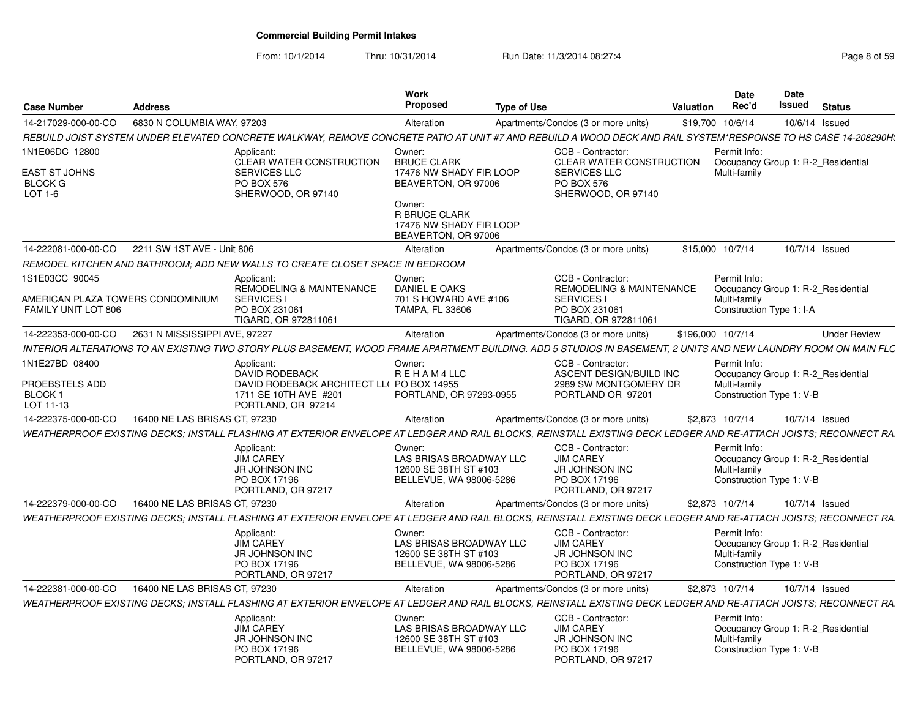From: 10/1/2014Thru: 10/31/2014 Run Date: 11/3/2014 08:27:4<br>
Page 8 of 59

|                                                                            |                               |                                                                                                                                                                 | Work                                                                           |                    |                                                                                                  |                  | Date                                                     | <b>Date</b> |                                    |
|----------------------------------------------------------------------------|-------------------------------|-----------------------------------------------------------------------------------------------------------------------------------------------------------------|--------------------------------------------------------------------------------|--------------------|--------------------------------------------------------------------------------------------------|------------------|----------------------------------------------------------|-------------|------------------------------------|
| <b>Case Number</b>                                                         | <b>Address</b>                |                                                                                                                                                                 | <b>Proposed</b>                                                                | <b>Type of Use</b> |                                                                                                  | <b>Valuation</b> | Rec'd                                                    | Issued      | <b>Status</b>                      |
| 14-217029-000-00-CO                                                        | 6830 N COLUMBIA WAY, 97203    |                                                                                                                                                                 | Alteration                                                                     |                    | Apartments/Condos (3 or more units)                                                              |                  | \$19,700 10/6/14                                         |             | 10/6/14 Issued                     |
|                                                                            |                               | REBUILD JOIST SYSTEM UNDER ELEVATED CONCRETE WALKWAY, REMOVE CONCRETE PATIO AT UNIT #7 AND REBUILD A WOOD DECK AND RAIL SYSTEM*RESPONSE TO HS CASE 14-208290H;  |                                                                                |                    |                                                                                                  |                  |                                                          |             |                                    |
| 1N1E06DC 12800<br><b>EAST ST JOHNS</b><br><b>BLOCK G</b>                   |                               | Applicant:<br><b>CLEAR WATER CONSTRUCTION</b><br><b>SERVICES LLC</b><br><b>PO BOX 576</b>                                                                       | Owner:<br><b>BRUCE CLARK</b><br>17476 NW SHADY FIR LOOP<br>BEAVERTON, OR 97006 |                    | CCB - Contractor:<br><b>CLEAR WATER CONSTRUCTION</b><br><b>SERVICES LLC</b><br><b>PO BOX 576</b> |                  | Permit Info:<br>Multi-family                             |             | Occupancy Group 1: R-2 Residential |
| LOT 1-6                                                                    |                               | SHERWOOD, OR 97140                                                                                                                                              | Owner:<br><b>R BRUCE CLARK</b>                                                 |                    | SHERWOOD, OR 97140                                                                               |                  |                                                          |             |                                    |
|                                                                            |                               |                                                                                                                                                                 | 17476 NW SHADY FIR LOOP<br>BEAVERTON, OR 97006                                 |                    |                                                                                                  |                  |                                                          |             |                                    |
| 14-222081-000-00-CO                                                        | 2211 SW 1ST AVE - Unit 806    |                                                                                                                                                                 | Alteration                                                                     |                    | Apartments/Condos (3 or more units)                                                              |                  | \$15,000 10/7/14                                         |             | 10/7/14 Issued                     |
|                                                                            |                               | REMODEL KITCHEN AND BATHROOM; ADD NEW WALLS TO CREATE CLOSET SPACE IN BEDROOM                                                                                   |                                                                                |                    |                                                                                                  |                  |                                                          |             |                                    |
| 1S1E03CC 90045<br>AMERICAN PLAZA TOWERS CONDOMINIUM<br>FAMILY UNIT LOT 806 |                               | Applicant:<br><b>REMODELING &amp; MAINTENANCE</b><br><b>SERVICES I</b><br>PO BOX 231061                                                                         | Owner:<br>DANIEL E OAKS<br>701 S HOWARD AVE #106<br><b>TAMPA, FL 33606</b>     |                    | CCB - Contractor:<br>REMODELING & MAINTENANCE<br><b>SERVICES I</b><br>PO BOX 231061              |                  | Permit Info:<br>Multi-family<br>Construction Type 1: I-A |             | Occupancy Group 1: R-2 Residential |
|                                                                            |                               | TIGARD, OR 972811061                                                                                                                                            |                                                                                |                    | TIGARD, OR 972811061                                                                             |                  |                                                          |             |                                    |
| 14-222353-000-00-CO                                                        | 2631 N MISSISSIPPI AVE, 97227 |                                                                                                                                                                 | Alteration                                                                     |                    | Apartments/Condos (3 or more units)                                                              |                  | \$196,000 10/7/14                                        |             | <b>Under Review</b>                |
|                                                                            |                               | INTERIOR ALTERATIONS TO AN EXISTING TWO STORY PLUS BASEMENT, WOOD FRAME APARTMENT BUILDING. ADD 5 STUDIOS IN BASEMENT, 2 UNITS AND NEW LAUNDRY ROOM ON MAIN FLC |                                                                                |                    |                                                                                                  |                  |                                                          |             |                                    |
| 1N1E27BD 08400<br>PROEBSTELS ADD                                           |                               | Applicant:<br><b>DAVID RODEBACK</b><br>DAVID RODEBACK ARCHITECT LL( PO BOX 14955                                                                                | Owner:<br>REHAM4LLC                                                            |                    | CCB - Contractor:<br>ASCENT DESIGN/BUILD INC<br>2989 SW MONTGOMERY DR                            |                  | Permit Info:<br>Multi-family                             |             | Occupancy Group 1: R-2 Residential |
| BLOCK 1<br>LOT 11-13                                                       |                               | 1711 SE 10TH AVE #201<br>PORTLAND, OR 97214                                                                                                                     | PORTLAND, OR 97293-0955                                                        |                    | PORTLAND OR 97201                                                                                |                  | Construction Type 1: V-B                                 |             |                                    |
| 14-222375-000-00-CO                                                        | 16400 NE LAS BRISAS CT. 97230 |                                                                                                                                                                 | Alteration                                                                     |                    | Apartments/Condos (3 or more units)                                                              |                  | \$2,873 10/7/14                                          |             | 10/7/14 Issued                     |
|                                                                            |                               | WEATHERPROOF EXISTING DECKS: INSTALL FLASHING AT EXTERIOR ENVELOPE AT LEDGER AND RAIL BLOCKS, REINSTALL EXISTING DECK LEDGER AND RE-ATTACH JOISTS: RECONNECT RA |                                                                                |                    |                                                                                                  |                  |                                                          |             |                                    |
|                                                                            |                               | Applicant:                                                                                                                                                      | Owner:                                                                         |                    | CCB - Contractor:                                                                                |                  | Permit Info:                                             |             |                                    |
|                                                                            |                               | <b>JIM CAREY</b>                                                                                                                                                | LAS BRISAS BROADWAY LLC                                                        |                    | <b>JIM CAREY</b>                                                                                 |                  |                                                          |             | Occupancy Group 1: R-2 Residential |
|                                                                            |                               | JR JOHNSON INC<br>PO BOX 17196<br>PORTLAND, OR 97217                                                                                                            | 12600 SE 38TH ST #103<br>BELLEVUE, WA 98006-5286                               |                    | JR JOHNSON INC<br>PO BOX 17196<br>PORTLAND, OR 97217                                             |                  | Multi-family<br>Construction Type 1: V-B                 |             |                                    |
| 14-222379-000-00-CO                                                        | 16400 NE LAS BRISAS CT, 97230 |                                                                                                                                                                 | Alteration                                                                     |                    | Apartments/Condos (3 or more units)                                                              |                  | \$2,873 10/7/14                                          |             | 10/7/14 Issued                     |
|                                                                            |                               | WEATHERPROOF EXISTING DECKS: INSTALL FLASHING AT EXTERIOR ENVELOPE AT LEDGER AND RAIL BLOCKS, REINSTALL EXISTING DECK LEDGER AND RE-ATTACH JOISTS: RECONNECT RA |                                                                                |                    |                                                                                                  |                  |                                                          |             |                                    |
|                                                                            |                               | Applicant:<br><b>JIM CAREY</b>                                                                                                                                  | Owner:<br>LAS BRISAS BROADWAY LLC                                              |                    | CCB - Contractor:<br><b>JIM CAREY</b>                                                            |                  | Permit Info:                                             |             | Occupancy Group 1: R-2 Residential |
|                                                                            |                               | JR JOHNSON INC<br>PO BOX 17196                                                                                                                                  | 12600 SE 38TH ST #103<br>BELLEVUE, WA 98006-5286                               |                    | JR JOHNSON INC<br>PO BOX 17196                                                                   |                  | Multi-family<br>Construction Type 1: V-B                 |             |                                    |
|                                                                            |                               | PORTLAND, OR 97217                                                                                                                                              |                                                                                |                    | PORTLAND, OR 97217                                                                               |                  |                                                          |             |                                    |
| 14-222381-000-00-CO                                                        | 16400 NE LAS BRISAS CT, 97230 |                                                                                                                                                                 | Alteration                                                                     |                    | Apartments/Condos (3 or more units)                                                              |                  | \$2,873 10/7/14                                          |             | 10/7/14 Issued                     |
|                                                                            |                               | WEATHERPROOF EXISTING DECKS: INSTALL FLASHING AT EXTERIOR ENVELOPE AT LEDGER AND RAIL BLOCKS. REINSTALL EXISTING DECK LEDGER AND RE-ATTACH JOISTS: RECONNECT RA |                                                                                |                    |                                                                                                  |                  |                                                          |             |                                    |
|                                                                            |                               | Applicant:<br><b>JIM CAREY</b>                                                                                                                                  | Owner:<br>LAS BRISAS BROADWAY LLC                                              |                    | CCB - Contractor:<br><b>JIM CAREY</b>                                                            |                  | Permit Info:                                             |             | Occupancy Group 1: R-2 Residential |
|                                                                            |                               | <b>JR JOHNSON INC</b><br>PO BOX 17196                                                                                                                           | 12600 SE 38TH ST #103<br>BELLEVUE, WA 98006-5286                               |                    | JR JOHNSON INC<br>PO BOX 17196                                                                   |                  | Multi-family<br>Construction Type 1: V-B                 |             |                                    |
|                                                                            |                               | PORTLAND, OR 97217                                                                                                                                              |                                                                                |                    | PORTLAND, OR 97217                                                                               |                  |                                                          |             |                                    |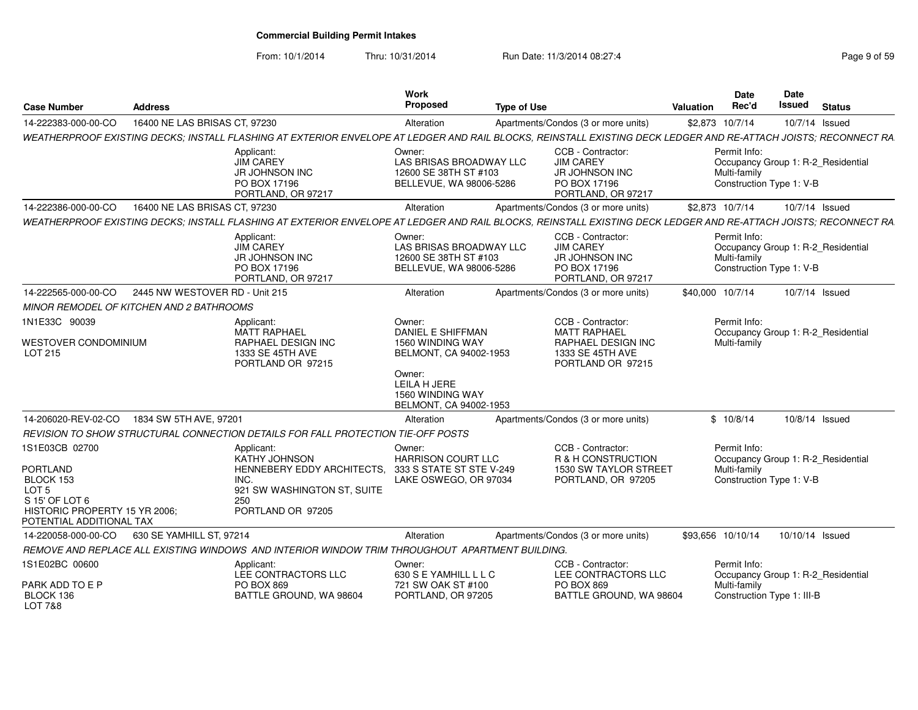From: 10/1/2014Thru: 10/31/2014 Run Date: 11/3/2014 08:27:4<br> **Thru: 10/31/2014** Page 9 of 59

| <b>Case Number</b>                                                                                                                         | Address                        |                                                                                                                                                                 | <b>Work</b><br><b>Proposed</b>                                                        | <b>Type of Use</b> |                                                                                                         | <b>Valuation</b> | <b>Date</b><br>Rec'd         | <b>Date</b><br>Issued      | <b>Status</b>                      |
|--------------------------------------------------------------------------------------------------------------------------------------------|--------------------------------|-----------------------------------------------------------------------------------------------------------------------------------------------------------------|---------------------------------------------------------------------------------------|--------------------|---------------------------------------------------------------------------------------------------------|------------------|------------------------------|----------------------------|------------------------------------|
| 14-222383-000-00-CO                                                                                                                        | 16400 NE LAS BRISAS CT, 97230  |                                                                                                                                                                 | Alteration                                                                            |                    | Apartments/Condos (3 or more units)                                                                     |                  | \$2,873 10/7/14              |                            | 10/7/14 Issued                     |
|                                                                                                                                            |                                | WEATHERPROOF EXISTING DECKS; INSTALL FLASHING AT EXTERIOR ENVELOPE AT LEDGER AND RAIL BLOCKS, REINSTALL EXISTING DECK LEDGER AND RE-ATTACH JOISTS; RECONNECT RA |                                                                                       |                    |                                                                                                         |                  |                              |                            |                                    |
|                                                                                                                                            |                                | Applicant:<br><b>JIM CAREY</b><br>JR JOHNSON INC<br>PO BOX 17196<br>PORTLAND, OR 97217                                                                          | Owner:<br>LAS BRISAS BROADWAY LLC<br>12600 SE 38TH ST #103<br>BELLEVUE, WA 98006-5286 |                    | CCB - Contractor:<br><b>JIM CAREY</b><br>JR JOHNSON INC<br>PO BOX 17196<br>PORTLAND, OR 97217           |                  | Permit Info:<br>Multi-family | Construction Type 1: V-B   | Occupancy Group 1: R-2_Residential |
| 14-222386-000-00-CO                                                                                                                        | 16400 NE LAS BRISAS CT, 97230  |                                                                                                                                                                 | Alteration                                                                            |                    | Apartments/Condos (3 or more units)                                                                     |                  | \$2,873 10/7/14              |                            | 10/7/14 Issued                     |
|                                                                                                                                            |                                | WEATHERPROOF EXISTING DECKS: INSTALL FLASHING AT EXTERIOR ENVELOPE AT LEDGER AND RAIL BLOCKS, REINSTALL EXISTING DECK LEDGER AND RE-ATTACH JOISTS: RECONNECT RA |                                                                                       |                    |                                                                                                         |                  |                              |                            |                                    |
|                                                                                                                                            |                                | Applicant:<br><b>JIM CAREY</b><br>JR JOHNSON INC<br>PO BOX 17196<br>PORTLAND, OR 97217                                                                          | Owner:<br>LAS BRISAS BROADWAY LLC<br>12600 SE 38TH ST #103<br>BELLEVUE, WA 98006-5286 |                    | CCB - Contractor:<br><b>JIM CAREY</b><br><b>JR JOHNSON INC</b><br>PO BOX 17196<br>PORTLAND, OR 97217    |                  | Permit Info:<br>Multi-family | Construction Type 1: V-B   | Occupancy Group 1: R-2_Residential |
| 14-222565-000-00-CO                                                                                                                        | 2445 NW WESTOVER RD - Unit 215 |                                                                                                                                                                 | Alteration                                                                            |                    | Apartments/Condos (3 or more units)                                                                     |                  | \$40,000 10/7/14             |                            | 10/7/14 Issued                     |
| MINOR REMODEL OF KITCHEN AND 2 BATHROOMS                                                                                                   |                                |                                                                                                                                                                 |                                                                                       |                    |                                                                                                         |                  |                              |                            |                                    |
| 1N1E33C 90039<br><b>WESTOVER CONDOMINIUM</b><br>LOT 215                                                                                    |                                | Applicant:<br><b>MATT RAPHAEL</b><br>RAPHAEL DESIGN INC<br>1333 SE 45TH AVE<br>PORTLAND OR 97215                                                                | Owner:<br>DANIEL E SHIFFMAN<br>1560 WINDING WAY<br>BELMONT, CA 94002-1953             |                    | CCB - Contractor:<br><b>MATT RAPHAEL</b><br>RAPHAEL DESIGN INC<br>1333 SE 45TH AVE<br>PORTLAND OR 97215 |                  | Permit Info:<br>Multi-family |                            | Occupancy Group 1: R-2_Residential |
|                                                                                                                                            |                                |                                                                                                                                                                 | Owner:<br>LEILA H JERE<br><b>1560 WINDING WAY</b><br>BELMONT, CA 94002-1953           |                    |                                                                                                         |                  |                              |                            |                                    |
| 14-206020-REV-02-CO                                                                                                                        | 1834 SW 5TH AVE, 97201         |                                                                                                                                                                 | Alteration                                                                            |                    | Apartments/Condos (3 or more units)                                                                     |                  | \$10/8/14                    |                            | 10/8/14 Issued                     |
|                                                                                                                                            |                                | REVISION TO SHOW STRUCTURAL CONNECTION DETAILS FOR FALL PROTECTION TIE-OFF POSTS                                                                                |                                                                                       |                    |                                                                                                         |                  |                              |                            |                                    |
| 1S1E03CB 02700<br>PORTLAND<br>BLOCK 153<br>LOT <sub>5</sub><br>S 15' OF LOT 6<br>HISTORIC PROPERTY 15 YR 2006;<br>POTENTIAL ADDITIONAL TAX |                                | Applicant:<br>KATHY JOHNSON<br>HENNEBERY EDDY ARCHITECTS.<br>INC.<br>921 SW WASHINGTON ST, SUITE<br>250<br>PORTLAND OR 97205                                    | Owner:<br>HARRISON COURT LLC<br>333 S STATE ST STE V-249<br>LAKE OSWEGO, OR 97034     |                    | CCB - Contractor:<br>R & H CONSTRUCTION<br>1530 SW TAYLOR STREET<br>PORTLAND, OR 97205                  |                  | Permit Info:<br>Multi-family | Construction Type 1: V-B   | Occupancy Group 1: R-2_Residential |
| 14-220058-000-00-CO                                                                                                                        | 630 SE YAMHILL ST, 97214       |                                                                                                                                                                 | Alteration                                                                            |                    | Apartments/Condos (3 or more units)                                                                     |                  | \$93.656 10/10/14            | 10/10/14 Issued            |                                    |
|                                                                                                                                            |                                | REMOVE AND REPLACE ALL EXISTING WINDOWS AND INTERIOR WINDOW TRIM THROUGHOUT APARTMENT BUILDING.                                                                 |                                                                                       |                    |                                                                                                         |                  |                              |                            |                                    |
| 1S1E02BC 00600                                                                                                                             |                                | Applicant:<br>LEE CONTRACTORS LLC                                                                                                                               | Owner:<br>630 S E YAMHILL L L C                                                       |                    | CCB - Contractor:<br>LEE CONTRACTORS LLC                                                                |                  | Permit Info:                 |                            | Occupancy Group 1: R-2_Residential |
| PARK ADD TO E P<br>BLOCK 136<br><b>LOT 7&amp;8</b>                                                                                         |                                | <b>PO BOX 869</b><br>BATTLE GROUND, WA 98604                                                                                                                    | 721 SW OAK ST #100<br>PORTLAND, OR 97205                                              |                    | <b>PO BOX 869</b><br>BATTLE GROUND, WA 98604                                                            |                  | Multi-family                 | Construction Type 1: III-B |                                    |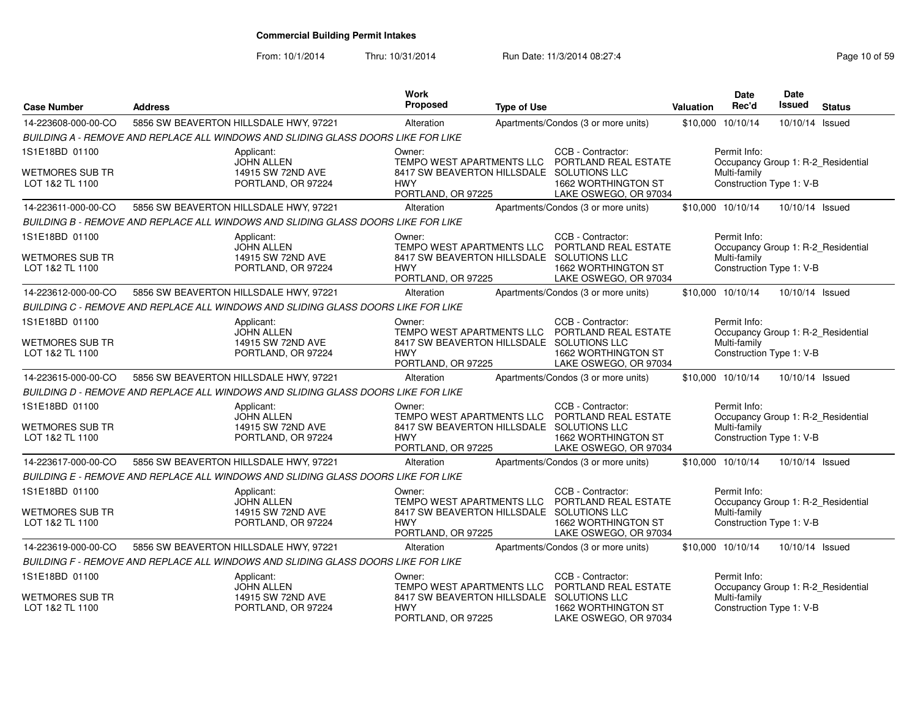| <b>Case Number</b>                        | <b>Address</b>                                                                    | Work<br>Proposed                                                                 | <b>Type of Use</b> |                                              | <b>Valuation</b>  | <b>Date</b><br>Rec'd         | Date<br><b>Issued</b>    | <b>Status</b>                      |
|-------------------------------------------|-----------------------------------------------------------------------------------|----------------------------------------------------------------------------------|--------------------|----------------------------------------------|-------------------|------------------------------|--------------------------|------------------------------------|
| 14-223608-000-00-CO                       | 5856 SW BEAVERTON HILLSDALE HWY, 97221                                            | Alteration                                                                       |                    | Apartments/Condos (3 or more units)          | \$10,000 10/10/14 |                              | 10/10/14                 | Issued                             |
|                                           | BUILDING A - REMOVE AND REPLACE ALL WINDOWS AND SLIDING GLASS DOORS LIKE FOR LIKE |                                                                                  |                    |                                              |                   |                              |                          |                                    |
| 1S1E18BD 01100                            | Applicant:<br><b>JOHN ALLEN</b>                                                   | Owner:<br>TEMPO WEST APARTMENTS LLC                                              |                    | CCB - Contractor:<br>PORTLAND REAL ESTATE    |                   | Permit Info:                 |                          | Occupancy Group 1: R-2_Residential |
| <b>WETMORES SUB TR</b><br>LOT 1&2 TL 1100 | 14915 SW 72ND AVE<br>PORTLAND, OR 97224                                           | 8417 SW BEAVERTON HILLSDALE SOLUTIONS LLC<br><b>HWY</b><br>PORTLAND, OR 97225    |                    | 1662 WORTHINGTON ST<br>LAKE OSWEGO, OR 97034 |                   | Multi-family                 | Construction Type 1: V-B |                                    |
| 14-223611-000-00-CO                       | 5856 SW BEAVERTON HILLSDALE HWY, 97221                                            | Alteration                                                                       |                    | Apartments/Condos (3 or more units)          | \$10,000 10/10/14 |                              | 10/10/14 Issued          |                                    |
|                                           | BUILDING B - REMOVE AND REPLACE ALL WINDOWS AND SLIDING GLASS DOORS LIKE FOR LIKE |                                                                                  |                    |                                              |                   |                              |                          |                                    |
| 1S1E18BD 01100<br><b>WETMORES SUB TR</b>  | Applicant:<br><b>JOHN ALLEN</b><br>14915 SW 72ND AVE                              | Owner:<br>TEMPO WEST APARTMENTS LLC<br>8417 SW BEAVERTON HILLSDALE SOLUTIONS LLC |                    | CCB - Contractor:<br>PORTLAND REAL ESTATE    |                   | Permit Info:<br>Multi-family |                          | Occupancy Group 1: R-2_Residential |
| LOT 1&2 TL 1100                           | PORTLAND, OR 97224                                                                | <b>HWY</b><br>PORTLAND, OR 97225                                                 |                    | 1662 WORTHINGTON ST<br>LAKE OSWEGO, OR 97034 |                   |                              | Construction Type 1: V-B |                                    |
| 14-223612-000-00-CO                       | 5856 SW BEAVERTON HILLSDALE HWY, 97221                                            | Alteration                                                                       |                    | Apartments/Condos (3 or more units)          | \$10,000 10/10/14 |                              | 10/10/14 Issued          |                                    |
|                                           | BUILDING C - REMOVE AND REPLACE ALL WINDOWS AND SLIDING GLASS DOORS LIKE FOR LIKE |                                                                                  |                    |                                              |                   |                              |                          |                                    |
| 1S1E18BD 01100                            | Applicant:<br><b>JOHN ALLEN</b>                                                   | Owner:<br>TEMPO WEST APARTMENTS LLC                                              |                    | CCB - Contractor:<br>PORTLAND REAL ESTATE    |                   | Permit Info:                 |                          | Occupancy Group 1: R-2_Residential |
| <b>WETMORES SUB TR</b><br>LOT 1&2 TL 1100 | 14915 SW 72ND AVE<br>PORTLAND, OR 97224                                           | 8417 SW BEAVERTON HILLSDALE SOLUTIONS LLC<br><b>HWY</b><br>PORTLAND, OR 97225    |                    | 1662 WORTHINGTON ST<br>LAKE OSWEGO, OR 97034 |                   | Multi-family                 | Construction Type 1: V-B |                                    |
| 14-223615-000-00-CO                       | 5856 SW BEAVERTON HILLSDALE HWY, 97221                                            | Alteration                                                                       |                    | Apartments/Condos (3 or more units)          | \$10,000 10/10/14 |                              | 10/10/14 Issued          |                                    |
|                                           | BUILDING D - REMOVE AND REPLACE ALL WINDOWS AND SLIDING GLASS DOORS LIKE FOR LIKE |                                                                                  |                    |                                              |                   |                              |                          |                                    |
| 1S1E18BD 01100                            | Applicant:<br><b>JOHN ALLEN</b>                                                   | Owner:<br>TEMPO WEST APARTMENTS LLC                                              |                    | CCB - Contractor:<br>PORTLAND REAL ESTATE    |                   | Permit Info:                 |                          | Occupancy Group 1: R-2_Residential |
| WETMORES SUB TR<br>LOT 1&2 TL 1100        | 14915 SW 72ND AVE<br>PORTLAND, OR 97224                                           | 8417 SW BEAVERTON HILLSDALE SOLUTIONS LLC<br><b>HWY</b><br>PORTLAND, OR 97225    |                    | 1662 WORTHINGTON ST<br>LAKE OSWEGO, OR 97034 |                   | Multi-family                 | Construction Type 1: V-B |                                    |
| 14-223617-000-00-CO                       | 5856 SW BEAVERTON HILLSDALE HWY, 97221                                            | Alteration                                                                       |                    | Apartments/Condos (3 or more units)          | \$10,000 10/10/14 |                              | 10/10/14 Issued          |                                    |
|                                           | BUILDING E - REMOVE AND REPLACE ALL WINDOWS AND SLIDING GLASS DOORS LIKE FOR LIKE |                                                                                  |                    |                                              |                   |                              |                          |                                    |
| 1S1E18BD 01100                            | Applicant:<br><b>JOHN ALLEN</b>                                                   | Owner:<br>TEMPO WEST APARTMENTS LLC                                              |                    | CCB - Contractor:<br>PORTLAND REAL ESTATE    |                   | Permit Info:                 |                          | Occupancy Group 1: R-2 Residential |
| <b>WETMORES SUB TR</b><br>LOT 1&2 TL 1100 | 14915 SW 72ND AVE<br>PORTLAND, OR 97224                                           | 8417 SW BEAVERTON HILLSDALE SOLUTIONS LLC<br><b>HWY</b><br>PORTLAND, OR 97225    |                    | 1662 WORTHINGTON ST<br>LAKE OSWEGO, OR 97034 |                   | Multi-family                 | Construction Type 1: V-B |                                    |
| 14-223619-000-00-CO                       | 5856 SW BEAVERTON HILLSDALE HWY, 97221                                            | Alteration                                                                       |                    | Apartments/Condos (3 or more units)          | \$10,000 10/10/14 |                              | 10/10/14 Issued          |                                    |
|                                           | BUILDING F - REMOVE AND REPLACE ALL WINDOWS AND SLIDING GLASS DOORS LIKE FOR LIKE |                                                                                  |                    |                                              |                   |                              |                          |                                    |
| 1S1E18BD 01100                            | Applicant:<br><b>JOHN ALLEN</b>                                                   | Owner:<br>TEMPO WEST APARTMENTS LLC                                              |                    | CCB - Contractor:<br>PORTLAND REAL ESTATE    |                   | Permit Info:                 |                          | Occupancy Group 1: R-2_Residential |
| WETMORES SUB TR<br>LOT 1&2 TL 1100        | 14915 SW 72ND AVE<br>PORTLAND, OR 97224                                           | 8417 SW BEAVERTON HILLSDALE SOLUTIONS LLC<br><b>HWY</b><br>PORTLAND, OR 97225    |                    | 1662 WORTHINGTON ST<br>LAKE OSWEGO, OR 97034 |                   | Multi-family                 | Construction Type 1: V-B |                                    |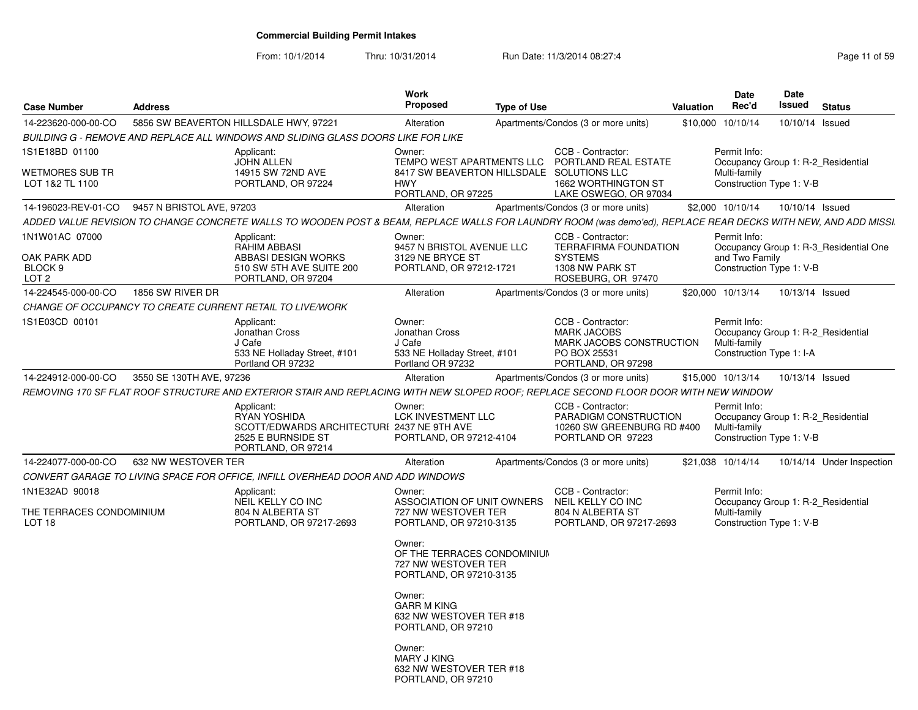From: 10/1/2014

| <b>Case Number</b>                            | <b>Address</b>            |                                                                                                                                                               | <b>Work</b><br>Proposed                                                                 | <b>Type of Use</b> |                                                                                                           | <b>Valuation</b> | <b>Date</b><br>Rec'd         | <b>Date</b><br>Issued    | <b>Status</b>                          |
|-----------------------------------------------|---------------------------|---------------------------------------------------------------------------------------------------------------------------------------------------------------|-----------------------------------------------------------------------------------------|--------------------|-----------------------------------------------------------------------------------------------------------|------------------|------------------------------|--------------------------|----------------------------------------|
| 14-223620-000-00-CO                           |                           | 5856 SW BEAVERTON HILLSDALE HWY, 97221                                                                                                                        | Alteration                                                                              |                    | Apartments/Condos (3 or more units)                                                                       |                  | \$10,000 10/10/14            | 10/10/14 Issued          |                                        |
|                                               |                           | BUILDING G - REMOVE AND REPLACE ALL WINDOWS AND SLIDING GLASS DOORS LIKE FOR LIKE                                                                             |                                                                                         |                    |                                                                                                           |                  |                              |                          |                                        |
| 1S1E18BD 01100                                |                           | Applicant:                                                                                                                                                    | Owner:                                                                                  |                    | CCB - Contractor:                                                                                         |                  | Permit Info:                 |                          |                                        |
| <b>WETMORES SUB TR</b><br>LOT 1&2 TL 1100     |                           | <b>JOHN ALLEN</b><br>14915 SW 72ND AVE<br>PORTLAND, OR 97224                                                                                                  | 8417 SW BEAVERTON HILLSDALE SOLUTIONS LLC<br><b>HWY</b><br>PORTLAND, OR 97225           |                    | TEMPO WEST APARTMENTS LLC PORTLAND REAL ESTATE<br>1662 WORTHINGTON ST<br>LAKE OSWEGO, OR 97034            |                  | Multi-family                 | Construction Type 1: V-B | Occupancy Group 1: R-2_Residential     |
| 14-196023-REV-01-CO                           | 9457 N BRISTOL AVE, 97203 |                                                                                                                                                               | Alteration                                                                              |                    | Apartments/Condos (3 or more units)                                                                       |                  | \$2,000 10/10/14             | 10/10/14 Issued          |                                        |
|                                               |                           | ADDED VALUE REVISION TO CHANGE CONCRETE WALLS TO WOODEN POST & BEAM, REPLACE WALLS FOR LAUNDRY ROOM (was demo'ed), REPLACE REAR DECKS WITH NEW, AND ADD MISSI |                                                                                         |                    |                                                                                                           |                  |                              |                          |                                        |
| 1N1W01AC 07000                                |                           | Applicant:                                                                                                                                                    | Owner:                                                                                  |                    | CCB - Contractor:                                                                                         |                  | Permit Info:                 |                          |                                        |
|                                               |                           | RAHIM ABBASI                                                                                                                                                  | 9457 N BRISTOL AVENUE LLC                                                               |                    | <b>TERRAFIRMA FOUNDATION</b>                                                                              |                  |                              |                          | Occupancy Group 1: R-3 Residential One |
| OAK PARK ADD<br>BLOCK 9<br>LOT <sub>2</sub>   |                           | ABBASI DESIGN WORKS<br>510 SW 5TH AVE SUITE 200<br>PORTLAND, OR 97204                                                                                         | 3129 NE BRYCE ST<br>PORTLAND, OR 97212-1721                                             |                    | <b>SYSTEMS</b><br>1308 NW PARK ST<br>ROSEBURG, OR 97470                                                   |                  | and Two Family               | Construction Type 1: V-B |                                        |
| 14-224545-000-00-CO                           | 1856 SW RIVER DR          |                                                                                                                                                               | Alteration                                                                              |                    | Apartments/Condos (3 or more units)                                                                       |                  | \$20,000 10/13/14            | 10/13/14 Issued          |                                        |
|                                               |                           | CHANGE OF OCCUPANCY TO CREATE CURRENT RETAIL TO LIVE/WORK                                                                                                     |                                                                                         |                    |                                                                                                           |                  |                              |                          |                                        |
| 1S1E03CD 00101                                |                           | Applicant:<br>Jonathan Cross<br>J Cafe<br>533 NE Holladay Street, #101<br>Portland OR 97232                                                                   | Owner:<br>Jonathan Cross<br>J Cafe<br>533 NE Holladay Street, #101<br>Portland OR 97232 |                    | CCB - Contractor:<br><b>MARK JACOBS</b><br>MARK JACOBS CONSTRUCTION<br>PO BOX 25531<br>PORTLAND, OR 97298 |                  | Permit Info:<br>Multi-family | Construction Type 1: I-A | Occupancy Group 1: R-2_Residential     |
| 14-224912-000-00-CO                           | 3550 SE 130TH AVE, 97236  |                                                                                                                                                               | Alteration                                                                              |                    | Apartments/Condos (3 or more units)                                                                       |                  | \$15,000 10/13/14            | 10/13/14 Issued          |                                        |
|                                               |                           | REMOVING 170 SF FLAT ROOF STRUCTURE AND EXTERIOR STAIR AND REPLACING WITH NEW SLOPED ROOF; REPLACE SECOND FLOOR DOOR WITH NEW WINDOW                          |                                                                                         |                    |                                                                                                           |                  |                              |                          |                                        |
|                                               |                           | Applicant:<br>RYAN YOSHIDA<br>SCOTT/EDWARDS ARCHITECTURI 2437 NE 9TH AVE<br>2525 E BURNSIDE ST<br>PORTLAND, OR 97214                                          | Owner:<br>LCK INVESTMENT LLC<br>PORTLAND, OR 97212-4104                                 |                    | CCB - Contractor:<br>PARADIGM CONSTRUCTION<br>10260 SW GREENBURG RD #400<br>PORTLAND OR 97223             |                  | Permit Info:<br>Multi-family | Construction Type 1: V-B | Occupancy Group 1: R-2_Residential     |
| 14-224077-000-00-CO                           | 632 NW WESTOVER TER       |                                                                                                                                                               | Alteration                                                                              |                    | Apartments/Condos (3 or more units)                                                                       |                  | \$21,038 10/14/14            |                          | 10/14/14 Under Inspection              |
|                                               |                           | CONVERT GARAGE TO LIVING SPACE FOR OFFICE, INFILL OVERHEAD DOOR AND ADD WINDOWS                                                                               |                                                                                         |                    |                                                                                                           |                  |                              |                          |                                        |
| 1N1E32AD 90018                                |                           | Applicant:<br>NEIL KELLY CO INC                                                                                                                               | Owner:<br>ASSOCIATION OF UNIT OWNERS                                                    |                    | CCB - Contractor:<br>NEIL KELLY CO INC                                                                    |                  | Permit Info:                 |                          | Occupancy Group 1: R-2_Residential     |
| THE TERRACES CONDOMINIUM<br>LOT <sub>18</sub> |                           | 804 N ALBERTA ST<br>PORTLAND, OR 97217-2693                                                                                                                   | 727 NW WESTOVER TER<br>PORTLAND, OR 97210-3135                                          |                    | 804 N ALBERTA ST<br>PORTLAND, OR 97217-2693                                                               |                  | Multi-family                 | Construction Type 1: V-B |                                        |
|                                               |                           |                                                                                                                                                               | Owner:<br>OF THE TERRACES CONDOMINIUM<br>727 NW WESTOVER TER<br>PORTLAND, OR 97210-3135 |                    |                                                                                                           |                  |                              |                          |                                        |
|                                               |                           |                                                                                                                                                               | Owner:<br><b>GARR M KING</b><br>632 NW WESTOVER TER #18<br>PORTLAND, OR 97210           |                    |                                                                                                           |                  |                              |                          |                                        |
|                                               |                           |                                                                                                                                                               | Owner:<br><b>MARY J KING</b><br>632 NW WESTOVER TER #18<br>PORTLAND, OR 97210           |                    |                                                                                                           |                  |                              |                          |                                        |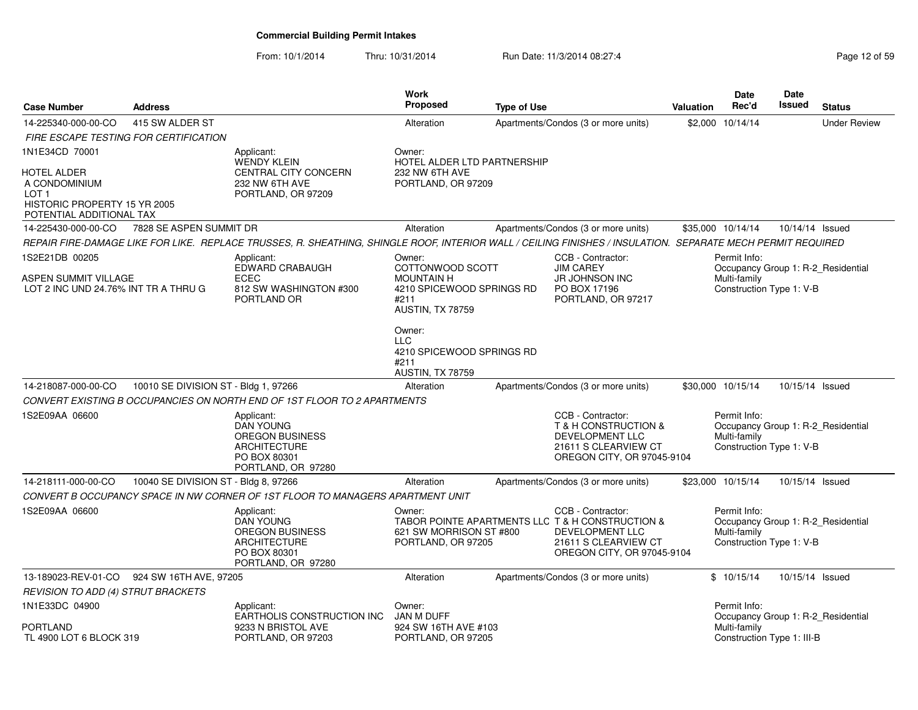| <b>Case Number</b>                                                                    | <b>Address</b>                       |                                                                                                                                                             | Work<br><b>Proposed</b>                                                                                  | <b>Type of Use</b> |                                                                                                                                                | <b>Valuation</b> | <b>Date</b><br>Rec'd                                     | <b>Date</b><br><b>Issued</b> | <b>Status</b>                      |
|---------------------------------------------------------------------------------------|--------------------------------------|-------------------------------------------------------------------------------------------------------------------------------------------------------------|----------------------------------------------------------------------------------------------------------|--------------------|------------------------------------------------------------------------------------------------------------------------------------------------|------------------|----------------------------------------------------------|------------------------------|------------------------------------|
| 14-225340-000-00-CO                                                                   | 415 SW ALDER ST                      |                                                                                                                                                             | Alteration                                                                                               |                    | Apartments/Condos (3 or more units)                                                                                                            |                  | \$2,000 10/14/14                                         |                              | <b>Under Review</b>                |
| FIRE ESCAPE TESTING FOR CERTIFICATION                                                 |                                      |                                                                                                                                                             |                                                                                                          |                    |                                                                                                                                                |                  |                                                          |                              |                                    |
| 1N1E34CD 70001                                                                        |                                      | Applicant:<br><b>WENDY KLEIN</b>                                                                                                                            | Owner:<br>HOTEL ALDER LTD PARTNERSHIP                                                                    |                    |                                                                                                                                                |                  |                                                          |                              |                                    |
| <b>HOTEL ALDER</b><br>A CONDOMINIUM<br>LOT 1                                          |                                      | CENTRAL CITY CONCERN<br>232 NW 6TH AVE<br>PORTLAND, OR 97209                                                                                                | 232 NW 6TH AVE<br>PORTLAND, OR 97209                                                                     |                    |                                                                                                                                                |                  |                                                          |                              |                                    |
| HISTORIC PROPERTY 15 YR 2005<br>POTENTIAL ADDITIONAL TAX                              |                                      |                                                                                                                                                             |                                                                                                          |                    |                                                                                                                                                |                  |                                                          |                              |                                    |
| 14-225430-000-00-CO                                                                   | 7828 SE ASPEN SUMMIT DR              |                                                                                                                                                             | Alteration                                                                                               |                    | Apartments/Condos (3 or more units)                                                                                                            |                  | \$35,000 10/14/14                                        | 10/14/14 Issued              |                                    |
|                                                                                       |                                      | REPAIR FIRE-DAMAGE LIKE FOR LIKE. REPLACE TRUSSES, R. SHEATHING, SHINGLE ROOF, INTERIOR WALL / CEILING FINISHES / INSULATION. SEPARATE MECH PERMIT REQUIRED |                                                                                                          |                    |                                                                                                                                                |                  |                                                          |                              |                                    |
| 1S2E21DB 00205<br><b>ASPEN SUMMIT VILLAGE</b><br>LOT 2 INC UND 24.76% INT TR A THRU G |                                      | Applicant:<br>EDWARD CRABAUGH<br><b>ECEC</b><br>812 SW WASHINGTON #300<br>PORTLAND OR                                                                       | Owner:<br>COTTONWOOD SCOTT<br><b>MOUNTAIN H</b><br>4210 SPICEWOOD SPRINGS RD<br>#211<br>AUSTIN, TX 78759 |                    | CCB - Contractor:<br><b>JIM CAREY</b><br><b>JR JOHNSON INC</b><br>PO BOX 17196<br>PORTLAND, OR 97217                                           |                  | Permit Info:<br>Multi-family<br>Construction Type 1: V-B |                              | Occupancy Group 1: R-2_Residential |
|                                                                                       |                                      |                                                                                                                                                             | Owner:<br><b>LLC</b><br>4210 SPICEWOOD SPRINGS RD<br>#211<br>AUSTIN, TX 78759                            |                    |                                                                                                                                                |                  |                                                          |                              |                                    |
| 14-218087-000-00-CO                                                                   | 10010 SE DIVISION ST - Bldg 1, 97266 |                                                                                                                                                             | Alteration                                                                                               |                    | Apartments/Condos (3 or more units)                                                                                                            |                  | \$30,000 10/15/14                                        | 10/15/14 Issued              |                                    |
|                                                                                       |                                      | CONVERT EXISTING B OCCUPANCIES ON NORTH END OF 1ST FLOOR TO 2 APARTMENTS                                                                                    |                                                                                                          |                    |                                                                                                                                                |                  |                                                          |                              |                                    |
| 1S2E09AA 06600                                                                        |                                      | Applicant:<br><b>DAN YOUNG</b><br><b>OREGON BUSINESS</b><br><b>ARCHITECTURE</b><br>PO BOX 80301<br>PORTLAND, OR 97280                                       |                                                                                                          |                    | CCB - Contractor:<br>T & H CONSTRUCTION &<br><b>DEVELOPMENT LLC</b><br>21611 S CLEARVIEW CT<br>OREGON CITY, OR 97045-9104                      |                  | Permit Info:<br>Multi-family<br>Construction Type 1: V-B |                              | Occupancy Group 1: R-2 Residential |
| 14-218111-000-00-CO                                                                   | 10040 SE DIVISION ST - Bldg 8, 97266 |                                                                                                                                                             | Alteration                                                                                               |                    | Apartments/Condos (3 or more units)                                                                                                            |                  | \$23,000 10/15/14                                        | 10/15/14 Issued              |                                    |
|                                                                                       |                                      | CONVERT B OCCUPANCY SPACE IN NW CORNER OF 1ST FLOOR TO MANAGERS APARTMENT UNIT                                                                              |                                                                                                          |                    |                                                                                                                                                |                  |                                                          |                              |                                    |
| 1S2E09AA 06600                                                                        |                                      | Applicant:<br><b>DAN YOUNG</b><br><b>OREGON BUSINESS</b><br><b>ARCHITECTURE</b><br>PO BOX 80301<br>PORTLAND, OR 97280                                       | Owner:<br>621 SW MORRISON ST #800<br>PORTLAND, OR 97205                                                  |                    | CCB - Contractor:<br>TABOR POINTE APARTMENTS LLC T & H CONSTRUCTION &<br>DEVELOPMENT LLC<br>21611 S CLEARVIEW CT<br>OREGON CITY, OR 97045-9104 |                  | Permit Info:<br>Multi-family<br>Construction Type 1: V-B |                              | Occupancy Group 1: R-2_Residential |
| 13-189023-REV-01-CO                                                                   | 924 SW 16TH AVE, 97205               |                                                                                                                                                             | Alteration                                                                                               |                    | Apartments/Condos (3 or more units)                                                                                                            |                  | \$10/15/14                                               | 10/15/14 Issued              |                                    |
| <b>REVISION TO ADD (4) STRUT BRACKETS</b>                                             |                                      |                                                                                                                                                             |                                                                                                          |                    |                                                                                                                                                |                  |                                                          |                              |                                    |
| 1N1E33DC 04900                                                                        |                                      | Applicant:<br>EARTHOLIS CONSTRUCTION INC                                                                                                                    | Owner:<br><b>JAN M DUFF</b>                                                                              |                    |                                                                                                                                                |                  | Permit Info:                                             |                              | Occupancy Group 1: R-2 Residential |
| <b>PORTLAND</b><br>TL 4900 LOT 6 BLOCK 319                                            |                                      | 9233 N BRISTOL AVE<br>PORTLAND, OR 97203                                                                                                                    | 924 SW 16TH AVE #103<br>PORTLAND, OR 97205                                                               |                    |                                                                                                                                                |                  | Multi-family<br>Construction Type 1: III-B               |                              |                                    |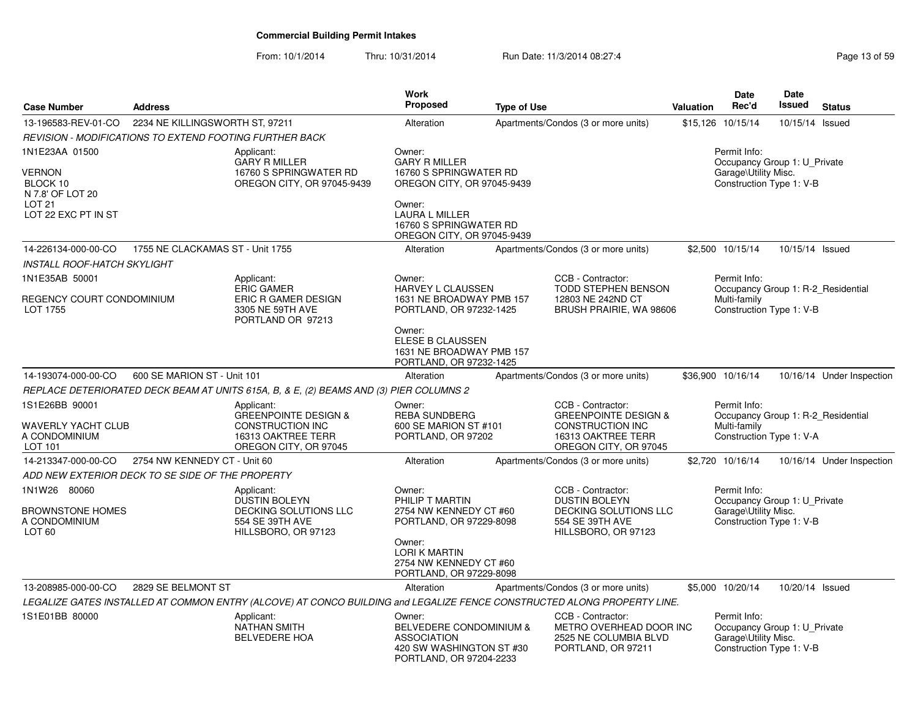| <b>Case Number</b>                                                                                   | <b>Address</b>                                          |                                                                                                                         | <b>Work</b><br><b>Proposed</b>                                                                                                                                                    | <b>Type of Use</b> |                                                                                                                                | <b>Valuation</b> | Date<br>Rec'd                                                                                    | Date<br>Issued  | <b>Status</b>             |
|------------------------------------------------------------------------------------------------------|---------------------------------------------------------|-------------------------------------------------------------------------------------------------------------------------|-----------------------------------------------------------------------------------------------------------------------------------------------------------------------------------|--------------------|--------------------------------------------------------------------------------------------------------------------------------|------------------|--------------------------------------------------------------------------------------------------|-----------------|---------------------------|
| 13-196583-REV-01-CO                                                                                  | 2234 NE KILLINGSWORTH ST, 97211                         |                                                                                                                         | Alteration                                                                                                                                                                        |                    | Apartments/Condos (3 or more units)                                                                                            |                  | \$15,126 10/15/14                                                                                | 10/15/14 Issued |                           |
|                                                                                                      | REVISION - MODIFICATIONS TO EXTEND FOOTING FURTHER BACK |                                                                                                                         |                                                                                                                                                                                   |                    |                                                                                                                                |                  |                                                                                                  |                 |                           |
| 1N1E23AA 01500<br>VERNON<br>BLOCK 10<br>N 7.8' OF LOT 20<br>LOT <sub>21</sub><br>LOT 22 EXC PT IN ST |                                                         | Applicant:<br><b>GARY R MILLER</b><br>16760 S SPRINGWATER RD<br>OREGON CITY, OR 97045-9439                              | Owner:<br><b>GARY R MILLER</b><br>16760 S SPRINGWATER RD<br>OREGON CITY, OR 97045-9439<br>Owner:<br><b>LAURA L MILLER</b><br>16760 S SPRINGWATER RD<br>OREGON CITY, OR 97045-9439 |                    |                                                                                                                                |                  | Permit Info:<br>Occupancy Group 1: U Private<br>Garage\Utility Misc.<br>Construction Type 1: V-B |                 |                           |
| 14-226134-000-00-CO                                                                                  | 1755 NE CLACKAMAS ST - Unit 1755                        |                                                                                                                         | Alteration                                                                                                                                                                        |                    | Apartments/Condos (3 or more units)                                                                                            |                  | \$2,500 10/15/14                                                                                 | 10/15/14 Issued |                           |
| INSTALL ROOF-HATCH SKYLIGHT                                                                          |                                                         |                                                                                                                         |                                                                                                                                                                                   |                    |                                                                                                                                |                  |                                                                                                  |                 |                           |
| 1N1E35AB 50001<br>REGENCY COURT CONDOMINIUM<br>LOT 1755                                              |                                                         | Applicant:<br><b>ERIC GAMER</b><br><b>ERIC R GAMER DESIGN</b><br>3305 NE 59TH AVE                                       | Owner:<br>HARVEY L CLAUSSEN<br>1631 NE BROADWAY PMB 157<br>PORTLAND, OR 97232-1425                                                                                                |                    | CCB - Contractor:<br>TODD STEPHEN BENSON<br>12803 NE 242ND CT<br>BRUSH PRAIRIE, WA 98606                                       |                  | Permit Info:<br>Occupancy Group 1: R-2 Residential<br>Multi-family<br>Construction Type 1: V-B   |                 |                           |
|                                                                                                      |                                                         | PORTLAND OR 97213                                                                                                       | Owner:<br>ELESE B CLAUSSEN<br>1631 NE BROADWAY PMB 157<br>PORTLAND, OR 97232-1425                                                                                                 |                    |                                                                                                                                |                  |                                                                                                  |                 |                           |
| 14-193074-000-00-CO                                                                                  | 600 SE MARION ST - Unit 101                             |                                                                                                                         | Alteration                                                                                                                                                                        |                    | Apartments/Condos (3 or more units)                                                                                            |                  | \$36,900 10/16/14                                                                                |                 | 10/16/14 Under Inspection |
|                                                                                                      |                                                         | REPLACE DETERIORATED DECK BEAM AT UNITS 615A, B, & E, (2) BEAMS AND (3) PIER COLUMNS 2                                  |                                                                                                                                                                                   |                    |                                                                                                                                |                  |                                                                                                  |                 |                           |
| 1S1E26BB 90001<br>WAVERLY YACHT CLUB<br>A CONDOMINIUM<br>LOT 101                                     |                                                         | Applicant:<br><b>GREENPOINTE DESIGN &amp;</b><br>CONSTRUCTION INC<br>16313 OAKTREE TERR<br>OREGON CITY, OR 97045        | Owner:<br><b>REBA SUNDBERG</b><br>600 SE MARION ST #101<br>PORTLAND, OR 97202                                                                                                     |                    | CCB - Contractor:<br><b>GREENPOINTE DESIGN &amp;</b><br><b>CONSTRUCTION INC</b><br>16313 OAKTREE TERR<br>OREGON CITY, OR 97045 |                  | Permit Info:<br>Occupancy Group 1: R-2 Residential<br>Multi-family<br>Construction Type 1: V-A   |                 |                           |
| 14-213347-000-00-CO                                                                                  | 2754 NW KENNEDY CT - Unit 60                            |                                                                                                                         | Alteration                                                                                                                                                                        |                    | Apartments/Condos (3 or more units)                                                                                            |                  | \$2,720 10/16/14                                                                                 |                 | 10/16/14 Under Inspection |
|                                                                                                      | ADD NEW EXTERIOR DECK TO SE SIDE OF THE PROPERTY        |                                                                                                                         |                                                                                                                                                                                   |                    |                                                                                                                                |                  |                                                                                                  |                 |                           |
| 1N1W26 80060<br><b>BROWNSTONE HOMES</b><br>A CONDOMINIUM<br>LOT <sub>60</sub>                        |                                                         | Applicant:<br>DUSTIN BOLEYN<br>DECKING SOLUTIONS LLC<br>554 SE 39TH AVE<br>HILLSBORO, OR 97123                          | Owner:<br>PHILIP T MARTIN<br>2754 NW KENNEDY CT #60<br>PORTLAND, OR 97229-8098                                                                                                    |                    | CCB - Contractor:<br><b>DUSTIN BOLEYN</b><br>DECKING SOLUTIONS LLC<br>554 SE 39TH AVE<br>HILLSBORO, OR 97123                   |                  | Permit Info:<br>Occupancy Group 1: U_Private<br>Garage\Utility Misc.<br>Construction Type 1: V-B |                 |                           |
|                                                                                                      |                                                         |                                                                                                                         | Owner:<br><b>LORI K MARTIN</b><br>2754 NW KENNEDY CT #60<br>PORTLAND, OR 97229-8098                                                                                               |                    |                                                                                                                                |                  |                                                                                                  |                 |                           |
| 13-208985-000-00-CO                                                                                  | 2829 SE BELMONT ST                                      |                                                                                                                         | Alteration                                                                                                                                                                        |                    | Apartments/Condos (3 or more units)                                                                                            |                  | \$5,000 10/20/14                                                                                 | 10/20/14 Issued |                           |
|                                                                                                      |                                                         | LEGALIZE GATES INSTALLED AT COMMON ENTRY (ALCOVE) AT CONCO BUILDING and LEGALIZE FENCE CONSTRUCTED ALONG PROPERTY LINE. |                                                                                                                                                                                   |                    |                                                                                                                                |                  |                                                                                                  |                 |                           |
| 1S1E01BB 80000                                                                                       |                                                         | Applicant:<br><b>NATHAN SMITH</b><br><b>BELVEDERE HOA</b>                                                               | Owner:<br>BELVEDERE CONDOMINIUM &<br><b>ASSOCIATION</b><br>420 SW WASHINGTON ST #30<br>PORTLAND, OR 97204-2233                                                                    |                    | CCB - Contractor:<br>METRO OVERHEAD DOOR INC<br>2525 NE COLUMBIA BLVD<br>PORTLAND, OR 97211                                    |                  | Permit Info:<br>Occupancy Group 1: U_Private<br>Garage\Utility Misc.<br>Construction Type 1: V-B |                 |                           |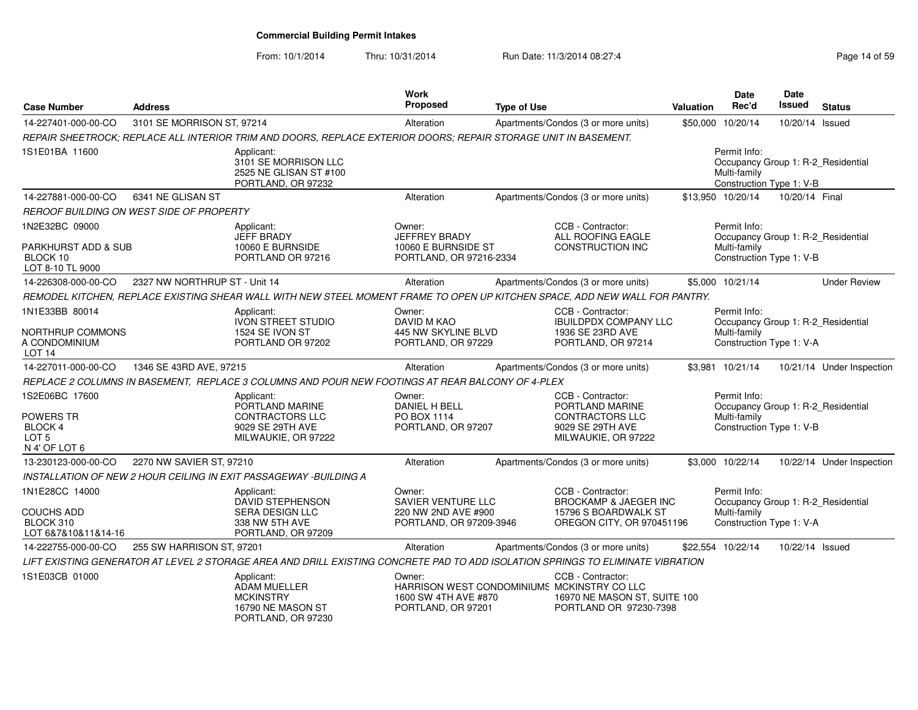| <b>Case Number</b>                                                                | <b>Address</b>                           |                                                                                                                                 | <b>Work</b><br>Proposed                                                          | <b>Type of Use</b> |                                                                                                                            | Valuation | <b>Date</b><br>Rec'd         | <b>Date</b><br><b>Issued</b> | <b>Status</b>                      |
|-----------------------------------------------------------------------------------|------------------------------------------|---------------------------------------------------------------------------------------------------------------------------------|----------------------------------------------------------------------------------|--------------------|----------------------------------------------------------------------------------------------------------------------------|-----------|------------------------------|------------------------------|------------------------------------|
| 14-227401-000-00-CO                                                               | 3101 SE MORRISON ST, 97214               |                                                                                                                                 | Alteration                                                                       |                    | Apartments/Condos (3 or more units)                                                                                        | \$50,000  | 10/20/14                     | 10/20/14 Issued              |                                    |
|                                                                                   |                                          | REPAIR SHEETROCK: REPLACE ALL INTERIOR TRIM AND DOORS. REPLACE EXTERIOR DOORS: REPAIR STORAGE UNIT IN BASEMENT.                 |                                                                                  |                    |                                                                                                                            |           |                              |                              |                                    |
| 1S1E01BA 11600                                                                    |                                          | Applicant:<br>3101 SE MORRISON LLC<br>2525 NE GLISAN ST #100<br>PORTLAND, OR 97232                                              |                                                                                  |                    |                                                                                                                            |           | Permit Info:<br>Multi-family | Construction Type 1: V-B     | Occupancy Group 1: R-2_Residential |
| 14-227881-000-00-CO                                                               | 6341 NE GLISAN ST                        |                                                                                                                                 | Alteration                                                                       |                    | Apartments/Condos (3 or more units)                                                                                        |           | \$13,950 10/20/14            | 10/20/14 Final               |                                    |
|                                                                                   | REROOF BUILDING ON WEST SIDE OF PROPERTY |                                                                                                                                 |                                                                                  |                    |                                                                                                                            |           |                              |                              |                                    |
| 1N2E32BC 09000<br>PARKHURST ADD & SUB<br>BLOCK 10<br>LOT 8-10 TL 9000             |                                          | Applicant:<br><b>JEFF BRADY</b><br>10060 E BURNSIDE<br>PORTLAND OR 97216                                                        | Owner:<br><b>JEFFREY BRADY</b><br>10060 E BURNSIDE ST<br>PORTLAND, OR 97216-2334 |                    | CCB - Contractor:<br>ALL ROOFING EAGLE<br><b>CONSTRUCTION INC</b>                                                          |           | Permit Info:<br>Multi-family | Construction Type 1: V-B     | Occupancy Group 1: R-2_Residential |
| 14-226308-000-00-CO                                                               | 2327 NW NORTHRUP ST - Unit 14            |                                                                                                                                 | Alteration                                                                       |                    | Apartments/Condos (3 or more units)                                                                                        |           | \$5,000 10/21/14             |                              | <b>Under Review</b>                |
|                                                                                   |                                          | REMODEL KITCHEN, REPLACE EXISTING SHEAR WALL WITH NEW STEEL MOMENT FRAME TO OPEN UP KITCHEN SPACE, ADD NEW WALL FOR PANTRY.     |                                                                                  |                    |                                                                                                                            |           |                              |                              |                                    |
| 1N1E33BB 80014                                                                    |                                          | Applicant:<br><b>IVON STREET STUDIO</b>                                                                                         | Owner:<br>DAVID M KAO                                                            |                    | CCB - Contractor:<br><b>IBUILDPDX COMPANY LLC</b>                                                                          |           | Permit Info:                 |                              | Occupancy Group 1: R-2 Residential |
| NORTHRUP COMMONS<br>A CONDOMINIUM<br>LOT <sub>14</sub>                            |                                          | 1524 SE IVON ST<br>PORTLAND OR 97202                                                                                            | 445 NW SKYLINE BLVD<br>PORTLAND, OR 97229                                        |                    | 1936 SE 23RD AVE<br>PORTLAND, OR 97214                                                                                     |           | Multi-family                 | Construction Type 1: V-A     |                                    |
| 14-227011-000-00-CO                                                               | 1346 SE 43RD AVE, 97215                  |                                                                                                                                 | Alteration                                                                       |                    | Apartments/Condos (3 or more units)                                                                                        |           | \$3,981 10/21/14             |                              | 10/21/14 Under Inspection          |
|                                                                                   |                                          | REPLACE 2 COLUMNS IN BASEMENT, REPLACE 3 COLUMNS AND POUR NEW FOOTINGS AT REAR BALCONY OF 4-PLEX                                |                                                                                  |                    |                                                                                                                            |           |                              |                              |                                    |
| 1S2E06BC 17600<br>POWERS TR<br><b>BLOCK4</b><br>LOT <sub>5</sub><br>N 4' OF LOT 6 |                                          | Applicant:<br>PORTLAND MARINE<br><b>CONTRACTORS LLC</b><br>9029 SE 29TH AVE<br>MILWAUKIE, OR 97222                              | Owner:<br>DANIEL H BELL<br>PO BOX 1114<br>PORTLAND, OR 97207                     |                    | CCB - Contractor:<br>PORTLAND MARINE<br><b>CONTRACTORS LLC</b><br>9029 SE 29TH AVE<br>MILWAUKIE, OR 97222                  |           | Permit Info:<br>Multi-family | Construction Type 1: V-B     | Occupancy Group 1: R-2 Residential |
| 13-230123-000-00-CO                                                               | 2270 NW SAVIER ST, 97210                 |                                                                                                                                 | Alteration                                                                       |                    | Apartments/Condos (3 or more units)                                                                                        |           | \$3,000 10/22/14             |                              | 10/22/14 Under Inspection          |
|                                                                                   |                                          | INSTALLATION OF NEW 2 HOUR CEILING IN EXIT PASSAGEWAY -BUILDING A                                                               |                                                                                  |                    |                                                                                                                            |           |                              |                              |                                    |
| 1N1E28CC 14000<br><b>COUCHS ADD</b><br>BLOCK 310<br>LOT 6&7&10&11&14-16           |                                          | Applicant:<br>DAVID STEPHENSON<br><b>SERA DESIGN LLC</b><br>338 NW 5TH AVE<br>PORTLAND, OR 97209                                | Owner:<br>SAVIER VENTURE LLC<br>220 NW 2ND AVE #900<br>PORTLAND, OR 97209-3946   |                    | CCB - Contractor:<br>BROCKAMP & JAEGER INC<br>15796 S BOARDWALK ST<br>OREGON CITY, OR 970451196                            |           | Permit Info:<br>Multi-family | Construction Type 1: V-A     | Occupancy Group 1: R-2_Residential |
| 14-222755-000-00-CO                                                               | 255 SW HARRISON ST, 97201                |                                                                                                                                 | Alteration                                                                       |                    | Apartments/Condos (3 or more units)                                                                                        |           | \$22.554 10/22/14            | 10/22/14 Issued              |                                    |
|                                                                                   |                                          | LIFT EXISTING GENERATOR AT LEVEL 2 STORAGE AREA AND DRILL EXISTING CONCRETE PAD TO ADD ISOLATION SPRINGS TO ELIMINATE VIBRATION |                                                                                  |                    |                                                                                                                            |           |                              |                              |                                    |
| 1S1E03CB 01000                                                                    |                                          | Applicant:<br><b>ADAM MUELLER</b><br><b>MCKINSTRY</b><br>16790 NE MASON ST<br>PORTLAND, OR 97230                                | Owner:<br>1600 SW 4TH AVE #870<br>PORTLAND, OR 97201                             |                    | CCB - Contractor:<br>HARRISON WEST CONDOMINIUMS MCKINSTRY CO LLC<br>16970 NE MASON ST, SUITE 100<br>PORTLAND OR 97230-7398 |           |                              |                              |                                    |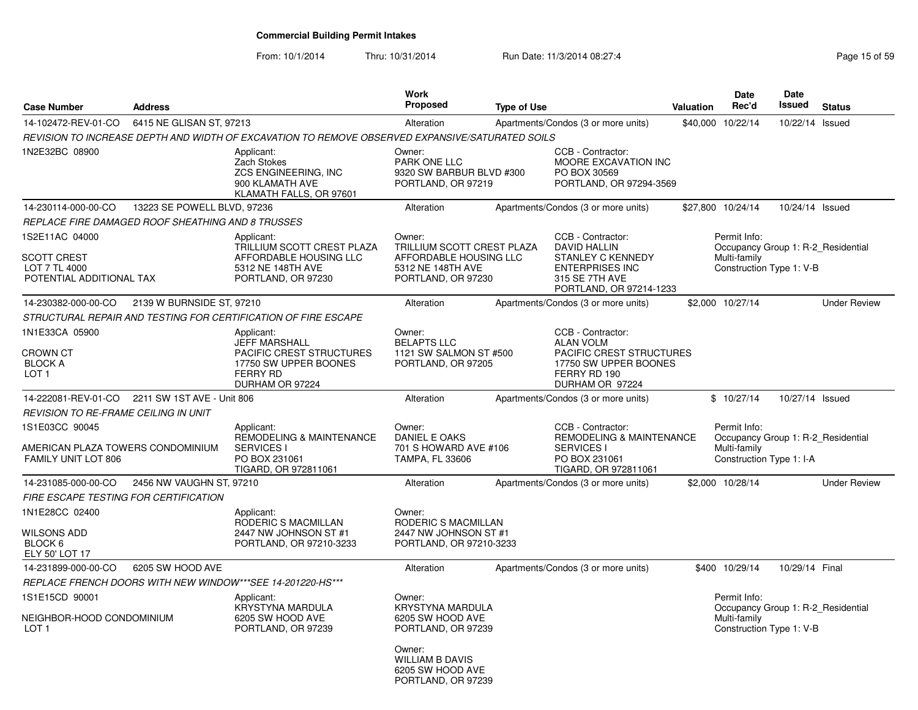From: 10/1/2014

| <b>Case Number</b>                                                                | <b>Address</b>                                    |                                                                                                                                      | <b>Work</b><br>Proposed                                                                                   | <b>Type of Use</b> |                                                                                                                                             | <b>Valuation</b> | Date<br>Rec'd                                                                                  | Date<br><b>Issued</b> | <b>Status</b>       |
|-----------------------------------------------------------------------------------|---------------------------------------------------|--------------------------------------------------------------------------------------------------------------------------------------|-----------------------------------------------------------------------------------------------------------|--------------------|---------------------------------------------------------------------------------------------------------------------------------------------|------------------|------------------------------------------------------------------------------------------------|-----------------------|---------------------|
| 14-102472-REV-01-CO                                                               | 6415 NE GLISAN ST, 97213                          |                                                                                                                                      | Alteration                                                                                                |                    | Apartments/Condos (3 or more units)                                                                                                         | \$40,000         | 10/22/14                                                                                       | 10/22/14              | Issued              |
|                                                                                   |                                                   | REVISION TO INCREASE DEPTH AND WIDTH OF EXCAVATION TO REMOVE OBSERVED EXPANSIVE/SATURATED SOILS                                      |                                                                                                           |                    |                                                                                                                                             |                  |                                                                                                |                       |                     |
| 1N2E32BC 08900                                                                    |                                                   | Applicant:<br>Zach Stokes<br>ZCS ENGINEERING, INC<br>900 KLAMATH AVE<br>KLAMATH FALLS, OR 97601                                      | Owner:<br>PARK ONE LLC<br>9320 SW BARBUR BLVD #300<br>PORTLAND, OR 97219                                  |                    | CCB - Contractor:<br>MOORE EXCAVATION INC<br>PO BOX 30569<br>PORTLAND, OR 97294-3569                                                        |                  |                                                                                                |                       |                     |
| 14-230114-000-00-CO                                                               | 13223 SE POWELL BLVD, 97236                       |                                                                                                                                      | Alteration                                                                                                |                    | Apartments/Condos (3 or more units)                                                                                                         |                  | \$27,800 10/24/14                                                                              | 10/24/14 Issued       |                     |
|                                                                                   | REPLACE FIRE DAMAGED ROOF SHEATHING AND 8 TRUSSES |                                                                                                                                      |                                                                                                           |                    |                                                                                                                                             |                  |                                                                                                |                       |                     |
| 1S2E11AC 04000<br><b>SCOTT CREST</b><br>LOT 7 TL 4000<br>POTENTIAL ADDITIONAL TAX |                                                   | Applicant:<br>TRILLIUM SCOTT CREST PLAZA<br>AFFORDABLE HOUSING LLC<br>5312 NE 148TH AVE<br>PORTLAND, OR 97230                        | Owner:<br>TRILLIUM SCOTT CREST PLAZA<br>AFFORDABLE HOUSING LLC<br>5312 NE 148TH AVE<br>PORTLAND, OR 97230 |                    | CCB - Contractor:<br><b>DAVID HALLIN</b><br><b>STANLEY C KENNEDY</b><br><b>ENTERPRISES INC</b><br>315 SE 7TH AVE<br>PORTLAND, OR 97214-1233 |                  | Permit Info:<br>Occupancy Group 1: R-2 Residential<br>Multi-family<br>Construction Type 1: V-B |                       |                     |
| 14-230382-000-00-CO                                                               | 2139 W BURNSIDE ST, 97210                         |                                                                                                                                      | Alteration                                                                                                |                    | Apartments/Condos (3 or more units)                                                                                                         |                  | \$2,000 10/27/14                                                                               |                       | <b>Under Review</b> |
|                                                                                   |                                                   | STRUCTURAL REPAIR AND TESTING FOR CERTIFICATION OF FIRE ESCAPE                                                                       |                                                                                                           |                    |                                                                                                                                             |                  |                                                                                                |                       |                     |
| 1N1E33CA 05900<br><b>CROWN CT</b><br><b>BLOCK A</b><br>LOT <sub>1</sub>           |                                                   | Applicant:<br><b>JEFF MARSHALL</b><br><b>PACIFIC CREST STRUCTURES</b><br>17750 SW UPPER BOONES<br><b>FERRY RD</b><br>DURHAM OR 97224 | Owner:<br><b>BELAPTS LLC</b><br>1121 SW SALMON ST #500<br>PORTLAND, OR 97205                              |                    | CCB - Contractor:<br><b>ALAN VOLM</b><br>PACIFIC CREST STRUCTURES<br>17750 SW UPPER BOONES<br>FERRY RD 190<br>DURHAM OR 97224               |                  |                                                                                                |                       |                     |
|                                                                                   | 14-222081-REV-01-CO 2211 SW 1ST AVE - Unit 806    |                                                                                                                                      | Alteration                                                                                                |                    | Apartments/Condos (3 or more units)                                                                                                         |                  | \$10/27/14                                                                                     | 10/27/14 Issued       |                     |
| <b>REVISION TO RE-FRAME CEILING IN UNIT</b>                                       |                                                   |                                                                                                                                      |                                                                                                           |                    |                                                                                                                                             |                  |                                                                                                |                       |                     |
| 1S1E03CC 90045<br>AMERICAN PLAZA TOWERS CONDOMINIUM<br>FAMILY UNIT LOT 806        |                                                   | Applicant:<br>REMODELING & MAINTENANCE<br><b>SERVICES I</b><br>PO BOX 231061<br>TIGARD, OR 972811061                                 | Owner:<br>DANIEL E OAKS<br>701 S HOWARD AVE #106<br><b>TAMPA, FL 33606</b>                                |                    | CCB - Contractor:<br>REMODELING & MAINTENANCE<br><b>SERVICES I</b><br>PO BOX 231061<br>TIGARD, OR 972811061                                 |                  | Permit Info:<br>Occupancy Group 1: R-2 Residential<br>Multi-family<br>Construction Type 1: I-A |                       |                     |
| 14-231085-000-00-CO                                                               | 2456 NW VAUGHN ST, 97210                          |                                                                                                                                      | Alteration                                                                                                |                    | Apartments/Condos (3 or more units)                                                                                                         |                  | \$2,000 10/28/14                                                                               |                       | <b>Under Review</b> |
|                                                                                   | <b>FIRE ESCAPE TESTING FOR CERTIFICATION</b>      |                                                                                                                                      |                                                                                                           |                    |                                                                                                                                             |                  |                                                                                                |                       |                     |
| 1N1E28CC 02400<br>WILSONS ADD<br>BLOCK 6<br>ELY 50' LOT 17                        |                                                   | Applicant:<br>RODERIC S MACMILLAN<br>2447 NW JOHNSON ST #1<br>PORTLAND, OR 97210-3233                                                | Owner:<br>RODERIC S MACMILLAN<br>2447 NW JOHNSON ST #1<br>PORTLAND, OR 97210-3233                         |                    |                                                                                                                                             |                  |                                                                                                |                       |                     |
| 14-231899-000-00-CO                                                               | 6205 SW HOOD AVE                                  |                                                                                                                                      | Alteration                                                                                                |                    | Apartments/Condos (3 or more units)                                                                                                         |                  | \$400 10/29/14                                                                                 | 10/29/14 Final        |                     |
|                                                                                   |                                                   | REPLACE FRENCH DOORS WITH NEW WINDOW***SEE 14-201220-HS***                                                                           |                                                                                                           |                    |                                                                                                                                             |                  |                                                                                                |                       |                     |
| 1S1E15CD 90001<br>NEIGHBOR-HOOD CONDOMINIUM<br>LOT 1                              |                                                   | Applicant:<br>KRYSTYNA MARDULA<br>6205 SW HOOD AVE<br>PORTLAND, OR 97239                                                             | Owner:<br><b>KRYSTYNA MARDULA</b><br>6205 SW HOOD AVE<br>PORTLAND, OR 97239<br>Owner:                     |                    |                                                                                                                                             |                  | Permit Info:<br>Occupancy Group 1: R-2_Residential<br>Multi-family<br>Construction Type 1: V-B |                       |                     |
|                                                                                   |                                                   |                                                                                                                                      | <b>WILLIAM B DAVIS</b><br>6205 SW HOOD AVE<br>PORTLAND, OR 97239                                          |                    |                                                                                                                                             |                  |                                                                                                |                       |                     |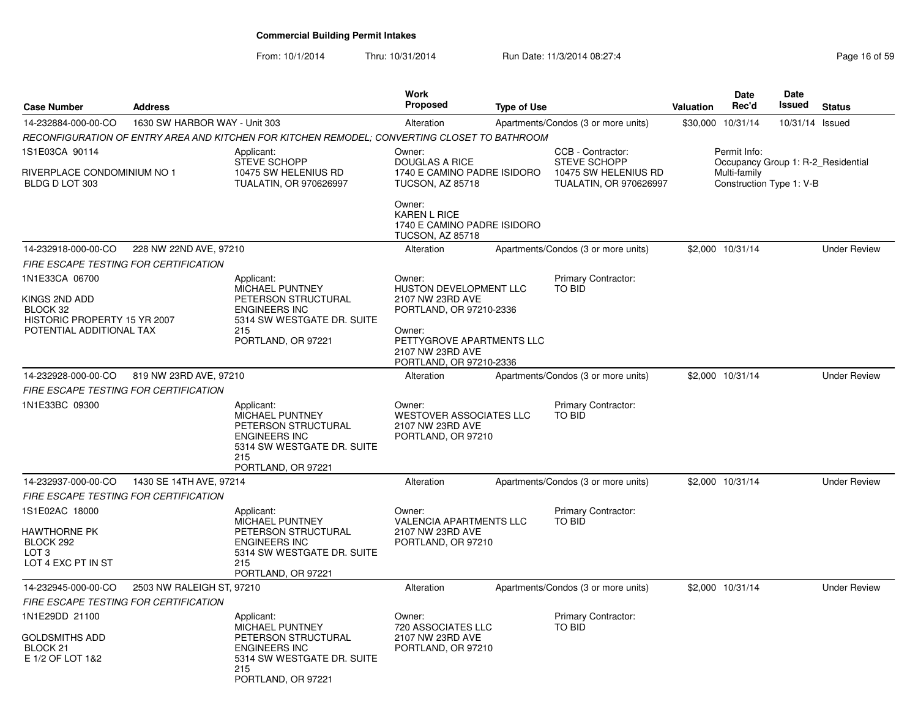|                                                                             |                               |                                                                                                                                         | Work                                                                                      |                    |                                                                                            |                  | Date                                                                                           | <b>Date</b>     |                     |
|-----------------------------------------------------------------------------|-------------------------------|-----------------------------------------------------------------------------------------------------------------------------------------|-------------------------------------------------------------------------------------------|--------------------|--------------------------------------------------------------------------------------------|------------------|------------------------------------------------------------------------------------------------|-----------------|---------------------|
| <b>Case Number</b>                                                          | <b>Address</b>                |                                                                                                                                         | <b>Proposed</b>                                                                           | <b>Type of Use</b> |                                                                                            | <b>Valuation</b> | Rec'd                                                                                          | <b>Issued</b>   | <b>Status</b>       |
| 14-232884-000-00-CO                                                         | 1630 SW HARBOR WAY - Unit 303 |                                                                                                                                         | Alteration                                                                                |                    | Apartments/Condos (3 or more units)                                                        |                  | \$30,000 10/31/14                                                                              | 10/31/14 Issued |                     |
|                                                                             |                               | RECONFIGURATION OF ENTRY AREA AND KITCHEN FOR KITCHEN REMODEL; CONVERTING CLOSET TO BATHROOM                                            |                                                                                           |                    |                                                                                            |                  |                                                                                                |                 |                     |
| 1S1E03CA 90114<br>RIVERPLACE CONDOMINIUM NO 1<br>BLDG D LOT 303             |                               | Applicant:<br><b>STEVE SCHOPP</b><br>10475 SW HELENIUS RD<br><b>TUALATIN, OR 970626997</b>                                              | Owner:<br><b>DOUGLAS A RICE</b><br>1740 E CAMINO PADRE ISIDORO<br><b>TUCSON, AZ 85718</b> |                    | CCB - Contractor:<br><b>STEVE SCHOPP</b><br>10475 SW HELENIUS RD<br>TUALATIN, OR 970626997 |                  | Permit Info:<br>Occupancy Group 1: R-2_Residential<br>Multi-family<br>Construction Type 1: V-B |                 |                     |
|                                                                             |                               |                                                                                                                                         | Owner:<br><b>KAREN L RICE</b><br>1740 E CAMINO PADRE ISIDORO<br><b>TUCSON, AZ 85718</b>   |                    |                                                                                            |                  |                                                                                                |                 |                     |
| 14-232918-000-00-CO                                                         | 228 NW 22ND AVE, 97210        |                                                                                                                                         | Alteration                                                                                |                    | Apartments/Condos (3 or more units)                                                        |                  | \$2,000 10/31/14                                                                               |                 | <b>Under Review</b> |
| <b>FIRE ESCAPE TESTING FOR CERTIFICATION</b>                                |                               |                                                                                                                                         |                                                                                           |                    |                                                                                            |                  |                                                                                                |                 |                     |
| 1N1E33CA 06700<br>KINGS 2ND ADD<br>BLOCK 32<br>HISTORIC PROPERTY 15 YR 2007 |                               | Applicant:<br><b>MICHAEL PUNTNEY</b><br>PETERSON STRUCTURAL<br><b>ENGINEERS INC</b><br>5314 SW WESTGATE DR. SUITE                       | Owner:<br>HUSTON DEVELOPMENT LLC<br>2107 NW 23RD AVE<br>PORTLAND, OR 97210-2336           |                    | <b>Primary Contractor:</b><br><b>TO BID</b>                                                |                  |                                                                                                |                 |                     |
| POTENTIAL ADDITIONAL TAX                                                    |                               | 215<br>PORTLAND, OR 97221                                                                                                               | Owner:<br>PETTYGROVE APARTMENTS LLC<br>2107 NW 23RD AVE<br>PORTLAND, OR 97210-2336        |                    |                                                                                            |                  |                                                                                                |                 |                     |
| 14-232928-000-00-CO                                                         | 819 NW 23RD AVE, 97210        |                                                                                                                                         | Alteration                                                                                |                    | Apartments/Condos (3 or more units)                                                        |                  | \$2,000 10/31/14                                                                               |                 | <b>Under Review</b> |
| FIRE ESCAPE TESTING FOR CERTIFICATION                                       |                               |                                                                                                                                         |                                                                                           |                    |                                                                                            |                  |                                                                                                |                 |                     |
| 1N1E33BC 09300                                                              |                               | Applicant:<br>MICHAEL PUNTNEY<br>PETERSON STRUCTURAL<br><b>ENGINEERS INC</b><br>5314 SW WESTGATE DR. SUITE<br>215<br>PORTLAND, OR 97221 | Owner:<br><b>WESTOVER ASSOCIATES LLC</b><br>2107 NW 23RD AVE<br>PORTLAND, OR 97210        |                    | Primary Contractor:<br><b>TO BID</b>                                                       |                  |                                                                                                |                 |                     |
| 14-232937-000-00-CO                                                         | 1430 SE 14TH AVE, 97214       |                                                                                                                                         | Alteration                                                                                |                    | Apartments/Condos (3 or more units)                                                        |                  | \$2,000 10/31/14                                                                               |                 | <b>Under Review</b> |
| FIRE ESCAPE TESTING FOR CERTIFICATION                                       |                               |                                                                                                                                         |                                                                                           |                    |                                                                                            |                  |                                                                                                |                 |                     |
| 1S1E02AC 18000<br>HAWTHORNE PK<br>BLOCK 292<br>LOT 3<br>LOT 4 EXC PT IN ST  |                               | Applicant:<br>MICHAEL PUNTNEY<br>PETERSON STRUCTURAL<br><b>ENGINEERS INC</b><br>5314 SW WESTGATE DR. SUITE<br>215<br>PORTLAND, OR 97221 | Owner:<br><b>VALENCIA APARTMENTS LLC</b><br>2107 NW 23RD AVE<br>PORTLAND, OR 97210        |                    | Primary Contractor:<br>TO BID                                                              |                  |                                                                                                |                 |                     |
| 14-232945-000-00-CO                                                         | 2503 NW RALEIGH ST, 97210     |                                                                                                                                         | Alteration                                                                                |                    | Apartments/Condos (3 or more units)                                                        |                  | \$2,000 10/31/14                                                                               |                 | <b>Under Review</b> |
| FIRE ESCAPE TESTING FOR CERTIFICATION                                       |                               |                                                                                                                                         |                                                                                           |                    |                                                                                            |                  |                                                                                                |                 |                     |
| 1N1E29DD 21100                                                              |                               | Applicant:                                                                                                                              | Owner:                                                                                    |                    | Primary Contractor:                                                                        |                  |                                                                                                |                 |                     |
| GOLDSMITHS ADD<br>BLOCK 21<br>E 1/2 OF LOT 1&2                              |                               | <b>MICHAEL PUNTNEY</b><br>PETERSON STRUCTURAL<br><b>ENGINEERS INC</b><br>5314 SW WESTGATE DR. SUITE<br>215<br>PORTLAND, OR 97221        | 720 ASSOCIATES LLC<br>2107 NW 23RD AVE<br>PORTLAND, OR 97210                              |                    | <b>TO BID</b>                                                                              |                  |                                                                                                |                 |                     |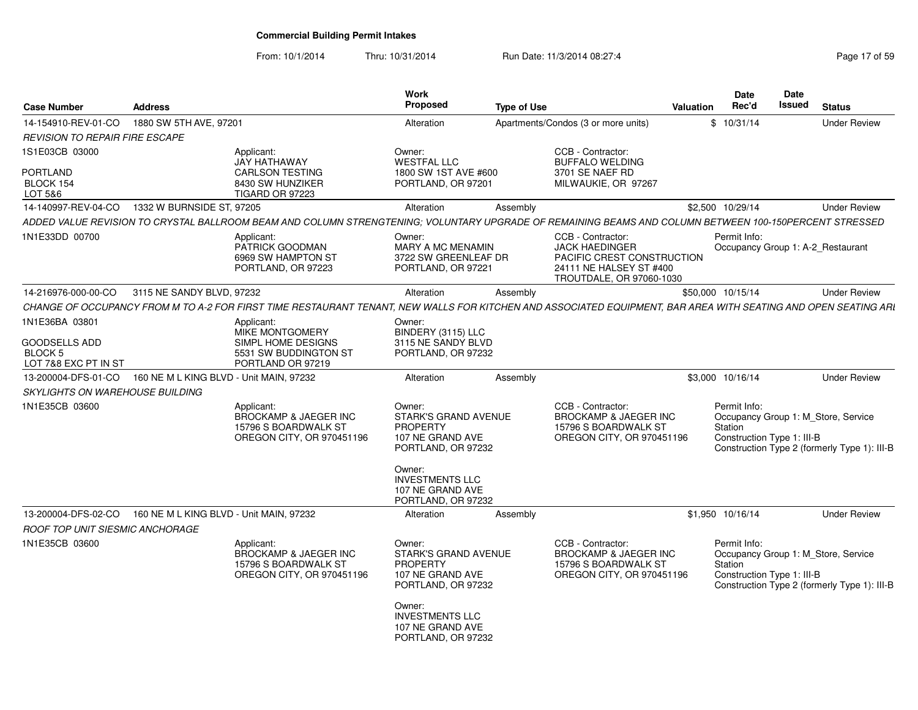| <b>Case Number</b>                                             | <b>Address</b>                          |                                                                                                                                                                | <b>Work</b><br><b>Proposed</b>                                                                                                                      | <b>Type of Use</b> |                                                                                                                                 | Valuation | <b>Date</b><br>Rec'd                                  | <b>Date</b><br>Issued | <b>Status</b>                                                                       |
|----------------------------------------------------------------|-----------------------------------------|----------------------------------------------------------------------------------------------------------------------------------------------------------------|-----------------------------------------------------------------------------------------------------------------------------------------------------|--------------------|---------------------------------------------------------------------------------------------------------------------------------|-----------|-------------------------------------------------------|-----------------------|-------------------------------------------------------------------------------------|
| 14-154910-REV-01-CO                                            | 1880 SW 5TH AVE, 97201                  |                                                                                                                                                                | Alteration                                                                                                                                          |                    | Apartments/Condos (3 or more units)                                                                                             |           | \$10/31/14                                            |                       | <b>Under Review</b>                                                                 |
| <b>REVISION TO REPAIR FIRE ESCAPE</b>                          |                                         |                                                                                                                                                                |                                                                                                                                                     |                    |                                                                                                                                 |           |                                                       |                       |                                                                                     |
| 1S1E03CB 03000                                                 |                                         | Applicant:<br><b>JAY HATHAWAY</b>                                                                                                                              | Owner:<br><b>WESTFAL LLC</b>                                                                                                                        |                    | CCB - Contractor:<br><b>BUFFALO WELDING</b>                                                                                     |           |                                                       |                       |                                                                                     |
| PORTLAND<br>BLOCK 154<br>LOT 5&6                               |                                         | <b>CARLSON TESTING</b><br>8430 SW HUNZIKER<br><b>TIGARD OR 97223</b>                                                                                           | 1800 SW 1ST AVE #600<br>PORTLAND, OR 97201                                                                                                          |                    | 3701 SE NAEF RD<br>MILWAUKIE, OR 97267                                                                                          |           |                                                       |                       |                                                                                     |
| 14-140997-REV-04-CO                                            | 1332 W BURNSIDE ST, 97205               |                                                                                                                                                                | Alteration                                                                                                                                          | Assembly           |                                                                                                                                 |           | \$2,500 10/29/14                                      |                       | <b>Under Review</b>                                                                 |
|                                                                |                                         | ADDED VALUE REVISION TO CRYSTAL BALLROOM BEAM AND COLUMN STRENGTENING; VOLUNTARY UPGRADE OF REMAINING BEAMS AND COLUMN BETWEEN 100-150PERCENT STRESSED         |                                                                                                                                                     |                    |                                                                                                                                 |           |                                                       |                       |                                                                                     |
| 1N1E33DD 00700                                                 |                                         | Applicant:<br>PATRICK GOODMAN<br>6969 SW HAMPTON ST<br>PORTLAND, OR 97223                                                                                      | Owner:<br><b>MARY A MC MENAMIN</b><br>3722 SW GREENLEAF DR<br>PORTLAND, OR 97221                                                                    |                    | CCB - Contractor:<br><b>JACK HAEDINGER</b><br>PACIFIC CREST CONSTRUCTION<br>24111 NE HALSEY ST #400<br>TROUTDALE, OR 97060-1030 |           | Permit Info:                                          |                       | Occupancy Group 1: A-2 Restaurant                                                   |
| 14-216976-000-00-CO                                            | 3115 NE SANDY BLVD, 97232               |                                                                                                                                                                | Alteration                                                                                                                                          | Assembly           |                                                                                                                                 |           | \$50,000 10/15/14                                     |                       | <b>Under Review</b>                                                                 |
|                                                                |                                         | CHANGE OF OCCUPANCY FROM M TO A-2 FOR FIRST TIME RESTAURANT TENANT. NEW WALLS FOR KITCHEN AND ASSOCIATED EQUIPMENT. BAR AREA WITH SEATING AND OPEN SEATING ARI |                                                                                                                                                     |                    |                                                                                                                                 |           |                                                       |                       |                                                                                     |
| 1N1E36BA 03801                                                 |                                         | Applicant:<br>MIKE MONTGOMERY                                                                                                                                  | Owner:<br>BINDERY (3115) LLC                                                                                                                        |                    |                                                                                                                                 |           |                                                       |                       |                                                                                     |
| <b>GOODSELLS ADD</b><br><b>BLOCK 5</b><br>LOT 7&8 EXC PT IN ST |                                         | SIMPL HOME DESIGNS<br>5531 SW BUDDINGTON ST<br>PORTLAND OR 97219                                                                                               | 3115 NE SANDY BLVD<br>PORTLAND, OR 97232                                                                                                            |                    |                                                                                                                                 |           |                                                       |                       |                                                                                     |
| 13-200004-DFS-01-CO                                            | 160 NE M L KING BLVD - Unit MAIN, 97232 |                                                                                                                                                                | Alteration                                                                                                                                          | Assembly           |                                                                                                                                 |           | \$3,000 10/16/14                                      |                       | <b>Under Review</b>                                                                 |
| <b>SKYLIGHTS ON WAREHOUSE BUILDING</b>                         |                                         |                                                                                                                                                                |                                                                                                                                                     |                    |                                                                                                                                 |           |                                                       |                       |                                                                                     |
| 1N1E35CB 03600                                                 |                                         | Applicant:<br><b>BROCKAMP &amp; JAEGER INC</b><br>15796 S BOARDWALK ST<br>OREGON CITY, OR 970451196                                                            | Owner:<br>STARK'S GRAND AVENUE<br><b>PROPERTY</b><br>107 NE GRAND AVE<br>PORTLAND, OR 97232<br>Owner:<br><b>INVESTMENTS LLC</b><br>107 NE GRAND AVE |                    | CCB - Contractor:<br><b>BROCKAMP &amp; JAEGER INC</b><br>15796 S BOARDWALK ST<br>OREGON CITY, OR 970451196                      |           | Permit Info:<br>Station<br>Construction Type 1: III-B |                       | Occupancy Group 1: M Store, Service<br>Construction Type 2 (formerly Type 1): III-B |
| 13-200004-DFS-02-CO                                            | 160 NE M L KING BLVD - Unit MAIN, 97232 |                                                                                                                                                                | PORTLAND, OR 97232<br>Alteration                                                                                                                    | Assembly           |                                                                                                                                 |           | \$1,950 10/16/14                                      |                       | <b>Under Review</b>                                                                 |
| ROOF TOP UNIT SIESMIC ANCHORAGE                                |                                         |                                                                                                                                                                |                                                                                                                                                     |                    |                                                                                                                                 |           |                                                       |                       |                                                                                     |
| 1N1E35CB 03600                                                 |                                         | Applicant:<br><b>BROCKAMP &amp; JAEGER INC</b><br>15796 S BOARDWALK ST<br>OREGON CITY, OR 970451196                                                            | Owner:<br><b>STARK'S GRAND AVENUE</b><br><b>PROPERTY</b><br>107 NE GRAND AVE<br>PORTLAND, OR 97232                                                  |                    | CCB - Contractor:<br><b>BROCKAMP &amp; JAEGER INC</b><br>15796 S BOARDWALK ST<br>OREGON CITY, OR 970451196                      |           | Permit Info:<br>Station<br>Construction Type 1: III-B |                       | Occupancy Group 1: M Store, Service<br>Construction Type 2 (formerly Type 1): III-B |
|                                                                |                                         |                                                                                                                                                                | Owner:<br><b>INVESTMENTS LLC</b><br>107 NE GRAND AVE<br>PORTLAND, OR 97232                                                                          |                    |                                                                                                                                 |           |                                                       |                       |                                                                                     |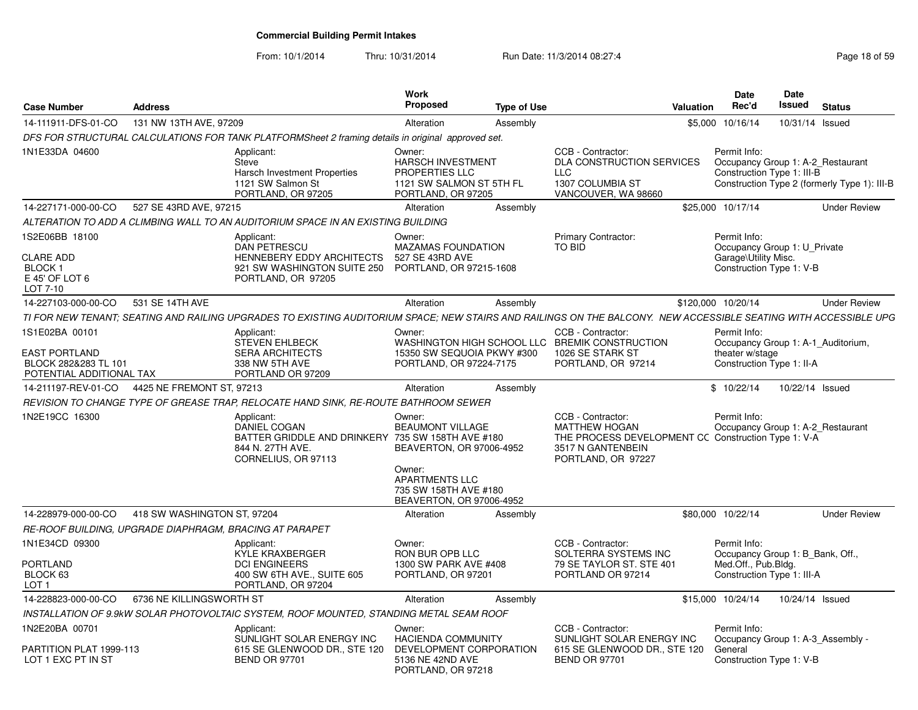From: 10/1/2014

| <b>Case Number</b>                                                                         | <b>Address</b>              |                                                                                                                                                                  | <b>Work</b><br><b>Proposed</b>                                                                                                                        | <b>Type of Use</b> |                                                                                                                                             | <b>Valuation</b> | <b>Date</b><br>Rec'd                                                                               | Date<br><b>Issued</b> | <b>Status</b>                                |
|--------------------------------------------------------------------------------------------|-----------------------------|------------------------------------------------------------------------------------------------------------------------------------------------------------------|-------------------------------------------------------------------------------------------------------------------------------------------------------|--------------------|---------------------------------------------------------------------------------------------------------------------------------------------|------------------|----------------------------------------------------------------------------------------------------|-----------------------|----------------------------------------------|
| 14-111911-DFS-01-CO                                                                        | 131 NW 13TH AVE, 97209      |                                                                                                                                                                  | Alteration                                                                                                                                            | Assembly           |                                                                                                                                             |                  | \$5,000 10/16/14                                                                                   | 10/31/14 Issued       |                                              |
|                                                                                            |                             | DFS FOR STRUCTURAL CALCULATIONS FOR TANK PLATFORMSheet 2 framing details in original approved set.                                                               |                                                                                                                                                       |                    |                                                                                                                                             |                  |                                                                                                    |                       |                                              |
| 1N1E33DA 04600                                                                             |                             | Applicant:<br>Steve<br>Harsch Investment Properties<br>1121 SW Salmon St<br>PORTLAND, OR 97205                                                                   | Owner:<br>HARSCH INVESTMENT<br>PROPERTIES LLC<br>1121 SW SALMON ST 5TH FL<br>PORTLAND, OR 97205                                                       |                    | CCB - Contractor:<br>DLA CONSTRUCTION SERVICES<br><b>LLC</b><br>1307 COLUMBIA ST<br>VANCOUVER, WA 98660                                     |                  | Permit Info:<br>Occupancy Group 1: A-2_Restaurant<br>Construction Type 1: III-B                    |                       | Construction Type 2 (formerly Type 1): III-B |
| 14-227171-000-00-CO                                                                        | 527 SE 43RD AVE, 97215      |                                                                                                                                                                  | Alteration                                                                                                                                            | Assembly           |                                                                                                                                             |                  | \$25,000 10/17/14                                                                                  |                       | <b>Under Review</b>                          |
|                                                                                            |                             | ALTERATION TO ADD A CLIMBING WALL TO AN AUDITORIUM SPACE IN AN EXISTING BUILDING                                                                                 |                                                                                                                                                       |                    |                                                                                                                                             |                  |                                                                                                    |                       |                                              |
| 1S2E06BB 18100<br><b>CLARE ADD</b><br><b>BLOCK1</b><br>E 45' OF LOT 6<br>LOT 7-10          |                             | Applicant:<br><b>DAN PETRESCU</b><br><b>HENNEBERY EDDY ARCHITECTS</b><br>921 SW WASHINGTON SUITE 250<br>PORTLAND, OR 97205                                       | Owner:<br><b>MAZAMAS FOUNDATION</b><br>527 SE 43RD AVE<br>PORTLAND, OR 97215-1608                                                                     |                    | Primary Contractor:<br>TO BID                                                                                                               |                  | Permit Info:<br>Occupancy Group 1: U Private<br>Garage\Utility Misc.<br>Construction Type 1: V-B   |                       |                                              |
| 14-227103-000-00-CO                                                                        | 531 SE 14TH AVE             |                                                                                                                                                                  | Alteration                                                                                                                                            | Assembly           |                                                                                                                                             |                  | \$120,000 10/20/14                                                                                 |                       | <b>Under Review</b>                          |
|                                                                                            |                             | TI FOR NEW TENANT; SEATING AND RAILING UPGRADES TO EXISTING AUDITORIUM SPACE; NEW STAIRS AND RAILINGS ON THE BALCONY. NEW ACCESSIBLE SEATING WITH ACCESSIBLE UPG |                                                                                                                                                       |                    |                                                                                                                                             |                  |                                                                                                    |                       |                                              |
| 1S1E02BA 00101<br><b>EAST PORTLAND</b><br>BLOCK 282&283 TL 101<br>POTENTIAL ADDITIONAL TAX |                             | Applicant:<br><b>STEVEN EHLBECK</b><br><b>SERA ARCHITECTS</b><br>338 NW 5TH AVE<br>PORTLAND OR 97209                                                             | Owner:<br>15350 SW SEQUOIA PKWY #300<br>PORTLAND, OR 97224-7175                                                                                       |                    | CCB - Contractor:<br>WASHINGTON HIGH SCHOOL LLC BREMIK CONSTRUCTION<br>1026 SE STARK ST<br>PORTLAND, OR 97214                               |                  | Permit Info:<br>Occupancy Group 1: A-1_Auditorium,<br>theater w/stage<br>Construction Type 1: II-A |                       |                                              |
| 14-211197-REV-01-CO                                                                        | 4425 NE FREMONT ST, 97213   |                                                                                                                                                                  | Alteration                                                                                                                                            | Assembly           |                                                                                                                                             |                  | \$10/22/14                                                                                         | 10/22/14 Issued       |                                              |
|                                                                                            |                             | REVISION TO CHANGE TYPE OF GREASE TRAP, RELOCATE HAND SINK, RE-ROUTE BATHROOM SEWER                                                                              |                                                                                                                                                       |                    |                                                                                                                                             |                  |                                                                                                    |                       |                                              |
| 1N2E19CC 16300                                                                             |                             | Applicant:<br><b>DANIEL COGAN</b><br>BATTER GRIDDLE AND DRINKERY 735 SW 158TH AVE #180<br>844 N. 27TH AVE.<br>CORNELIUS, OR 97113                                | Owner:<br><b>BEAUMONT VILLAGE</b><br>BEAVERTON, OR 97006-4952<br>Owner:<br><b>APARTMENTS LLC</b><br>735 SW 158TH AVE #180<br>BEAVERTON, OR 97006-4952 |                    | CCB - Contractor:<br><b>MATTHEW HOGAN</b><br>THE PROCESS DEVELOPMENT CC Construction Type 1: V-A<br>3517 N GANTENBEIN<br>PORTLAND, OR 97227 |                  | Permit Info:<br>Occupancy Group 1: A-2_Restaurant                                                  |                       |                                              |
| 14-228979-000-00-CO                                                                        | 418 SW WASHINGTON ST, 97204 |                                                                                                                                                                  | Alteration                                                                                                                                            | Assembly           |                                                                                                                                             |                  | \$80,000 10/22/14                                                                                  |                       | <b>Under Review</b>                          |
| RE-ROOF BUILDING. UPGRADE DIAPHRAGM. BRACING AT PARAPET                                    |                             |                                                                                                                                                                  |                                                                                                                                                       |                    |                                                                                                                                             |                  |                                                                                                    |                       |                                              |
| 1N1E34CD 09300                                                                             |                             | Applicant:<br><b>KYLE KRAXBERGER</b>                                                                                                                             | Owner:<br>RON BUR OPB LLC                                                                                                                             |                    | CCB - Contractor:<br>SOLTERRA SYSTEMS INC                                                                                                   |                  | Permit Info:<br>Occupancy Group 1: B Bank, Off.,                                                   |                       |                                              |
| PORTLAND<br>BLOCK 63<br>LOT 1                                                              |                             | <b>DCI ENGINEERS</b><br>400 SW 6TH AVE., SUITE 605<br>PORTLAND, OR 97204                                                                                         | 1300 SW PARK AVE #408<br>PORTLAND, OR 97201                                                                                                           |                    | 79 SE TAYLOR ST. STE 401<br>PORTLAND OR 97214                                                                                               |                  | Med.Off., Pub.Bldg.<br>Construction Type 1: III-A                                                  |                       |                                              |
| 14-228823-000-00-CO                                                                        | 6736 NE KILLINGSWORTH ST    |                                                                                                                                                                  | Alteration                                                                                                                                            | Assembly           |                                                                                                                                             |                  | \$15,000 10/24/14                                                                                  | 10/24/14 Issued       |                                              |
|                                                                                            |                             | INSTALLATION OF 9.9kW SOLAR PHOTOVOLTAIC SYSTEM, ROOF MOUNTED, STANDING METAL SEAM ROOF                                                                          |                                                                                                                                                       |                    |                                                                                                                                             |                  |                                                                                                    |                       |                                              |
| 1N2E20BA 00701<br>PARTITION PLAT 1999-113<br>LOT 1 EXC PT IN ST                            |                             | Applicant:<br>SUNLIGHT SOLAR ENERGY INC<br>615 SE GLENWOOD DR., STE 120<br><b>BEND OR 97701</b>                                                                  | Owner:<br><b>HACIENDA COMMUNITY</b><br>DEVELOPMENT CORPORATION<br>5136 NE 42ND AVE<br>PORTLAND, OR 97218                                              |                    | CCB - Contractor:<br>SUNLIGHT SOLAR ENERGY INC<br>615 SE GLENWOOD DR., STE 120<br><b>BEND OR 97701</b>                                      |                  | Permit Info:<br>Occupancy Group 1: A-3_Assembly -<br>General<br>Construction Type 1: V-B           |                       |                                              |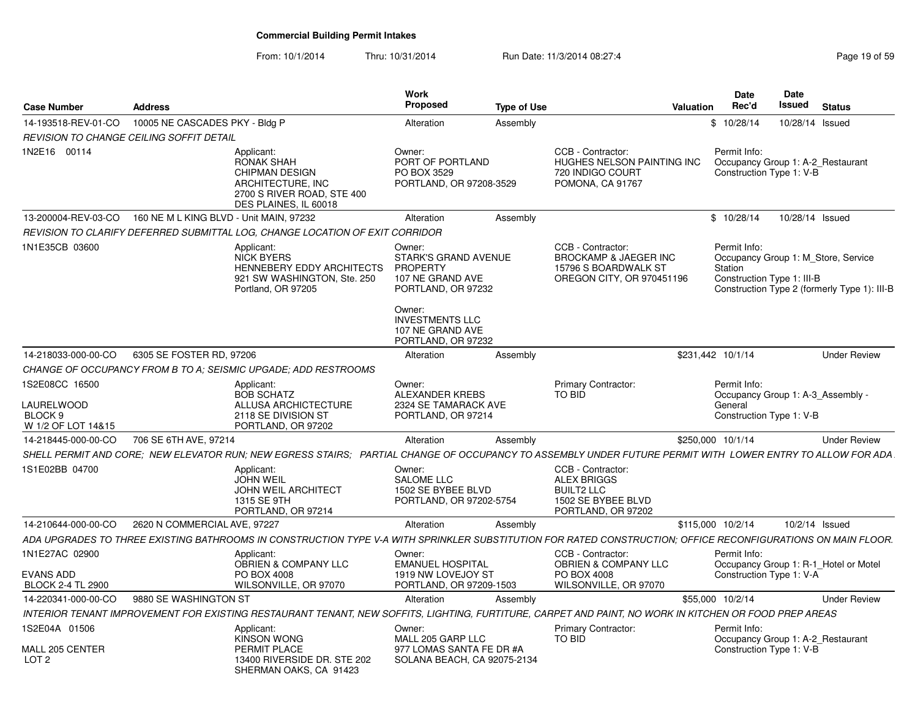From: 10/1/2014

| <b>Case Number</b>                                                       | <b>Address</b>                                                                                                                                                                                                                                                 | Work<br>Proposed<br><b>Type of Use</b>                                                                                                                                    |                                                                                                          | Date<br>Rec'd<br>Valuation                                                             | Date<br>Issued | <b>Status</b>                                                                       |
|--------------------------------------------------------------------------|----------------------------------------------------------------------------------------------------------------------------------------------------------------------------------------------------------------------------------------------------------------|---------------------------------------------------------------------------------------------------------------------------------------------------------------------------|----------------------------------------------------------------------------------------------------------|----------------------------------------------------------------------------------------|----------------|-------------------------------------------------------------------------------------|
| 14-193518-REV-01-CO                                                      | 10005 NE CASCADES PKY - Bldg P                                                                                                                                                                                                                                 | Alteration<br>Assembly                                                                                                                                                    |                                                                                                          | \$10/28/14                                                                             |                | 10/28/14 Issued                                                                     |
|                                                                          | REVISION TO CHANGE CEILING SOFFIT DETAIL                                                                                                                                                                                                                       |                                                                                                                                                                           |                                                                                                          |                                                                                        |                |                                                                                     |
| 1N2E16 00114                                                             | Applicant:<br>RONAK SHAH<br><b>CHIPMAN DESIGN</b><br>ARCHITECTURE, INC<br>2700 S RIVER ROAD, STE 400<br>DES PLAINES. IL 60018                                                                                                                                  | Owner:<br>PORT OF PORTLAND<br>PO BOX 3529<br>PORTLAND, OR 97208-3529                                                                                                      | CCB - Contractor:<br>HUGHES NELSON PAINTING INC<br>720 INDIGO COURT<br>POMONA, CA 91767                  | Permit Info:<br>Occupancy Group 1: A-2 Restaurant<br>Construction Type 1: V-B          |                |                                                                                     |
|                                                                          | 13-200004-REV-03-CO 160 NE M L KING BLVD - Unit MAIN, 97232                                                                                                                                                                                                    | Alteration<br>Assembly                                                                                                                                                    |                                                                                                          | \$10/28/14                                                                             |                | 10/28/14 Issued                                                                     |
|                                                                          | REVISION TO CLARIFY DEFERRED SUBMITTAL LOG. CHANGE LOCATION OF EXIT CORRIDOR                                                                                                                                                                                   |                                                                                                                                                                           |                                                                                                          |                                                                                        |                |                                                                                     |
| 1N1E35CB 03600                                                           | Applicant:<br><b>NICK BYERS</b><br>HENNEBERY EDDY ARCHITECTS<br>921 SW WASHINGTON, Ste. 250<br>Portland, OR 97205                                                                                                                                              | Owner:<br><b>STARK'S GRAND AVENUE</b><br>PROPERTY<br>107 NE GRAND AVE<br>PORTLAND, OR 97232<br>Owner:<br><b>INVESTMENTS LLC</b><br>107 NE GRAND AVE<br>PORTLAND, OR 97232 | CCB - Contractor:<br>BROCKAMP & JAEGER INC<br>15796 S BOARDWALK ST<br>OREGON CITY, OR 970451196          | Permit Info:<br>Station<br>Construction Type 1: III-B                                  |                | Occupancy Group 1: M Store, Service<br>Construction Type 2 (formerly Type 1): III-B |
| 14-218033-000-00-CO                                                      | 6305 SE FOSTER RD, 97206                                                                                                                                                                                                                                       | Alteration<br>Assembly                                                                                                                                                    |                                                                                                          | \$231,442 10/1/14                                                                      |                | <b>Under Review</b>                                                                 |
|                                                                          | CHANGE OF OCCUPANCY FROM B TO A: SEISMIC UPGADE: ADD RESTROOMS                                                                                                                                                                                                 |                                                                                                                                                                           |                                                                                                          |                                                                                        |                |                                                                                     |
| 1S2E08CC 16500<br>LAURELWOOD<br>BLOCK <sub>9</sub><br>W 1/2 OF LOT 14&15 | Applicant:<br><b>BOB SCHATZ</b><br>ALLUSA ARCHICTECTURE<br>2118 SE DIVISION ST<br>PORTLAND, OR 97202                                                                                                                                                           | Owner:<br><b>ALEXANDER KREBS</b><br>2324 SE TAMARACK AVE<br>PORTLAND, OR 97214                                                                                            | <b>Primary Contractor:</b><br>TO BID                                                                     | Permit Info:<br>Occupancy Group 1: A-3 Assembly<br>General<br>Construction Type 1: V-B |                |                                                                                     |
|                                                                          |                                                                                                                                                                                                                                                                |                                                                                                                                                                           |                                                                                                          |                                                                                        |                | <b>Under Review</b>                                                                 |
| 14-218445-000-00-CO                                                      | 706 SE 6TH AVE, 97214                                                                                                                                                                                                                                          | Alteration<br>Assembly                                                                                                                                                    |                                                                                                          | \$250,000 10/1/14                                                                      |                |                                                                                     |
| 1S1E02BB 04700                                                           | SHELL PERMIT AND CORE; NEW ELEVATOR RUN; NEW EGRESS STAIRS; PARTIAL CHANGE OF OCCUPANCY TO ASSEMBLY UNDER FUTURE PERMIT WITH LOWER ENTRY TO ALLOW FOR ADA<br>Applicant:<br><b>JOHN WEIL</b><br><b>JOHN WEIL ARCHITECT</b><br>1315 SE 9TH<br>PORTLAND, OR 97214 | Owner:<br><b>SALOME LLC</b><br>1502 SE BYBEE BLVD<br>PORTLAND, OR 97202-5754                                                                                              | CCB - Contractor:<br><b>ALEX BRIGGS</b><br><b>BUILT2 LLC</b><br>1502 SE BYBEE BLVD<br>PORTLAND, OR 97202 |                                                                                        |                |                                                                                     |
| 14-210644-000-00-CO                                                      | 2620 N COMMERCIAL AVE, 97227                                                                                                                                                                                                                                   | Alteration<br>Assembly                                                                                                                                                    |                                                                                                          | \$115,000 10/2/14                                                                      |                | 10/2/14 Issued                                                                      |
|                                                                          | ADA UPGRADES TO THREE EXISTING BATHROOMS IN CONSTRUCTION TYPE V-A WITH SPRINKLER SUBSTITUTION FOR RATED CONSTRUCTION; OFFICE RECONFIGURATIONS ON MAIN FLOOR.                                                                                                   |                                                                                                                                                                           |                                                                                                          |                                                                                        |                |                                                                                     |
| 1N1E27AC 02900<br><b>EVANS ADD</b>                                       | Applicant:<br><b>OBRIEN &amp; COMPANY LLC</b><br>PO BOX 4008                                                                                                                                                                                                   | Owner:<br><b>EMANUEL HOSPITAL</b><br>1919 NW LOVEJOY ST                                                                                                                   | CCB - Contractor:<br><b>OBRIEN &amp; COMPANY LLC</b><br>PO BOX 4008                                      | Permit Info:<br>Construction Type 1: V-A                                               |                | Occupancy Group 1: R-1 Hotel or Motel                                               |
| <b>BLOCK 2-4 TL 2900</b>                                                 | WILSONVILLE, OR 97070                                                                                                                                                                                                                                          | PORTLAND, OR 97209-1503                                                                                                                                                   | WILSONVILLE, OR 97070                                                                                    |                                                                                        |                |                                                                                     |
| 14-220341-000-00-CO                                                      | 9880 SE WASHINGTON ST                                                                                                                                                                                                                                          | Alteration<br>Assembly                                                                                                                                                    |                                                                                                          | \$55,000 10/2/14                                                                       |                | <b>Under Review</b>                                                                 |
|                                                                          | INTERIOR TENANT IMPROVEMENT FOR EXISTING RESTAURANT TENANT, NEW SOFFITS, LIGHTING, FURTITURE, CARPET AND PAINT, NO WORK IN KITCHEN OR FOOD PREP AREAS                                                                                                          |                                                                                                                                                                           |                                                                                                          |                                                                                        |                |                                                                                     |
| 1S2E04A 01506<br>MALL 205 CENTER<br>LOT <sub>2</sub>                     | Applicant:<br><b>KINSON WONG</b><br>PERMIT PLACE<br>13400 RIVERSIDE DR. STE 202<br>SHERMAN OAKS, CA 91423                                                                                                                                                      | Owner:<br>MALL 205 GARP LLC<br>977 LOMAS SANTA FE DR #A<br>SOLANA BEACH, CA 92075-2134                                                                                    | <b>Primary Contractor:</b><br>TO BID                                                                     | Permit Info:<br>Occupancy Group 1: A-2 Restaurant<br>Construction Type 1: V-B          |                |                                                                                     |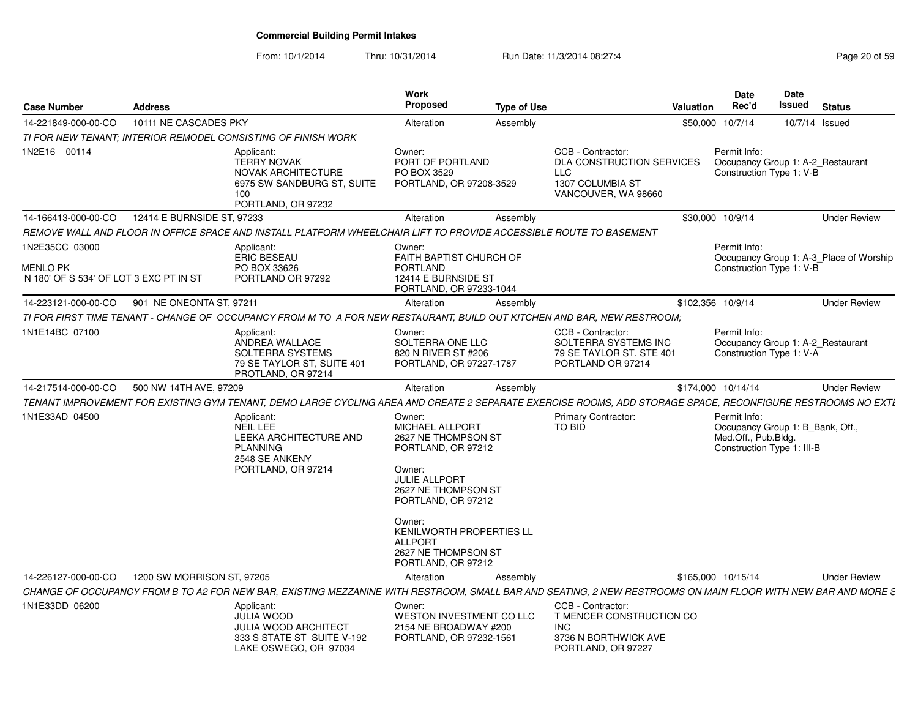| <b>Case Number</b>                                                          | <b>Address</b>             |                                                                                                                                                              | Work<br><b>Proposed</b>                                                                                                                                                                                       | <b>Type of Use</b> |                                                                                                                | <b>Valuation</b> | <b>Date</b><br>Rec'd                                                                                  | <b>Date</b><br>Issued | <b>Status</b>                           |
|-----------------------------------------------------------------------------|----------------------------|--------------------------------------------------------------------------------------------------------------------------------------------------------------|---------------------------------------------------------------------------------------------------------------------------------------------------------------------------------------------------------------|--------------------|----------------------------------------------------------------------------------------------------------------|------------------|-------------------------------------------------------------------------------------------------------|-----------------------|-----------------------------------------|
| 14-221849-000-00-CO                                                         | 10111 NE CASCADES PKY      |                                                                                                                                                              | Alteration                                                                                                                                                                                                    | Assembly           |                                                                                                                | \$50,000         | 10/7/14                                                                                               | 10/7/14 Issued        |                                         |
|                                                                             |                            | TI FOR NEW TENANT: INTERIOR REMODEL CONSISTING OF FINISH WORK                                                                                                |                                                                                                                                                                                                               |                    |                                                                                                                |                  |                                                                                                       |                       |                                         |
| 1N2E16 00114                                                                |                            | Applicant:<br><b>TERRY NOVAK</b><br><b>NOVAK ARCHITECTURE</b><br>6975 SW SANDBURG ST, SUITE<br>100<br>PORTLAND, OR 97232                                     | Owner:<br>PORT OF PORTLAND<br>PO BOX 3529<br>PORTLAND, OR 97208-3529                                                                                                                                          |                    | CCB - Contractor:<br><b>DLA CONSTRUCTION SERVICES</b><br><b>LLC</b><br>1307 COLUMBIA ST<br>VANCOUVER, WA 98660 |                  | Permit Info:<br>Occupancy Group 1: A-2_Restaurant<br>Construction Type 1: V-B                         |                       |                                         |
| 14-166413-000-00-CO                                                         | 12414 E BURNSIDE ST, 97233 |                                                                                                                                                              | Alteration                                                                                                                                                                                                    | Assembly           |                                                                                                                |                  | \$30,000 10/9/14                                                                                      |                       | <b>Under Review</b>                     |
|                                                                             |                            | REMOVE WALL AND FLOOR IN OFFICE SPACE AND INSTALL PLATFORM WHEELCHAIR LIFT TO PROVIDE ACCESSIBLE ROUTE TO BASEMENT                                           |                                                                                                                                                                                                               |                    |                                                                                                                |                  |                                                                                                       |                       |                                         |
| 1N2E35CC 03000<br><b>MENLO PK</b><br>N 180' OF S 534' OF LOT 3 EXC PT IN ST |                            | Applicant:<br><b>ERIC BESEAU</b><br>PO BOX 33626<br>PORTLAND OR 97292                                                                                        | Owner:<br>FAITH BAPTIST CHURCH OF<br><b>PORTLAND</b><br>12414 E BURNSIDE ST<br>PORTLAND, OR 97233-1044                                                                                                        |                    |                                                                                                                |                  | Permit Info:<br>Construction Type 1: V-B                                                              |                       | Occupancy Group 1: A-3 Place of Worship |
| 14-223121-000-00-CO                                                         | 901 NE ONEONTA ST, 97211   |                                                                                                                                                              | Alteration                                                                                                                                                                                                    | Assembly           |                                                                                                                |                  | \$102,356 10/9/14                                                                                     |                       | <b>Under Review</b>                     |
|                                                                             |                            | TI FOR FIRST TIME TENANT - CHANGE OF  OCCUPANCY FROM M TO  A FOR NEW RESTAURANT. BUILD OUT KITCHEN AND BAR. NEW RESTROOM:                                    |                                                                                                                                                                                                               |                    |                                                                                                                |                  |                                                                                                       |                       |                                         |
| 1N1E14BC 07100                                                              |                            | Applicant:<br>ANDREA WALLACE<br>SOLTERRA SYSTEMS<br>79 SE TAYLOR ST, SUITE 401<br>PROTLAND, OR 97214                                                         | Owner:<br>SOLTERRA ONE LLC<br>820 N RIVER ST #206<br>PORTLAND, OR 97227-1787                                                                                                                                  |                    | CCB - Contractor:<br>SOLTERRA SYSTEMS INC<br>79 SE TAYLOR ST. STE 401<br>PORTLAND OR 97214                     |                  | Permit Info:<br>Occupancy Group 1: A-2_Restaurant<br>Construction Type 1: V-A                         |                       |                                         |
| 14-217514-000-00-CO                                                         | 500 NW 14TH AVE, 97209     |                                                                                                                                                              | Alteration                                                                                                                                                                                                    | Assembly           |                                                                                                                |                  | \$174,000 10/14/14                                                                                    |                       | <b>Under Review</b>                     |
|                                                                             |                            | TENANT IMPROVEMENT FOR EXISTING GYM TENANT, DEMO LARGE CYCLING AREA AND CREATE 2 SEPARATE EXERCISE ROOMS, ADD STORAGE SPACE, RECONFIGURE RESTROOMS NO EXTI   |                                                                                                                                                                                                               |                    |                                                                                                                |                  |                                                                                                       |                       |                                         |
| 1N1E33AD 04500                                                              |                            | Applicant:<br><b>NEIL LEE</b><br><b>LEEKA ARCHITECTURE AND</b><br><b>PLANNING</b><br>2548 SE ANKENY<br>PORTLAND, OR 97214                                    | Owner:<br>MICHAEL ALLPORT<br>2627 NE THOMPSON ST<br>PORTLAND, OR 97212<br>Owner:<br><b>JULIE ALLPORT</b><br>2627 NE THOMPSON ST<br>PORTLAND, OR 97212<br>Owner:<br>KENILWORTH PROPERTIES LL<br><b>ALLPORT</b> |                    | Primary Contractor:<br><b>TO BID</b>                                                                           |                  | Permit Info:<br>Occupancy Group 1: B_Bank, Off.,<br>Med.Off., Pub.Bldg.<br>Construction Type 1: III-B |                       |                                         |
|                                                                             |                            |                                                                                                                                                              | 2627 NE THOMPSON ST<br>PORTLAND, OR 97212                                                                                                                                                                     |                    |                                                                                                                |                  |                                                                                                       |                       |                                         |
| 14-226127-000-00-CO                                                         | 1200 SW MORRISON ST, 97205 |                                                                                                                                                              | Alteration                                                                                                                                                                                                    | Assembly           |                                                                                                                |                  | \$165,000 10/15/14                                                                                    |                       | <b>Under Review</b>                     |
|                                                                             |                            | CHANGE OF OCCUPANCY FROM B TO A2 FOR NEW BAR, EXISTING MEZZANINE WITH RESTROOM, SMALL BAR AND SEATING, 2 NEW RESTROOMS ON MAIN FLOOR WITH NEW BAR AND MORE S |                                                                                                                                                                                                               |                    |                                                                                                                |                  |                                                                                                       |                       |                                         |
| 1N1E33DD 06200                                                              |                            | Applicant:<br><b>JULIA WOOD</b><br><b>JULIA WOOD ARCHITECT</b><br>333 S STATE ST SUITE V-192<br>LAKE OSWEGO, OR 97034                                        | Owner:<br><b>WESTON INVESTMENT CO LLC</b><br>2154 NE BROADWAY #200<br>PORTLAND, OR 97232-1561                                                                                                                 |                    | CCB - Contractor:<br>T MENCER CONSTRUCTION CO<br><b>INC</b><br>3736 N BORTHWICK AVE<br>PORTLAND, OR 97227      |                  |                                                                                                       |                       |                                         |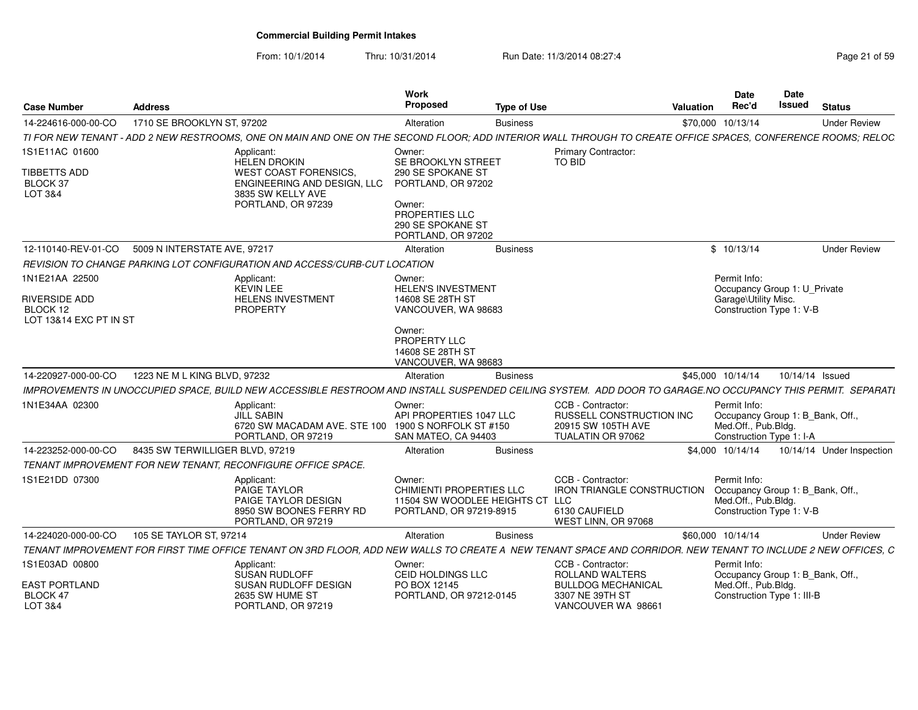| <b>Case Number</b>                                    | <b>Address</b>                  |                                                                                                                                                               | Work<br><b>Proposed</b>                                                                             | <b>Type of Use</b> |                                                                                                | Valuation | <b>Date</b><br>Rec'd                                                                                | Date<br>Issued  | <b>Status</b>             |
|-------------------------------------------------------|---------------------------------|---------------------------------------------------------------------------------------------------------------------------------------------------------------|-----------------------------------------------------------------------------------------------------|--------------------|------------------------------------------------------------------------------------------------|-----------|-----------------------------------------------------------------------------------------------------|-----------------|---------------------------|
| 14-224616-000-00-CO                                   | 1710 SE BROOKLYN ST, 97202      |                                                                                                                                                               | Alteration                                                                                          | <b>Business</b>    |                                                                                                |           | \$70,000 10/13/14                                                                                   |                 | <b>Under Review</b>       |
|                                                       |                                 | TI FOR NEW TENANT - ADD 2 NEW RESTROOMS, ONE ON MAIN AND ONE ON THE SECOND FLOOR: ADD INTERIOR WALL THROUGH TO CREATE OFFICE SPACES, CONFERENCE ROOMS: RELOC  |                                                                                                     |                    |                                                                                                |           |                                                                                                     |                 |                           |
| 1S1E11AC 01600<br>TIBBETTS ADD<br>BLOCK 37<br>LOT 3&4 |                                 | Applicant<br><b>HELEN DROKIN</b><br><b>WEST COAST FORENSICS</b><br>ENGINEERING AND DESIGN. LLC<br>3835 SW KELLY AVE<br>PORTLAND, OR 97239                     | Owner:<br>SE BROOKLYN STREET<br>290 SE SPOKANE ST<br>PORTLAND, OR 97202<br>Owner:<br>PROPERTIES LLC |                    | Primary Contractor<br>TO BID                                                                   |           |                                                                                                     |                 |                           |
|                                                       |                                 |                                                                                                                                                               | 290 SE SPOKANE ST<br>PORTLAND, OR 97202                                                             |                    |                                                                                                |           |                                                                                                     |                 |                           |
| 12-110140-REV-01-CO                                   | 5009 N INTERSTATE AVE, 97217    |                                                                                                                                                               | Alteration                                                                                          | <b>Business</b>    |                                                                                                |           | \$10/13/14                                                                                          |                 | <b>Under Review</b>       |
|                                                       |                                 | REVISION TO CHANGE PARKING LOT CONFIGURATION AND ACCESS/CURB-CUT LOCATION                                                                                     |                                                                                                     |                    |                                                                                                |           |                                                                                                     |                 |                           |
| 1N1E21AA 22500<br>RIVERSIDE ADD<br>BLOCK 12           |                                 | Applicant:<br><b>KEVIN LEE</b><br>HELENS INVESTMENT<br>PROPERTY                                                                                               | Owner:<br><b>HELEN'S INVESTMENT</b><br>14608 SE 28TH ST<br>VANCOUVER, WA 98683                      |                    |                                                                                                |           | Permit Info:<br>Occupancy Group 1: U Private<br>Garage\Utility Misc.<br>Construction Type 1: V-B    |                 |                           |
| LOT 13&14 EXC PT IN ST                                |                                 |                                                                                                                                                               | Owner:<br>PROPERTY LLC<br>14608 SE 28TH ST<br>VANCOUVER, WA 98683                                   |                    |                                                                                                |           |                                                                                                     |                 |                           |
| 14-220927-000-00-CO                                   | 1223 NE M L KING BLVD, 97232    |                                                                                                                                                               | Alteration                                                                                          | <b>Business</b>    |                                                                                                |           | \$45,000 10/14/14                                                                                   | 10/14/14 Issued |                           |
|                                                       |                                 | IMPROVEMENTS IN UNOCCUPIED SPACE, BUILD NEW ACCESSIBLE RESTROOM AND INSTALL SUSPENDED CEILING SYSTEM. ADD DOOR TO GARAGE.NO OCCUPANCY THIS PERMIT. SEPARATI   |                                                                                                     |                    |                                                                                                |           |                                                                                                     |                 |                           |
| 1N1E34AA 02300                                        |                                 | Applicant:<br><b>JILL SABIN</b><br>6720 SW MACADAM AVE. STE 100 1900 S NORFOLK ST #150<br>PORTLAND, OR 97219                                                  | Owner:<br>API PROPERTIES 1047 LLC<br>SAN MATEO, CA 94403                                            |                    | CCB - Contractor:<br>RUSSELL CONSTRUCTION INC<br>20915 SW 105TH AVE<br>TUALATIN OR 97062       |           | Permit Info:<br>Occupancy Group 1: B_Bank, Off.,<br>Med.Off., Pub.Bldg.<br>Construction Type 1: I-A |                 |                           |
| 14-223252-000-00-CO                                   | 8435 SW TERWILLIGER BLVD, 97219 |                                                                                                                                                               | Alteration                                                                                          | <b>Business</b>    |                                                                                                |           | \$4,000 10/14/14                                                                                    |                 | 10/14/14 Under Inspection |
|                                                       |                                 | TENANT IMPROVEMENT FOR NEW TENANT. RECONFIGURE OFFICE SPACE.                                                                                                  |                                                                                                     |                    |                                                                                                |           |                                                                                                     |                 |                           |
| 1S1E21DD 07300                                        |                                 | Applicant:<br>PAIGE TAYLOR<br>PAIGE TAYLOR DESIGN<br>8950 SW BOONES FERRY RD<br>PORTLAND, OR 97219                                                            | Owner:<br>CHIMIENTI PROPERTIES LLC<br>11504 SW WOODLEE HEIGHTS CT LLC<br>PORTLAND, OR 97219-8915    |                    | CCB - Contractor:<br><b>IRON TRIANGLE CONSTRUCTION</b><br>6130 CAUFIELD<br>WEST LINN, OR 97068 |           | Permit Info:<br>Occupancy Group 1: B_Bank, Off.<br>Med.Off., Pub.Bldg.<br>Construction Type 1: V-B  |                 |                           |
| 14-224020-000-00-CO                                   | 105 SE TAYLOR ST, 97214         |                                                                                                                                                               | Alteration                                                                                          | <b>Business</b>    |                                                                                                |           | \$60,000 10/14/14                                                                                   |                 | <b>Under Review</b>       |
|                                                       |                                 | TENANT IMPROVEMENT FOR FIRST TIME OFFICE TENANT ON 3RD FLOOR, ADD NEW WALLS TO CREATE A NEW TENANT SPACE AND CORRIDOR. NEW TENANT TO INCLUDE 2 NEW OFFICES, C |                                                                                                     |                    |                                                                                                |           |                                                                                                     |                 |                           |
| 1S1E03AD 00800                                        |                                 | Applicant:<br>SUSAN RUDLOFF                                                                                                                                   | Owner:<br>CEID HOLDINGS LLC                                                                         |                    | CCB - Contractor:<br>ROLLAND WALTERS                                                           |           | Permit Info:                                                                                        |                 |                           |
| <b>EAST PORTLAND</b><br>BLOCK 47<br>LOT 3&4           |                                 | SUSAN RUDLOFF DESIGN<br>2635 SW HUME ST<br>PORTLAND, OR 97219                                                                                                 | PO BOX 12145<br>PORTLAND, OR 97212-0145                                                             |                    | <b>BULLDOG MECHANICAL</b><br>3307 NE 39TH ST<br>VANCOUVER WA 98661                             |           | Occupancy Group 1: B_Bank, Off.,<br>Med.Off., Pub.Bldg.<br>Construction Type 1: III-B               |                 |                           |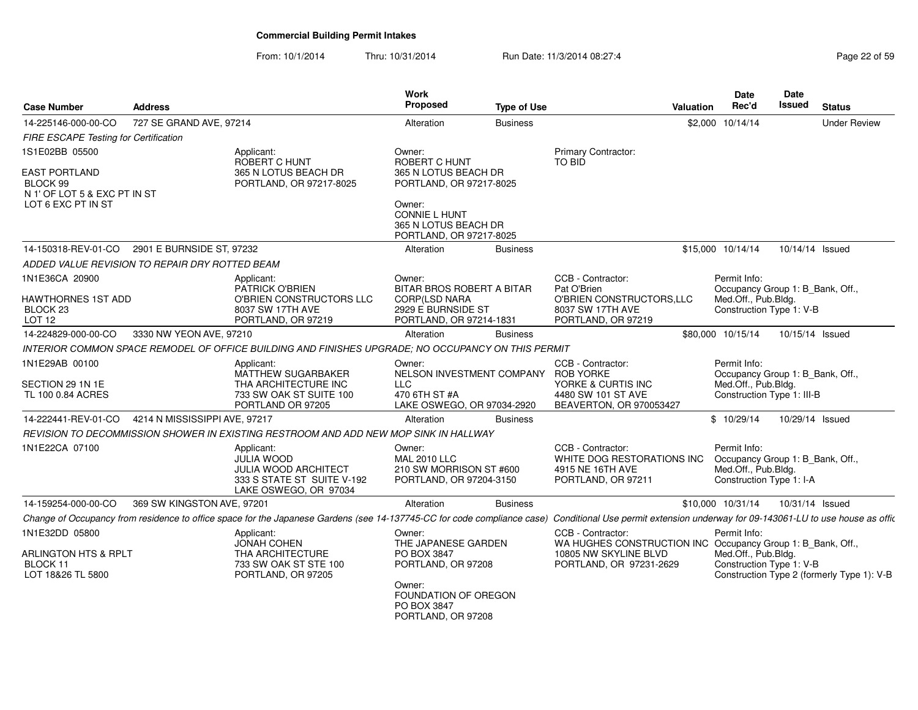| <b>Case Number</b>                                                      | <b>Address</b>                |                                                                                                                                                                                                          | Work<br><b>Proposed</b>                                                             | <b>Type of Use</b> |                                                                                                                                      | Valuation | Date<br>Rec'd                                                                                         | Date<br><b>Issued</b> | <b>Status</b>                              |
|-------------------------------------------------------------------------|-------------------------------|----------------------------------------------------------------------------------------------------------------------------------------------------------------------------------------------------------|-------------------------------------------------------------------------------------|--------------------|--------------------------------------------------------------------------------------------------------------------------------------|-----------|-------------------------------------------------------------------------------------------------------|-----------------------|--------------------------------------------|
| 14-225146-000-00-CO                                                     | 727 SE GRAND AVE, 97214       |                                                                                                                                                                                                          | Alteration                                                                          | <b>Business</b>    |                                                                                                                                      |           | \$2,000 10/14/14                                                                                      |                       | <b>Under Review</b>                        |
| FIRE ESCAPE Testing for Certification                                   |                               |                                                                                                                                                                                                          |                                                                                     |                    |                                                                                                                                      |           |                                                                                                       |                       |                                            |
| 1S1E02BB 05500                                                          |                               | Applicant:<br>ROBERT C HUNT                                                                                                                                                                              | Owner:<br><b>ROBERT C HUNT</b>                                                      |                    | Primary Contractor:<br><b>TO BID</b>                                                                                                 |           |                                                                                                       |                       |                                            |
| <b>EAST PORTLAND</b><br>BLOCK 99<br>N 1' OF LOT 5 & EXC PT IN ST        |                               | 365 N LOTUS BEACH DR<br>PORTLAND, OR 97217-8025                                                                                                                                                          | 365 N LOTUS BEACH DR<br>PORTLAND, OR 97217-8025                                     |                    |                                                                                                                                      |           |                                                                                                       |                       |                                            |
| LOT 6 EXC PT IN ST                                                      |                               |                                                                                                                                                                                                          | Owner:<br><b>CONNIE L HUNT</b><br>365 N LOTUS BEACH DR<br>PORTLAND, OR 97217-8025   |                    |                                                                                                                                      |           |                                                                                                       |                       |                                            |
| 14-150318-REV-01-CO                                                     | 2901 E BURNSIDE ST, 97232     |                                                                                                                                                                                                          | Alteration                                                                          | <b>Business</b>    |                                                                                                                                      |           | \$15,000 10/14/14                                                                                     | 10/14/14 Issued       |                                            |
| ADDED VALUE REVISION TO REPAIR DRY ROTTED BEAM                          |                               |                                                                                                                                                                                                          |                                                                                     |                    |                                                                                                                                      |           |                                                                                                       |                       |                                            |
| 1N1E36CA 20900<br>HAWTHORNES 1ST ADD                                    |                               | Applicant:<br>PATRICK O'BRIEN<br>O'BRIEN CONSTRUCTORS LLC                                                                                                                                                | Owner:<br>BITAR BROS ROBERT A BITAR<br>CORP(LSD NARA                                |                    | CCB - Contractor:<br>Pat O'Brien<br>O'BRIEN CONSTRUCTORS, LLC                                                                        |           | Permit Info:<br>Occupancy Group 1: B_Bank, Off.,<br>Med.Off., Pub.Bldg.                               |                       |                                            |
| BLOCK 23<br>LOT <sub>12</sub>                                           |                               | 8037 SW 17TH AVE<br>PORTLAND, OR 97219                                                                                                                                                                   | 2929 E BURNSIDE ST<br>PORTLAND, OR 97214-1831                                       |                    | 8037 SW 17TH AVE<br>PORTLAND, OR 97219                                                                                               |           | Construction Type 1: V-B                                                                              |                       |                                            |
| 14-224829-000-00-CO                                                     | 3330 NW YEON AVE, 97210       |                                                                                                                                                                                                          | Alteration                                                                          | <b>Business</b>    |                                                                                                                                      |           | \$80,000 10/15/14                                                                                     | 10/15/14 Issued       |                                            |
|                                                                         |                               | INTERIOR COMMON SPACE REMODEL OF OFFICE BUILDING AND FINISHES UPGRADE; NO OCCUPANCY ON THIS PERMIT                                                                                                       |                                                                                     |                    |                                                                                                                                      |           |                                                                                                       |                       |                                            |
| 1N1E29AB 00100<br>SECTION 29 1N 1E<br>TL 100 0.84 ACRES                 |                               | Applicant:<br>MATTHEW SUGARBAKER<br>THA ARCHITECTURE INC<br>733 SW OAK ST SUITE 100                                                                                                                      | Owner:<br>NELSON INVESTMENT COMPANY<br><b>LLC</b><br>470 6TH ST #A                  |                    | CCB - Contractor:<br><b>ROB YORKE</b><br>YORKE & CURTIS INC<br>4480 SW 101 ST AVE                                                    |           | Permit Info:<br>Occupancy Group 1: B_Bank, Off.,<br>Med.Off., Pub.Bldg.<br>Construction Type 1: III-B |                       |                                            |
|                                                                         |                               | PORTLAND OR 97205                                                                                                                                                                                        | LAKE OSWEGO, OR 97034-2920                                                          |                    | BEAVERTON, OR 970053427                                                                                                              |           |                                                                                                       |                       |                                            |
| 14-222441-REV-01-CO                                                     | 4214 N MISSISSIPPI AVE, 97217 |                                                                                                                                                                                                          | Alteration                                                                          | <b>Business</b>    |                                                                                                                                      |           | \$10/29/14                                                                                            | 10/29/14 Issued       |                                            |
|                                                                         |                               | REVISION TO DECOMMISSION SHOWER IN EXISTING RESTROOM AND ADD NEW MOP SINK IN HALLWAY                                                                                                                     |                                                                                     |                    |                                                                                                                                      |           |                                                                                                       |                       |                                            |
| 1N1E22CA 07100                                                          |                               | Applicant:<br><b>JULIA WOOD</b><br><b>JULIA WOOD ARCHITECT</b><br>333 S STATE ST SUITE V-192<br>LAKE OSWEGO, OR 97034                                                                                    | Owner:<br><b>MAL 2010 LLC</b><br>210 SW MORRISON ST #600<br>PORTLAND, OR 97204-3150 |                    | CCB - Contractor:<br>WHITE DOG RESTORATIONS INC<br>4915 NE 16TH AVE<br>PORTLAND, OR 97211                                            |           | Permit Info:<br>Occupancy Group 1: B_Bank, Off.,<br>Med.Off., Pub.Bldg.<br>Construction Type 1: I-A   |                       |                                            |
| 14-159254-000-00-CO                                                     | 369 SW KINGSTON AVE, 97201    |                                                                                                                                                                                                          | Alteration                                                                          | <b>Business</b>    |                                                                                                                                      |           | \$10,000 10/31/14                                                                                     | 10/31/14 Issued       |                                            |
|                                                                         |                               | Change of Occupancy from residence to office space for the Japanese Gardens (see 14-137745-CC for code compliance case) Conditional Use permit extension underway for 09-143061-LU to use house as offic |                                                                                     |                    |                                                                                                                                      |           |                                                                                                       |                       |                                            |
| 1N1E32DD 05800<br>ARLINGTON HTS & RPLT<br>BLOCK 11<br>LOT 18&26 TL 5800 |                               | Applicant:<br><b>JONAH COHEN</b><br>THA ARCHITECTURE<br>733 SW OAK ST STE 100<br>PORTLAND, OR 97205                                                                                                      | Owner:<br>THE JAPANESE GARDEN<br>PO BOX 3847<br>PORTLAND, OR 97208                  |                    | CCB - Contractor:<br>WA HUGHES CONSTRUCTION INC Occupancy Group 1: B_Bank, Off.,<br>10805 NW SKYLINE BLVD<br>PORTLAND, OR 97231-2629 |           | Permit Info:<br>Med.Off., Pub.Bldg.<br>Construction Type 1: V-B                                       |                       | Construction Type 2 (formerly Type 1): V-B |
|                                                                         |                               |                                                                                                                                                                                                          | Owner:<br>FOUNDATION OF OREGON<br>PO BOX 3847<br>PORTLAND, OR 97208                 |                    |                                                                                                                                      |           |                                                                                                       |                       |                                            |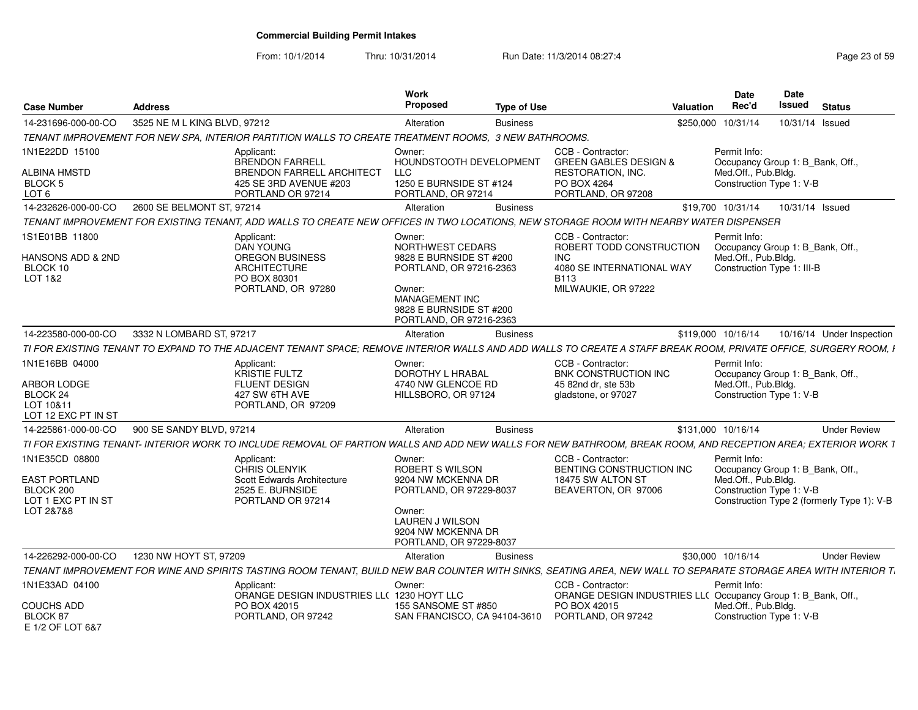From: 10/1/2014

| <b>Case Number</b>                                                                     | <b>Address</b>                                                                                                                                                   | Work<br>Proposed<br><b>Type of Use</b>                                                                                                                                    | <b>Valuation</b>                                                                                                                    | <b>Date</b><br>Rec'd                                              | <b>Date</b><br><b>Issued</b><br><b>Status</b>                                  |
|----------------------------------------------------------------------------------------|------------------------------------------------------------------------------------------------------------------------------------------------------------------|---------------------------------------------------------------------------------------------------------------------------------------------------------------------------|-------------------------------------------------------------------------------------------------------------------------------------|-------------------------------------------------------------------|--------------------------------------------------------------------------------|
| 14-231696-000-00-CO                                                                    | 3525 NE M L KING BLVD, 97212                                                                                                                                     | Alteration<br><b>Business</b>                                                                                                                                             |                                                                                                                                     | \$250,000 10/31/14                                                | 10/31/14 Issued                                                                |
|                                                                                        | TENANT IMPROVEMENT FOR NEW SPA, INTERIOR PARTITION WALLS TO CREATE TREATMENT ROOMS, 3 NEW BATHROOMS.                                                             |                                                                                                                                                                           |                                                                                                                                     |                                                                   |                                                                                |
| 1N1E22DD 15100<br>ALBINA HMSTD                                                         | Applicant:<br><b>BRENDON FARRELL</b><br><b>BRENDON FARRELL ARCHITECT</b>                                                                                         | Owner:<br>HOUNDSTOOTH DEVELOPMENT<br><b>LLC</b>                                                                                                                           | CCB - Contractor:<br><b>GREEN GABLES DESIGN &amp;</b><br>RESTORATION, INC.                                                          | Permit Info:<br>Med.Off., Pub.Bldg.                               | Occupancy Group 1: B_Bank, Off.,                                               |
| BLOCK 5<br>LOT <sub>6</sub>                                                            | 425 SE 3RD AVENUE #203<br>PORTLAND OR 97214                                                                                                                      | 1250 E BURNSIDE ST #124<br>PORTLAND, OR 97214                                                                                                                             | PO BOX 4264<br>PORTLAND, OR 97208                                                                                                   | Construction Type 1: V-B                                          |                                                                                |
| 14-232626-000-00-CO                                                                    | 2600 SE BELMONT ST, 97214                                                                                                                                        | Alteration<br><b>Business</b>                                                                                                                                             |                                                                                                                                     | \$19,700 10/31/14                                                 | 10/31/14 Issued                                                                |
|                                                                                        | TENANT IMPROVEMENT FOR EXISTING TENANT, ADD WALLS TO CREATE NEW OFFICES IN TWO LOCATIONS, NEW STORAGE ROOM WITH NEARBY WATER DISPENSER                           |                                                                                                                                                                           |                                                                                                                                     |                                                                   |                                                                                |
| 1S1E01BB 11800<br><b>HANSONS ADD &amp; 2ND</b><br>BLOCK 10<br>LOT 1&2                  | Applicant:<br><b>DAN YOUNG</b><br><b>OREGON BUSINESS</b><br><b>ARCHITECTURE</b><br>PO BOX 80301<br>PORTLAND, OR 97280                                            | Owner:<br>NORTHWEST CEDARS<br>9828 E BURNSIDE ST #200<br>PORTLAND, OR 97216-2363<br>Owner:<br><b>MANAGEMENT INC</b><br>9828 E BURNSIDE ST #200<br>PORTLAND, OR 97216-2363 | CCB - Contractor:<br>ROBERT TODD CONSTRUCTION<br><b>INC</b><br>4080 SE INTERNATIONAL WAY<br>B <sub>113</sub><br>MILWAUKIE, OR 97222 | Permit Info:<br>Med.Off., Pub.Bldg.<br>Construction Type 1: III-B | Occupancy Group 1: B_Bank, Off.,                                               |
| 14-223580-000-00-CO                                                                    | 3332 N LOMBARD ST, 97217                                                                                                                                         | Alteration<br><b>Business</b>                                                                                                                                             |                                                                                                                                     | \$119,000 10/16/14                                                | 10/16/14 Under Inspection                                                      |
|                                                                                        | TI FOR EXISTING TENANT TO EXPAND TO THE ADJACENT TENANT SPACE; REMOVE INTERIOR WALLS AND ADD WALLS TO CREATE A STAFF BREAK ROOM, PRIVATE OFFICE, SURGERY ROOM, I |                                                                                                                                                                           |                                                                                                                                     |                                                                   |                                                                                |
| 1N1E16BB 04000<br><b>ARBOR LODGE</b><br>BLOCK 24<br>LOT 10&11<br>LOT 12 EXC PT IN ST   | Applicant:<br>KRISTIE FULTZ<br><b>FLUENT DESIGN</b><br>427 SW 6TH AVE<br>PORTLAND, OR 97209                                                                      | Owner:<br>DOROTHY L HRABAL<br>4740 NW GLENCOE RD<br>HILLSBORO, OR 97124                                                                                                   | CCB - Contractor:<br>BNK CONSTRUCTION INC<br>45 82nd dr. ste 53b<br>gladstone, or 97027                                             | Permit Info:<br>Med.Off., Pub.Bldg.<br>Construction Type 1: V-B   | Occupancy Group 1: B Bank, Off.,                                               |
| 14-225861-000-00-CO                                                                    | 900 SE SANDY BLVD, 97214                                                                                                                                         | Alteration<br><b>Business</b>                                                                                                                                             |                                                                                                                                     | \$131,000 10/16/14                                                | <b>Under Review</b>                                                            |
|                                                                                        | TI FOR EXISTING TENANT- INTERIOR WORK TO INCLUDE REMOVAL OF PARTION WALLS AND ADD NEW WALLS FOR NEW BATHROOM. BREAK ROOM. AND RECEPTION AREA: EXTERIOR WORK 1    |                                                                                                                                                                           |                                                                                                                                     |                                                                   |                                                                                |
| 1N1E35CD 08800<br><b>EAST PORTLAND</b><br>BLOCK 200<br>LOT 1 EXC PT IN ST<br>LOT 2&7&8 | Applicant:<br>CHRIS OLENYIK<br>Scott Edwards Architecture<br>2525 E. BURNSIDE<br>PORTLAND OR 97214                                                               | Owner:<br>ROBERT S WILSON<br>9204 NW MCKENNA DR<br>PORTLAND, OR 97229-8037<br>Owner:<br><b>LAUREN J WILSON</b><br>9204 NW MCKENNA DR<br>PORTLAND, OR 97229-8037           | CCB - Contractor:<br>BENTING CONSTRUCTION INC<br>18475 SW ALTON ST<br>BEAVERTON, OR 97006                                           | Permit Info:<br>Med.Off., Pub.Bldg.<br>Construction Type 1: V-B   | Occupancy Group 1: B_Bank, Off.,<br>Construction Type 2 (formerly Type 1): V-B |
| 14-226292-000-00-CO                                                                    | 1230 NW HOYT ST, 97209                                                                                                                                           | Alteration<br><b>Business</b>                                                                                                                                             |                                                                                                                                     | \$30,000 10/16/14                                                 | <b>Under Review</b>                                                            |
|                                                                                        | TENANT IMPROVEMENT FOR WINE AND SPIRITS TASTING ROOM TENANT, BUILD NEW BAR COUNTER WITH SINKS, SEATING AREA, NEW WALL TO SEPARATE STORAGE AREA WITH INTERIOR T.  |                                                                                                                                                                           |                                                                                                                                     |                                                                   |                                                                                |
| 1N1E33AD 04100<br><b>COUCHS ADD</b>                                                    | Applicant:<br>ORANGE DESIGN INDUSTRIES LLC 1230 HOYT LLC<br>PO BOX 42015                                                                                         | Owner:<br>155 SANSOME ST #850                                                                                                                                             | CCB - Contractor:<br>ORANGE DESIGN INDUSTRIES LL( Occupancy Group 1: B_Bank, Off.,<br>PO BOX 42015                                  | Permit Info:<br>Med.Off., Pub.Blda.                               |                                                                                |
| BLOCK 87<br>E 1/2 OF LOT 6&7                                                           | PORTLAND, OR 97242                                                                                                                                               | SAN FRANCISCO, CA 94104-3610                                                                                                                                              | PORTLAND, OR 97242                                                                                                                  | Construction Type 1: V-B                                          |                                                                                |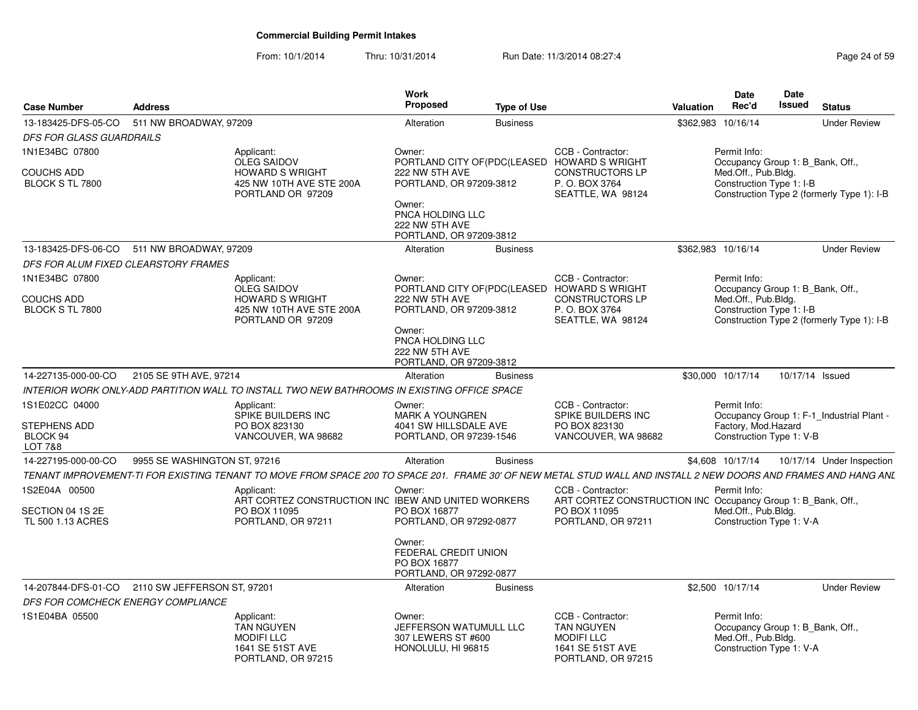| <b>Case Number</b>                                     | <b>Address</b>                                  |                                                                                                                                                                 | Work<br><b>Proposed</b>                                                              | <b>Type of Use</b> |                                                                                                                         | <b>Valuation</b>   | <b>Date</b><br>Rec'd                                                                                | <b>Date</b><br>Issued | <b>Status</b>                              |
|--------------------------------------------------------|-------------------------------------------------|-----------------------------------------------------------------------------------------------------------------------------------------------------------------|--------------------------------------------------------------------------------------|--------------------|-------------------------------------------------------------------------------------------------------------------------|--------------------|-----------------------------------------------------------------------------------------------------|-----------------------|--------------------------------------------|
| 13-183425-DFS-05-CO                                    | 511 NW BROADWAY, 97209                          |                                                                                                                                                                 | Alteration                                                                           | <b>Business</b>    |                                                                                                                         | \$362,983          | 10/16/14                                                                                            |                       | <b>Under Review</b>                        |
| <b>DFS FOR GLASS GUARDRAILS</b>                        |                                                 |                                                                                                                                                                 |                                                                                      |                    |                                                                                                                         |                    |                                                                                                     |                       |                                            |
| 1N1E34BC 07800                                         |                                                 | Applicant:<br><b>OLEG SAIDOV</b>                                                                                                                                | Owner:                                                                               |                    | CCB - Contractor:<br>PORTLAND CITY OF (PDC (LEASED HOWARD SWRIGHT                                                       |                    | Permit Info:<br>Occupancy Group 1: B_Bank, Off.,                                                    |                       |                                            |
| <b>COUCHS ADD</b><br>BLOCK S TL 7800                   |                                                 | <b>HOWARD S WRIGHT</b><br>425 NW 10TH AVE STE 200A<br>PORTLAND OR 97209                                                                                         | 222 NW 5TH AVE<br>PORTLAND, OR 97209-3812<br>Owner:<br>PNCA HOLDING LLC              |                    | <b>CONSTRUCTORS LP</b><br>P.O. BOX 3764<br>SEATTLE, WA 98124                                                            |                    | Med.Off., Pub.Bldg.<br>Construction Type 1: I-B                                                     |                       | Construction Type 2 (formerly Type 1): I-B |
|                                                        |                                                 |                                                                                                                                                                 | 222 NW 5TH AVE<br>PORTLAND, OR 97209-3812                                            |                    |                                                                                                                         |                    |                                                                                                     |                       |                                            |
| 13-183425-DFS-06-CO                                    | 511 NW BROADWAY, 97209                          |                                                                                                                                                                 | Alteration                                                                           | <b>Business</b>    |                                                                                                                         | \$362,983 10/16/14 |                                                                                                     |                       | <b>Under Review</b>                        |
| DFS FOR ALUM FIXED CLEARSTORY FRAMES                   |                                                 |                                                                                                                                                                 |                                                                                      |                    |                                                                                                                         |                    |                                                                                                     |                       |                                            |
| 1N1E34BC 07800                                         |                                                 | Applicant:<br><b>OLEG SAIDOV</b>                                                                                                                                | Owner:                                                                               |                    | CCB - Contractor:<br>PORTLAND CITY OF(PDC(LEASED HOWARD S WRIGHT                                                        |                    | Permit Info:<br>Occupancy Group 1: B Bank, Off.,                                                    |                       |                                            |
| <b>COUCHS ADD</b><br>BLOCK S TL 7800                   |                                                 | <b>HOWARD S WRIGHT</b><br>425 NW 10TH AVE STE 200A<br>PORTLAND OR 97209                                                                                         | 222 NW 5TH AVE<br>PORTLAND, OR 97209-3812<br>Owner:                                  |                    | <b>CONSTRUCTORS LP</b><br>P.O. BOX 3764<br>SEATTLE, WA 98124                                                            |                    | Med.Off., Pub.Bldg.<br>Construction Type 1: I-B                                                     |                       | Construction Type 2 (formerly Type 1): I-B |
|                                                        |                                                 |                                                                                                                                                                 | PNCA HOLDING LLC<br>222 NW 5TH AVE<br>PORTLAND, OR 97209-3812                        |                    |                                                                                                                         |                    |                                                                                                     |                       |                                            |
| 14-227135-000-00-CO                                    | 2105 SE 9TH AVE, 97214                          |                                                                                                                                                                 | Alteration                                                                           | <b>Business</b>    |                                                                                                                         |                    | \$30,000 10/17/14                                                                                   | 10/17/14 Issued       |                                            |
|                                                        |                                                 | INTERIOR WORK ONLY-ADD PARTITION WALL TO INSTALL TWO NEW BATHROOMS IN EXISTING OFFICE SPACE                                                                     |                                                                                      |                    |                                                                                                                         |                    |                                                                                                     |                       |                                            |
| 1S1E02CC 04000<br>STEPHENS ADD<br>BLOCK 94<br>LOT 7&8  |                                                 | Applicant:<br>SPIKE BUILDERS INC<br>PO BOX 823130<br>VANCOUVER, WA 98682                                                                                        | Owner:<br><b>MARK A YOUNGREN</b><br>4041 SW HILLSDALE AVE<br>PORTLAND, OR 97239-1546 |                    | CCB - Contractor:<br>SPIKE BUILDERS INC<br>PO BOX 823130<br>VANCOUVER, WA 98682                                         |                    | Permit Info:<br>Factory, Mod.Hazard<br>Construction Type 1: V-B                                     |                       | Occupancy Group 1: F-1_Industrial Plant -  |
| 14-227195-000-00-CO                                    | 9955 SE WASHINGTON ST, 97216                    |                                                                                                                                                                 | Alteration                                                                           | <b>Business</b>    |                                                                                                                         |                    | \$4,608 10/17/14                                                                                    |                       | 10/17/14 Under Inspection                  |
|                                                        |                                                 | TENANT IMPROVEMENT-TI FOR EXISTING TENANT TO MOVE FROM SPACE 200 TO SPACE 201. FRAME 30' OF NEW METAL STUD WALL AND INSTALL 2 NEW DOORS AND FRAMES AND HANG ANL |                                                                                      |                    |                                                                                                                         |                    |                                                                                                     |                       |                                            |
| 1S2E04A 00500<br>SECTION 04 1S 2E<br>TL 500 1.13 ACRES |                                                 | Applicant:<br>ART CORTEZ CONSTRUCTION INC IBEW AND UNITED WORKERS<br>PO BOX 11095<br>PORTLAND, OR 97211                                                         | Owner:<br>PO BOX 16877<br>PORTLAND, OR 97292-0877                                    |                    | CCB - Contractor:<br>ART CORTEZ CONSTRUCTION INC Occupancy Group 1: B_Bank, Off.,<br>PO BOX 11095<br>PORTLAND, OR 97211 |                    | Permit Info:<br>Med.Off., Pub.Bldg.<br>Construction Type 1: V-A                                     |                       |                                            |
|                                                        |                                                 |                                                                                                                                                                 | Owner:<br>FEDERAL CREDIT UNION<br>PO BOX 16877<br>PORTLAND, OR 97292-0877            |                    |                                                                                                                         |                    |                                                                                                     |                       |                                            |
|                                                        | 14-207844-DFS-01-CO 2110 SW JEFFERSON ST, 97201 |                                                                                                                                                                 | Alteration                                                                           | <b>Business</b>    |                                                                                                                         |                    | \$2,500 10/17/14                                                                                    |                       | <b>Under Review</b>                        |
| DFS FOR COMCHECK ENERGY COMPLIANCE                     |                                                 |                                                                                                                                                                 |                                                                                      |                    |                                                                                                                         |                    |                                                                                                     |                       |                                            |
| 1S1E04BA 05500                                         |                                                 | Applicant:<br><b>TAN NGUYEN</b><br><b>MODIFILLC</b><br>1641 SE 51ST AVE<br>PORTLAND, OR 97215                                                                   | Owner:<br>JEFFERSON WATUMULL LLC<br>307 LEWERS ST #600<br>HONOLULU, HI 96815         |                    | CCB - Contractor:<br><b>TAN NGUYEN</b><br><b>MODIFILLC</b><br>1641 SE 51ST AVE<br>PORTLAND, OR 97215                    |                    | Permit Info:<br>Occupancy Group 1: B_Bank, Off.,<br>Med.Off., Pub.Bldg.<br>Construction Type 1: V-A |                       |                                            |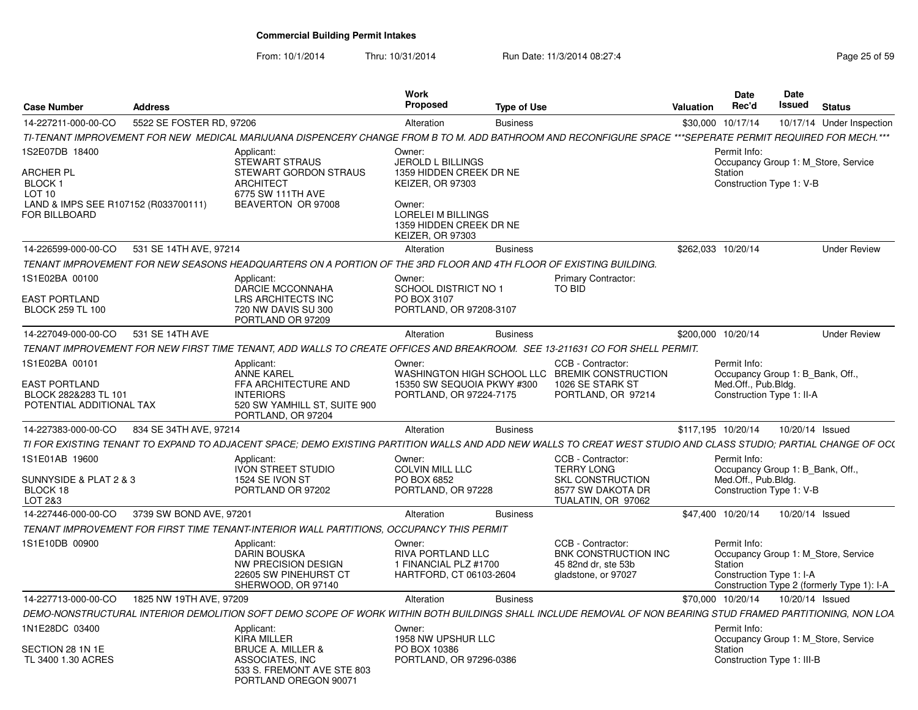| <b>Case Number</b>                                                         | Address                  |                                                                                                                                                                  | Work<br><b>Proposed</b>                                                                  | <b>Type of Use</b> |                                                                                         | Valuation          | <b>Date</b><br>Rec'd                                                                                | <b>Date</b><br>Issued | <b>Status</b>                                                                     |
|----------------------------------------------------------------------------|--------------------------|------------------------------------------------------------------------------------------------------------------------------------------------------------------|------------------------------------------------------------------------------------------|--------------------|-----------------------------------------------------------------------------------------|--------------------|-----------------------------------------------------------------------------------------------------|-----------------------|-----------------------------------------------------------------------------------|
| 14-227211-000-00-CO                                                        | 5522 SE FOSTER RD, 97206 |                                                                                                                                                                  | Alteration                                                                               | <b>Business</b>    |                                                                                         | \$30,000 10/17/14  |                                                                                                     |                       | 10/17/14 Under Inspection                                                         |
|                                                                            |                          | TI-TENANT IMPROVEMENT FOR NEW  MEDICAL MARIJUANA DISPENCERY CHANGE FROM B TO M. ADD BATHROOM AND RECONFIGURE SPACE ***SEPERATE PERMIT REQUIRED FOR MECH.***      |                                                                                          |                    |                                                                                         |                    |                                                                                                     |                       |                                                                                   |
| IS2E07DB 18400<br><b>ARCHER PL</b><br><b>BLOCK1</b>                        |                          | Applicant:<br><b>STEWART STRAUS</b><br>STEWART GORDON STRAUS<br><b>ARCHITECT</b>                                                                                 | Owner:<br><b>JEROLD L BILLINGS</b><br>1359 HIDDEN CREEK DR NE<br><b>KEIZER, OR 97303</b> |                    |                                                                                         |                    | Permit Info:<br>Station<br>Construction Type 1: V-B                                                 |                       | Occupancy Group 1: M Store, Service                                               |
| LOT <sub>10</sub><br>LAND & IMPS SEE R107152 (R033700111)<br>FOR BILLBOARD |                          | 6775 SW 111TH AVE<br>BEAVERTON OR 97008                                                                                                                          | Owner:<br>LORELEI M BILLINGS<br>1359 HIDDEN CREEK DR NE<br><b>KEIZER, OR 97303</b>       |                    |                                                                                         |                    |                                                                                                     |                       |                                                                                   |
| 14-226599-000-00-CO                                                        | 531 SE 14TH AVE, 97214   |                                                                                                                                                                  | Alteration                                                                               | <b>Business</b>    |                                                                                         | \$262,033 10/20/14 |                                                                                                     |                       | <b>Under Review</b>                                                               |
|                                                                            |                          | TENANT IMPROVEMENT FOR NEW SEASONS HEADOUARTERS ON A PORTION OF THE 3RD FLOOR AND 4TH FLOOR OF EXISTING BUILDING.                                                |                                                                                          |                    |                                                                                         |                    |                                                                                                     |                       |                                                                                   |
| 1S1E02BA 00100<br>EAST PORTLAND<br><b>BLOCK 259 TL 100</b>                 |                          | Applicant:<br>DARCIE MCCONNAHA<br>LRS ARCHITECTS INC<br>720 NW DAVIS SU 300<br>PORTLAND OR 97209                                                                 | Owner:<br>SCHOOL DISTRICT NO 1<br>PO BOX 3107<br>PORTLAND, OR 97208-3107                 |                    | <b>Primary Contractor:</b><br>TO BID                                                    |                    |                                                                                                     |                       |                                                                                   |
| 14-227049-000-00-CO                                                        | 531 SE 14TH AVE          |                                                                                                                                                                  | Alteration                                                                               | <b>Business</b>    |                                                                                         | \$200,000 10/20/14 |                                                                                                     |                       | <b>Under Review</b>                                                               |
|                                                                            |                          | TENANT IMPROVEMENT FOR NEW FIRST TIME TENANT, ADD WALLS TO CREATE OFFICES AND BREAKROOM. SEE 13-211631 CO FOR SHELL PERMIT.                                      |                                                                                          |                    |                                                                                         |                    |                                                                                                     |                       |                                                                                   |
| 1S1E02BA 00101                                                             |                          | Applicant:<br><b>ANNE KAREL</b>                                                                                                                                  | Owner:                                                                                   |                    | CCB - Contractor:<br>WASHINGTON HIGH SCHOOL LLC BREMIK CONSTRUCTION                     |                    | Permit Info:<br>Occupancy Group 1: B Bank, Off                                                      |                       |                                                                                   |
| <b>EAST PORTLAND</b><br>BLOCK 282&283 TL 101<br>POTENTIAL ADDITIONAL TAX   |                          | FFA ARCHITECTURE AND<br><b>INTERIORS</b><br>520 SW YAMHILL ST, SUITE 900<br>PORTLAND, OR 97204                                                                   | 15350 SW SEQUOIA PKWY #300<br>PORTLAND, OR 97224-7175                                    |                    | 1026 SE STARK ST<br>PORTLAND, OR 97214                                                  |                    | Med.Off., Pub.Bldg.<br>Construction Type 1: II-A                                                    |                       |                                                                                   |
| 14-227383-000-00-CO                                                        | 834 SE 34TH AVE, 97214   |                                                                                                                                                                  | Alteration                                                                               | <b>Business</b>    |                                                                                         | \$117,195 10/20/14 |                                                                                                     | 10/20/14 Issued       |                                                                                   |
|                                                                            |                          | TI FOR EXISTING TENANT TO EXPAND TO ADJACENT SPACE: DEMO EXISTING PARTITION WALLS AND ADD NEW WALLS TO CREAT WEST STUDIO AND CLASS STUDIO: PARTIAL CHANGE OF OCC |                                                                                          |                    |                                                                                         |                    |                                                                                                     |                       |                                                                                   |
| 1S1E01AB 19600<br>SUNNYSIDE & PLAT 2 & 3<br>BLOCK 18                       |                          | Applicant<br><b>IVON STREET STUDIO</b><br>1524 SE IVON ST<br>PORTLAND OR 97202                                                                                   | Owner:<br><b>COLVIN MILL LLC</b><br>PO BOX 6852<br>PORTLAND, OR 97228                    |                    | CCB - Contractor:<br><b>TERRY LONG</b><br><b>SKL CONSTRUCTION</b><br>8577 SW DAKOTA DR  |                    | Permit Info:<br>Occupancy Group 1: B_Bank, Off.,<br>Med.Off., Pub.Bldg.<br>Construction Type 1: V-B |                       |                                                                                   |
| LOT 2&3                                                                    |                          |                                                                                                                                                                  |                                                                                          |                    | TUALATIN, OR 97062                                                                      |                    |                                                                                                     |                       |                                                                                   |
| 14-227446-000-00-CO                                                        | 3739 SW BOND AVE, 97201  | TENANT IMPROVEMENT FOR FIRST TIME TENANT-INTERIOR WALL PARTITIONS. OCCUPANCY THIS PERMIT                                                                         | Alteration                                                                               | <b>Business</b>    |                                                                                         |                    | \$47.400 10/20/14                                                                                   | 10/20/14 Issued       |                                                                                   |
| 1S1E10DB 00900                                                             |                          | Applicant<br><b>DARIN BOUSKA</b><br>NW PRECISION DESIGN<br>22605 SW PINEHURST CT<br>SHERWOOD, OR 97140                                                           | Owner:<br><b>RIVA PORTLAND LLC</b><br>1 FINANCIAL PLZ #1700<br>HARTFORD, CT 06103-2604   |                    | CCB - Contractor:<br>BNK CONSTRUCTION INC<br>45 82nd dr. ste 53b<br>gladstone, or 97027 |                    | Permit Info:<br>Station<br>Construction Type 1: I-A                                                 |                       | Occupancy Group 1: M Store, Service<br>Construction Type 2 (formerly Type 1): I-A |
| 14-227713-000-00-CO                                                        | 1825 NW 19TH AVE, 97209  |                                                                                                                                                                  | Alteration                                                                               | <b>Business</b>    |                                                                                         | \$70,000 10/20/14  |                                                                                                     | 10/20/14 Issued       |                                                                                   |
|                                                                            |                          | DEMO-NONSTRUCTURAL INTERIOR DEMOLITION SOFT DEMO SCOPE OF WORK WITHIN BOTH BUILDINGS SHALL INCLUDE REMOVAL OF NON BEARING STUD FRAMED PARTITIONING. NON LOA      |                                                                                          |                    |                                                                                         |                    |                                                                                                     |                       |                                                                                   |
| 1N1E28DC 03400                                                             |                          | Applicant:                                                                                                                                                       | Owner:                                                                                   |                    |                                                                                         |                    | Permit Info:                                                                                        |                       |                                                                                   |
|                                                                            |                          | <b>KIRA MILLER</b>                                                                                                                                               | 1958 NW UPSHUR LLC                                                                       |                    |                                                                                         |                    |                                                                                                     |                       | Occupancy Group 1: M Store, Service                                               |
| SECTION 28 1N 1E<br>TL 3400 1.30 ACRES                                     |                          | <b>BRUCE A. MILLER &amp;</b><br>ASSOCIATES, INC<br>533 S. FREMONT AVE STE 803<br>PORTLAND OREGON 90071                                                           | PO BOX 10386<br>PORTLAND, OR 97296-0386                                                  |                    |                                                                                         |                    | Station<br>Construction Type 1: III-B                                                               |                       |                                                                                   |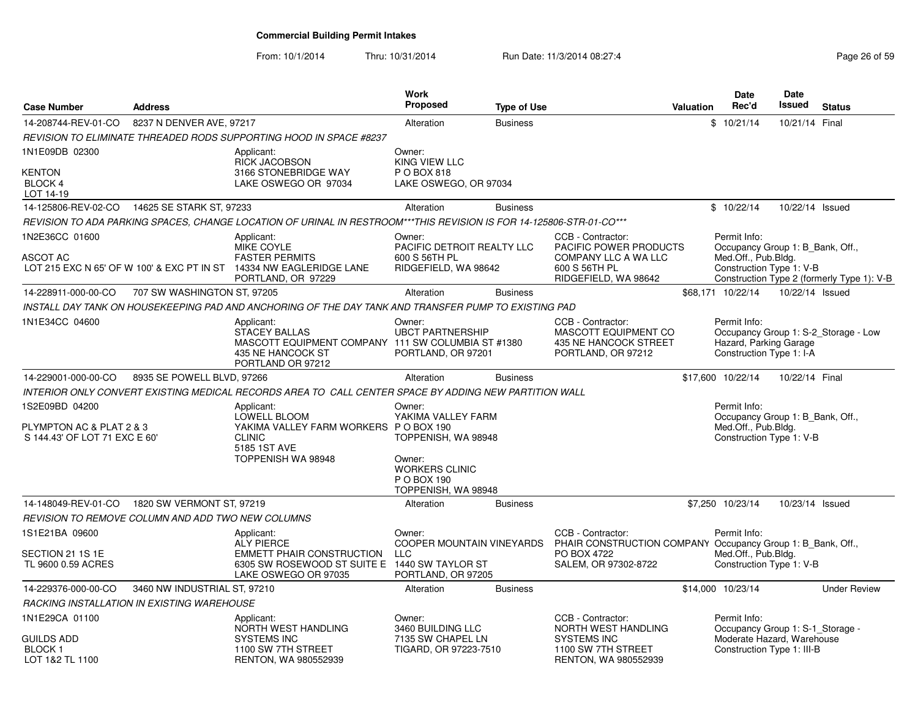| <b>Case Number</b>                                                          | <b>Address</b>               |                                                                                                                                                | Work<br>Proposed                                                                                                             | <b>Type of Use</b> |                                                                                                                                | <b>Valuation</b> | <b>Date</b><br>Rec'd                                                                                         | <b>Date</b><br>Issued | <b>Status</b>                              |
|-----------------------------------------------------------------------------|------------------------------|------------------------------------------------------------------------------------------------------------------------------------------------|------------------------------------------------------------------------------------------------------------------------------|--------------------|--------------------------------------------------------------------------------------------------------------------------------|------------------|--------------------------------------------------------------------------------------------------------------|-----------------------|--------------------------------------------|
| 14-208744-REV-01-CO                                                         | 8237 N DENVER AVE, 97217     |                                                                                                                                                | Alteration                                                                                                                   | <b>Business</b>    |                                                                                                                                |                  | \$10/21/14                                                                                                   | 10/21/14 Final        |                                            |
|                                                                             |                              | REVISION TO ELIMINATE THREADED RODS SUPPORTING HOOD IN SPACE #8237                                                                             |                                                                                                                              |                    |                                                                                                                                |                  |                                                                                                              |                       |                                            |
| 1N1E09DB 02300<br><b>KENTON</b><br>BLOCK 4<br>LOT 14-19                     |                              | Applicant:<br><b>RICK JACOBSON</b><br>3166 STONEBRIDGE WAY<br>LAKE OSWEGO OR 97034                                                             | Owner:<br><b>KING VIEW LLC</b><br>P O BOX 818<br>LAKE OSWEGO, OR 97034                                                       |                    |                                                                                                                                |                  |                                                                                                              |                       |                                            |
| 14-125806-REV-02-CO  14625 SE STARK ST, 97233                               |                              |                                                                                                                                                | Alteration                                                                                                                   | <b>Business</b>    |                                                                                                                                |                  | \$10/22/14                                                                                                   | 10/22/14 Issued       |                                            |
|                                                                             |                              | REVISION TO ADA PARKING SPACES. CHANGE LOCATION OF URINAL IN RESTROOM***THIS REVISION IS FOR 14-125806-STR-01-CO***                            |                                                                                                                              |                    |                                                                                                                                |                  |                                                                                                              |                       |                                            |
| 1N2E36CC 01600<br>ASCOT AC                                                  |                              | Applicant:<br>MIKE COYLE<br><b>FASTER PERMITS</b><br>LOT 215 EXC N 65' OF W 100' & EXC PT IN ST 14334 NW EAGLERIDGE LANE<br>PORTLAND, OR 97229 | Owner:<br>PACIFIC DETROIT REALTY LLC<br>600 S 56TH PL<br>RIDGEFIELD, WA 98642                                                |                    | CCB - Contractor:<br>PACIFIC POWER PRODUCTS<br>COMPANY LLC A WA LLC<br>600 S 56TH PL<br>RIDGEFIELD, WA 98642                   |                  | Permit Info:<br>Occupancy Group 1: B Bank, Off.,<br>Med.Off., Pub.Bldg.<br>Construction Type 1: V-B          |                       | Construction Type 2 (formerly Type 1): V-B |
| 14-228911-000-00-CO                                                         | 707 SW WASHINGTON ST, 97205  |                                                                                                                                                | Alteration                                                                                                                   | <b>Business</b>    |                                                                                                                                |                  | \$68.171 10/22/14                                                                                            | 10/22/14 Issued       |                                            |
|                                                                             |                              | INSTALL DAY TANK ON HOUSEKEEPING PAD AND ANCHORING OF THE DAY TANK AND TRANSFER PUMP TO EXISTING PAD                                           |                                                                                                                              |                    |                                                                                                                                |                  |                                                                                                              |                       |                                            |
| 1N1E34CC 04600                                                              |                              | Applicant:<br><b>STACEY BALLAS</b><br>MASCOTT EQUIPMENT COMPANY 111 SW COLUMBIA ST #1380<br>435 NE HANCOCK ST<br>PORTLAND OR 97212             | Owner:<br><b>UBCT PARTNERSHIP</b><br>PORTLAND, OR 97201                                                                      |                    | CCB - Contractor:<br>MASCOTT EQUIPMENT CO<br>435 NE HANCOCK STREET<br>PORTLAND, OR 97212                                       |                  | Permit Info:<br>Hazard, Parking Garage<br>Construction Type 1: I-A                                           |                       | Occupancy Group 1: S-2 Storage - Low       |
| 14-229001-000-00-CO                                                         | 8935 SE POWELL BLVD, 97266   |                                                                                                                                                | Alteration                                                                                                                   | <b>Business</b>    |                                                                                                                                |                  | \$17,600 10/22/14                                                                                            | 10/22/14 Final        |                                            |
|                                                                             |                              | INTERIOR ONLY CONVERT EXISTING MEDICAL RECORDS AREA TO CALL CENTER SPACE BY ADDING NEW PARTITION WALL                                          |                                                                                                                              |                    |                                                                                                                                |                  |                                                                                                              |                       |                                            |
| 1S2E09BD 04200<br>PLYMPTON AC & PLAT 2 & 3<br>S 144.43' OF LOT 71 EXC E 60' |                              | Applicant:<br>LOWELL BLOOM<br>YAKIMA VALLEY FARM WORKERS P O BOX 190<br><b>CLINIC</b><br>5185 1ST AVE<br>TOPPENISH WA 98948                    | Owner:<br>YAKIMA VALLEY FARM<br>TOPPENISH, WA 98948<br>Owner:<br><b>WORKERS CLINIC</b><br>P O BOX 190<br>TOPPENISH, WA 98948 |                    |                                                                                                                                |                  | Permit Info:<br>Occupancy Group 1: B Bank, Off.,<br>Med.Off., Pub.Bldg.<br>Construction Type 1: V-B          |                       |                                            |
| 14-148049-REV-01-CO                                                         | 1820 SW VERMONT ST, 97219    |                                                                                                                                                | Alteration                                                                                                                   | <b>Business</b>    |                                                                                                                                |                  | \$7,250 10/23/14                                                                                             | 10/23/14 Issued       |                                            |
| REVISION TO REMOVE COLUMN AND ADD TWO NEW COLUMNS                           |                              |                                                                                                                                                |                                                                                                                              |                    |                                                                                                                                |                  |                                                                                                              |                       |                                            |
| 1S1E21BA 09600<br>SECTION 21 1S 1E<br>TL 9600 0.59 ACRES                    |                              | Applicant:<br><b>ALY PIERCE</b><br><b>EMMETT PHAIR CONSTRUCTION</b><br>6305 SW ROSEWOOD ST SUITE E<br>LAKE OSWEGO OR 97035                     | Owner:<br>COOPER MOUNTAIN VINEYARDS<br><b>LLC</b><br>1440 SW TAYLOR ST<br>PORTLAND, OR 97205                                 |                    | CCB - Contractor:<br>PHAIR CONSTRUCTION COMPANY Occupancy Group 1: B Bank, Off.,<br><b>PO BOX 4722</b><br>SALEM, OR 97302-8722 |                  | Permit Info:<br>Med.Off., Pub.Bldg.<br>Construction Type 1: V-B                                              |                       |                                            |
| 14-229376-000-00-CO                                                         | 3460 NW INDUSTRIAL ST, 97210 |                                                                                                                                                | Alteration                                                                                                                   | <b>Business</b>    |                                                                                                                                |                  | \$14,000 10/23/14                                                                                            |                       | <b>Under Review</b>                        |
| RACKING INSTALLATION IN EXISTING WAREHOUSE                                  |                              |                                                                                                                                                |                                                                                                                              |                    |                                                                                                                                |                  |                                                                                                              |                       |                                            |
| 1N1E29CA 01100<br><b>GUILDS ADD</b><br>BLOCK 1<br>LOT 1&2 TL 1100           |                              | Applicant:<br>NORTH WEST HANDLING<br><b>SYSTEMS INC</b><br>1100 SW 7TH STREET<br>RENTON, WA 980552939                                          | Owner:<br>3460 BUILDING LLC<br>7135 SW CHAPEL LN<br>TIGARD, OR 97223-7510                                                    |                    | CCB - Contractor:<br>NORTH WEST HANDLING<br><b>SYSTEMS INC</b><br>1100 SW 7TH STREET<br>RENTON, WA 980552939                   |                  | Permit Info:<br>Occupancy Group 1: S-1 Storage -<br>Moderate Hazard, Warehouse<br>Construction Type 1: III-B |                       |                                            |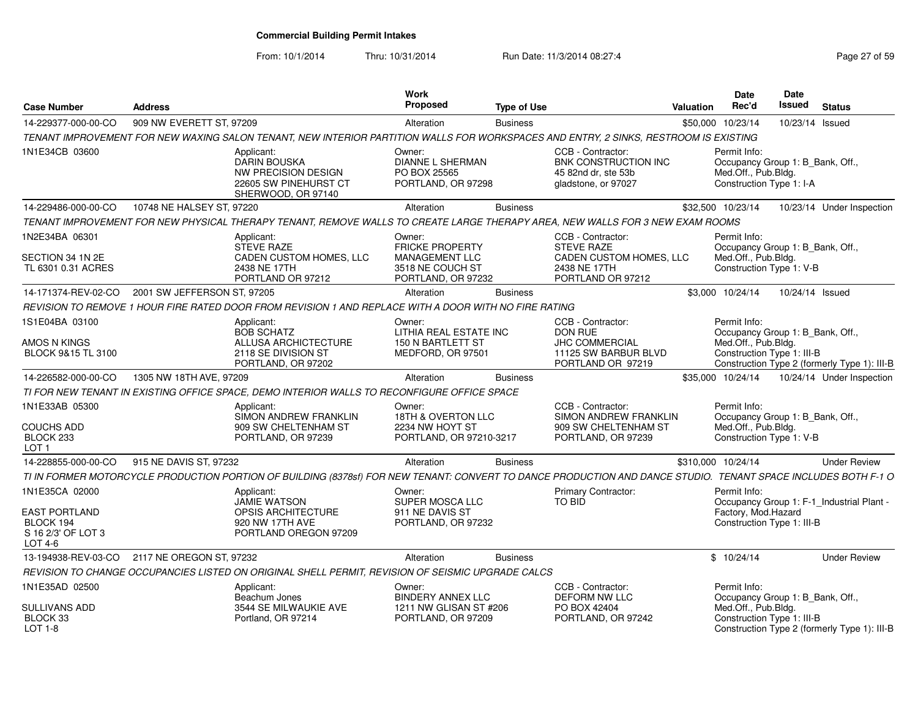From: 10/1/2014

| <b>Case Number</b>                                          | <b>Address</b>              |                                                                                                                                                                | Work<br><b>Proposed</b>                                                                             | <b>Type of Use</b> |                                                                                                        | Valuation | Date<br>Rec'd                                                                                       | <b>Date</b><br>Issued | <b>Status</b>                                |
|-------------------------------------------------------------|-----------------------------|----------------------------------------------------------------------------------------------------------------------------------------------------------------|-----------------------------------------------------------------------------------------------------|--------------------|--------------------------------------------------------------------------------------------------------|-----------|-----------------------------------------------------------------------------------------------------|-----------------------|----------------------------------------------|
| 14-229377-000-00-CO                                         | 909 NW EVERETT ST, 97209    |                                                                                                                                                                | Alteration                                                                                          | <b>Business</b>    |                                                                                                        |           | \$50,000 10/23/14                                                                                   | 10/23/14 Issued       |                                              |
|                                                             |                             | TENANT IMPROVEMENT FOR NEW WAXING SALON TENANT, NEW INTERIOR PARTITION WALLS FOR WORKSPACES AND ENTRY, 2 SINKS, RESTROOM IS EXISTING                           |                                                                                                     |                    |                                                                                                        |           |                                                                                                     |                       |                                              |
| 1N1E34CB 03600                                              |                             | Applicant:<br>DARIN BOUSKA<br>NW PRECISION DESIGN<br>22605 SW PINEHURST CT<br>SHERWOOD, OR 97140                                                               | Owner:<br><b>DIANNE L SHERMAN</b><br>PO BOX 25565<br>PORTLAND, OR 97298                             |                    | CCB - Contractor:<br>BNK CONSTRUCTION INC<br>45 82nd dr. ste 53b<br>gladstone, or 97027                |           | Permit Info:<br>Occupancy Group 1: B_Bank, Off.,<br>Med.Off., Pub.Bldg.<br>Construction Type 1: I-A |                       |                                              |
| 14-229486-000-00-CO                                         | 10748 NE HALSEY ST, 97220   |                                                                                                                                                                | Alteration                                                                                          | <b>Business</b>    |                                                                                                        |           | \$32,500 10/23/14                                                                                   |                       | 10/23/14 Under Inspection                    |
|                                                             |                             | TENANT IMPROVEMENT FOR NEW PHYSICAL THERAPY TENANT, REMOVE WALLS TO CREATE LARGE THERAPY AREA, NEW WALLS FOR 3 NEW EXAM ROOMS                                  |                                                                                                     |                    |                                                                                                        |           |                                                                                                     |                       |                                              |
| 1N2E34BA 06301<br>SECTION 34 1N 2E<br>TL 6301 0.31 ACRES    |                             | Applicant:<br><b>STEVE RAZE</b><br>CADEN CUSTOM HOMES, LLC<br>2438 NE 17TH<br>PORTLAND OR 97212                                                                | Owner:<br><b>FRICKE PROPERTY</b><br><b>MANAGEMENT LLC</b><br>3518 NE COUCH ST<br>PORTLAND, OR 97232 |                    | CCB - Contractor:<br><b>STEVE RAZE</b><br>CADEN CUSTOM HOMES, LLC<br>2438 NE 17TH<br>PORTLAND OR 97212 |           | Permit Info:<br>Occupancy Group 1: B_Bank, Off.,<br>Med.Off., Pub.Bldg.<br>Construction Type 1: V-B |                       |                                              |
| 14-171374-REV-02-CO                                         | 2001 SW JEFFERSON ST. 97205 |                                                                                                                                                                | Alteration                                                                                          | <b>Business</b>    |                                                                                                        |           | \$3,000 10/24/14                                                                                    | 10/24/14 Issued       |                                              |
|                                                             |                             | REVISION TO REMOVE 1 HOUR FIRE RATED DOOR FROM REVISION 1 AND REPLACE WITH A DOOR WITH NO FIRE RATING                                                          |                                                                                                     |                    |                                                                                                        |           |                                                                                                     |                       |                                              |
| 1S1E04BA 03100<br>AMOS N KINGS                              |                             | Applicant:<br><b>BOB SCHATZ</b><br>ALLUSA ARCHICTECTURE                                                                                                        | Owner:<br>LITHIA REAL ESTATE INC<br><b>150 N BARTLETT ST</b>                                        |                    | CCB - Contractor:<br><b>DON RUE</b><br>JHC COMMERCIAL                                                  |           | Permit Info:<br>Occupancy Group 1: B Bank, Off.,<br>Med.Off., Pub.Bldg.                             |                       |                                              |
| BLOCK 9&15 TL 3100                                          |                             | 2118 SE DIVISION ST<br>PORTLAND, OR 97202                                                                                                                      | MEDFORD, OR 97501                                                                                   |                    | 11125 SW BARBUR BLVD<br>PORTLAND OR 97219                                                              |           | Construction Type 1: III-B                                                                          |                       | Construction Type 2 (formerly Type 1): III-B |
| 14-226582-000-00-CO                                         | 1305 NW 18TH AVE, 97209     |                                                                                                                                                                | Alteration                                                                                          | <b>Business</b>    |                                                                                                        |           | \$35,000 10/24/14                                                                                   |                       | 10/24/14 Under Inspection                    |
|                                                             |                             | TI FOR NEW TENANT IN EXISTING OFFICE SPACE, DEMO INTERIOR WALLS TO RECONFIGURE OFFICE SPACE                                                                    |                                                                                                     |                    |                                                                                                        |           |                                                                                                     |                       |                                              |
| 1N1E33AB 05300                                              |                             | Applicant:<br>SIMON ANDREW FRANKLIN                                                                                                                            | Owner:<br>18TH & OVERTON LLC                                                                        |                    | CCB - Contractor:<br>SIMON ANDREW FRANKLIN                                                             |           | Permit Info:<br>Occupancy Group 1: B_Bank, Off.,                                                    |                       |                                              |
| <b>COUCHS ADD</b><br>BLOCK 233<br>LOT <sub>1</sub>          |                             | 909 SW CHELTENHAM ST<br>PORTLAND, OR 97239                                                                                                                     | 2234 NW HOYT ST<br>PORTLAND, OR 97210-3217                                                          |                    | 909 SW CHELTENHAM ST<br>PORTLAND, OR 97239                                                             |           | Med.Off., Pub.Bldg.<br>Construction Type 1: V-B                                                     |                       |                                              |
| 14-228855-000-00-CO                                         | 915 NE DAVIS ST, 97232      |                                                                                                                                                                | Alteration                                                                                          | <b>Business</b>    |                                                                                                        |           | \$310,000 10/24/14                                                                                  |                       | <b>Under Review</b>                          |
|                                                             |                             | TI IN FORMER MOTORCYCLE PRODUCTION PORTION OF BUILDING (8378sf) FOR NEW TENANT: CONVERT TO DANCE PRODUCTION AND DANCE STUDIO. TENANT SPACE INCLUDES BOTH F-1 O |                                                                                                     |                    |                                                                                                        |           |                                                                                                     |                       |                                              |
| 1N1E35CA 02000                                              |                             | Applicant:<br><b>JAMIE WATSON</b>                                                                                                                              | Owner:<br>SUPER MOSCA LLC                                                                           |                    | Primary Contractor:<br>TO BID                                                                          |           | Permit Info:                                                                                        |                       | Occupancy Group 1: F-1_Industrial Plant      |
| EAST PORTLAND<br>BLOCK 194<br>S 16 2/3' OF LOT 3<br>LOT 4-6 |                             | <b>OPSIS ARCHITECTURE</b><br>920 NW 17TH AVE<br>PORTLAND OREGON 97209                                                                                          | 911 NE DAVIS ST<br>PORTLAND, OR 97232                                                               |                    |                                                                                                        |           | Factory, Mod.Hazard<br>Construction Type 1: III-B                                                   |                       |                                              |
| 13-194938-REV-03-CO                                         | 2117 NE OREGON ST, 97232    |                                                                                                                                                                | Alteration                                                                                          | <b>Business</b>    |                                                                                                        |           | \$10/24/14                                                                                          |                       | <b>Under Review</b>                          |
|                                                             |                             | REVISION TO CHANGE OCCUPANCIES LISTED ON ORIGINAL SHELL PERMIT. REVISION OF SEISMIC UPGRADE CALCS                                                              |                                                                                                     |                    |                                                                                                        |           |                                                                                                     |                       |                                              |
| 1N1E35AD 02500                                              |                             | Applicant:<br>Beachum Jones                                                                                                                                    | Owner:<br><b>BINDERY ANNEX LLC</b>                                                                  |                    | CCB - Contractor:<br><b>DEFORM NW LLC</b>                                                              |           | Permit Info:<br>Occupancy Group 1: B_Bank, Off.,                                                    |                       |                                              |
| SULLIVANS ADD<br>BLOCK 33<br>LOT 1-8                        |                             | 3544 SE MILWAUKIE AVE<br>Portland, OR 97214                                                                                                                    | 1211 NW GLISAN ST #206<br>PORTLAND, OR 97209                                                        |                    | PO BOX 42404<br>PORTLAND, OR 97242                                                                     |           | Med.Off., Pub.Bldg.<br>Construction Type 1: III-B                                                   |                       | Construction Type 2 (formerly Type 1): III-B |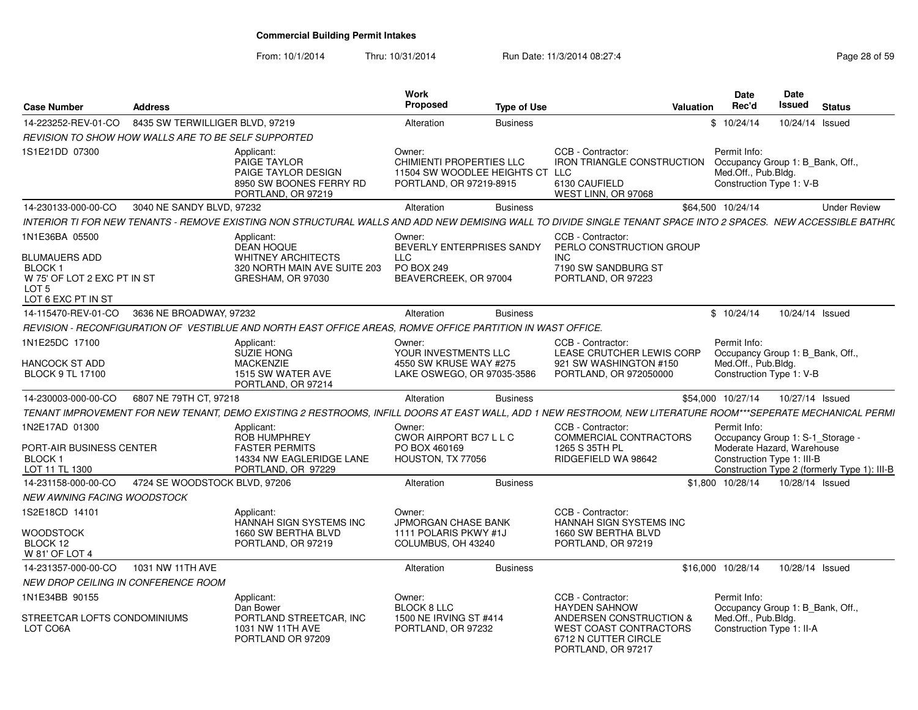| <b>Case Number</b>                                                                                                    | <b>Address</b>                  |                                                                                                                                                                 | Work<br>Proposed                                                                                        | <b>Type of Use</b> |                                                                                                          | <b>Valuation</b> | Date<br>Rec'd                                                                                                | Date<br><b>Issued</b> | <b>Status</b>                                |
|-----------------------------------------------------------------------------------------------------------------------|---------------------------------|-----------------------------------------------------------------------------------------------------------------------------------------------------------------|---------------------------------------------------------------------------------------------------------|--------------------|----------------------------------------------------------------------------------------------------------|------------------|--------------------------------------------------------------------------------------------------------------|-----------------------|----------------------------------------------|
| 14-223252-REV-01-CO                                                                                                   | 8435 SW TERWILLIGER BLVD, 97219 |                                                                                                                                                                 | Alteration                                                                                              | <b>Business</b>    |                                                                                                          |                  | \$10/24/14                                                                                                   |                       | 10/24/14 Issued                              |
| <b>REVISION TO SHOW HOW WALLS ARE TO BE SELF SUPPORTED</b>                                                            |                                 |                                                                                                                                                                 |                                                                                                         |                    |                                                                                                          |                  |                                                                                                              |                       |                                              |
| 1S1E21DD 07300                                                                                                        |                                 | Applicant:<br>PAIGE TAYLOR<br>PAIGE TAYLOR DESIGN<br>8950 SW BOONES FERRY RD<br>PORTLAND, OR 97219                                                              | Owner:<br><b>CHIMIENTI PROPERTIES LLC</b><br>11504 SW WOODLEE HEIGHTS CT LLC<br>PORTLAND, OR 97219-8915 |                    | CCB - Contractor:<br><b>IRON TRIANGLE CONSTRUCTION</b><br>6130 CAUFIELD<br>WEST LINN, OR 97068           |                  | Permit Info:<br>Occupancy Group 1: B_Bank, Off.,<br>Med.Off., Pub.Bldg.<br>Construction Type 1: V-B          |                       |                                              |
| 14-230133-000-00-CO                                                                                                   | 3040 NE SANDY BLVD, 97232       |                                                                                                                                                                 | Alteration                                                                                              | <b>Business</b>    |                                                                                                          |                  | \$64.500 10/24/14                                                                                            |                       | <b>Under Review</b>                          |
|                                                                                                                       |                                 | INTERIOR TI FOR NEW TENANTS - REMOVE EXISTING NON STRUCTURAL WALLS AND ADD NEW DEMISING WALL TO DIVIDE SINGLE TENANT SPACE INTO 2 SPACES. NEW ACCESSIBLE BATHR( |                                                                                                         |                    |                                                                                                          |                  |                                                                                                              |                       |                                              |
| 1N1E36BA 05500<br><b>BLUMAUERS ADD</b><br><b>BLOCK1</b><br>W 75' OF LOT 2 EXC PT IN ST<br>LOT 5<br>LOT 6 EXC PT IN ST |                                 | Applicant:<br><b>DEAN HOQUE</b><br><b>WHITNEY ARCHITECTS</b><br>320 NORTH MAIN AVE SUITE 203<br>GRESHAM, OR 97030                                               | Owner:<br>BEVERLY ENTERPRISES SANDY<br><b>LLC</b><br>PO BOX 249<br>BEAVERCREEK, OR 97004                |                    | CCB - Contractor:<br>PERLO CONSTRUCTION GROUP<br><b>INC</b><br>7190 SW SANDBURG ST<br>PORTLAND, OR 97223 |                  |                                                                                                              |                       |                                              |
| 14-115470-REV-01-CO                                                                                                   | 3636 NE BROADWAY, 97232         |                                                                                                                                                                 | Alteration                                                                                              | <b>Business</b>    |                                                                                                          |                  | \$10/24/14                                                                                                   |                       | 10/24/14 Issued                              |
|                                                                                                                       |                                 | REVISION - RECONFIGURATION OF VESTIBLUE AND NORTH EAST OFFICE AREAS, ROMVE OFFICE PARTITION IN WAST OFFICE.                                                     |                                                                                                         |                    |                                                                                                          |                  |                                                                                                              |                       |                                              |
| 1N1E25DC 17100                                                                                                        |                                 | Applicant:<br><b>SUZIE HONG</b>                                                                                                                                 | Owner:<br>YOUR INVESTMENTS LLC                                                                          |                    | CCB - Contractor:<br>LEASE CRUTCHER LEWIS CORP                                                           |                  | Permit Info:<br>Occupancy Group 1: B Bank, Off.,                                                             |                       |                                              |
| HANCOCK ST ADD<br><b>BLOCK 9 TL 17100</b>                                                                             |                                 | <b>MACKENZIE</b><br>1515 SW WATER AVE<br>PORTLAND, OR 97214                                                                                                     | 4550 SW KRUSE WAY #275<br>LAKE OSWEGO, OR 97035-3586                                                    |                    | 921 SW WASHINGTON #150<br>PORTLAND, OR 972050000                                                         |                  | Med.Off., Pub.Bldg.<br>Construction Type 1: V-B                                                              |                       |                                              |
| 14-230003-000-00-CO                                                                                                   | 6807 NE 79TH CT, 97218          |                                                                                                                                                                 | Alteration                                                                                              | <b>Business</b>    |                                                                                                          |                  | \$54,000 10/27/14                                                                                            |                       | 10/27/14 Issued                              |
|                                                                                                                       |                                 | TENANT IMPROVEMENT FOR NEW TENANT, DEMO EXISTING 2 RESTROOMS, INFILL DOORS AT EAST WALL, ADD 1 NEW RESTROOM, NEW LITERATURE ROOM***SEPERATE MECHANICAL PERMI    |                                                                                                         |                    |                                                                                                          |                  |                                                                                                              |                       |                                              |
| 1N2E17AD 01300<br>PORT-AIR BUSINESS CENTER<br><b>BLOCK1</b><br>LOT 11 TL 1300                                         |                                 | Applicant:<br><b>ROB HUMPHREY</b><br><b>FASTER PERMITS</b><br>14334 NW EAGLERIDGE LANE<br>PORTLAND, OR 97229                                                    | Owner:<br>CWOR AIRPORT BC7 L L C<br>PO BOX 460169<br>HOUSTON, TX 77056                                  |                    | CCB - Contractor:<br>COMMERCIAL CONTRACTORS<br>1265 S 35TH PL<br>RIDGEFIELD WA 98642                     |                  | Permit Info:<br>Occupancy Group 1: S-1 Storage -<br>Moderate Hazard, Warehouse<br>Construction Type 1: III-B |                       | Construction Type 2 (formerly Type 1): III-B |
| 14-231158-000-00-CO                                                                                                   | 4724 SE WOODSTOCK BLVD, 97206   |                                                                                                                                                                 | Alteration                                                                                              | <b>Business</b>    |                                                                                                          |                  | \$1,800 10/28/14                                                                                             |                       | 10/28/14 Issued                              |
| NEW AWNING FACING WOODSTOCK                                                                                           |                                 |                                                                                                                                                                 |                                                                                                         |                    |                                                                                                          |                  |                                                                                                              |                       |                                              |
| 1S2E18CD 14101                                                                                                        |                                 | Applicant:<br>HANNAH SIGN SYSTEMS INC                                                                                                                           | Owner:<br>JPMORGAN CHASE BANK                                                                           |                    | CCB - Contractor:<br>HANNAH SIGN SYSTEMS INC                                                             |                  |                                                                                                              |                       |                                              |
| WOODSTOCK<br>BLOCK 12<br>W 81' OF LOT 4                                                                               |                                 | 1660 SW BERTHA BLVD<br>PORTLAND, OR 97219                                                                                                                       | 1111 POLARIS PKWY #1J<br>COLUMBUS, OH 43240                                                             |                    | 1660 SW BERTHA BLVD<br>PORTLAND, OR 97219                                                                |                  |                                                                                                              |                       |                                              |
| 14-231357-000-00-CO                                                                                                   | 1031 NW 11TH AVE                |                                                                                                                                                                 | Alteration                                                                                              | <b>Business</b>    |                                                                                                          |                  | \$16,000 10/28/14                                                                                            |                       | 10/28/14 Issued                              |
| <b>NEW DROP CEILING IN CONFERENCE ROOM</b>                                                                            |                                 |                                                                                                                                                                 |                                                                                                         |                    |                                                                                                          |                  |                                                                                                              |                       |                                              |
| 1N1E34BB 90155                                                                                                        |                                 | Applicant:<br>Dan Bower                                                                                                                                         | Owner:<br><b>BLOCK 8 LLC</b>                                                                            |                    | CCB - Contractor:<br><b>HAYDEN SAHNOW</b>                                                                |                  | Permit Info:<br>Occupancy Group 1: B Bank, Off.,                                                             |                       |                                              |
| STREETCAR LOFTS CONDOMINIUMS<br>LOT CO6A                                                                              |                                 | PORTLAND STREETCAR, INC<br>1031 NW 11TH AVE<br>PORTLAND OR 97209                                                                                                | 1500 NE IRVING ST #414<br>PORTLAND, OR 97232                                                            |                    | ANDERSEN CONSTRUCTION &<br>WEST COAST CONTRACTORS<br>6712 N CUTTER CIRCLE<br>PORTLAND, OR 97217          |                  | Med.Off., Pub.Bldg.<br>Construction Type 1: II-A                                                             |                       |                                              |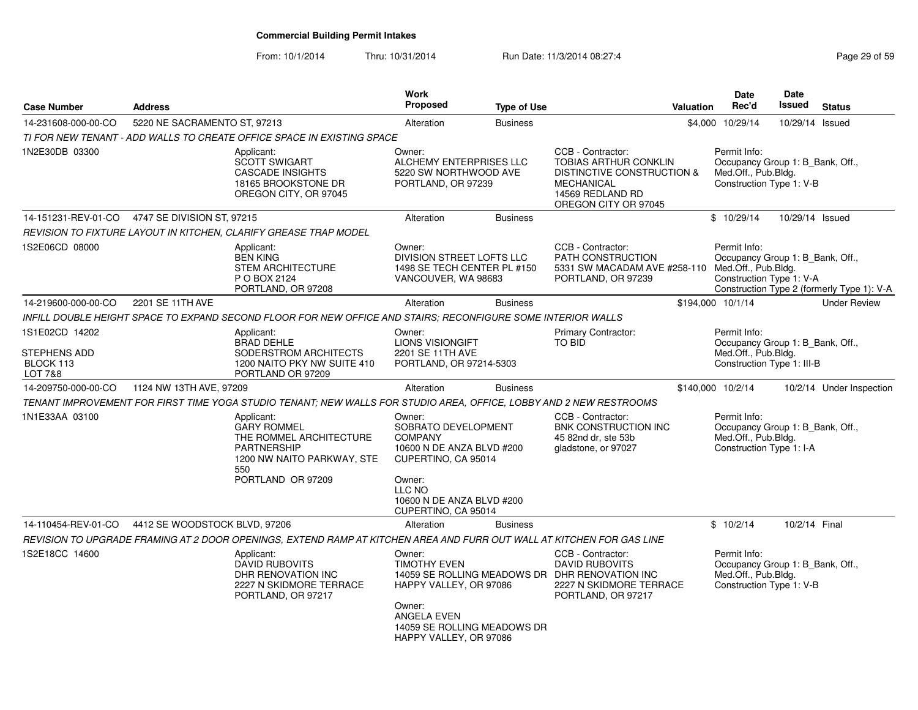| <b>Case Number</b>                          | <b>Address</b>                |                                                                                                                                             | Work<br><b>Proposed</b>                                                                                                                   | <b>Type of Use</b> | Valuation                                                                                                                                        |                                     | Date<br>Rec'd | <b>Date</b><br><b>Issued</b>                                   | <b>Status</b>                              |
|---------------------------------------------|-------------------------------|---------------------------------------------------------------------------------------------------------------------------------------------|-------------------------------------------------------------------------------------------------------------------------------------------|--------------------|--------------------------------------------------------------------------------------------------------------------------------------------------|-------------------------------------|---------------|----------------------------------------------------------------|--------------------------------------------|
| 14-231608-000-00-CO                         | 5220 NE SACRAMENTO ST, 97213  |                                                                                                                                             | Alteration                                                                                                                                | <b>Business</b>    |                                                                                                                                                  | 10/29/14<br>\$4,000                 |               | 10/29/14                                                       | Issued                                     |
|                                             |                               | TI FOR NEW TENANT - ADD WALLS TO CREATE OFFICE SPACE IN EXISTING SPACE                                                                      |                                                                                                                                           |                    |                                                                                                                                                  |                                     |               |                                                                |                                            |
| 1N2E30DB 03300                              |                               | Applicant:<br><b>SCOTT SWIGART</b><br><b>CASCADE INSIGHTS</b><br>18165 BROOKSTONE DR<br>OREGON CITY, OR 97045                               | Owner:<br>ALCHEMY ENTERPRISES LLC<br>5220 SW NORTHWOOD AVE<br>PORTLAND, OR 97239                                                          |                    | CCB - Contractor:<br><b>TOBIAS ARTHUR CONKLIN</b><br>DISTINCTIVE CONSTRUCTION &<br><b>MECHANICAL</b><br>14569 REDLAND RD<br>OREGON CITY OR 97045 | Permit Info:<br>Med.Off., Pub.Bldg. |               | Occupancy Group 1: B_Bank, Off.,<br>Construction Type 1: V-B   |                                            |
| 14-151231-REV-01-CO                         | 4747 SE DIVISION ST, 97215    |                                                                                                                                             | Alteration                                                                                                                                | <b>Business</b>    |                                                                                                                                                  | \$10/29/14                          |               | 10/29/14 Issued                                                |                                            |
|                                             |                               | REVISION TO FIXTURE LAYOUT IN KITCHEN, CLARIFY GREASE TRAP MODEL                                                                            |                                                                                                                                           |                    |                                                                                                                                                  |                                     |               |                                                                |                                            |
| 1S2E06CD 08000                              |                               | Applicant:<br><b>BEN KING</b><br><b>STEM ARCHITECTURE</b><br>P O BOX 2124<br>PORTLAND, OR 97208                                             | Owner:<br>DIVISION STREET LOFTS LLC<br>1498 SE TECH CENTER PL #150<br>VANCOUVER, WA 98683                                                 |                    | CCB - Contractor:<br>PATH CONSTRUCTION<br>5331 SW MACADAM AVE #258-110 Med.Off., Pub.Bldg.<br>PORTLAND, OR 97239                                 | Permit Info:                        |               | Occupancy Group 1: B_Bank, Off.,<br>Construction Type 1: V-A   | Construction Type 2 (formerly Type 1): V-A |
| 14-219600-000-00-CO                         | 2201 SE 11TH AVE              |                                                                                                                                             | Alteration                                                                                                                                | <b>Business</b>    |                                                                                                                                                  | \$194,000 10/1/14                   |               |                                                                | <b>Under Review</b>                        |
|                                             |                               | INFILL DOUBLE HEIGHT SPACE TO EXPAND SECOND FLOOR FOR NEW OFFICE AND STAIRS; RECONFIGURE SOME INTERIOR WALLS                                |                                                                                                                                           |                    |                                                                                                                                                  |                                     |               |                                                                |                                            |
| 1S1E02CD 14202<br>STEPHENS ADD<br>BLOCK 113 |                               | Applicant:<br><b>BRAD DEHLE</b><br>SODERSTROM ARCHITECTS<br>1200 NAITO PKY NW SUITE 410                                                     | Owner:<br><b>LIONS VISIONGIFT</b><br>2201 SE 11TH AVE<br>PORTLAND, OR 97214-5303                                                          |                    | Primary Contractor:<br><b>TO BID</b>                                                                                                             | Permit Info:<br>Med.Off., Pub.Bldg. |               | Occupancy Group 1: B_Bank, Off.,<br>Construction Type 1: III-B |                                            |
| LOT 7&8<br>14-209750-000-00-CO              | 1124 NW 13TH AVE, 97209       | PORTLAND OR 97209                                                                                                                           | Alteration                                                                                                                                | <b>Business</b>    |                                                                                                                                                  | \$140,000 10/2/14                   |               |                                                                | 10/2/14 Under Inspection                   |
|                                             |                               | TENANT IMPROVEMENT FOR FIRST TIME YOGA STUDIO TENANT; NEW WALLS FOR STUDIO AREA, OFFICE, LOBBY AND 2 NEW RESTROOMS                          |                                                                                                                                           |                    |                                                                                                                                                  |                                     |               |                                                                |                                            |
| 1N1E33AA 03100                              |                               | Applicant:<br><b>GARY ROMMEL</b><br>THE ROMMEL ARCHITECTURE<br><b>PARTNERSHIP</b><br>1200 NW NAITO PARKWAY, STE<br>550<br>PORTLAND OR 97209 | Owner:<br>SOBRATO DEVELOPMENT<br><b>COMPANY</b><br>10600 N DE ANZA BLVD #200<br>CUPERTINO, CA 95014<br>Owner:                             |                    | CCB - Contractor:<br>BNK CONSTRUCTION INC<br>45 82nd dr, ste 53b<br>gladstone, or 97027                                                          | Permit Info:<br>Med.Off., Pub.Bldg. |               | Occupancy Group 1: B Bank, Off.,<br>Construction Type 1: I-A   |                                            |
|                                             |                               |                                                                                                                                             | LLC NO<br>10600 N DE ANZA BLVD #200<br>CUPERTINO, CA 95014                                                                                |                    |                                                                                                                                                  |                                     |               |                                                                |                                            |
| 14-110454-REV-01-CO                         | 4412 SE WOODSTOCK BLVD, 97206 |                                                                                                                                             | Alteration                                                                                                                                | <b>Business</b>    |                                                                                                                                                  | \$10/2/14                           |               | 10/2/14 Final                                                  |                                            |
|                                             |                               | REVISION TO UPGRADE FRAMING AT 2 DOOR OPENINGS, EXTEND RAMP AT KITCHEN AREA AND FURR OUT WALL AT KITCHEN FOR GAS LINE                       |                                                                                                                                           |                    |                                                                                                                                                  |                                     |               |                                                                |                                            |
| 1S2E18CC 14600                              |                               | Applicant:<br><b>DAVID RUBOVITS</b><br>DHR RENOVATION INC<br>2227 N SKIDMORE TERRACE<br>PORTLAND, OR 97217                                  | Owner:<br><b>TIMOTHY EVEN</b><br>HAPPY VALLEY, OR 97086<br>Owner:<br>ANGELA EVEN<br>14059 SE ROLLING MEADOWS DR<br>HAPPY VALLEY, OR 97086 |                    | CCB - Contractor:<br><b>DAVID RUBOVITS</b><br>14059 SE ROLLING MEADOWS DR DHR RENOVATION INC<br>2227 N SKIDMORE TERRACE<br>PORTLAND, OR 97217    | Permit Info:<br>Med.Off., Pub.Bldg. |               | Occupancy Group 1: B_Bank, Off.,<br>Construction Type 1: V-B   |                                            |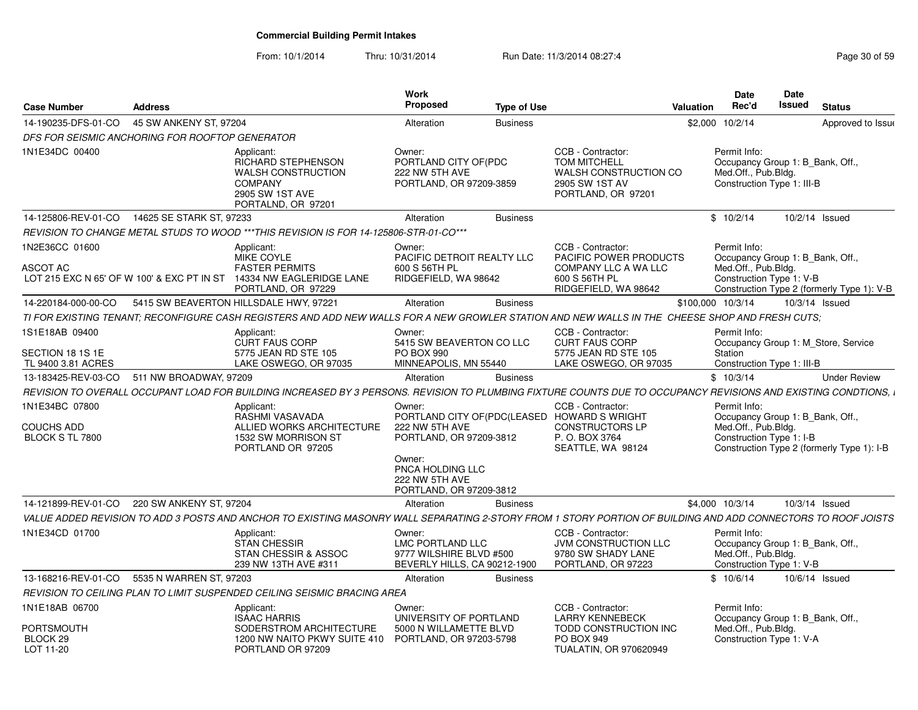| 14-190235-DFS-01-CO<br>45 SW ANKENY ST, 97204<br>\$2,000 10/2/14<br>Alteration<br>Approved to Issue<br><b>Business</b><br>DFS FOR SEISMIC ANCHORING FOR ROOFTOP GENERATOR<br>CCB - Contractor:<br>Permit Info:<br>Applicant:<br>Owner:<br>RICHARD STEPHENSON<br>PORTLAND CITY OF(PDC<br><b>TOM MITCHELL</b><br>Occupancy Group 1: B_Bank, Off.,<br>Med.Off., Pub.Bldg.<br><b>WALSH CONSTRUCTION</b><br>222 NW 5TH AVE<br>WALSH CONSTRUCTION CO<br><b>COMPANY</b><br>PORTLAND, OR 97209-3859<br>2905 SW 1ST AV<br>Construction Type 1: III-B<br>2905 SW 1ST AVE<br>PORTLAND, OR 97201<br>PORTALND, OR 97201<br>14625 SE STARK ST. 97233<br>14-125806-REV-01-CO<br>\$10/2/14<br>10/2/14 Issued<br>Alteration<br><b>Business</b><br>REVISION TO CHANGE METAL STUDS TO WOOD ***THIS REVISION IS FOR 14-125806-STR-01-CO***<br>CCB - Contractor<br>Permit Info:<br>1N2E36CC 01600<br>Owner:<br>Applicant:<br><b>MIKE COYLE</b><br>PACIFIC DETROIT REALTY LLC<br>PACIFIC POWER PRODUCTS<br>Occupancy Group 1: B_Bank, Off.,<br>ASCOT AC<br><b>FASTER PERMITS</b><br>600 S 56TH PL<br>COMPANY LLC A WA LLC<br>Med.Off., Pub.Bldg.<br>14334 NW EAGLERIDGE LANE<br>RIDGEFIELD, WA 98642<br>600 S 56TH PL<br>LOT 215 EXC N 65' OF W 100' & EXC PT IN ST<br>Construction Type 1: V-B<br>PORTLAND, OR 97229<br>RIDGEFIELD, WA 98642<br>Construction Type 2 (formerly Type 1): V-B<br>10/3/14 Issued<br>14-220184-000-00-CO<br>5415 SW BEAVERTON HILLSDALE HWY, 97221<br>Alteration<br><b>Business</b><br>\$100,000 10/3/14<br>TI FOR EXISTING TENANT: RECONFIGURE CASH REGISTERS AND ADD NEW WALLS FOR A NEW GROWLER STATION AND NEW WALLS IN THE CHEESE SHOP AND FRESH CUTS:<br>1S1E18AB 09400<br>CCB - Contractor:<br>Permit Info:<br>Owner:<br>Applicant:<br><b>CURT FAUS CORP</b><br><b>CURT FAUS CORP</b><br>5415 SW BEAVERTON CO LLC<br>Occupancy Group 1: M Store, Service<br>5775 JEAN RD STE 105<br>PO BOX 990<br>5775 JEAN RD STE 105<br>Station<br>LAKE OSWEGO, OR 97035<br>TL 9400 3.81 ACRES<br>LAKE OSWEGO, OR 97035<br>MINNEAPOLIS, MN 55440<br>Construction Type 1: III-B |
|-------------------------------------------------------------------------------------------------------------------------------------------------------------------------------------------------------------------------------------------------------------------------------------------------------------------------------------------------------------------------------------------------------------------------------------------------------------------------------------------------------------------------------------------------------------------------------------------------------------------------------------------------------------------------------------------------------------------------------------------------------------------------------------------------------------------------------------------------------------------------------------------------------------------------------------------------------------------------------------------------------------------------------------------------------------------------------------------------------------------------------------------------------------------------------------------------------------------------------------------------------------------------------------------------------------------------------------------------------------------------------------------------------------------------------------------------------------------------------------------------------------------------------------------------------------------------------------------------------------------------------------------------------------------------------------------------------------------------------------------------------------------------------------------------------------------------------------------------------------------------------------------------------------------------------------------------------------------------------------------------------------------------------------------------------------------------------|
|                                                                                                                                                                                                                                                                                                                                                                                                                                                                                                                                                                                                                                                                                                                                                                                                                                                                                                                                                                                                                                                                                                                                                                                                                                                                                                                                                                                                                                                                                                                                                                                                                                                                                                                                                                                                                                                                                                                                                                                                                                                                               |
| 1N1E34DC 00400<br>SECTION 18 1S 1E                                                                                                                                                                                                                                                                                                                                                                                                                                                                                                                                                                                                                                                                                                                                                                                                                                                                                                                                                                                                                                                                                                                                                                                                                                                                                                                                                                                                                                                                                                                                                                                                                                                                                                                                                                                                                                                                                                                                                                                                                                            |
|                                                                                                                                                                                                                                                                                                                                                                                                                                                                                                                                                                                                                                                                                                                                                                                                                                                                                                                                                                                                                                                                                                                                                                                                                                                                                                                                                                                                                                                                                                                                                                                                                                                                                                                                                                                                                                                                                                                                                                                                                                                                               |
|                                                                                                                                                                                                                                                                                                                                                                                                                                                                                                                                                                                                                                                                                                                                                                                                                                                                                                                                                                                                                                                                                                                                                                                                                                                                                                                                                                                                                                                                                                                                                                                                                                                                                                                                                                                                                                                                                                                                                                                                                                                                               |
|                                                                                                                                                                                                                                                                                                                                                                                                                                                                                                                                                                                                                                                                                                                                                                                                                                                                                                                                                                                                                                                                                                                                                                                                                                                                                                                                                                                                                                                                                                                                                                                                                                                                                                                                                                                                                                                                                                                                                                                                                                                                               |
|                                                                                                                                                                                                                                                                                                                                                                                                                                                                                                                                                                                                                                                                                                                                                                                                                                                                                                                                                                                                                                                                                                                                                                                                                                                                                                                                                                                                                                                                                                                                                                                                                                                                                                                                                                                                                                                                                                                                                                                                                                                                               |
|                                                                                                                                                                                                                                                                                                                                                                                                                                                                                                                                                                                                                                                                                                                                                                                                                                                                                                                                                                                                                                                                                                                                                                                                                                                                                                                                                                                                                                                                                                                                                                                                                                                                                                                                                                                                                                                                                                                                                                                                                                                                               |
|                                                                                                                                                                                                                                                                                                                                                                                                                                                                                                                                                                                                                                                                                                                                                                                                                                                                                                                                                                                                                                                                                                                                                                                                                                                                                                                                                                                                                                                                                                                                                                                                                                                                                                                                                                                                                                                                                                                                                                                                                                                                               |
|                                                                                                                                                                                                                                                                                                                                                                                                                                                                                                                                                                                                                                                                                                                                                                                                                                                                                                                                                                                                                                                                                                                                                                                                                                                                                                                                                                                                                                                                                                                                                                                                                                                                                                                                                                                                                                                                                                                                                                                                                                                                               |
|                                                                                                                                                                                                                                                                                                                                                                                                                                                                                                                                                                                                                                                                                                                                                                                                                                                                                                                                                                                                                                                                                                                                                                                                                                                                                                                                                                                                                                                                                                                                                                                                                                                                                                                                                                                                                                                                                                                                                                                                                                                                               |
| 13-183425-REV-03-CO<br>511 NW BROADWAY, 97209<br>\$10/3/14<br><b>Under Review</b><br>Alteration<br><b>Business</b>                                                                                                                                                                                                                                                                                                                                                                                                                                                                                                                                                                                                                                                                                                                                                                                                                                                                                                                                                                                                                                                                                                                                                                                                                                                                                                                                                                                                                                                                                                                                                                                                                                                                                                                                                                                                                                                                                                                                                            |
| REVISION TO OVERALL OCCUPANT LOAD FOR BUILDING INCREASED BY 3 PERSONS. REVISION TO PLUMBING FIXTURE COUNTS DUE TO OCCUPANCY REVISIONS AND EXISTING CONDTIONS, I                                                                                                                                                                                                                                                                                                                                                                                                                                                                                                                                                                                                                                                                                                                                                                                                                                                                                                                                                                                                                                                                                                                                                                                                                                                                                                                                                                                                                                                                                                                                                                                                                                                                                                                                                                                                                                                                                                               |
| 1N1E34BC 07800<br>CCB - Contractor:<br>Applicant:<br>Owner:<br>Permit Info:<br>RASHMI VASAVADA<br>PORTLAND CITY OF(PDC(LEASED HOWARD S WRIGHT<br>Occupancy Group 1: B_Bank, Off.,                                                                                                                                                                                                                                                                                                                                                                                                                                                                                                                                                                                                                                                                                                                                                                                                                                                                                                                                                                                                                                                                                                                                                                                                                                                                                                                                                                                                                                                                                                                                                                                                                                                                                                                                                                                                                                                                                             |
| <b>COUCHS ADD</b><br>ALLIED WORKS ARCHITECTURE<br>222 NW 5TH AVE<br><b>CONSTRUCTORS LP</b><br>Med.Off., Pub.Bldg.<br>1532 SW MORRISON ST<br>PORTLAND, OR 97209-3812<br>P.O. BOX 3764<br>Construction Type 1: I-B<br>BLOCK S TL 7800<br>PORTLAND OR 97205<br>SEATTLE, WA 98124<br>Construction Type 2 (formerly Type 1): I-B<br>Owner:                                                                                                                                                                                                                                                                                                                                                                                                                                                                                                                                                                                                                                                                                                                                                                                                                                                                                                                                                                                                                                                                                                                                                                                                                                                                                                                                                                                                                                                                                                                                                                                                                                                                                                                                         |
| PNCA HOLDING LLC<br>222 NW 5TH AVE<br>PORTLAND, OR 97209-3812                                                                                                                                                                                                                                                                                                                                                                                                                                                                                                                                                                                                                                                                                                                                                                                                                                                                                                                                                                                                                                                                                                                                                                                                                                                                                                                                                                                                                                                                                                                                                                                                                                                                                                                                                                                                                                                                                                                                                                                                                 |
| 14-121899-REV-01-CO<br>220 SW ANKENY ST, 97204<br>\$4,000 10/3/14<br>10/3/14 Issued<br>Alteration<br><b>Business</b>                                                                                                                                                                                                                                                                                                                                                                                                                                                                                                                                                                                                                                                                                                                                                                                                                                                                                                                                                                                                                                                                                                                                                                                                                                                                                                                                                                                                                                                                                                                                                                                                                                                                                                                                                                                                                                                                                                                                                          |
| VALUE ADDED REVISION TO ADD 3 POSTS AND ANCHOR TO EXISTING MASONRY WALL SEPARATING 2-STORY FROM 1 STORY PORTION OF BUILDING AND ADD CONNECTORS TO ROOF JOISTS                                                                                                                                                                                                                                                                                                                                                                                                                                                                                                                                                                                                                                                                                                                                                                                                                                                                                                                                                                                                                                                                                                                                                                                                                                                                                                                                                                                                                                                                                                                                                                                                                                                                                                                                                                                                                                                                                                                 |
| 1N1E34CD 01700<br>Permit Info:<br>CCB - Contractor<br>Applicant:<br>Owner:<br>LMC PORTLAND LLC<br><b>STAN CHESSIR</b><br>JVM CONSTRUCTION LLC<br>Occupancy Group 1: B Bank, Off<br>STAN CHESSIR & ASSOC<br>9777 WILSHIRE BLVD #500<br>9780 SW SHADY LANE<br>Med.Off., Pub.Bldg.<br>PORTLAND, OR 97223<br>239 NW 13TH AVE #311<br>BEVERLY HILLS, CA 90212-1900<br>Construction Type 1: V-B                                                                                                                                                                                                                                                                                                                                                                                                                                                                                                                                                                                                                                                                                                                                                                                                                                                                                                                                                                                                                                                                                                                                                                                                                                                                                                                                                                                                                                                                                                                                                                                                                                                                                     |
| 13-168216-REV-01-CO<br>5535 N WARREN ST, 97203<br>\$10/6/14<br>10/6/14 Issued<br>Alteration<br><b>Business</b>                                                                                                                                                                                                                                                                                                                                                                                                                                                                                                                                                                                                                                                                                                                                                                                                                                                                                                                                                                                                                                                                                                                                                                                                                                                                                                                                                                                                                                                                                                                                                                                                                                                                                                                                                                                                                                                                                                                                                                |
| REVISION TO CEILING PLAN TO LIMIT SUSPENDED CEILING SEISMIC BRACING AREA                                                                                                                                                                                                                                                                                                                                                                                                                                                                                                                                                                                                                                                                                                                                                                                                                                                                                                                                                                                                                                                                                                                                                                                                                                                                                                                                                                                                                                                                                                                                                                                                                                                                                                                                                                                                                                                                                                                                                                                                      |
| 1N1E18AB 06700<br>CCB - Contractor:<br>Permit Info:<br>Applicant:<br>Owner:                                                                                                                                                                                                                                                                                                                                                                                                                                                                                                                                                                                                                                                                                                                                                                                                                                                                                                                                                                                                                                                                                                                                                                                                                                                                                                                                                                                                                                                                                                                                                                                                                                                                                                                                                                                                                                                                                                                                                                                                   |
| <b>ISAAC HARRIS</b><br><b>LARRY KENNEBECK</b><br>Occupancy Group 1: B_Bank, Off.,<br>UNIVERSITY OF PORTLAND<br>PORTSMOUTH<br>SODERSTROM ARCHITECTURE<br>5000 N WILLAMETTE BLVD<br>TODD CONSTRUCTION INC<br>Med.Off., Pub.Bldg.<br>BLOCK 29<br>1200 NW NAITO PKWY SUITE 410 PORTLAND, OR 97203-5798<br>PO BOX 949<br>Construction Type 1: V-A<br>LOT 11-20<br>PORTLAND OR 97209<br><b>TUALATIN, OR 970620949</b>                                                                                                                                                                                                                                                                                                                                                                                                                                                                                                                                                                                                                                                                                                                                                                                                                                                                                                                                                                                                                                                                                                                                                                                                                                                                                                                                                                                                                                                                                                                                                                                                                                                               |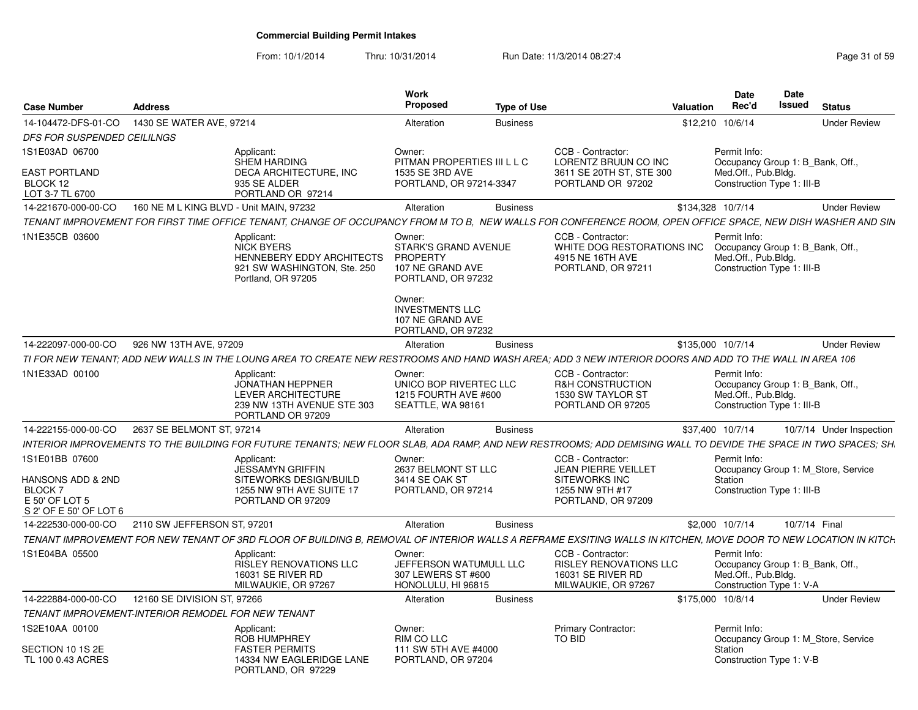| <b>Case Number</b>                                                                               | <b>Address</b>                          |                                                                                                                                                                 | <b>Work</b><br>Proposed                                                                                                                | <b>Type of Use</b> |                                                                                                                  | <b>Valuation</b>  | <b>Date</b><br>Rec'd                                                                                  | Date<br><b>Issued</b> | <b>Status</b>                       |
|--------------------------------------------------------------------------------------------------|-----------------------------------------|-----------------------------------------------------------------------------------------------------------------------------------------------------------------|----------------------------------------------------------------------------------------------------------------------------------------|--------------------|------------------------------------------------------------------------------------------------------------------|-------------------|-------------------------------------------------------------------------------------------------------|-----------------------|-------------------------------------|
| 14-104472-DFS-01-CO                                                                              | 1430 SE WATER AVE, 97214                |                                                                                                                                                                 | Alteration                                                                                                                             | <b>Business</b>    |                                                                                                                  |                   | \$12,210 10/6/14                                                                                      |                       | <b>Under Review</b>                 |
| DFS FOR SUSPENDED CEILILNGS                                                                      |                                         |                                                                                                                                                                 |                                                                                                                                        |                    |                                                                                                                  |                   |                                                                                                       |                       |                                     |
| 1S1E03AD 06700<br><b>EAST PORTLAND</b><br>BLOCK 12<br>LOT 3-7 TL 6700                            |                                         | Applicant:<br><b>SHEM HARDING</b><br>DECA ARCHITECTURE, INC<br>935 SE ALDER<br>PORTLAND OR 97214                                                                | Owner:<br>PITMAN PROPERTIES III L L C<br>1535 SE 3RD AVE<br>PORTLAND, OR 97214-3347                                                    |                    | CCB - Contractor:<br>LORENTZ BRUUN CO INC<br>3611 SE 20TH ST, STE 300<br>PORTLAND OR 97202                       |                   | Permit Info:<br>Occupancy Group 1: B Bank, Off.,<br>Med.Off., Pub.Bldg.<br>Construction Type 1: III-B |                       |                                     |
| 14-221670-000-00-CO                                                                              | 160 NE M L KING BLVD - Unit MAIN, 97232 |                                                                                                                                                                 | Alteration                                                                                                                             | <b>Business</b>    |                                                                                                                  | \$134,328 10/7/14 |                                                                                                       |                       | <b>Under Review</b>                 |
|                                                                                                  |                                         | TENANT IMPROVEMENT FOR FIRST TIME OFFICE TENANT, CHANGE OF OCCUPANCY FROM M TO B, NEW WALLS FOR CONFERENCE ROOM, OPEN OFFICE SPACE, NEW DISH WASHER AND SIN     |                                                                                                                                        |                    |                                                                                                                  |                   |                                                                                                       |                       |                                     |
| 1N1E35CB 03600                                                                                   |                                         | Applicant:<br><b>NICK BYERS</b><br><b>HENNEBERY EDDY ARCHITECTS</b><br>921 SW WASHINGTON, Ste. 250<br>Portland, OR 97205                                        | Owner:<br><b>STARK'S GRAND AVENUE</b><br><b>PROPERTY</b><br>107 NE GRAND AVE<br>PORTLAND, OR 97232<br>Owner:<br><b>INVESTMENTS LLC</b> |                    | CCB - Contractor:<br>WHITE DOG RESTORATIONS INC<br>4915 NE 16TH AVE<br>PORTLAND, OR 97211                        |                   | Permit Info:<br>Occupancy Group 1: B Bank, Off.,<br>Med.Off., Pub.Bldg.<br>Construction Type 1: III-B |                       |                                     |
|                                                                                                  |                                         |                                                                                                                                                                 | 107 NE GRAND AVE<br>PORTLAND, OR 97232                                                                                                 |                    |                                                                                                                  |                   |                                                                                                       |                       |                                     |
| 14-222097-000-00-CO                                                                              | 926 NW 13TH AVE, 97209                  |                                                                                                                                                                 | Alteration                                                                                                                             | <b>Business</b>    |                                                                                                                  | \$135,000 10/7/14 |                                                                                                       |                       | <b>Under Review</b>                 |
|                                                                                                  |                                         | TI FOR NEW TENANT: ADD NEW WALLS IN THE LOUNG AREA TO CREATE NEW RESTROOMS AND HAND WASH AREA: ADD 3 NEW INTERIOR DOORS AND ADD TO THE WALL IN AREA 106         |                                                                                                                                        |                    |                                                                                                                  |                   |                                                                                                       |                       |                                     |
| 1N1E33AD 00100                                                                                   |                                         | Applicant:<br><b>JONATHAN HEPPNER</b><br><b>LEVER ARCHITECTURE</b><br>239 NW 13TH AVENUE STE 303<br>PORTLAND OR 97209                                           | Owner:<br>UNICO BOP RIVERTEC LLC<br>1215 FOURTH AVE #600<br>SEATTLE, WA 98161                                                          |                    | CCB - Contractor:<br>R&H CONSTRUCTION<br>1530 SW TAYLOR ST<br>PORTLAND OR 97205                                  |                   | Permit Info:<br>Occupancy Group 1: B_Bank, Off.,<br>Med.Off., Pub.Bldg.<br>Construction Type 1: III-B |                       |                                     |
| 14-222155-000-00-CO                                                                              | 2637 SE BELMONT ST, 97214               |                                                                                                                                                                 | Alteration                                                                                                                             | <b>Business</b>    |                                                                                                                  |                   | \$37,400 10/7/14                                                                                      |                       | 10/7/14 Under Inspection            |
|                                                                                                  |                                         | INTERIOR IMPROVEMENTS TO THE BUILDING FOR FUTURE TENANTS; NEW FLOOR SLAB, ADA RAMP, AND NEW RESTROOMS; ADD DEMISING WALL TO DEVIDE THE SPACE IN TWO SPACES; SH. |                                                                                                                                        |                    |                                                                                                                  |                   |                                                                                                       |                       |                                     |
| 1S1E01BB 07600<br>HANSONS ADD & 2ND<br><b>BLOCK7</b><br>E 50' OF LOT 5<br>S 2' OF E 50' OF LOT 6 |                                         | Applicant:<br>JESSAMYN GRIFFIN<br>SITEWORKS DESIGN/BUILD<br>1255 NW 9TH AVE SUITE 17<br>PORTLAND OR 97209                                                       | Owner:<br>2637 BELMONT ST LLC<br>3414 SE OAK ST<br>PORTLAND, OR 97214                                                                  |                    | CCB - Contractor:<br><b>JEAN PIERRE VEILLET</b><br><b>SITEWORKS INC</b><br>1255 NW 9TH #17<br>PORTLAND, OR 97209 |                   | Permit Info:<br>Station<br>Construction Type 1: III-B                                                 |                       | Occupancy Group 1: M Store, Service |
| 14-222530-000-00-CO                                                                              | 2110 SW JEFFERSON ST, 97201             |                                                                                                                                                                 | Alteration                                                                                                                             | <b>Business</b>    |                                                                                                                  |                   | \$2,000 10/7/14                                                                                       | 10/7/14 Final         |                                     |
|                                                                                                  |                                         | TENANT IMPROVEMENT FOR NEW TENANT OF 3RD FLOOR OF BUILDING B, REMOVAL OF INTERIOR WALLS A REFRAME EXSITING WALLS IN KITCHEN, MOVE DOOR TO NEW LOCATION IN KITCH |                                                                                                                                        |                    |                                                                                                                  |                   |                                                                                                       |                       |                                     |
| 1S1E04BA 05500                                                                                   |                                         | Applicant:<br><b>RISLEY RENOVATIONS LLC</b><br><b>16031 SE RIVER RD</b><br>MILWAUKIE, OR 97267                                                                  | Owner:<br>JEFFERSON WATUMULL LLC<br>307 LEWERS ST #600<br>HONOLULU, HI 96815                                                           |                    | CCB - Contractor:<br><b>RISLEY RENOVATIONS LLC</b><br>16031 SE RIVER RD<br>MILWAUKIE, OR 97267                   |                   | Permit Info:<br>Occupancy Group 1: B Bank, Off.,<br>Med.Off., Pub.Bldg.<br>Construction Type 1: V-A   |                       |                                     |
| 14-222884-000-00-CO                                                                              | 12160 SE DIVISION ST, 97266             |                                                                                                                                                                 | Alteration                                                                                                                             | <b>Business</b>    |                                                                                                                  | \$175,000 10/8/14 |                                                                                                       |                       | <b>Under Review</b>                 |
| TENANT IMPROVEMENT-INTERIOR REMODEL FOR NEW TENANT                                               |                                         |                                                                                                                                                                 |                                                                                                                                        |                    |                                                                                                                  |                   |                                                                                                       |                       |                                     |
| 1S2E10AA 00100<br>SECTION 10 1S 2E<br>TL 100 0.43 ACRES                                          |                                         | Applicant:<br><b>ROB HUMPHREY</b><br><b>FASTER PERMITS</b><br>14334 NW EAGLERIDGE LANE<br>PORTLAND, OR 97229                                                    | Owner:<br>RIM CO LLC<br>111 SW 5TH AVE #4000<br>PORTLAND, OR 97204                                                                     |                    | Primary Contractor:<br>TO BID                                                                                    |                   | Permit Info:<br>Station<br>Construction Type 1: V-B                                                   |                       | Occupancy Group 1: M_Store, Service |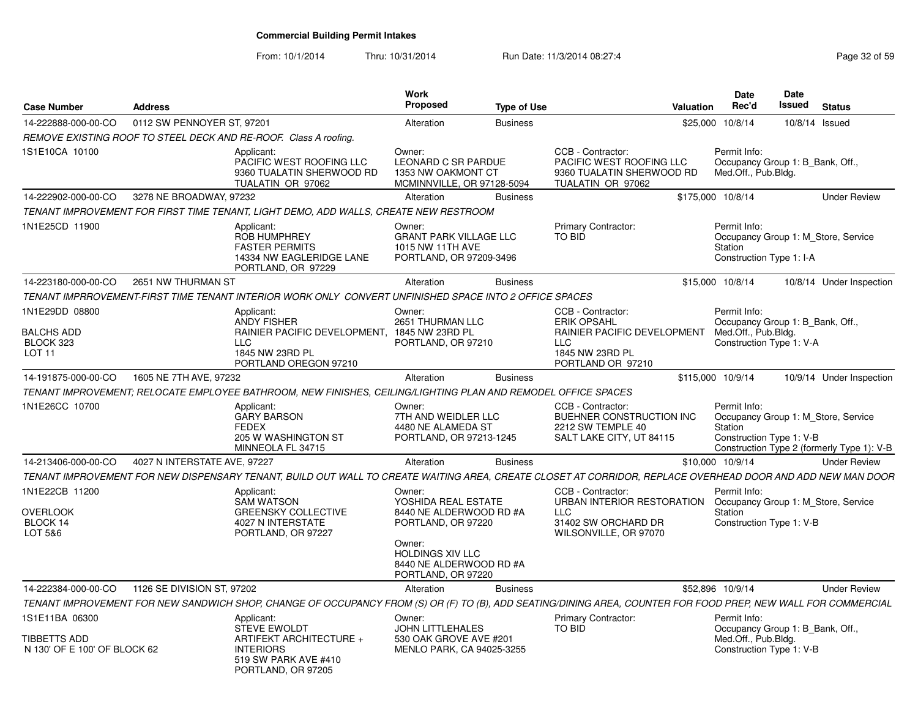| <b>Case Number</b>                                                    | <b>Address</b>               |                                                                                                                                                               | <b>Work</b><br>Proposed                                                                  | <b>Type of Use</b> | <b>Valuation</b>                                                                                                             |                   | Date<br>Rec'd                       | Date<br>Issued                                               | <b>Status</b>                                                                     |
|-----------------------------------------------------------------------|------------------------------|---------------------------------------------------------------------------------------------------------------------------------------------------------------|------------------------------------------------------------------------------------------|--------------------|------------------------------------------------------------------------------------------------------------------------------|-------------------|-------------------------------------|--------------------------------------------------------------|-----------------------------------------------------------------------------------|
| 14-222888-000-00-CO                                                   | 0112 SW PENNOYER ST, 97201   |                                                                                                                                                               | Alteration                                                                               | <b>Business</b>    | \$25,000                                                                                                                     |                   | 10/8/14                             | 10/8/14                                                      | Issued                                                                            |
|                                                                       |                              | REMOVE EXISTING ROOF TO STEEL DECK AND RE-ROOF. Class A roofing.                                                                                              |                                                                                          |                    |                                                                                                                              |                   |                                     |                                                              |                                                                                   |
| 1S1E10CA 10100                                                        |                              | Applicant:<br>PACIFIC WEST ROOFING LLC<br>9360 TUALATIN SHERWOOD RD<br>TUALATIN OR 97062                                                                      | Owner:<br><b>LEONARD C SR PARDUE</b><br>1353 NW OAKMONT CT<br>MCMINNVILLE, OR 97128-5094 |                    | CCB - Contractor:<br>PACIFIC WEST ROOFING LLC<br>9360 TUALATIN SHERWOOD RD<br>TUALATIN OR 97062                              |                   | Permit Info:<br>Med.Off., Pub.Bldg. | Occupancy Group 1: B_Bank, Off.,                             |                                                                                   |
| 14-222902-000-00-CO                                                   | 3278 NE BROADWAY, 97232      |                                                                                                                                                               | Alteration                                                                               | <b>Business</b>    |                                                                                                                              | \$175,000 10/8/14 |                                     |                                                              | <b>Under Review</b>                                                               |
|                                                                       |                              | TENANT IMPROVEMENT FOR FIRST TIME TENANT, LIGHT DEMO, ADD WALLS, CREATE NEW RESTROOM                                                                          |                                                                                          |                    |                                                                                                                              |                   |                                     |                                                              |                                                                                   |
| 1N1E25CD 11900                                                        |                              | Applicant:<br><b>ROB HUMPHREY</b><br><b>FASTER PERMITS</b><br>14334 NW EAGLERIDGE LANE<br>PORTLAND, OR 97229                                                  | Owner:<br><b>GRANT PARK VILLAGE LLC</b><br>1015 NW 11TH AVE<br>PORTLAND, OR 97209-3496   |                    | Primary Contractor:<br><b>TO BID</b>                                                                                         | Station           | Permit Info:                        | Construction Type 1: I-A                                     | Occupancy Group 1: M_Store, Service                                               |
| 14-223180-000-00-CO                                                   | 2651 NW THURMAN ST           |                                                                                                                                                               | Alteration                                                                               | <b>Business</b>    |                                                                                                                              | \$15,000 10/8/14  |                                     |                                                              | 10/8/14 Under Inspection                                                          |
|                                                                       |                              | TENANT IMPRROVEMENT-FIRST TIME TENANT INTERIOR WORK ONLY CONVERT UNFINISHED SPACE INTO 2 OFFICE SPACES                                                        |                                                                                          |                    |                                                                                                                              |                   |                                     |                                                              |                                                                                   |
| 1N1E29DD 08800<br><b>BALCHS ADD</b><br>BLOCK 323<br>LOT <sub>11</sub> |                              | Applicant:<br><b>ANDY FISHER</b><br>RAINIER PACIFIC DEVELOPMENT, 1845 NW 23RD PL<br><b>LLC</b><br>1845 NW 23RD PL<br>PORTLAND OREGON 97210                    | Owner:<br>2651 THURMAN LLC<br>PORTLAND, OR 97210                                         |                    | CCB - Contractor:<br><b>ERIK OPSAHL</b><br>RAINIER PACIFIC DEVELOPMENT<br><b>LLC</b><br>1845 NW 23RD PL<br>PORTLAND OR 97210 |                   | Permit Info:<br>Med.Off., Pub.Bldg. | Occupancy Group 1: B Bank, Off.,<br>Construction Type 1: V-A |                                                                                   |
| 14-191875-000-00-CO                                                   | 1605 NE 7TH AVE, 97232       |                                                                                                                                                               | Alteration                                                                               | <b>Business</b>    |                                                                                                                              | \$115,000 10/9/14 |                                     |                                                              | 10/9/14 Under Inspection                                                          |
|                                                                       |                              | TENANT IMPROVEMENT: RELOCATE EMPLOYEE BATHROOM. NEW FINISHES, CEILING/LIGHTING PLAN AND REMODEL OFFICE SPACES                                                 |                                                                                          |                    |                                                                                                                              |                   |                                     |                                                              |                                                                                   |
| 1N1E26CC 10700                                                        |                              | Applicant:<br><b>GARY BARSON</b><br><b>FEDEX</b><br>205 W WASHINGTON ST<br>MINNEOLA FL 34715                                                                  | Owner:<br>7TH AND WEIDLER LLC<br>4480 NE ALAMEDA ST<br>PORTLAND, OR 97213-1245           |                    | CCB - Contractor:<br>BUEHNER CONSTRUCTION INC<br>2212 SW TEMPLE 40<br>SALT LAKE CITY, UT 84115                               |                   | Permit Info:<br>Station             | Construction Type 1: V-B                                     | Occupancy Group 1: M_Store, Service<br>Construction Type 2 (formerly Type 1): V-B |
| 14-213406-000-00-CO                                                   | 4027 N INTERSTATE AVE, 97227 |                                                                                                                                                               | Alteration                                                                               | <b>Business</b>    |                                                                                                                              | \$10,000 10/9/14  |                                     |                                                              | <b>Under Review</b>                                                               |
|                                                                       |                              | TENANT IMPROVEMENT FOR NEW DISPENSARY TENANT, BUILD OUT WALL TO CREATE WAITING AREA, CREATE CLOSET AT CORRIDOR, REPLACE OVERHEAD DOOR AND ADD NEW MAN DOOR    |                                                                                          |                    |                                                                                                                              |                   |                                     |                                                              |                                                                                   |
| 1N1E22CB 11200<br><b>OVERLOOK</b><br>BLOCK 14<br>LOT 5&6              |                              | Applicant:<br>SAM WATSON<br><b>GREENSKY COLLECTIVE</b><br>4027 N INTERSTATE<br>PORTLAND, OR 97227                                                             | Owner:<br>YOSHIDA REAL ESTATE<br>8440 NE ALDERWOOD RD #A<br>PORTLAND, OR 97220<br>Owner: |                    | CCB - Contractor:<br>URBAN INTERIOR RESTORATION<br><b>LLC</b><br>31402 SW ORCHARD DR<br>WILSONVILLE, OR 97070                | Station           | Permit Info:                        | Construction Type 1: V-B                                     | Occupancy Group 1: M Store, Service                                               |
|                                                                       |                              |                                                                                                                                                               | <b>HOLDINGS XIV LLC</b><br>8440 NE ALDERWOOD RD #A<br>PORTLAND, OR 97220                 |                    |                                                                                                                              |                   |                                     |                                                              |                                                                                   |
| 14-222384-000-00-CO                                                   | 1126 SE DIVISION ST, 97202   |                                                                                                                                                               | Alteration                                                                               | <b>Business</b>    |                                                                                                                              | \$52,896 10/9/14  |                                     |                                                              | <b>Under Review</b>                                                               |
|                                                                       |                              | TENANT IMPROVEMENT FOR NEW SANDWICH SHOP, CHANGE OF OCCUPANCY FROM (S) OR (F) TO (B), ADD SEATING/DINING AREA, COUNTER FOR FOOD PREP, NEW WALL FOR COMMERCIAL |                                                                                          |                    |                                                                                                                              |                   |                                     |                                                              |                                                                                   |
| 1S1E11BA 06300<br>TIBBETTS ADD                                        |                              | Applicant:<br>STEVE EWOLDT<br>ARTIFEKT ARCHITECTURE +                                                                                                         | Owner:<br><b>JOHN LITTLEHALES</b><br>530 OAK GROVE AVE #201                              |                    | Primary Contractor:<br>TO BID                                                                                                |                   | Permit Info:<br>Med.Off., Pub.Bldg. | Occupancy Group 1: B Bank, Off.,                             |                                                                                   |
| N 130' OF E 100' OF BLOCK 62                                          |                              | <b>INTERIORS</b><br>519 SW PARK AVE #410<br>PORTLAND, OR 97205                                                                                                | MENLO PARK, CA 94025-3255                                                                |                    |                                                                                                                              |                   |                                     | Construction Type 1: V-B                                     |                                                                                   |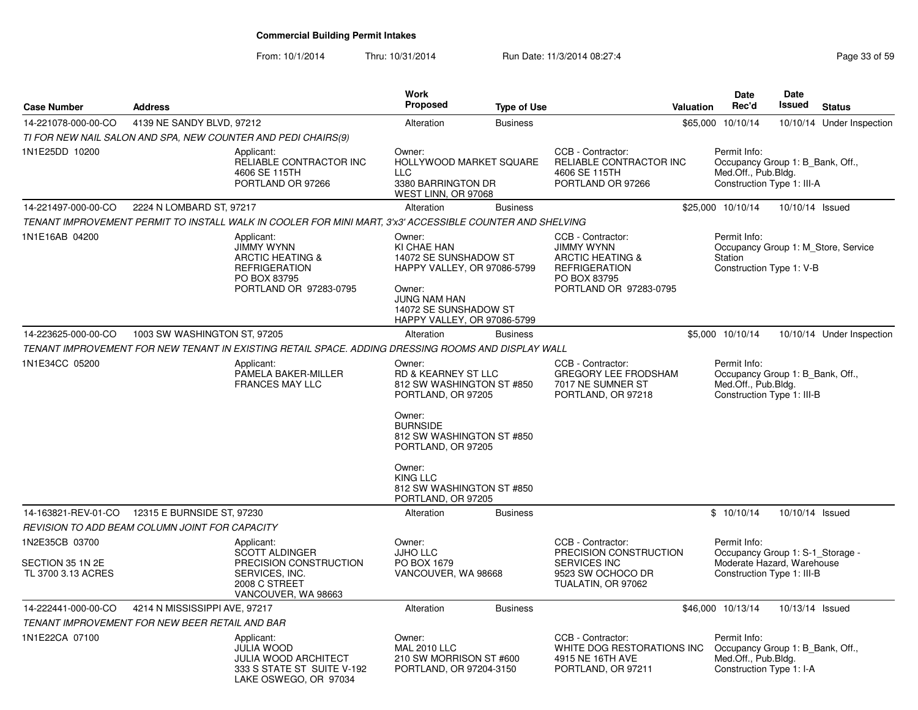| <b>Case Number</b>                                       | <b>Address</b>                                  |                                                                                                                                  | <b>Work</b><br><b>Proposed</b>                                                                                                                                         | <b>Type of Use</b> | <b>Valuation</b>                                                                                                                        | Date<br>Rec'd                                                                                                | <b>Date</b><br>Issued | <b>Status</b>                       |
|----------------------------------------------------------|-------------------------------------------------|----------------------------------------------------------------------------------------------------------------------------------|------------------------------------------------------------------------------------------------------------------------------------------------------------------------|--------------------|-----------------------------------------------------------------------------------------------------------------------------------------|--------------------------------------------------------------------------------------------------------------|-----------------------|-------------------------------------|
| 14-221078-000-00-CO                                      | 4139 NE SANDY BLVD, 97212                       |                                                                                                                                  | Alteration                                                                                                                                                             | <b>Business</b>    |                                                                                                                                         | \$65,000 10/10/14                                                                                            |                       | 10/10/14 Under Inspection           |
|                                                          |                                                 | TI FOR NEW NAIL SALON AND SPA, NEW COUNTER AND PEDI CHAIRS(9)                                                                    |                                                                                                                                                                        |                    |                                                                                                                                         |                                                                                                              |                       |                                     |
| 1N1E25DD 10200                                           |                                                 | Applicant:<br>RELIABLE CONTRACTOR INC<br>4606 SE 115TH<br>PORTLAND OR 97266                                                      | Owner:<br>HOLLYWOOD MARKET SQUARE<br><b>LLC</b><br>3380 BARRINGTON DR<br>WEST LINN, OR 97068                                                                           |                    | CCB - Contractor:<br>RELIABLE CONTRACTOR INC<br>4606 SE 115TH<br>PORTLAND OR 97266                                                      | Permit Info:<br>Occupancy Group 1: B Bank, Off.,<br>Med.Off., Pub.Bldg.<br>Construction Type 1: III-A        |                       |                                     |
| 14-221497-000-00-CO                                      | 2224 N LOMBARD ST, 97217                        |                                                                                                                                  | Alteration                                                                                                                                                             | <b>Business</b>    |                                                                                                                                         | \$25,000 10/10/14                                                                                            | 10/10/14 Issued       |                                     |
|                                                          |                                                 | TENANT IMPROVEMENT PERMIT TO INSTALL WALK IN COOLER FOR MINI MART, 3'x3' ACCESSIBLE COUNTER AND SHELVING                         |                                                                                                                                                                        |                    |                                                                                                                                         |                                                                                                              |                       |                                     |
| 1N1E16AB 04200                                           |                                                 | Applicant:<br><b>JIMMY WYNN</b><br><b>ARCTIC HEATING &amp;</b><br><b>REFRIGERATION</b><br>PO BOX 83795<br>PORTLAND OR 97283-0795 | Owner:<br>KI CHAE HAN<br>14072 SE SUNSHADOW ST<br>HAPPY VALLEY, OR 97086-5799<br>Owner:<br><b>JUNG NAM HAN</b><br>14072 SE SUNSHADOW ST<br>HAPPY VALLEY, OR 97086-5799 |                    | CCB - Contractor:<br><b>JIMMY WYNN</b><br><b>ARCTIC HEATING &amp;</b><br><b>REFRIGERATION</b><br>PO BOX 83795<br>PORTLAND OR 97283-0795 | Permit Info:<br>Station<br>Construction Type 1: V-B                                                          |                       | Occupancy Group 1: M Store, Service |
| 14-223625-000-00-CO                                      | 1003 SW WASHINGTON ST, 97205                    |                                                                                                                                  | Alteration                                                                                                                                                             | <b>Business</b>    |                                                                                                                                         | \$5,000 10/10/14                                                                                             |                       | 10/10/14 Under Inspection           |
|                                                          |                                                 | TENANT IMPROVEMENT FOR NEW TENANT IN EXISTING RETAIL SPACE. ADDING DRESSING ROOMS AND DISPLAY WALL                               |                                                                                                                                                                        |                    |                                                                                                                                         |                                                                                                              |                       |                                     |
| 1N1E34CC 05200                                           |                                                 | Applicant:<br>PAMELA BAKER-MILLER<br><b>FRANCES MAY LLC</b>                                                                      | Owner:<br><b>RD &amp; KEARNEY ST LLC</b><br>812 SW WASHINGTON ST #850<br>PORTLAND, OR 97205<br>Owner:                                                                  |                    | CCB - Contractor:<br><b>GREGORY LEE FRODSHAM</b><br>7017 NE SUMNER ST<br>PORTLAND, OR 97218                                             | Permit Info:<br>Occupancy Group 1: B_Bank, Off.,<br>Med.Off., Pub.Bldg.<br>Construction Type 1: III-B        |                       |                                     |
|                                                          |                                                 |                                                                                                                                  | <b>BURNSIDE</b><br>812 SW WASHINGTON ST #850<br>PORTLAND, OR 97205                                                                                                     |                    |                                                                                                                                         |                                                                                                              |                       |                                     |
|                                                          |                                                 |                                                                                                                                  | Owner:<br><b>KING LLC</b><br>812 SW WASHINGTON ST #850<br>PORTLAND, OR 97205                                                                                           |                    |                                                                                                                                         |                                                                                                              |                       |                                     |
|                                                          | 14-163821-REV-01-CO  12315 E BURNSIDE ST, 97230 |                                                                                                                                  | Alteration                                                                                                                                                             | <b>Business</b>    |                                                                                                                                         | \$10/10/14                                                                                                   | 10/10/14 Issued       |                                     |
|                                                          | REVISION TO ADD BEAM COLUMN JOINT FOR CAPACITY  |                                                                                                                                  |                                                                                                                                                                        |                    |                                                                                                                                         |                                                                                                              |                       |                                     |
| 1N2E35CB 03700<br>SECTION 35 1N 2E<br>TL 3700 3.13 ACRES |                                                 | Applicant:<br><b>SCOTT ALDINGER</b><br>PRECISION CONSTRUCTION<br>SERVICES, INC.<br>2008 C STREET<br>VANCOUVER, WA 98663          | Owner:<br><b>JJHO LLC</b><br>PO BOX 1679<br>VANCOUVER, WA 98668                                                                                                        |                    | CCB - Contractor:<br>PRECISION CONSTRUCTION<br><b>SERVICES INC</b><br>9523 SW OCHOCO DR<br>TUALATIN, OR 97062                           | Permit Info:<br>Occupancy Group 1: S-1_Storage -<br>Moderate Hazard, Warehouse<br>Construction Type 1: III-B |                       |                                     |
| 14-222441-000-00-CO                                      | 4214 N MISSISSIPPI AVE, 97217                   |                                                                                                                                  | Alteration                                                                                                                                                             | <b>Business</b>    |                                                                                                                                         | \$46,000 10/13/14                                                                                            | 10/13/14 Issued       |                                     |
|                                                          | TENANT IMPROVEMENT FOR NEW BEER RETAIL AND BAR  |                                                                                                                                  |                                                                                                                                                                        |                    |                                                                                                                                         |                                                                                                              |                       |                                     |
| 1N1E22CA 07100                                           |                                                 | Applicant:<br><b>JULIA WOOD</b><br><b>JULIA WOOD ARCHITECT</b><br>333 S STATE ST SUITE V-192<br>LAKE OSWEGO, OR 97034            | Owner:<br><b>MAL 2010 LLC</b><br>210 SW MORRISON ST #600<br>PORTLAND, OR 97204-3150                                                                                    |                    | CCB - Contractor:<br>WHITE DOG RESTORATIONS INC<br>4915 NE 16TH AVE<br>PORTLAND, OR 97211                                               | Permit Info:<br>Occupancy Group 1: B Bank, Off.,<br>Med.Off., Pub.Bldg.<br>Construction Type 1: I-A          |                       |                                     |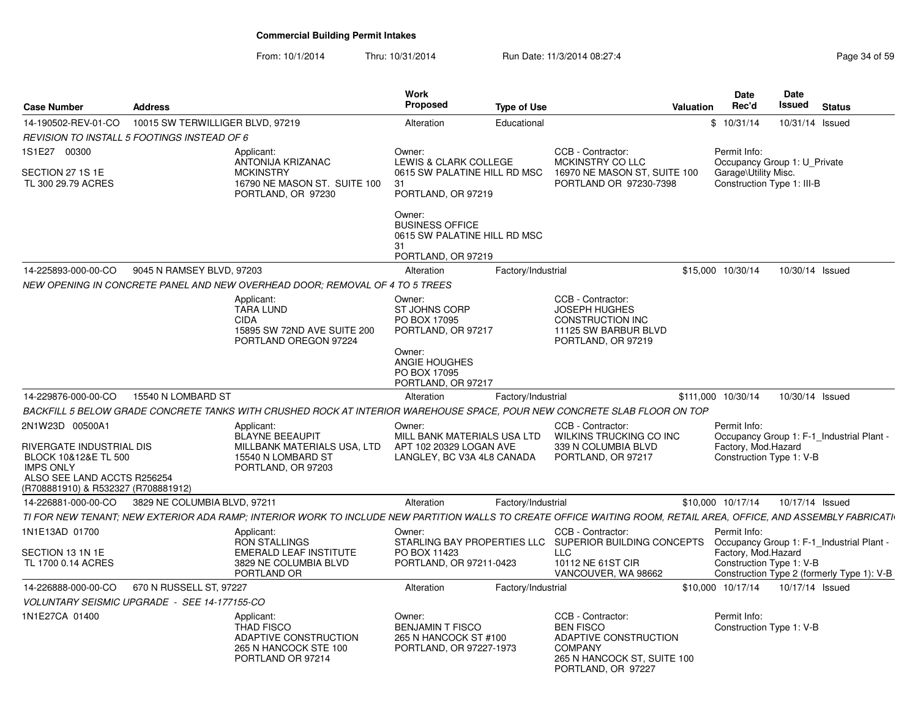| <b>Case Number</b>                                                                                                                         | <b>Address</b>                   |                                                                                                                                                                   | <b>Work</b><br><b>Proposed</b>                                                        | <b>Type of Use</b> |                                                                                                                                       | <b>Valuation</b> | <b>Date</b><br>Rec'd                               | Date<br>Issued  | <b>Status</b>                              |
|--------------------------------------------------------------------------------------------------------------------------------------------|----------------------------------|-------------------------------------------------------------------------------------------------------------------------------------------------------------------|---------------------------------------------------------------------------------------|--------------------|---------------------------------------------------------------------------------------------------------------------------------------|------------------|----------------------------------------------------|-----------------|--------------------------------------------|
| 14-190502-REV-01-CO                                                                                                                        | 10015 SW TERWILLIGER BLVD, 97219 |                                                                                                                                                                   | Alteration                                                                            | Educational        |                                                                                                                                       |                  | \$10/31/14                                         | 10/31/14 Issued |                                            |
| REVISION TO INSTALL 5 FOOTINGS INSTEAD OF 6                                                                                                |                                  |                                                                                                                                                                   |                                                                                       |                    |                                                                                                                                       |                  |                                                    |                 |                                            |
| 1S1E27 00300                                                                                                                               |                                  | Applicant:<br>ANTONIJA KRIZANAC                                                                                                                                   | Owner:<br>LEWIS & CLARK COLLEGE                                                       |                    | CCB - Contractor:<br>MCKINSTRY CO LLC                                                                                                 |                  | Permit Info:<br>Occupancy Group 1: U Private       |                 |                                            |
| SECTION 27 1S 1E<br>TL 300 29.79 ACRES                                                                                                     |                                  | <b>MCKINSTRY</b><br>16790 NE MASON ST. SUITE 100<br>PORTLAND, OR 97230                                                                                            | 0615 SW PALATINE HILL RD MSC<br>31<br>PORTLAND, OR 97219                              |                    | 16970 NE MASON ST, SUITE 100<br>PORTLAND OR 97230-7398                                                                                |                  | Garage\Utility Misc.<br>Construction Type 1: III-B |                 |                                            |
|                                                                                                                                            |                                  |                                                                                                                                                                   | Owner:<br><b>BUSINESS OFFICE</b><br>0615 SW PALATINE HILL RD MSC<br>31                |                    |                                                                                                                                       |                  |                                                    |                 |                                            |
|                                                                                                                                            |                                  |                                                                                                                                                                   | PORTLAND, OR 97219                                                                    |                    |                                                                                                                                       |                  |                                                    |                 |                                            |
| 14-225893-000-00-CO                                                                                                                        | 9045 N RAMSEY BLVD, 97203        |                                                                                                                                                                   | Alteration                                                                            | Factory/Industrial |                                                                                                                                       |                  | \$15,000 10/30/14                                  | 10/30/14 Issued |                                            |
|                                                                                                                                            |                                  | NEW OPENING IN CONCRETE PANEL AND NEW OVERHEAD DOOR; REMOVAL OF 4 TO 5 TREES                                                                                      |                                                                                       |                    |                                                                                                                                       |                  |                                                    |                 |                                            |
|                                                                                                                                            |                                  | Applicant:<br><b>TARA LUND</b><br><b>CIDA</b><br>15895 SW 72ND AVE SUITE 200<br>PORTLAND OREGON 97224                                                             | Owner:<br>ST JOHNS CORP<br>PO BOX 17095<br>PORTLAND, OR 97217                         |                    | CCB - Contractor:<br><b>JOSEPH HUGHES</b><br><b>CONSTRUCTION INC</b><br>11125 SW BARBUR BLVD<br>PORTLAND, OR 97219                    |                  |                                                    |                 |                                            |
|                                                                                                                                            |                                  |                                                                                                                                                                   | Owner:<br>ANGIE HOUGHES<br>PO BOX 17095<br>PORTLAND, OR 97217                         |                    |                                                                                                                                       |                  |                                                    |                 |                                            |
| 14-229876-000-00-CO                                                                                                                        | 15540 N LOMBARD ST               |                                                                                                                                                                   | Alteration                                                                            | Factory/Industrial |                                                                                                                                       |                  | \$111,000 10/30/14                                 | 10/30/14 Issued |                                            |
|                                                                                                                                            |                                  | BACKFILL 5 BELOW GRADE CONCRETE TANKS WITH CRUSHED ROCK AT INTERIOR WAREHOUSE SPACE. POUR NEW CONCRETE SLAB FLOOR ON TOP                                          |                                                                                       |                    |                                                                                                                                       |                  |                                                    |                 |                                            |
| 2N1W23D 00500A1                                                                                                                            |                                  | Applicant:                                                                                                                                                        | Owner:                                                                                |                    | CCB - Contractor:                                                                                                                     |                  | Permit Info:                                       |                 |                                            |
| RIVERGATE INDUSTRIAL DIS<br>BLOCK 10&12&E TL 500<br><b>IMPS ONLY</b><br>ALSO SEE LAND ACCTS R256254<br>(R708881910) & R532327 (R708881912) |                                  | <b>BLAYNE BEEAUPIT</b><br>MILLBANK MATERIALS USA, LTD<br>15540 N LOMBARD ST<br>PORTLAND, OR 97203                                                                 | MILL BANK MATERIALS USA LTD<br>APT 102 20329 LOGAN AVE<br>LANGLEY, BC V3A 4L8 CANADA  |                    | WILKINS TRUCKING CO INC<br>339 N COLUMBIA BLVD<br>PORTLAND, OR 97217                                                                  |                  | Factory, Mod.Hazard<br>Construction Type 1: V-B    |                 | Occupancy Group 1: F-1_Industrial Plant -  |
| 14-226881-000-00-CO                                                                                                                        | 3829 NE COLUMBIA BLVD, 97211     |                                                                                                                                                                   | Alteration                                                                            | Factory/Industrial |                                                                                                                                       |                  | \$10,000 10/17/14                                  | 10/17/14 Issued |                                            |
|                                                                                                                                            |                                  | TI FOR NEW TENANT; NEW EXTERIOR ADA RAMP; INTERIOR WORK TO INCLUDE NEW PARTITION WALLS TO CREATE OFFICE WAITING ROOM, RETAIL AREA, OFFICE, AND ASSEMBLY FABRICATI |                                                                                       |                    |                                                                                                                                       |                  |                                                    |                 |                                            |
| 1N1E13AD 01700                                                                                                                             |                                  | Applicant:<br><b>RON STALLINGS</b>                                                                                                                                | Owner:                                                                                |                    | CCB - Contractor:<br>STARLING BAY PROPERTIES LLC SUPERIOR BUILDING CONCEPTS                                                           |                  | Permit Info:                                       |                 | Occupancy Group 1: F-1_Industrial Plant -  |
| SECTION 13 1N 1E<br>TL 1700 0.14 ACRES                                                                                                     |                                  | <b>EMERALD LEAF INSTITUTE</b><br>3829 NE COLUMBIA BLVD<br>PORTLAND OR                                                                                             | PO BOX 11423<br>PORTLAND, OR 97211-0423                                               |                    | <b>LLC</b><br>10112 NE 61ST CIR<br>VANCOUVER, WA 98662                                                                                |                  | Factory, Mod.Hazard<br>Construction Type 1: V-B    |                 | Construction Type 2 (formerly Type 1): V-B |
| 14-226888-000-00-CO                                                                                                                        | 670 N RUSSELL ST, 97227          |                                                                                                                                                                   | Alteration                                                                            | Factory/Industrial |                                                                                                                                       |                  | \$10,000 10/17/14                                  | 10/17/14 Issued |                                            |
| VOLUNTARY SEISMIC UPGRADE - SEE 14-177155-CO                                                                                               |                                  |                                                                                                                                                                   |                                                                                       |                    |                                                                                                                                       |                  |                                                    |                 |                                            |
| 1N1E27CA 01400                                                                                                                             |                                  | Applicant:<br><b>THAD FISCO</b><br>ADAPTIVE CONSTRUCTION<br>265 N HANCOCK STE 100<br>PORTLAND OR 97214                                                            | Owner:<br><b>BENJAMIN T FISCO</b><br>265 N HANCOCK ST #100<br>PORTLAND, OR 97227-1973 |                    | CCB - Contractor:<br><b>BEN FISCO</b><br>ADAPTIVE CONSTRUCTION<br><b>COMPANY</b><br>265 N HANCOCK ST, SUITE 100<br>PORTLAND, OR 97227 |                  | Permit Info:<br>Construction Type 1: V-B           |                 |                                            |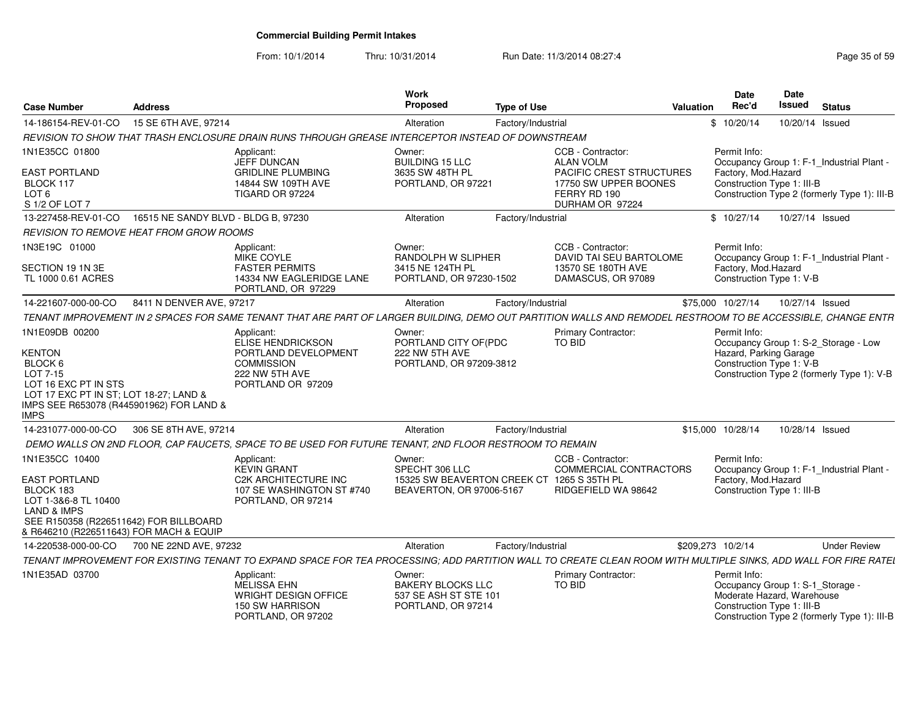| <b>Case Number</b>                                                                                                                                                                         | <b>Address</b>                      |                                                                                                                                                                 | Work<br>Proposed                                                                                   | <b>Type of Use</b> |                                                                                                                                      | Valuation | Date<br>Rec'd                                                                                                | Date<br>Issued | <b>Status</b>                                                                             |
|--------------------------------------------------------------------------------------------------------------------------------------------------------------------------------------------|-------------------------------------|-----------------------------------------------------------------------------------------------------------------------------------------------------------------|----------------------------------------------------------------------------------------------------|--------------------|--------------------------------------------------------------------------------------------------------------------------------------|-----------|--------------------------------------------------------------------------------------------------------------|----------------|-------------------------------------------------------------------------------------------|
| 14-186154-REV-01-CO                                                                                                                                                                        | 15 SE 6TH AVE, 97214                |                                                                                                                                                                 | Alteration                                                                                         | Factory/Industrial |                                                                                                                                      |           | \$10/20/14                                                                                                   |                | 10/20/14 Issued                                                                           |
|                                                                                                                                                                                            |                                     | REVISION TO SHOW THAT TRASH ENCLOSURE DRAIN RUNS THROUGH GREASE INTERCEPTOR INSTEAD OF DOWNSTREAM                                                               |                                                                                                    |                    |                                                                                                                                      |           |                                                                                                              |                |                                                                                           |
| 1N1E35CC 01800<br><b>EAST PORTLAND</b><br>BLOCK 117<br>LOT <sub>6</sub><br>S 1/2 OF LOT 7                                                                                                  |                                     | Applicant:<br>JEFF DUNCAN<br><b>GRIDLINE PLUMBING</b><br>14844 SW 109TH AVE<br>TIGARD OR 97224                                                                  | Owner:<br><b>BUILDING 15 LLC</b><br>3635 SW 48TH PL<br>PORTLAND, OR 97221                          |                    | CCB - Contractor:<br><b>ALAN VOLM</b><br><b>PACIFIC CREST STRUCTURES</b><br>17750 SW UPPER BOONES<br>FERRY RD 190<br>DURHAM OR 97224 |           | Permit Info:<br>Factory, Mod.Hazard<br>Construction Type 1: III-B                                            |                | Occupancy Group 1: F-1_Industrial Plant -<br>Construction Type 2 (formerly Type 1): III-B |
| 13-227458-REV-01-CO                                                                                                                                                                        | 16515 NE SANDY BLVD - BLDG B, 97230 |                                                                                                                                                                 | Alteration                                                                                         | Factory/Industrial |                                                                                                                                      |           | \$10/27/14                                                                                                   |                | 10/27/14 Issued                                                                           |
| REVISION TO REMOVE HEAT FROM GROW ROOMS                                                                                                                                                    |                                     |                                                                                                                                                                 |                                                                                                    |                    |                                                                                                                                      |           |                                                                                                              |                |                                                                                           |
| 1N3E19C 01000<br>SECTION 19 1N 3E<br>TL 1000 0.61 ACRES                                                                                                                                    |                                     | Applicant:<br>MIKE COYLE<br><b>FASTER PERMITS</b><br>14334 NW EAGLERIDGE LANE<br>PORTLAND, OR 97229                                                             | Owner:<br>RANDOLPH W SLIPHER<br>3415 NE 124TH PL<br>PORTLAND, OR 97230-1502                        |                    | CCB - Contractor:<br>DAVID TAI SEU BARTOLOME<br>13570 SE 180TH AVE<br>DAMASCUS, OR 97089                                             |           | Permit Info:<br>Factory, Mod.Hazard<br>Construction Type 1: V-B                                              |                | Occupancy Group 1: F-1_Industrial Plant -                                                 |
| 14-221607-000-00-CO                                                                                                                                                                        | 8411 N DENVER AVE, 97217            |                                                                                                                                                                 | Alteration                                                                                         | Factory/Industrial |                                                                                                                                      |           | \$75,000 10/27/14                                                                                            |                | 10/27/14 Issued                                                                           |
|                                                                                                                                                                                            |                                     | TENANT IMPROVEMENT IN 2 SPACES FOR SAME TENANT THAT ARE PART OF LARGER BUILDING, DEMO OUT PARTITION WALLS AND REMODEL RESTROOM TO BE ACCESSIBLE, CHANGE ENTR    |                                                                                                    |                    |                                                                                                                                      |           |                                                                                                              |                |                                                                                           |
| 1N1E09DB 00200<br><b>KENTON</b><br>BLOCK 6<br>LOT 7-15<br>LOT 16 EXC PT IN STS<br>LOT 17 EXC PT IN ST; LOT 18-27; LAND &<br>IMPS SEE R653078 (R445901962) FOR LAND &<br><b>IMPS</b>        |                                     | Applicant:<br>ELISE HENDRICKSON<br>PORTLAND DEVELOPMENT<br><b>COMMISSION</b><br>222 NW 5TH AVE<br>PORTLAND OR 97209                                             | Owner:<br>PORTLAND CITY OF(PDC<br>222 NW 5TH AVE<br>PORTLAND, OR 97209-3812                        |                    | <b>Primary Contractor:</b><br>TO BID                                                                                                 |           | Permit Info:<br>Hazard, Parking Garage<br>Construction Type 1: V-B                                           |                | Occupancy Group 1: S-2_Storage - Low<br>Construction Type 2 (formerly Type 1): V-B        |
| 14-231077-000-00-CO                                                                                                                                                                        | 306 SE 8TH AVE, 97214               |                                                                                                                                                                 | Alteration                                                                                         | Factory/Industrial |                                                                                                                                      |           | \$15,000 10/28/14                                                                                            |                | 10/28/14 Issued                                                                           |
|                                                                                                                                                                                            |                                     | DEMO WALLS ON 2ND FLOOR, CAP FAUCETS, SPACE TO BE USED FOR FUTURE TENANT, 2ND FLOOR RESTROOM TO REMAIN                                                          |                                                                                                    |                    |                                                                                                                                      |           |                                                                                                              |                |                                                                                           |
| 1N1E35CC 10400<br><b>EAST PORTLAND</b><br>BLOCK 183<br>LOT 1-3&6-8 TL 10400<br><b>LAND &amp; IMPS</b><br>SEE R150358 (R226511642) FOR BILLBOARD<br>& R646210 (R226511643) FOR MACH & EQUIP |                                     | Applicant:<br><b>KEVIN GRANT</b><br><b>C2K ARCHITECTURE INC</b><br>107 SE WASHINGTON ST #740<br>PORTLAND, OR 97214                                              | Owner:<br>SPECHT 306 LLC<br>15325 SW BEAVERTON CREEK CT 1265 S 35TH PL<br>BEAVERTON, OR 97006-5167 |                    | CCB - Contractor:<br>COMMERCIAL CONTRACTORS<br>RIDGEFIELD WA 98642                                                                   |           | Permit Info:<br>Factory, Mod.Hazard<br>Construction Type 1: III-B                                            |                | Occupancy Group 1: F-1_Industrial Plant -                                                 |
| 14-220538-000-00-CO                                                                                                                                                                        | 700 NE 22ND AVE, 97232              |                                                                                                                                                                 | Alteration                                                                                         | Factory/Industrial |                                                                                                                                      |           | \$209,273 10/2/14                                                                                            |                | <b>Under Review</b>                                                                       |
|                                                                                                                                                                                            |                                     | TENANT IMPROVEMENT FOR EXISTING TENANT TO EXPAND SPACE FOR TEA PROCESSING; ADD PARTITION WALL TO CREATE CLEAN ROOM WITH MULTIPLE SINKS, ADD WALL FOR FIRE RATEL |                                                                                                    |                    |                                                                                                                                      |           |                                                                                                              |                |                                                                                           |
| 1N1E35AD 03700                                                                                                                                                                             |                                     | Applicant:<br><b>MELISSA EHN</b><br><b>WRIGHT DESIGN OFFICE</b><br><b>150 SW HARRISON</b><br>PORTLAND, OR 97202                                                 | Owner:<br><b>BAKERY BLOCKS LLC</b><br>537 SE ASH ST STE 101<br>PORTLAND, OR 97214                  |                    | Primary Contractor:<br><b>TO BID</b>                                                                                                 |           | Permit Info:<br>Occupancy Group 1: S-1_Storage -<br>Moderate Hazard, Warehouse<br>Construction Type 1: III-B |                | Construction Type 2 (formerly Type 1): III-B                                              |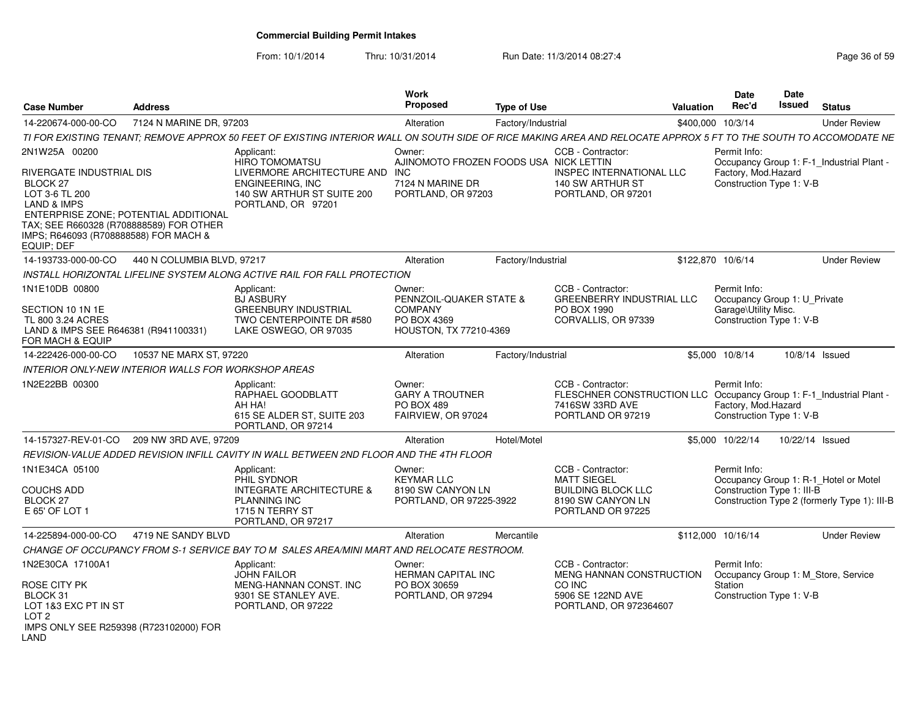From: 10/1/2014

| Case Number                                                                                                                                                                                                                 | <b>Address</b>             |                                                                                                                                                                  | <b>Work</b><br><b>Proposed</b>                                       | <b>Type of Use</b> |                                                                                                                                   | <b>Valuation</b>  | Date<br>Rec'd                                                   | <b>Date</b><br>Issued | <b>Status</b>                                |
|-----------------------------------------------------------------------------------------------------------------------------------------------------------------------------------------------------------------------------|----------------------------|------------------------------------------------------------------------------------------------------------------------------------------------------------------|----------------------------------------------------------------------|--------------------|-----------------------------------------------------------------------------------------------------------------------------------|-------------------|-----------------------------------------------------------------|-----------------------|----------------------------------------------|
| 14-220674-000-00-CO                                                                                                                                                                                                         | 7124 N MARINE DR. 97203    |                                                                                                                                                                  | Alteration                                                           | Factory/Industrial |                                                                                                                                   | \$400,000 10/3/14 |                                                                 |                       | <b>Under Review</b>                          |
|                                                                                                                                                                                                                             |                            | TI FOR EXISTING TENANT: REMOVE APPROX 50 FEET OF EXISTING INTERIOR WALL ON SOUTH SIDE OF RICE MAKING AREA AND RELOCATE APPROX 5 FT TO THE SOUTH TO ACCOMODATE NE |                                                                      |                    |                                                                                                                                   |                   |                                                                 |                       |                                              |
| 2N1W25A 00200                                                                                                                                                                                                               |                            | Applicant:<br><b>HIRO TOMOMATSU</b>                                                                                                                              | Owner:<br>AJINOMOTO FROZEN FOODS USA NICK LETTIN                     |                    | CCB - Contractor:                                                                                                                 |                   | Permit Info:                                                    |                       | Occupancy Group 1: F-1_Industrial Plant -    |
| RIVERGATE INDUSTRIAL DIS<br>BLOCK 27<br>LOT 3-6 TL 200<br><b>LAND &amp; IMPS</b><br>ENTERPRISE ZONE; POTENTIAL ADDITIONAL<br>TAX: SEE R660328 (R708888589) FOR OTHER<br>IMPS; R646093 (R708888588) FOR MACH &<br>EQUIP: DEF |                            | LIVERMORE ARCHITECTURE AND INC<br>ENGINEERING, INC<br>140 SW ARTHUR ST SUITE 200<br>PORTLAND, OR 97201                                                           | 7124 N MARINE DR<br>PORTLAND, OR 97203                               |                    | <b>INSPEC INTERNATIONAL LLC</b><br>140 SW ARTHUR ST<br>PORTLAND, OR 97201                                                         |                   | Factory, Mod.Hazard<br>Construction Type 1: V-B                 |                       |                                              |
| 14-193733-000-00-CO                                                                                                                                                                                                         | 440 N COLUMBIA BLVD, 97217 |                                                                                                                                                                  | Alteration                                                           | Factory/Industrial |                                                                                                                                   | \$122,870 10/6/14 |                                                                 |                       | <b>Under Review</b>                          |
|                                                                                                                                                                                                                             |                            | INSTALL HORIZONTAL LIFELINE SYSTEM ALONG ACTIVE RAIL FOR FALL PROTECTION                                                                                         |                                                                      |                    |                                                                                                                                   |                   |                                                                 |                       |                                              |
| 1N1E10DB 00800                                                                                                                                                                                                              |                            | Applicant:<br><b>BJ ASBURY</b>                                                                                                                                   | Owner:<br>PENNZOIL-QUAKER STATE &                                    |                    | CCB - Contractor:<br><b>GREENBERRY INDUSTRIAL LLC</b>                                                                             |                   | Permit Info:<br>Occupancy Group 1: U_Private                    |                       |                                              |
| SECTION 10 1N 1E<br>TL 800 3.24 ACRES<br>LAND & IMPS SEE R646381 (R941100331)<br>FOR MACH & EQUIP                                                                                                                           |                            | <b>GREENBURY INDUSTRIAL</b><br>TWO CENTERPOINTE DR #580<br>LAKE OSWEGO, OR 97035                                                                                 | <b>COMPANY</b><br>PO BOX 4369<br>HOUSTON, TX 77210-4369              |                    | PO BOX 1990<br>CORVALLIS, OR 97339                                                                                                |                   | Garage\Utility Misc.<br>Construction Type 1: V-B                |                       |                                              |
| 14-222426-000-00-CO                                                                                                                                                                                                         | 10537 NE MARX ST, 97220    |                                                                                                                                                                  | Alteration                                                           | Factory/Industrial |                                                                                                                                   |                   | \$5,000 10/8/14                                                 |                       | 10/8/14 Issued                               |
| INTERIOR ONLY-NEW INTERIOR WALLS FOR WORKSHOP AREAS                                                                                                                                                                         |                            |                                                                                                                                                                  |                                                                      |                    |                                                                                                                                   |                   |                                                                 |                       |                                              |
| IN2E22BB 00300                                                                                                                                                                                                              |                            | Applicant:<br>RAPHAEL GOODBLATT<br>AH HA!<br>615 SE ALDER ST, SUITE 203<br>PORTLAND, OR 97214                                                                    | Owner:<br><b>GARY A TROUTNER</b><br>PO BOX 489<br>FAIRVIEW, OR 97024 |                    | CCB - Contractor:<br>FLESCHNER CONSTRUCTION LLC Occupancy Group 1: F-1_Industrial Plant -<br>7416SW 33RD AVE<br>PORTLAND OR 97219 |                   | Permit Info:<br>Factory, Mod.Hazard<br>Construction Type 1: V-B |                       |                                              |
| 14-157327-REV-01-CO 209 NW 3RD AVE, 97209                                                                                                                                                                                   |                            |                                                                                                                                                                  | Alteration                                                           | Hotel/Motel        |                                                                                                                                   |                   | \$5,000 10/22/14                                                | 10/22/14 Issued       |                                              |
|                                                                                                                                                                                                                             |                            | REVISION-VALUE ADDED REVISION INFILL CAVITY IN WALL BETWEEN 2ND FLOOR AND THE 4TH FLOOR                                                                          |                                                                      |                    |                                                                                                                                   |                   |                                                                 |                       |                                              |
| 1N1E34CA 05100                                                                                                                                                                                                              |                            | Applicant:<br>PHIL SYDNOR                                                                                                                                        | Owner:<br><b>KEYMAR LLC</b>                                          |                    | CCB - Contractor:<br><b>MATT SIEGEL</b>                                                                                           |                   | Permit Info:                                                    |                       | Occupancy Group 1: R-1 Hotel or Motel        |
| COUCHS ADD                                                                                                                                                                                                                  |                            | <b>INTEGRATE ARCHITECTURE &amp;</b>                                                                                                                              | 8190 SW CANYON LN                                                    |                    | <b>BUILDING BLOCK LLC</b>                                                                                                         |                   | Construction Type 1: III-B                                      |                       |                                              |
| BLOCK 27<br>E 65' OF LOT 1                                                                                                                                                                                                  |                            | <b>PLANNING INC</b><br>1715 N TERRY ST<br>PORTLAND, OR 97217                                                                                                     | PORTLAND, OR 97225-3922                                              |                    | 8190 SW CANYON LN<br>PORTLAND OR 97225                                                                                            |                   |                                                                 |                       | Construction Type 2 (formerly Type 1): III-B |
| 14-225894-000-00-CO                                                                                                                                                                                                         | 4719 NE SANDY BLVD         |                                                                                                                                                                  | Alteration                                                           | Mercantile         |                                                                                                                                   |                   | \$112,000 10/16/14                                              |                       | <b>Under Review</b>                          |
|                                                                                                                                                                                                                             |                            | CHANGE OF OCCUPANCY FROM S-1 SERVICE BAY TO M SALES AREA/MINI MART AND RELOCATE RESTROOM.                                                                        |                                                                      |                    |                                                                                                                                   |                   |                                                                 |                       |                                              |
| 1N2E30CA 17100A1                                                                                                                                                                                                            |                            | Applicant:<br><b>JOHN FAILOR</b>                                                                                                                                 | Owner:<br><b>HERMAN CAPITAL INC</b>                                  |                    | CCB - Contractor:<br>MENG HANNAN CONSTRUCTION                                                                                     |                   | Permit Info:                                                    |                       | Occupancy Group 1: M Store, Service          |
| ROSE CITY PK<br>BLOCK 31<br>LOT 1&3 EXC PT IN ST<br>LOT <sub>2</sub><br>IMPS ONLY SEE R259398 (R723102000) FOR<br>LAND                                                                                                      |                            | MENG-HANNAN CONST. INC<br>9301 SE STANLEY AVE.<br>PORTLAND, OR 97222                                                                                             | PO BOX 30659<br>PORTLAND, OR 97294                                   |                    | CO INC<br>5906 SE 122ND AVE<br>PORTLAND, OR 972364607                                                                             |                   | Station<br>Construction Type 1: V-B                             |                       |                                              |
|                                                                                                                                                                                                                             |                            |                                                                                                                                                                  |                                                                      |                    |                                                                                                                                   |                   |                                                                 |                       |                                              |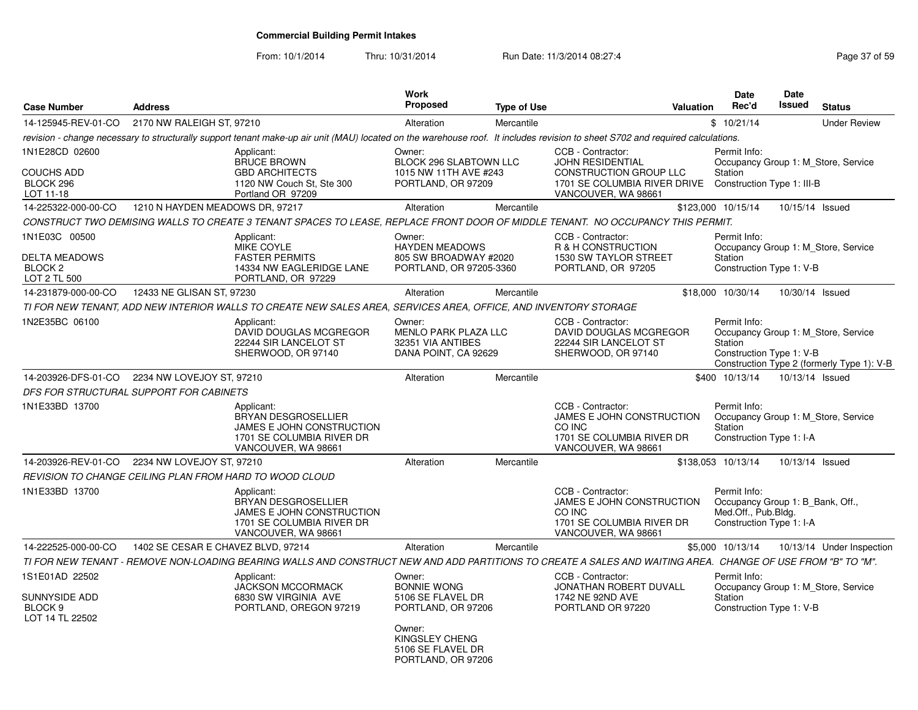From: 10/1/2014

| <b>Case Number</b>                                                              | <b>Address</b>                     |                                                                                                                                                                                | <b>Work</b><br><b>Proposed</b>                                                                                                                        | <b>Type of Use</b> |                                                                                                                        | <b>Valuation</b> | <b>Date</b><br>Rec'd                                                                                | <b>Date</b><br><b>Issued</b> | <b>Status</b>                                                                     |
|---------------------------------------------------------------------------------|------------------------------------|--------------------------------------------------------------------------------------------------------------------------------------------------------------------------------|-------------------------------------------------------------------------------------------------------------------------------------------------------|--------------------|------------------------------------------------------------------------------------------------------------------------|------------------|-----------------------------------------------------------------------------------------------------|------------------------------|-----------------------------------------------------------------------------------|
| 14-125945-REV-01-CO                                                             | 2170 NW RALEIGH ST, 97210          |                                                                                                                                                                                | Alteration                                                                                                                                            | Mercantile         |                                                                                                                        |                  | \$10/21/14                                                                                          |                              | <b>Under Review</b>                                                               |
|                                                                                 |                                    | revision - change necessary to structurally support tenant make-up air unit (MAU) located on the warehouse roof. It includes revision to sheet S702 and required calculations. |                                                                                                                                                       |                    |                                                                                                                        |                  |                                                                                                     |                              |                                                                                   |
| 1N1E28CD 02600<br><b>COUCHS ADD</b><br>BLOCK 296<br>LOT 11-18                   |                                    | Applicant:<br><b>BRUCE BROWN</b><br><b>GBD ARCHITECTS</b><br>1120 NW Couch St, Ste 300<br>Portland OR 97209                                                                    | Owner:<br>BLOCK 296 SLABTOWN LLC<br>1015 NW 11TH AVE #243<br>PORTLAND, OR 97209                                                                       |                    | CCB - Contractor:<br>JOHN RESIDENTIAL<br>CONSTRUCTION GROUP LLC<br>1701 SE COLUMBIA RIVER DRIVE<br>VANCOUVER, WA 98661 |                  | Permit Info:<br>Station<br>Construction Type 1: III-B                                               |                              | Occupancy Group 1: M Store, Service                                               |
| 14-225322-000-00-CO                                                             | 1210 N HAYDEN MEADOWS DR, 97217    |                                                                                                                                                                                | Alteration                                                                                                                                            | Mercantile         |                                                                                                                        |                  | \$123,000 10/15/14                                                                                  | 10/15/14 Issued              |                                                                                   |
|                                                                                 |                                    | CONSTRUCT TWO DEMISING WALLS TO CREATE 3 TENANT SPACES TO LEASE, REPLACE FRONT DOOR OF MIDDLE TENANT. NO OCCUPANCY THIS PERMIT.                                                |                                                                                                                                                       |                    |                                                                                                                        |                  |                                                                                                     |                              |                                                                                   |
| 1N1E03C 00500<br><b>DELTA MEADOWS</b><br>BLOCK <sub>2</sub><br>LOT 2 TL 500     |                                    | Applicant:<br>MIKE COYLE<br><b>FASTER PERMITS</b><br>14334 NW EAGLERIDGE LANE<br>PORTLAND, OR 97229                                                                            | Owner:<br><b>HAYDEN MEADOWS</b><br>805 SW BROADWAY #2020<br>PORTLAND, OR 97205-3360                                                                   |                    | CCB - Contractor:<br>R & H CONSTRUCTION<br>1530 SW TAYLOR STREET<br>PORTLAND, OR 97205                                 |                  | Permit Info:<br>Station<br>Construction Type 1: V-B                                                 |                              | Occupancy Group 1: M Store, Service                                               |
| 14-231879-000-00-CO                                                             | 12433 NE GLISAN ST, 97230          |                                                                                                                                                                                | Alteration                                                                                                                                            | Mercantile         |                                                                                                                        |                  | \$18,000 10/30/14                                                                                   | 10/30/14 Issued              |                                                                                   |
|                                                                                 |                                    | TI FOR NEW TENANT, ADD NEW INTERIOR WALLS TO CREATE NEW SALES AREA, SERVICES AREA, OFFICE, AND INVENTORY STORAGE                                                               |                                                                                                                                                       |                    |                                                                                                                        |                  |                                                                                                     |                              |                                                                                   |
| 1N2E35BC 06100                                                                  |                                    | Applicant:<br>DAVID DOUGLAS MCGREGOR<br>22244 SIR LANCELOT ST<br>SHERWOOD, OR 97140                                                                                            | Owner:<br><b>MENLO PARK PLAZA LLC</b><br>32351 VIA ANTIBES<br>DANA POINT, CA 92629                                                                    |                    | CCB - Contractor:<br>DAVID DOUGLAS MCGREGOR<br>22244 SIR LANCELOT ST<br>SHERWOOD, OR 97140                             |                  | Permit Info:<br>Station<br>Construction Type 1: V-B                                                 |                              | Occupancy Group 1: M Store, Service<br>Construction Type 2 (formerly Type 1): V-B |
| 14-203926-DFS-01-CO                                                             | 2234 NW LOVEJOY ST, 97210          |                                                                                                                                                                                | Alteration                                                                                                                                            | Mercantile         |                                                                                                                        |                  | \$400 10/13/14                                                                                      | 10/13/14 Issued              |                                                                                   |
| DFS FOR STRUCTURAL SUPPORT FOR CABINETS                                         |                                    |                                                                                                                                                                                |                                                                                                                                                       |                    |                                                                                                                        |                  |                                                                                                     |                              |                                                                                   |
| 1N1E33BD 13700                                                                  |                                    | Applicant:<br><b>BRYAN DESGROSELLIER</b><br>JAMES E JOHN CONSTRUCTION<br>1701 SE COLUMBIA RIVER DR<br>VANCOUVER, WA 98661                                                      |                                                                                                                                                       |                    | CCB - Contractor:<br>JAMES E JOHN CONSTRUCTION<br>CO INC<br>1701 SE COLUMBIA RIVER DR<br>VANCOUVER, WA 98661           |                  | Permit Info:<br>Station<br>Construction Type 1: I-A                                                 |                              | Occupancy Group 1: M_Store, Service                                               |
| 14-203926-REV-01-CO                                                             | 2234 NW LOVEJOY ST. 97210          |                                                                                                                                                                                | Alteration                                                                                                                                            | Mercantile         |                                                                                                                        |                  | \$138,053 10/13/14                                                                                  | 10/13/14 Issued              |                                                                                   |
| REVISION TO CHANGE CEILING PLAN FROM HARD TO WOOD CLOUD                         |                                    |                                                                                                                                                                                |                                                                                                                                                       |                    |                                                                                                                        |                  |                                                                                                     |                              |                                                                                   |
| 1N1E33BD 13700                                                                  |                                    | Applicant:<br><b>BRYAN DESGROSELLIER</b><br>JAMES E JOHN CONSTRUCTION<br>1701 SE COLUMBIA RIVER DR<br>VANCOUVER, WA 98661                                                      |                                                                                                                                                       |                    | CCB - Contractor:<br>JAMES E JOHN CONSTRUCTION<br>CO INC<br>1701 SE COLUMBIA RIVER DR<br>VANCOUVER, WA 98661           |                  | Permit Info:<br>Occupancy Group 1: B_Bank, Off.,<br>Med.Off., Pub.Bldg.<br>Construction Type 1: I-A |                              |                                                                                   |
| 14-222525-000-00-CO                                                             | 1402 SE CESAR E CHAVEZ BLVD, 97214 |                                                                                                                                                                                | Alteration                                                                                                                                            | Mercantile         |                                                                                                                        |                  | \$5,000 10/13/14                                                                                    |                              | 10/13/14 Under Inspection                                                         |
|                                                                                 |                                    | TI FOR NEW TENANT - REMOVE NON-LOADING BEARING WALLS AND CONSTRUCT NEW AND ADD PARTITIONS TO CREATE A SALES AND WAITING AREA. CHANGE OF USE FROM "B" TO "M".                   |                                                                                                                                                       |                    |                                                                                                                        |                  |                                                                                                     |                              |                                                                                   |
| 1S1E01AD 22502<br><b>SUNNYSIDE ADD</b><br>BLOCK <sub>9</sub><br>LOT 14 TL 22502 |                                    | Applicant:<br><b>JACKSON MCCORMACK</b><br>6830 SW VIRGINIA AVE<br>PORTLAND, OREGON 97219                                                                                       | Owner:<br><b>BONNIE WONG</b><br>5106 SE FLAVEL DR<br>PORTLAND, OR 97206<br>Owner:<br><b>KINGSLEY CHENG</b><br>5106 SE FLAVEL DR<br>PORTLAND, OR 97206 |                    | CCB - Contractor:<br>JONATHAN ROBERT DUVALL<br>1742 NE 92ND AVE<br>PORTLAND OR 97220                                   |                  | Permit Info:<br>Station<br>Construction Type 1: V-B                                                 |                              | Occupancy Group 1: M_Store, Service                                               |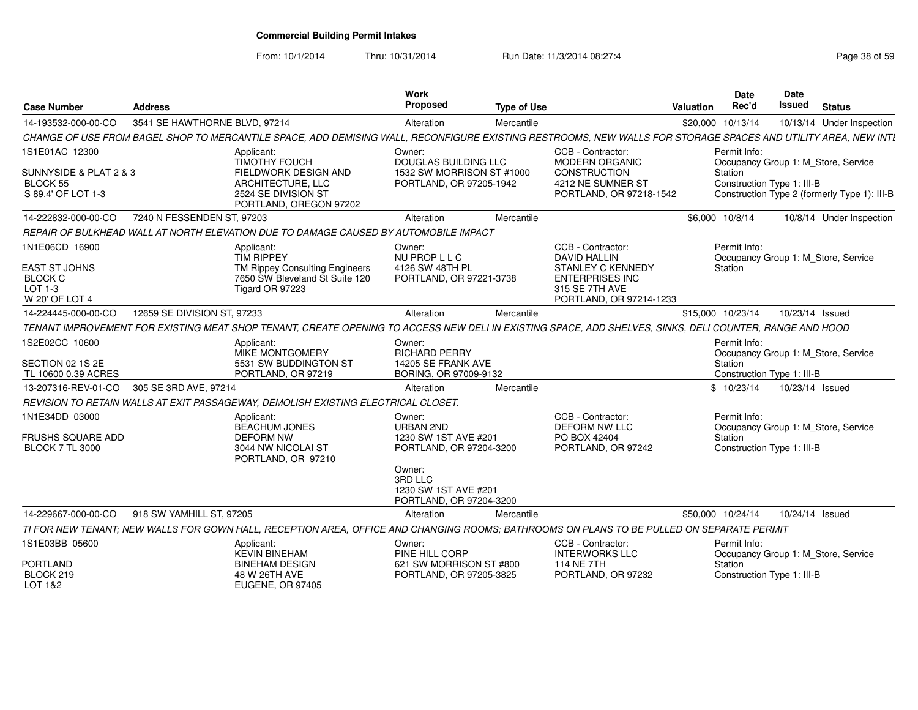From: 10/1/2014

| <b>Case Number</b>                                              | <b>Address</b>                |                                                                                                                                                               | <b>Work</b><br>Proposed                                              | <b>Type of Use</b> |                                                                                                 | <b>Valuation</b> | <b>Date</b><br>Rec'd                  | Date<br><b>Issued</b> | <b>Status</b>                                |
|-----------------------------------------------------------------|-------------------------------|---------------------------------------------------------------------------------------------------------------------------------------------------------------|----------------------------------------------------------------------|--------------------|-------------------------------------------------------------------------------------------------|------------------|---------------------------------------|-----------------------|----------------------------------------------|
| 14-193532-000-00-CO                                             | 3541 SE HAWTHORNE BLVD, 97214 |                                                                                                                                                               | Alteration                                                           | Mercantile         |                                                                                                 |                  | \$20,000 10/13/14                     |                       | 10/13/14 Under Inspection                    |
|                                                                 |                               | CHANGE OF USE FROM BAGEL SHOP TO MERCANTILE SPACE, ADD DEMISING WALL, RECONFIGURE EXISTING RESTROOMS, NEW WALLS FOR STORAGE SPACES AND UTILITY AREA, NEW INTI |                                                                      |                    |                                                                                                 |                  |                                       |                       |                                              |
| 1S1E01AC 12300                                                  |                               | Applicant:<br><b>TIMOTHY FOUCH</b>                                                                                                                            | Owner:<br>DOUGLAS BUILDING LLC                                       |                    | CCB - Contractor:<br>MODERN ORGANIC                                                             |                  | Permit Info:                          |                       | Occupancy Group 1: M Store, Service          |
| SUNNYSIDE & PLAT 2 & 3<br><b>BLOCK 55</b><br>S 89.4' OF LOT 1-3 |                               | FIELDWORK DESIGN AND<br>ARCHITECTURE, LLC<br>2524 SE DIVISION ST<br>PORTLAND, OREGON 97202                                                                    | 1532 SW MORRISON ST #1000<br>PORTLAND, OR 97205-1942                 |                    | <b>CONSTRUCTION</b><br>4212 NE SUMNER ST<br>PORTLAND, OR 97218-1542                             |                  | Station<br>Construction Type 1: III-B |                       | Construction Type 2 (formerly Type 1): III-B |
| 14-222832-000-00-CO                                             | 7240 N FESSENDEN ST. 97203    |                                                                                                                                                               | Alteration                                                           | Mercantile         |                                                                                                 |                  | \$6,000 10/8/14                       |                       | 10/8/14 Under Inspection                     |
|                                                                 |                               | REPAIR OF BULKHEAD WALL AT NORTH ELEVATION DUE TO DAMAGE CAUSED BY AUTOMOBILE IMPACT                                                                          |                                                                      |                    |                                                                                                 |                  |                                       |                       |                                              |
| 1N1E06CD 16900                                                  |                               | Applicant:<br><b>TIM RIPPEY</b>                                                                                                                               | Owner:<br>NU PROP L L C                                              |                    | CCB - Contractor:<br><b>DAVID HALLIN</b>                                                        |                  | Permit Info:                          |                       | Occupancy Group 1: M_Store, Service          |
| EAST ST JOHNS<br><b>BLOCK C</b><br>LOT 1-3<br>W 20' OF LOT 4    |                               | TM Rippey Consulting Engineers<br>7650 SW Bleveland St Suite 120<br>Tigard OR 97223                                                                           | 4126 SW 48TH PL<br>PORTLAND, OR 97221-3738                           |                    | <b>STANLEY C KENNEDY</b><br><b>ENTERPRISES INC</b><br>315 SE 7TH AVE<br>PORTLAND, OR 97214-1233 |                  | Station                               |                       |                                              |
| 14-224445-000-00-CO                                             | 12659 SE DIVISION ST, 97233   |                                                                                                                                                               | Alteration                                                           | Mercantile         |                                                                                                 |                  | \$15,000 10/23/14                     | 10/23/14 Issued       |                                              |
|                                                                 |                               | TENANT IMPROVEMENT FOR EXISTING MEAT SHOP TENANT, CREATE OPENING TO ACCESS NEW DELI IN EXISTING SPACE, ADD SHELVES, SINKS, DELI COUNTER, RANGE AND HOOD       |                                                                      |                    |                                                                                                 |                  |                                       |                       |                                              |
| 1S2E02CC 10600                                                  |                               | Applicant:                                                                                                                                                    | Owner:                                                               |                    |                                                                                                 |                  | Permit Info:                          |                       |                                              |
|                                                                 |                               | <b>MIKE MONTGOMERY</b>                                                                                                                                        | <b>RICHARD PERRY</b>                                                 |                    |                                                                                                 |                  |                                       |                       | Occupancy Group 1: M Store, Service          |
| SECTION 02 1S 2E                                                |                               | 5531 SW BUDDINGTON ST                                                                                                                                         | 14205 SE FRANK AVE                                                   |                    |                                                                                                 |                  | Station                               |                       |                                              |
| TL 10600 0.39 ACRES                                             |                               | PORTLAND, OR 97219                                                                                                                                            | BORING, OR 97009-9132                                                |                    |                                                                                                 |                  | Construction Type 1: III-B            |                       |                                              |
| 13-207316-REV-01-CO                                             | 305 SE 3RD AVE, 97214         |                                                                                                                                                               | Alteration                                                           | Mercantile         |                                                                                                 |                  | \$10/23/14                            | 10/23/14 Issued       |                                              |
|                                                                 |                               | REVISION TO RETAIN WALLS AT EXIT PASSAGEWAY, DEMOLISH EXISTING ELECTRICAL CLOSET.                                                                             |                                                                      |                    |                                                                                                 |                  |                                       |                       |                                              |
| 1N1E34DD 03000                                                  |                               | Applicant:<br><b>BEACHUM JONES</b>                                                                                                                            | Owner:<br>URBAN 2ND                                                  |                    | CCB - Contractor:<br><b>DEFORM NW LLC</b>                                                       |                  | Permit Info:                          |                       | Occupancy Group 1: M Store, Service          |
| FRUSHS SQUARE ADD<br><b>BLOCK 7 TL 3000</b>                     |                               | <b>DEFORM NW</b><br>3044 NW NICOLAI ST<br>PORTLAND, OR 97210                                                                                                  | 1230 SW 1ST AVE #201<br>PORTLAND, OR 97204-3200                      |                    | PO BOX 42404<br>PORTLAND, OR 97242                                                              |                  | Station<br>Construction Type 1: III-B |                       |                                              |
|                                                                 |                               |                                                                                                                                                               | Owner:<br>3RD LLC<br>1230 SW 1ST AVE #201<br>PORTLAND, OR 97204-3200 |                    |                                                                                                 |                  |                                       |                       |                                              |
| 14-229667-000-00-CO                                             | 918 SW YAMHILL ST, 97205      |                                                                                                                                                               | Alteration                                                           | Mercantile         |                                                                                                 |                  | \$50,000 10/24/14                     | 10/24/14 Issued       |                                              |
|                                                                 |                               | TI FOR NEW TENANT: NEW WALLS FOR GOWN HALL. RECEPTION AREA. OFFICE AND CHANGING ROOMS: BATHROOMS ON PLANS TO BE PULLED ON SEPARATE PERMIT                     |                                                                      |                    |                                                                                                 |                  |                                       |                       |                                              |
| 1S1E03BB 05600                                                  |                               | Applicant:                                                                                                                                                    | Owner:                                                               |                    | CCB - Contractor:                                                                               |                  | Permit Info:                          |                       |                                              |
|                                                                 |                               | <b>KEVIN BINEHAM</b>                                                                                                                                          | PINE HILL CORP                                                       |                    | <b>INTERWORKS LLC</b>                                                                           |                  |                                       |                       | Occupancy Group 1: M Store, Service          |
| <b>PORTLAND</b><br>BLOCK 219                                    |                               | <b>BINEHAM DESIGN</b><br>48 W 26TH AVE                                                                                                                        | 621 SW MORRISON ST #800<br>PORTLAND, OR 97205-3825                   |                    | 114 NE 7TH<br>PORTLAND, OR 97232                                                                |                  | Station<br>Construction Type 1: III-B |                       |                                              |
| LOT 1&2                                                         |                               | EUGENE, OR 97405                                                                                                                                              |                                                                      |                    |                                                                                                 |                  |                                       |                       |                                              |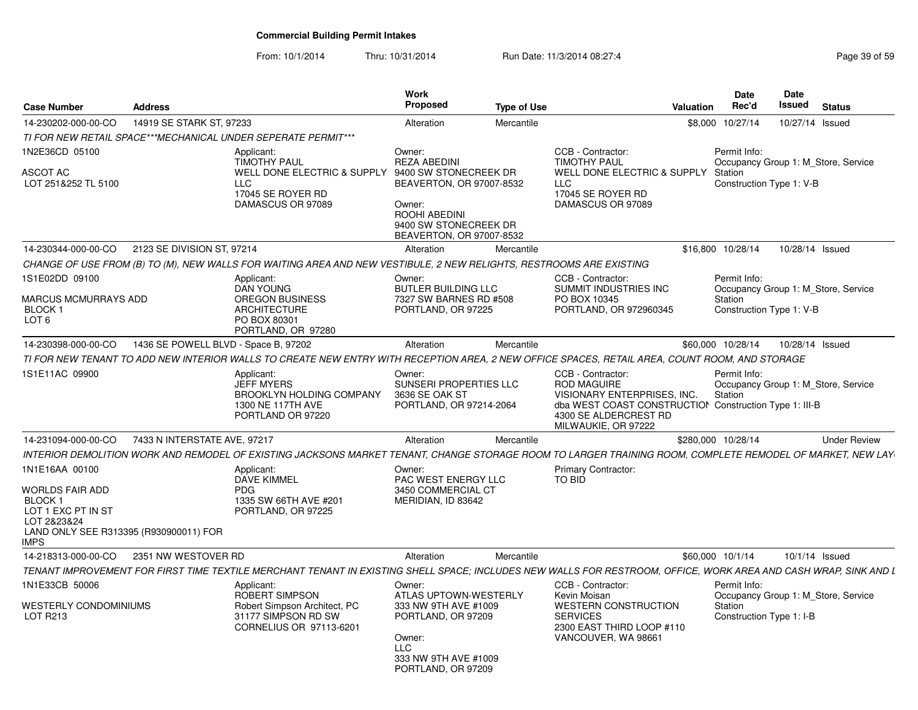| <b>Case Number</b>                                                                                                                                    | <b>Address</b>                       |                                                                                                                                                                 | <b>Work</b><br>Proposed                                                                                                                      | <b>Type of Use</b> |                                                                                                                                                                                  | Valuation | <b>Date</b><br>Rec'd                                                                       | <b>Date</b><br>Issued | <b>Status</b>       |
|-------------------------------------------------------------------------------------------------------------------------------------------------------|--------------------------------------|-----------------------------------------------------------------------------------------------------------------------------------------------------------------|----------------------------------------------------------------------------------------------------------------------------------------------|--------------------|----------------------------------------------------------------------------------------------------------------------------------------------------------------------------------|-----------|--------------------------------------------------------------------------------------------|-----------------------|---------------------|
| 14-230202-000-00-CO                                                                                                                                   | 14919 SE STARK ST, 97233             |                                                                                                                                                                 | Alteration                                                                                                                                   | Mercantile         |                                                                                                                                                                                  |           | \$8,000 10/27/14                                                                           | 10/27/14 Issued       |                     |
|                                                                                                                                                       |                                      | TI FOR NEW RETAIL SPACE***MECHANICAL UNDER SEPERATE PERMIT***                                                                                                   |                                                                                                                                              |                    |                                                                                                                                                                                  |           |                                                                                            |                       |                     |
| 1N2E36CD 05100<br>ASCOT AC<br>LOT 251&252 TL 5100                                                                                                     |                                      | Applicant:<br><b>TIMOTHY PAUL</b><br>WELL DONE ELECTRIC & SUPPLY 9400 SW STONECREEK DR<br><b>LLC</b><br>17045 SE ROYER RD<br>DAMASCUS OR 97089                  | Owner:<br><b>REZA ABEDINI</b><br>BEAVERTON, OR 97007-8532<br>Owner:<br>ROOHI ABEDINI<br>9400 SW STONECREEK DR<br>BEAVERTON, OR 97007-8532    |                    | CCB - Contractor:<br><b>TIMOTHY PAUL</b><br>WELL DONE ELECTRIC & SUPPLY<br>LLC<br>17045 SE ROYER RD<br>DAMASCUS OR 97089                                                         |           | Permit Info:<br>Occupancy Group 1: M Store, Service<br>Station<br>Construction Type 1: V-B |                       |                     |
| 14-230344-000-00-CO                                                                                                                                   | 2123 SE DIVISION ST, 97214           |                                                                                                                                                                 | Alteration                                                                                                                                   | Mercantile         |                                                                                                                                                                                  |           | \$16,800 10/28/14                                                                          | 10/28/14 Issued       |                     |
|                                                                                                                                                       |                                      | CHANGE OF USE FROM (B) TO (M), NEW WALLS FOR WAITING AREA AND NEW VESTIBULE, 2 NEW RELIGHTS, RESTROOMS ARE EXISTING                                             |                                                                                                                                              |                    |                                                                                                                                                                                  |           |                                                                                            |                       |                     |
| 1S1E02DD 09100<br>MARCUS MCMURRAYS ADD<br>BLOCK <sub>1</sub><br>LOT <sub>6</sub>                                                                      |                                      | Applicant:<br><b>DAN YOUNG</b><br>OREGON BUSINESS<br><b>ARCHITECTURE</b><br>PO BOX 80301<br>PORTLAND, OR 97280                                                  | Owner:<br><b>BUTLER BUILDING LLC</b><br>7327 SW BARNES RD #508<br>PORTLAND, OR 97225                                                         |                    | CCB - Contractor:<br>SUMMIT INDUSTRIES INC<br>PO BOX 10345<br>PORTLAND, OR 972960345                                                                                             |           | Permit Info:<br>Occupancy Group 1: M_Store, Service<br>Station<br>Construction Type 1: V-B |                       |                     |
| 14-230398-000-00-CO                                                                                                                                   | 1436 SE POWELL BLVD - Space B, 97202 |                                                                                                                                                                 | Alteration                                                                                                                                   | Mercantile         |                                                                                                                                                                                  |           | \$60,000 10/28/14                                                                          | 10/28/14 Issued       |                     |
|                                                                                                                                                       |                                      | TI FOR NEW TENANT TO ADD NEW INTERIOR WALLS TO CREATE NEW ENTRY WITH RECEPTION AREA, 2 NEW OFFICE SPACES, RETAIL AREA, COUNT ROOM, AND STORAGE                  |                                                                                                                                              |                    |                                                                                                                                                                                  |           |                                                                                            |                       |                     |
| 1S1E11AC 09900                                                                                                                                        |                                      | Applicant:<br><b>JEFF MYERS</b><br>BROOKLYN HOLDING COMPANY<br>1300 NE 117TH AVE<br>PORTLAND OR 97220                                                           | Owner:<br>SUNSERI PROPERTIES LLC<br>3636 SE OAK ST<br>PORTLAND, OR 97214-2064                                                                |                    | CCB - Contractor:<br><b>ROD MAGUIRE</b><br>VISIONARY ENTERPRISES, INC.<br>dba WEST COAST CONSTRUCTION Construction Type 1: III-B<br>4300 SE ALDERCREST RD<br>MILWAUKIE, OR 97222 |           | Permit Info:<br>Occupancy Group 1: M Store, Service<br>Station                             |                       |                     |
| 14-231094-000-00-CO                                                                                                                                   | 7433 N INTERSTATE AVE, 97217         |                                                                                                                                                                 | Alteration                                                                                                                                   | Mercantile         |                                                                                                                                                                                  |           | \$280.000 10/28/14                                                                         |                       | <b>Under Review</b> |
|                                                                                                                                                       |                                      | INTERIOR DEMOLITION WORK AND REMODEL OF EXISTING JACKSONS MARKET TENANT, CHANGE STORAGE ROOM TO LARGER TRAINING ROOM, COMPLETE REMODEL OF MARKET, NEW LAY       |                                                                                                                                              |                    |                                                                                                                                                                                  |           |                                                                                            |                       |                     |
| 1N1E16AA 00100<br><b>WORLDS FAIR ADD</b><br>BLOCK <sub>1</sub><br>LOT 1 EXC PT IN ST<br>LOT 2&23&24<br>LAND ONLY SEE R313395 (R930900011) FOR<br>IMPS |                                      | Applicant:<br>DAVE KIMMEL<br><b>PDG</b><br>1335 SW 66TH AVE #201<br>PORTLAND, OR 97225                                                                          | Owner:<br>PAC WEST ENERGY LLC<br>3450 COMMERCIAL CT<br>MERIDIAN. ID 83642                                                                    |                    | <b>Primary Contractor:</b><br>TO BID                                                                                                                                             |           |                                                                                            |                       |                     |
| 14-218313-000-00-CO                                                                                                                                   | 2351 NW WESTOVER RD                  |                                                                                                                                                                 | Alteration                                                                                                                                   | Mercantile         |                                                                                                                                                                                  |           | \$60,000 10/1/14                                                                           | 10/1/14 Issued        |                     |
|                                                                                                                                                       |                                      | TENANT IMPROVEMENT FOR FIRST TIME TEXTILE MERCHANT TENANT IN EXISTING SHELL SPACE; INCLUDES NEW WALLS FOR RESTROOM, OFFICE, WORK AREA AND CASH WRAP, SINK AND L |                                                                                                                                              |                    |                                                                                                                                                                                  |           |                                                                                            |                       |                     |
| 1N1E33CB 50006<br>WESTERLY CONDOMINIUMS<br>LOT R213                                                                                                   |                                      | Applicant:<br><b>ROBERT SIMPSON</b><br>Robert Simpson Architect, PC<br>31177 SIMPSON RD SW<br>CORNELIUS OR 97113-6201                                           | Owner:<br>ATLAS UPTOWN-WESTERLY<br>333 NW 9TH AVE #1009<br>PORTLAND, OR 97209<br>Owner:<br>LLC<br>333 NW 9TH AVE #1009<br>PORTLAND, OR 97209 |                    | CCB - Contractor:<br>Kevin Moisan<br><b>WESTERN CONSTRUCTION</b><br><b>SERVICES</b><br>2300 EAST THIRD LOOP #110<br>VANCOUVER, WA 98661                                          |           | Permit Info:<br>Occupancy Group 1: M_Store, Service<br>Station<br>Construction Type 1: I-B |                       |                     |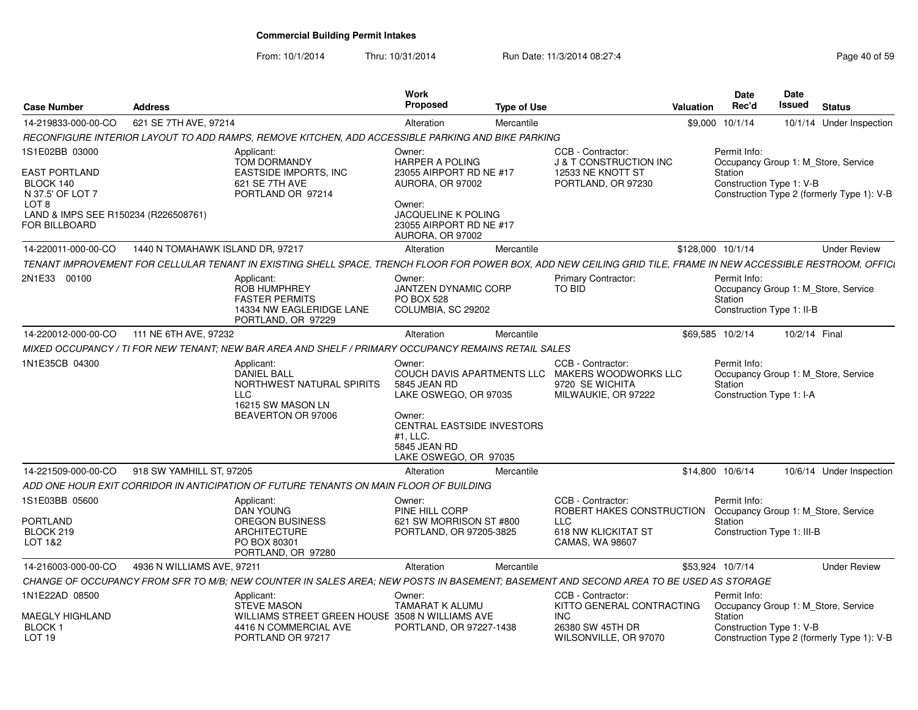From: 10/1/2014

| <b>Case Number</b>                                                                                                             | <b>Address</b>                   |                                                                                                                                                                 | Work<br><b>Proposed</b>                                                                                                                      | <b>Type of Use</b> |                                                                                                                | Valuation         | Date<br>Rec'd                                        | Date<br>Issued | <b>Status</b>                              |
|--------------------------------------------------------------------------------------------------------------------------------|----------------------------------|-----------------------------------------------------------------------------------------------------------------------------------------------------------------|----------------------------------------------------------------------------------------------------------------------------------------------|--------------------|----------------------------------------------------------------------------------------------------------------|-------------------|------------------------------------------------------|----------------|--------------------------------------------|
| 14-219833-000-00-CO                                                                                                            | 621 SE 7TH AVE, 97214            |                                                                                                                                                                 | Alteration                                                                                                                                   | Mercantile         |                                                                                                                |                   | \$9,000 10/1/14                                      |                | 10/1/14 Under Inspection                   |
|                                                                                                                                |                                  | RECONFIGURE INTERIOR LAYOUT TO ADD RAMPS, REMOVE KITCHEN, ADD ACCESSIBLE PARKING AND BIKE PARKING                                                               |                                                                                                                                              |                    |                                                                                                                |                   |                                                      |                |                                            |
| 1S1E02BB 03000                                                                                                                 |                                  | Applicant:<br>TOM DORMANDY                                                                                                                                      | Owner:<br>HARPER A POLING                                                                                                                    |                    | CCB - Contractor:<br><b>J &amp; T CONSTRUCTION INC</b>                                                         |                   | Permit Info:                                         |                | Occupancy Group 1: M_Store, Service        |
| <b>EAST PORTLAND</b><br>BLOCK 140<br>N 37.5' OF LOT 7<br>LOT 8<br>LAND & IMPS SEE R150234 (R226508761)<br><b>FOR BILLBOARD</b> |                                  | <b>EASTSIDE IMPORTS, INC</b><br>621 SE 7TH AVE<br>PORTLAND OR 97214                                                                                             | 23055 AIRPORT RD NE #17<br>AURORA, OR 97002<br>Owner:<br>JACQUELINE K POLING<br>23055 AIRPORT RD NE #17<br>AURORA, OR 97002                  |                    | 12533 NE KNOTT ST<br>PORTLAND, OR 97230                                                                        |                   | Station<br>Construction Type 1: V-B                  |                | Construction Type 2 (formerly Type 1): V-B |
| 14-220011-000-00-CO                                                                                                            | 1440 N TOMAHAWK ISLAND DR, 97217 |                                                                                                                                                                 | Alteration                                                                                                                                   | Mercantile         |                                                                                                                | \$128,000 10/1/14 |                                                      |                | <b>Under Review</b>                        |
|                                                                                                                                |                                  | TENANT IMPROVEMENT FOR CELLULAR TENANT IN EXISTING SHELL SPACE, TRENCH FLOOR FOR POWER BOX, ADD NEW CEILING GRID TILE, FRAME IN NEW ACCESSIBLE RESTROOM, OFFICI |                                                                                                                                              |                    |                                                                                                                |                   |                                                      |                |                                            |
| 2N1E33 00100                                                                                                                   |                                  | Applicant:<br><b>ROB HUMPHREY</b><br><b>FASTER PERMITS</b><br>14334 NW EAGLERIDGE LANE<br>PORTLAND, OR 97229                                                    | Owner:<br>JANTZEN DYNAMIC CORP<br><b>PO BOX 528</b><br>COLUMBIA, SC 29202                                                                    |                    | Primary Contractor:<br><b>TO BID</b>                                                                           |                   | Permit Info:<br>Station<br>Construction Type 1: II-B |                | Occupancy Group 1: M_Store, Service        |
| 14-220012-000-00-CO                                                                                                            | 111 NE 6TH AVE, 97232            |                                                                                                                                                                 | Alteration                                                                                                                                   | Mercantile         |                                                                                                                | \$69,585 10/2/14  |                                                      | 10/2/14 Final  |                                            |
|                                                                                                                                |                                  | MIXED OCCUPANCY / TI FOR NEW TENANT; NEW BAR AREA AND SHELF / PRIMARY OCCUPANCY REMAINS RETAIL SALES                                                            |                                                                                                                                              |                    |                                                                                                                |                   |                                                      |                |                                            |
| 1N1E35CB 04300                                                                                                                 |                                  | Applicant:<br><b>DANIEL BALL</b><br>NORTHWEST NATURAL SPIRITS<br>LLC<br>16215 SW MASON LN<br>BEAVERTON OR 97006                                                 | Owner:<br>5845 JEAN RD<br>LAKE OSWEGO, OR 97035<br>Owner:<br>CENTRAL EASTSIDE INVESTORS<br>#1, LLC.<br>5845 JEAN RD<br>LAKE OSWEGO, OR 97035 |                    | CCB - Contractor:<br>COUCH DAVIS APARTMENTS LLC MAKERS WOODWORKS LLC<br>9720 SE WICHITA<br>MILWAUKIE, OR 97222 |                   | Permit Info:<br>Station<br>Construction Type 1: I-A  |                | Occupancy Group 1: M Store, Service        |
| 14-221509-000-00-CO                                                                                                            | 918 SW YAMHILL ST, 97205         |                                                                                                                                                                 | Alteration                                                                                                                                   | Mercantile         |                                                                                                                | \$14,800 10/6/14  |                                                      |                | 10/6/14 Under Inspection                   |
|                                                                                                                                |                                  | ADD ONE HOUR EXIT CORRIDOR IN ANTICIPATION OF FUTURE TENANTS ON MAIN FLOOR OF BUILDING                                                                          |                                                                                                                                              |                    |                                                                                                                |                   |                                                      |                |                                            |
| 1S1E03BB 05600                                                                                                                 |                                  | Applicant:<br><b>DAN YOUNG</b>                                                                                                                                  | Owner:<br>PINE HILL CORP                                                                                                                     |                    | CCB - Contractor:<br>ROBERT HAKES CONSTRUCTION                                                                 |                   | Permit Info:                                         |                | Occupancy Group 1: M_Store, Service        |
| <b>PORTLAND</b><br>BLOCK 219<br>LOT 1&2                                                                                        |                                  | <b>OREGON BUSINESS</b><br><b>ARCHITECTURE</b><br>PO BOX 80301<br>PORTLAND, OR 97280                                                                             | 621 SW MORRISON ST #800<br>PORTLAND, OR 97205-3825                                                                                           |                    | <b>LLC</b><br><b>618 NW KLICKITAT ST</b><br>CAMAS, WA 98607                                                    |                   | Station<br>Construction Type 1: III-B                |                |                                            |
| 14-216003-000-00-CO                                                                                                            | 4936 N WILLIAMS AVE, 97211       |                                                                                                                                                                 | Alteration                                                                                                                                   | Mercantile         |                                                                                                                | \$53,924 10/7/14  |                                                      |                | <b>Under Review</b>                        |
|                                                                                                                                |                                  | CHANGE OF OCCUPANCY FROM SFR TO M/B: NEW COUNTER IN SALES AREA: NEW POSTS IN BASEMENT: BASEMENT AND SECOND AREA TO BE USED AS STORAGE                           |                                                                                                                                              |                    |                                                                                                                |                   |                                                      |                |                                            |
| 1N1E22AD 08500                                                                                                                 |                                  | Applicant:<br><b>STEVE MASON</b>                                                                                                                                | Owner:<br><b>TAMARAT K ALUMU</b>                                                                                                             |                    | CCB - Contractor:<br>KITTO GENERAL CONTRACTING                                                                 |                   | Permit Info:                                         |                | Occupancy Group 1: M_Store, Service        |
| MAEGLY HIGHLAND<br><b>BLOCK1</b><br>LOT <sub>19</sub>                                                                          |                                  | WILLIAMS STREET GREEN HOUSE 3508 N WILLIAMS AVE<br>4416 N COMMERCIAL AVE<br>PORTLAND OR 97217                                                                   | PORTLAND, OR 97227-1438                                                                                                                      |                    | <b>INC</b><br>26380 SW 45TH DR<br>WILSONVILLE, OR 97070                                                        |                   | Station<br>Construction Type 1: V-B                  |                | Construction Type 2 (formerly Type 1): V-B |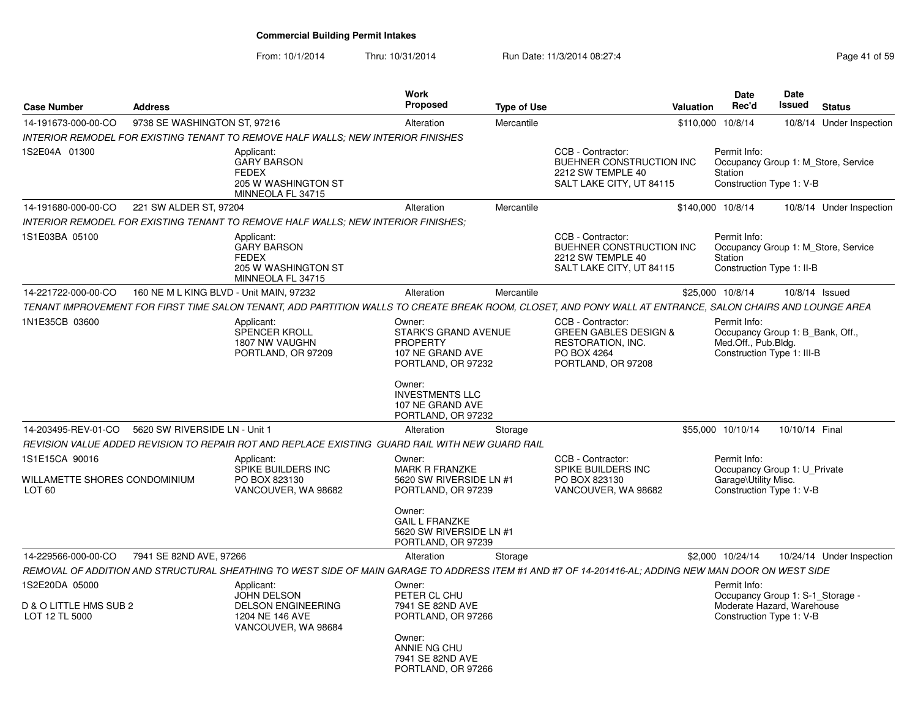From: 10/1/2014

| <b>Case Number</b>                                                   | <b>Address</b>                          |                                                                                                 | <b>Work</b><br>Proposed                                                                            | <b>Type of Use</b> | Valuation                                                                                                                                                 | <b>Date</b><br>Rec'd                                                                                  | <b>Date</b><br>Issued | <b>Status</b>                       |
|----------------------------------------------------------------------|-----------------------------------------|-------------------------------------------------------------------------------------------------|----------------------------------------------------------------------------------------------------|--------------------|-----------------------------------------------------------------------------------------------------------------------------------------------------------|-------------------------------------------------------------------------------------------------------|-----------------------|-------------------------------------|
| 14-191673-000-00-CO                                                  | 9738 SE WASHINGTON ST, 97216            |                                                                                                 | Alteration                                                                                         | Mercantile         |                                                                                                                                                           | \$110,000 10/8/14                                                                                     |                       | 10/8/14 Under Inspection            |
|                                                                      |                                         | <b>INTERIOR REMODEL FOR EXISTING TENANT TO REMOVE HALF WALLS: NEW INTERIOR FINISHES</b>         |                                                                                                    |                    |                                                                                                                                                           |                                                                                                       |                       |                                     |
| 1S2E04A 01300                                                        |                                         | Applicant:<br><b>GARY BARSON</b><br><b>FEDEX</b><br>205 W WASHINGTON ST<br>MINNEOLA FL 34715    |                                                                                                    |                    | CCB - Contractor:<br>BUEHNER CONSTRUCTION INC<br>2212 SW TEMPLE 40<br>SALT LAKE CITY, UT 84115                                                            | Permit Info:<br>Station<br>Construction Type 1: V-B                                                   |                       | Occupancy Group 1: M_Store, Service |
| 14-191680-000-00-CO                                                  | 221 SW ALDER ST, 97204                  |                                                                                                 | Alteration                                                                                         | Mercantile         |                                                                                                                                                           | \$140,000 10/8/14                                                                                     |                       | 10/8/14 Under Inspection            |
|                                                                      |                                         | INTERIOR REMODEL FOR EXISTING TENANT TO REMOVE HALF WALLS; NEW INTERIOR FINISHES;               |                                                                                                    |                    |                                                                                                                                                           |                                                                                                       |                       |                                     |
| 1S1E03BA 05100                                                       |                                         | Applicant:<br><b>GARY BARSON</b><br><b>FEDEX</b><br>205 W WASHINGTON ST<br>MINNEOLA FL 34715    |                                                                                                    |                    | CCB - Contractor:<br>BUEHNER CONSTRUCTION INC<br>2212 SW TEMPLE 40<br>SALT LAKE CITY, UT 84115                                                            | Permit Info:<br>Station<br>Construction Type 1: II-B                                                  |                       | Occupancy Group 1: M_Store, Service |
| 14-221722-000-00-CO                                                  | 160 NE M L KING BLVD - Unit MAIN, 97232 |                                                                                                 | Alteration                                                                                         | Mercantile         |                                                                                                                                                           | \$25,000 10/8/14                                                                                      |                       | 10/8/14 Issued                      |
|                                                                      |                                         |                                                                                                 |                                                                                                    |                    | TENANT IMPROVEMENT FOR FIRST TIME SALON TENANT, ADD PARTITION WALLS TO CREATE BREAK ROOM, CLOSET, AND PONY WALL AT ENTRANCE, SALON CHAIRS AND LOUNGE AREA |                                                                                                       |                       |                                     |
| 1N1E35CB 03600                                                       |                                         | Applicant:<br>SPENCER KROLL<br>1807 NW VAUGHN<br>PORTLAND, OR 97209                             | Owner:<br><b>STARK'S GRAND AVENUE</b><br><b>PROPERTY</b><br>107 NE GRAND AVE<br>PORTLAND, OR 97232 |                    | CCB - Contractor:<br><b>GREEN GABLES DESIGN &amp;</b><br>RESTORATION, INC.<br>PO BOX 4264<br>PORTLAND, OR 97208                                           | Permit Info:<br>Occupancy Group 1: B_Bank, Off.,<br>Med.Off., Pub.Bldg.<br>Construction Type 1: III-B |                       |                                     |
|                                                                      |                                         |                                                                                                 | Owner:<br><b>INVESTMENTS LLC</b><br>107 NE GRAND AVE<br>PORTLAND, OR 97232                         |                    |                                                                                                                                                           |                                                                                                       |                       |                                     |
| 14-203495-REV-01-CO                                                  | 5620 SW RIVERSIDE LN - Unit 1           |                                                                                                 | Alteration                                                                                         | Storage            |                                                                                                                                                           | \$55,000 10/10/14                                                                                     | 10/10/14 Final        |                                     |
|                                                                      |                                         | REVISION VALUE ADDED REVISION TO REPAIR ROT AND REPLACE EXISTING GUARD RAIL WITH NEW GUARD RAIL |                                                                                                    |                    |                                                                                                                                                           |                                                                                                       |                       |                                     |
| 1S1E15CA 90016<br>WILLAMETTE SHORES CONDOMINIUM<br>LOT <sub>60</sub> |                                         | Applicant:<br>SPIKE BUILDERS INC<br>PO BOX 823130<br>VANCOUVER, WA 98682                        | Owner:<br><b>MARK R FRANZKE</b><br>5620 SW RIVERSIDE LN #1<br>PORTLAND, OR 97239                   |                    | CCB - Contractor:<br>SPIKE BUILDERS INC<br>PO BOX 823130<br>VANCOUVER, WA 98682                                                                           | Permit Info:<br>Occupancy Group 1: U Private<br>Garage\Utility Misc.<br>Construction Type 1: V-B      |                       |                                     |
|                                                                      |                                         |                                                                                                 | Owner:<br><b>GAIL L FRANZKE</b><br>5620 SW RIVERSIDE LN #1<br>PORTLAND, OR 97239                   |                    |                                                                                                                                                           |                                                                                                       |                       |                                     |
| 14-229566-000-00-CO                                                  | 7941 SE 82ND AVE, 97266                 |                                                                                                 | Alteration                                                                                         | Storage            |                                                                                                                                                           | \$2,000 10/24/14                                                                                      |                       | 10/24/14 Under Inspection           |
|                                                                      |                                         |                                                                                                 |                                                                                                    |                    | REMOVAL OF ADDITION AND STRUCTURAL SHEATHING TO WEST SIDE OF MAIN GARAGE TO ADDRESS ITEM #1 AND #7 OF 14-201416-AL; ADDING NEW MAN DOOR ON WEST SIDE      |                                                                                                       |                       |                                     |
| 1S2E20DA 05000                                                       |                                         | Applicant:<br><b>JOHN DELSON</b>                                                                | Owner:<br>PETER CL CHU                                                                             |                    |                                                                                                                                                           | Permit Info:<br>Occupancy Group 1: S-1_Storage -                                                      |                       |                                     |
| D & O LITTLE HMS SUB 2<br>LOT 12 TL 5000                             |                                         | <b>DELSON ENGINEERING</b><br>1204 NE 146 AVE<br>VANCOUVER, WA 98684                             | 7941 SE 82ND AVE<br>PORTLAND, OR 97266                                                             |                    |                                                                                                                                                           | Moderate Hazard, Warehouse<br>Construction Type 1: V-B                                                |                       |                                     |
|                                                                      |                                         |                                                                                                 | Owner:<br>ANNIE NG CHU<br>7941 SE 82ND AVE<br>PORTLAND, OR 97266                                   |                    |                                                                                                                                                           |                                                                                                       |                       |                                     |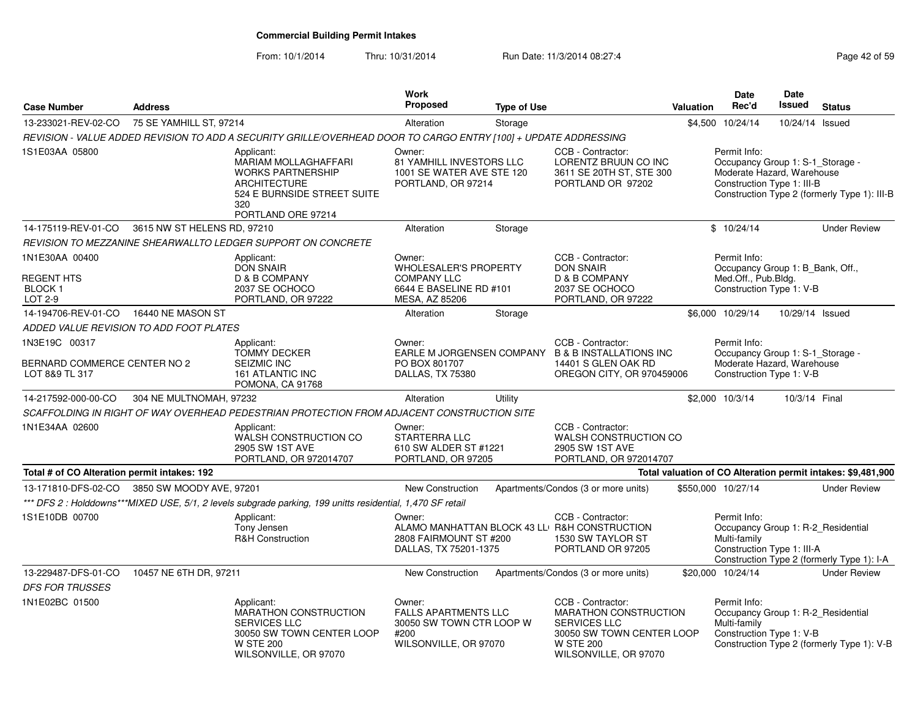From: 10/1/2014

| <b>Case Number</b>                                              | <b>Address</b>              |                                                                                                                                                   | <b>Work</b><br>Proposed                                                                                   | <b>Type of Use</b> |                                                                                                                                                    | Valuation | <b>Date</b><br>Rec'd                                                                                         | <b>Date</b><br>Issued | <b>Status</b>                                                |
|-----------------------------------------------------------------|-----------------------------|---------------------------------------------------------------------------------------------------------------------------------------------------|-----------------------------------------------------------------------------------------------------------|--------------------|----------------------------------------------------------------------------------------------------------------------------------------------------|-----------|--------------------------------------------------------------------------------------------------------------|-----------------------|--------------------------------------------------------------|
| 13-233021-REV-02-CO                                             | 75 SE YAMHILL ST, 97214     |                                                                                                                                                   | Alteration                                                                                                | Storage            |                                                                                                                                                    |           | \$4,500 10/24/14                                                                                             | 10/24/14              | Issued                                                       |
|                                                                 |                             | REVISION - VALUE ADDED REVISION TO ADD A SECURITY GRILLE/OVERHEAD DOOR TO CARGO ENTRY [100] + UPDATE ADDRESSING                                   |                                                                                                           |                    |                                                                                                                                                    |           |                                                                                                              |                       |                                                              |
| 1S1E03AA 05800                                                  |                             | Applicant:<br>MARIAM MOLLAGHAFFARI<br><b>WORKS PARTNERSHIP</b><br><b>ARCHITECTURE</b><br>524 E BURNSIDE STREET SUITE<br>320<br>PORTLAND ORE 97214 | Owner:<br>81 YAMHILL INVESTORS LLC<br>1001 SE WATER AVE STE 120<br>PORTLAND, OR 97214                     |                    | CCB - Contractor:<br>LORENTZ BRUUN CO INC<br>3611 SE 20TH ST, STE 300<br>PORTLAND OR 97202                                                         |           | Permit Info:<br>Occupancy Group 1: S-1_Storage -<br>Moderate Hazard, Warehouse<br>Construction Type 1: III-B |                       | Construction Type 2 (formerly Type 1): III-B                 |
| 14-175119-REV-01-CO                                             | 3615 NW ST HELENS RD, 97210 |                                                                                                                                                   | Alteration                                                                                                | Storage            |                                                                                                                                                    |           | \$10/24/14                                                                                                   |                       | <b>Under Review</b>                                          |
|                                                                 |                             | REVISION TO MEZZANINE SHEARWALLTO LEDGER SUPPORT ON CONCRETE                                                                                      |                                                                                                           |                    |                                                                                                                                                    |           |                                                                                                              |                       |                                                              |
| 1N1E30AA 00400<br><b>REGENT HTS</b><br><b>BLOCK1</b><br>LOT 2-9 |                             | Applicant:<br><b>DON SNAIR</b><br>D & B COMPANY<br>2037 SE OCHOCO<br>PORTLAND, OR 97222                                                           | Owner:<br><b>WHOLESALER'S PROPERTY</b><br><b>COMPANY LLC</b><br>6644 E BASELINE RD #101<br>MESA, AZ 85206 |                    | CCB - Contractor:<br><b>DON SNAIR</b><br>D & B COMPANY<br>2037 SE OCHOCO<br>PORTLAND, OR 97222                                                     |           | Permit Info:<br>Occupancy Group 1: B Bank, Off.,<br>Med.Off., Pub.Bldg.<br>Construction Type 1: V-B          |                       |                                                              |
| 14-194706-REV-01-CO  16440 NE MASON ST                          |                             |                                                                                                                                                   | Alteration                                                                                                | Storage            |                                                                                                                                                    |           | \$6,000 10/29/14                                                                                             | 10/29/14 Issued       |                                                              |
| ADDED VALUE REVISION TO ADD FOOT PLATES                         |                             |                                                                                                                                                   |                                                                                                           |                    |                                                                                                                                                    |           |                                                                                                              |                       |                                                              |
| 1N3E19C 00317<br>BERNARD COMMERCE CENTER NO 2<br>LOT 8&9 TL 317 |                             | Applicant:<br><b>TOMMY DECKER</b><br><b>SEIZMIC INC</b><br><b>161 ATLANTIC INC</b><br>POMONA, CA 91768                                            | Owner:<br>PO BOX 801707<br>DALLAS, TX 75380                                                               |                    | CCB - Contractor:<br>EARLE M JORGENSEN COMPANY B & B INSTALLATIONS INC<br>14401 S GLEN OAK RD<br>OREGON CITY, OR 970459006                         |           | Permit Info:<br>Occupancy Group 1: S-1_Storage -<br>Moderate Hazard, Warehouse<br>Construction Type 1: V-B   |                       |                                                              |
| 14-217592-000-00-CO                                             | 304 NE MULTNOMAH, 97232     |                                                                                                                                                   | Alteration                                                                                                | Utility            |                                                                                                                                                    |           | \$2,000 10/3/14                                                                                              | 10/3/14 Final         |                                                              |
|                                                                 |                             | SCAFFOLDING IN RIGHT OF WAY OVERHEAD PEDESTRIAN PROTECTION FROM ADJACENT CONSTRUCTION SITE                                                        |                                                                                                           |                    |                                                                                                                                                    |           |                                                                                                              |                       |                                                              |
| 1N1E34AA 02600                                                  |                             | Applicant:<br>WALSH CONSTRUCTION CO<br>2905 SW 1ST AVE<br>PORTLAND, OR 972014707                                                                  | Owner:<br>STARTERRA LLC<br>610 SW ALDER ST #1221<br>PORTLAND, OR 97205                                    |                    | CCB - Contractor:<br>WALSH CONSTRUCTION CO<br>2905 SW 1ST AVE<br>PORTLAND, OR 972014707                                                            |           |                                                                                                              |                       |                                                              |
| Total # of CO Alteration permit intakes: 192                    |                             |                                                                                                                                                   |                                                                                                           |                    |                                                                                                                                                    |           |                                                                                                              |                       | Total valuation of CO Alteration permit intakes: \$9,481,900 |
| 13-171810-DFS-02-CO                                             | 3850 SW MOODY AVE, 97201    |                                                                                                                                                   | <b>New Construction</b>                                                                                   |                    | Apartments/Condos (3 or more units)                                                                                                                |           | \$550,000 10/27/14                                                                                           |                       | <b>Under Review</b>                                          |
|                                                                 |                             | *** DFS 2: Holddowns***MIXED USE, 5/1, 2 levels subgrade parking, 199 unitts residential, 1,470 SF retail                                         |                                                                                                           |                    |                                                                                                                                                    |           |                                                                                                              |                       |                                                              |
| 1S1E10DB 00700                                                  |                             | Applicant:<br>Tony Jensen<br><b>R&amp;H Construction</b>                                                                                          | Owner:<br>2808 FAIRMOUNT ST #200<br>DALLAS, TX 75201-1375                                                 |                    | CCB - Contractor:<br>ALAMO MANHATTAN BLOCK 43 LL R&H CONSTRUCTION<br>1530 SW TAYLOR ST<br>PORTLAND OR 97205                                        |           | Permit Info:<br>Occupancy Group 1: R-2_Residential<br>Multi-family<br>Construction Type 1: III-A             |                       | Construction Type 2 (formerly Type 1): I-A                   |
| 13-229487-DFS-01-CO                                             | 10457 NE 6TH DR, 97211      |                                                                                                                                                   | New Construction                                                                                          |                    | Apartments/Condos (3 or more units)                                                                                                                |           | \$20,000 10/24/14                                                                                            |                       | <b>Under Review</b>                                          |
| <b>DFS FOR TRUSSES</b>                                          |                             |                                                                                                                                                   |                                                                                                           |                    |                                                                                                                                                    |           |                                                                                                              |                       |                                                              |
| 1N1E02BC 01500                                                  |                             | Applicant:<br><b>MARATHON CONSTRUCTION</b><br><b>SERVICES LLC</b><br>30050 SW TOWN CENTER LOOP<br><b>W STE 200</b><br>WILSONVILLE, OR 97070       | Owner:<br><b>FALLS APARTMENTS LLC</b><br>30050 SW TOWN CTR LOOP W<br>#200<br>WILSONVILLE, OR 97070        |                    | CCB - Contractor:<br><b>MARATHON CONSTRUCTION</b><br><b>SERVICES LLC</b><br>30050 SW TOWN CENTER LOOP<br><b>W STE 200</b><br>WILSONVILLE, OR 97070 |           | Permit Info:<br>Occupancy Group 1: R-2 Residential<br>Multi-family<br>Construction Type 1: V-B               |                       | Construction Type 2 (formerly Type 1): V-B                   |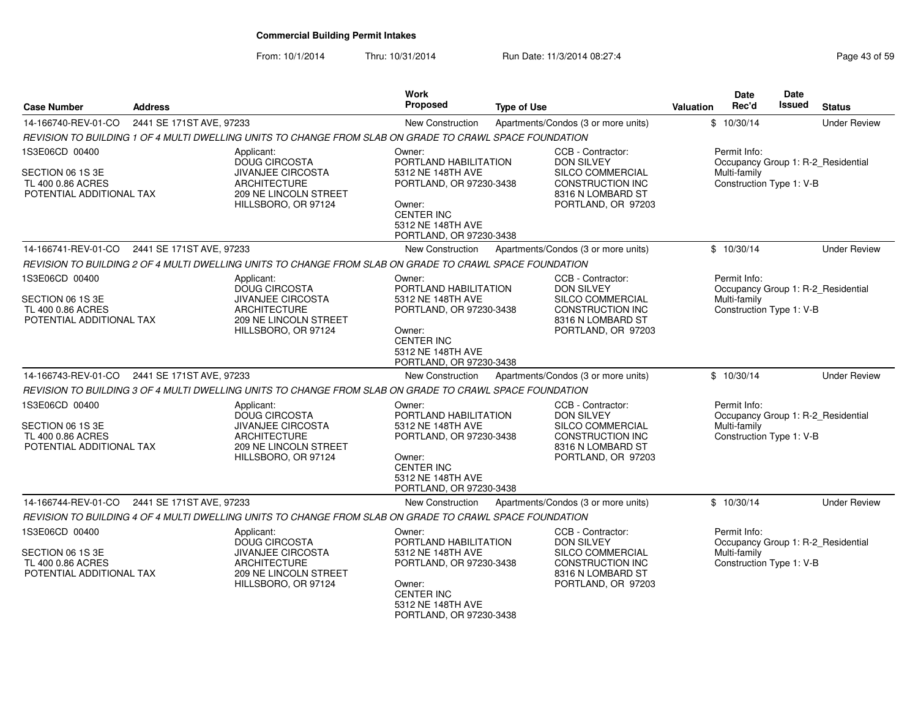| <b>Case Number</b>                                                                  | <b>Address</b>           |                                                                                                                                       | Work<br>Proposed                                                                                                                                               | <b>Type of Use</b> |                                                                                                                                  | Valuation | Date<br>Rec'd                                            | Date<br>Issued | <b>Status</b>                      |
|-------------------------------------------------------------------------------------|--------------------------|---------------------------------------------------------------------------------------------------------------------------------------|----------------------------------------------------------------------------------------------------------------------------------------------------------------|--------------------|----------------------------------------------------------------------------------------------------------------------------------|-----------|----------------------------------------------------------|----------------|------------------------------------|
| 14-166740-REV-01-CO                                                                 | 2441 SE 171ST AVE, 97233 |                                                                                                                                       | New Construction                                                                                                                                               |                    | Apartments/Condos (3 or more units)                                                                                              |           | \$10/30/14                                               |                | <b>Under Review</b>                |
|                                                                                     |                          | REVISION TO BUILDING 1 OF 4 MULTI DWELLING UNITS TO CHANGE FROM SLAB ON GRADE TO CRAWL SPACE FOUNDATION                               |                                                                                                                                                                |                    |                                                                                                                                  |           |                                                          |                |                                    |
| 1S3E06CD 00400<br>SECTION 06 1S 3E<br>TL 400 0.86 ACRES<br>POTENTIAL ADDITIONAL TAX |                          | Applicant:<br><b>DOUG CIRCOSTA</b><br><b>JIVANJEE CIRCOSTA</b><br><b>ARCHITECTURE</b><br>209 NE LINCOLN STREET<br>HILLSBORO, OR 97124 | Owner:<br>PORTLAND HABILITATION<br>5312 NE 148TH AVE<br>PORTLAND, OR 97230-3438<br>Owner:<br><b>CENTER INC</b><br>5312 NE 148TH AVE<br>PORTLAND, OR 97230-3438 |                    | CCB - Contractor:<br><b>DON SILVEY</b><br>SILCO COMMERCIAL<br><b>CONSTRUCTION INC</b><br>8316 N LOMBARD ST<br>PORTLAND, OR 97203 |           | Permit Info:<br>Multi-family<br>Construction Type 1: V-B |                | Occupancy Group 1: R-2_Residential |
| 14-166741-REV-01-CO                                                                 | 2441 SE 171ST AVE, 97233 |                                                                                                                                       | <b>New Construction</b>                                                                                                                                        |                    | Apartments/Condos (3 or more units)                                                                                              |           | \$10/30/14                                               |                | <b>Under Review</b>                |
|                                                                                     |                          | REVISION TO BUILDING 2 OF 4 MULTI DWELLING UNITS TO CHANGE FROM SLAB ON GRADE TO CRAWL SPACE FOUNDATION                               |                                                                                                                                                                |                    |                                                                                                                                  |           |                                                          |                |                                    |
| 1S3E06CD 00400<br>SECTION 06 1S 3E<br>TL 400 0.86 ACRES<br>POTENTIAL ADDITIONAL TAX |                          | Applicant:<br><b>DOUG CIRCOSTA</b><br><b>JIVANJEE CIRCOSTA</b><br><b>ARCHITECTURE</b><br>209 NE LINCOLN STREET<br>HILLSBORO, OR 97124 | Owner:<br>PORTLAND HABILITATION<br>5312 NE 148TH AVE<br>PORTLAND, OR 97230-3438<br>Owner:<br><b>CENTER INC</b><br>5312 NE 148TH AVE<br>PORTLAND, OR 97230-3438 |                    | CCB - Contractor:<br><b>DON SILVEY</b><br>SILCO COMMERCIAL<br><b>CONSTRUCTION INC</b><br>8316 N LOMBARD ST<br>PORTLAND, OR 97203 |           | Permit Info:<br>Multi-family<br>Construction Type 1: V-B |                | Occupancy Group 1: R-2_Residential |
| 14-166743-REV-01-CO                                                                 | 2441 SE 171ST AVE, 97233 |                                                                                                                                       | <b>New Construction</b>                                                                                                                                        |                    | Apartments/Condos (3 or more units)                                                                                              |           | \$10/30/14                                               |                | <b>Under Review</b>                |
|                                                                                     |                          | REVISION TO BUILDING 3 OF 4 MULTI DWELLING UNITS TO CHANGE FROM SLAB ON GRADE TO CRAWL SPACE FOUNDATION                               |                                                                                                                                                                |                    |                                                                                                                                  |           |                                                          |                |                                    |
| 1S3E06CD 00400<br>SECTION 06 1S 3E<br>TL 400 0.86 ACRES<br>POTENTIAL ADDITIONAL TAX |                          | Applicant:<br>DOUG CIRCOSTA<br><b>JIVANJEE CIRCOSTA</b><br><b>ARCHITECTURE</b><br>209 NE LINCOLN STREET<br>HILLSBORO, OR 97124        | Owner:<br>PORTLAND HABILITATION<br>5312 NE 148TH AVE<br>PORTLAND, OR 97230-3438<br>Owner:<br><b>CENTER INC</b><br>5312 NE 148TH AVE<br>PORTLAND, OR 97230-3438 |                    | CCB - Contractor:<br><b>DON SILVEY</b><br>SILCO COMMERCIAL<br><b>CONSTRUCTION INC</b><br>8316 N LOMBARD ST<br>PORTLAND, OR 97203 |           | Permit Info:<br>Multi-family<br>Construction Type 1: V-B |                | Occupancy Group 1: R-2_Residential |
| 14-166744-REV-01-CO                                                                 | 2441 SE 171ST AVE, 97233 |                                                                                                                                       | <b>New Construction</b>                                                                                                                                        |                    | Apartments/Condos (3 or more units)                                                                                              |           | \$10/30/14                                               |                | <b>Under Review</b>                |
|                                                                                     |                          | REVISION TO BUILDING 4 OF 4 MULTI DWELLING UNITS TO CHANGE FROM SLAB ON GRADE TO CRAWL SPACE FOUNDATION                               |                                                                                                                                                                |                    |                                                                                                                                  |           |                                                          |                |                                    |
| 1S3E06CD 00400<br>SECTION 06 1S 3E<br>TL 400 0.86 ACRES<br>POTENTIAL ADDITIONAL TAX |                          | Applicant:<br>DOUG CIRCOSTA<br><b>JIVANJEE CIRCOSTA</b><br><b>ARCHITECTURE</b><br>209 NE LINCOLN STREET<br>HILLSBORO, OR 97124        | Owner:<br>PORTLAND HABILITATION<br>5312 NE 148TH AVE<br>PORTLAND, OR 97230-3438<br>Owner:<br><b>CENTER INC</b><br>5312 NE 148TH AVE<br>PORTLAND, OR 97230-3438 |                    | CCB - Contractor:<br><b>DON SILVEY</b><br>SILCO COMMERCIAL<br><b>CONSTRUCTION INC</b><br>8316 N LOMBARD ST<br>PORTLAND, OR 97203 |           | Permit Info:<br>Multi-family<br>Construction Type 1: V-B |                | Occupancy Group 1: R-2_Residential |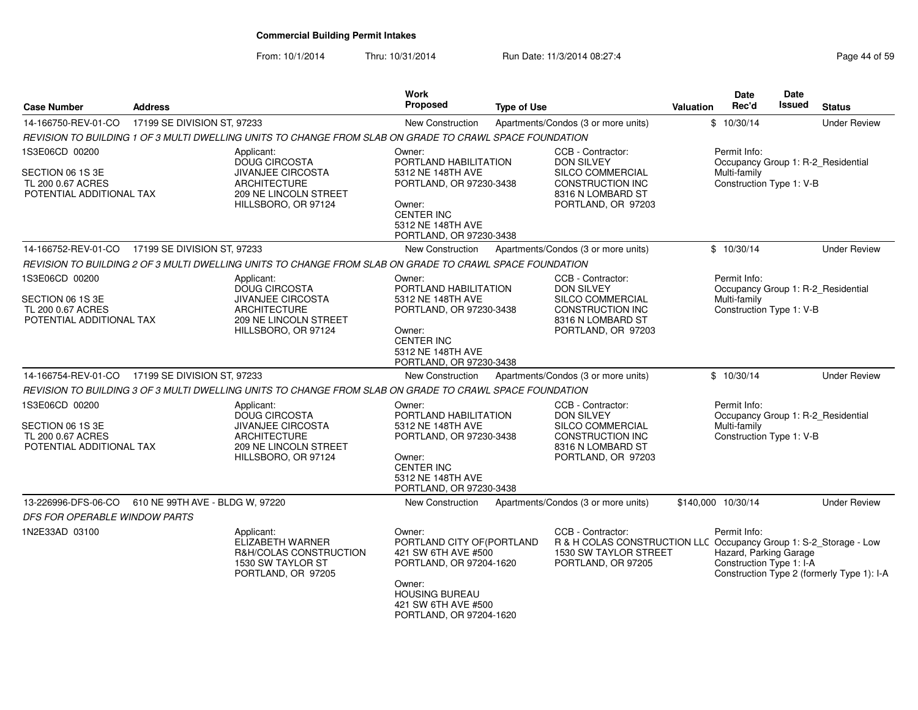| <b>Case Number</b>                                                                  | <b>Address</b>                  |                                                                                                                                              | Work<br>Proposed                                                                                                                                                            | <b>Type of Use</b> |                                                                                                                                              | <b>Valuation</b>   | Date<br>Rec'd                                                      | <b>Date</b><br><b>Issued</b> | <b>Status</b>                              |
|-------------------------------------------------------------------------------------|---------------------------------|----------------------------------------------------------------------------------------------------------------------------------------------|-----------------------------------------------------------------------------------------------------------------------------------------------------------------------------|--------------------|----------------------------------------------------------------------------------------------------------------------------------------------|--------------------|--------------------------------------------------------------------|------------------------------|--------------------------------------------|
| 14-166750-REV-01-CO                                                                 | 17199 SE DIVISION ST, 97233     |                                                                                                                                              | New Construction                                                                                                                                                            |                    | Apartments/Condos (3 or more units)                                                                                                          |                    | \$10/30/14                                                         |                              | <b>Under Review</b>                        |
|                                                                                     |                                 | REVISION TO BUILDING 1 OF 3 MULTI DWELLING UNITS TO CHANGE FROM SLAB ON GRADE TO CRAWL SPACE FOUNDATION                                      |                                                                                                                                                                             |                    |                                                                                                                                              |                    |                                                                    |                              |                                            |
| 1S3E06CD 00200<br>SECTION 06 1S 3E<br>TL 200 0.67 ACRES<br>POTENTIAL ADDITIONAL TAX |                                 | Applicant:<br><b>DOUG CIRCOSTA</b><br><b>JIVANJEE CIRCOSTA</b><br><b>ARCHITECTURE</b><br><b>209 NE LINCOLN STREET</b><br>HILLSBORO, OR 97124 | Owner:<br>PORTLAND HABILITATION<br>5312 NE 148TH AVE<br>PORTLAND, OR 97230-3438<br>Owner:<br><b>CENTER INC</b><br>5312 NE 148TH AVE<br>PORTLAND, OR 97230-3438              |                    | CCB - Contractor:<br><b>DON SILVEY</b><br>SILCO COMMERCIAL<br><b>CONSTRUCTION INC</b><br>8316 N LOMBARD ST<br>PORTLAND, OR 97203             |                    | Permit Info:<br>Multi-family<br>Construction Type 1: V-B           |                              | Occupancy Group 1: R-2_Residential         |
| 14-166752-REV-01-CO 17199 SE DIVISION ST, 97233                                     |                                 |                                                                                                                                              | <b>New Construction</b>                                                                                                                                                     |                    | Apartments/Condos (3 or more units)                                                                                                          |                    | \$10/30/14                                                         |                              | <b>Under Review</b>                        |
|                                                                                     |                                 | REVISION TO BUILDING 2 OF 3 MULTI DWELLING UNITS TO CHANGE FROM SLAB ON GRADE TO CRAWL SPACE FOUNDATION                                      |                                                                                                                                                                             |                    |                                                                                                                                              |                    |                                                                    |                              |                                            |
| 1S3E06CD 00200<br>SECTION 06 1S 3E<br>TL 200 0.67 ACRES<br>POTENTIAL ADDITIONAL TAX |                                 | Applicant:<br><b>DOUG CIRCOSTA</b><br><b>JIVANJEE CIRCOSTA</b><br><b>ARCHITECTURE</b><br>209 NE LINCOLN STREET<br>HILLSBORO, OR 97124        | Owner:<br>PORTLAND HABILITATION<br>5312 NE 148TH AVE<br>PORTLAND, OR 97230-3438<br>Owner:<br><b>CENTER INC</b><br>5312 NE 148TH AVE<br>PORTLAND, OR 97230-3438              |                    | CCB - Contractor:<br>DON SILVEY<br>SILCO COMMERCIAL<br>CONSTRUCTION INC<br>8316 N LOMBARD ST<br>PORTLAND, OR 97203                           |                    | Permit Info:<br>Multi-family<br>Construction Type 1: V-B           |                              | Occupancy Group 1: R-2_Residential         |
| 14-166754-REV-01-CO                                                                 | 17199 SE DIVISION ST, 97233     |                                                                                                                                              | <b>New Construction</b>                                                                                                                                                     |                    | Apartments/Condos (3 or more units)                                                                                                          |                    | \$10/30/14                                                         |                              | <b>Under Review</b>                        |
|                                                                                     |                                 | REVISION TO BUILDING 3 OF 3 MULTI DWELLING UNITS TO CHANGE FROM SLAB ON GRADE TO CRAWL SPACE FOUNDATION                                      |                                                                                                                                                                             |                    |                                                                                                                                              |                    |                                                                    |                              |                                            |
| 1S3E06CD 00200<br>SECTION 06 1S 3E<br>TL 200 0.67 ACRES<br>POTENTIAL ADDITIONAL TAX |                                 | Applicant:<br>DOUG CIRCOSTA<br>JIVANJEE CIRCOSTA<br><b>ARCHITECTURE</b><br><b>209 NE LINCOLN STREET</b><br>HILLSBORO, OR 97124               | Owner:<br>PORTLAND HABILITATION<br>5312 NE 148TH AVE<br>PORTLAND, OR 97230-3438<br>Owner:<br><b>CENTER INC</b><br>5312 NE 148TH AVE<br>PORTLAND, OR 97230-3438              |                    | CCB - Contractor:<br><b>DON SILVEY</b><br>SILCO COMMERCIAL<br><b>CONSTRUCTION INC</b><br>8316 N LOMBARD ST<br>PORTLAND, OR 97203             |                    | Permit Info:<br>Multi-family<br>Construction Type 1: V-B           |                              | Occupancy Group 1: R-2 Residential         |
| 13-226996-DFS-06-CO                                                                 | 610 NE 99TH AVE - BLDG W. 97220 |                                                                                                                                              | <b>New Construction</b>                                                                                                                                                     |                    | Apartments/Condos (3 or more units)                                                                                                          | \$140,000 10/30/14 |                                                                    |                              | <b>Under Review</b>                        |
| <i>DFS FOR OPERABLE WINDOW PARTS</i>                                                |                                 |                                                                                                                                              |                                                                                                                                                                             |                    |                                                                                                                                              |                    |                                                                    |                              |                                            |
| 1N2E33AD 03100                                                                      |                                 | Applicant:<br>ELIZABETH WARNER<br>R&H/COLAS CONSTRUCTION<br>1530 SW TAYLOR ST<br>PORTLAND, OR 97205                                          | Owner:<br>PORTLAND CITY OF (PORTLAND<br>421 SW 6TH AVE #500<br>PORTLAND, OR 97204-1620<br>Owner:<br><b>HOUSING BUREAU</b><br>421 SW 6TH AVE #500<br>PORTLAND, OR 97204-1620 |                    | CCB - Contractor:<br>R & H COLAS CONSTRUCTION LLC Occupancy Group 1: S-2_Storage - Low<br><b>1530 SW TAYLOR STREET</b><br>PORTLAND, OR 97205 |                    | Permit Info:<br>Hazard, Parking Garage<br>Construction Type 1: I-A |                              | Construction Type 2 (formerly Type 1): I-A |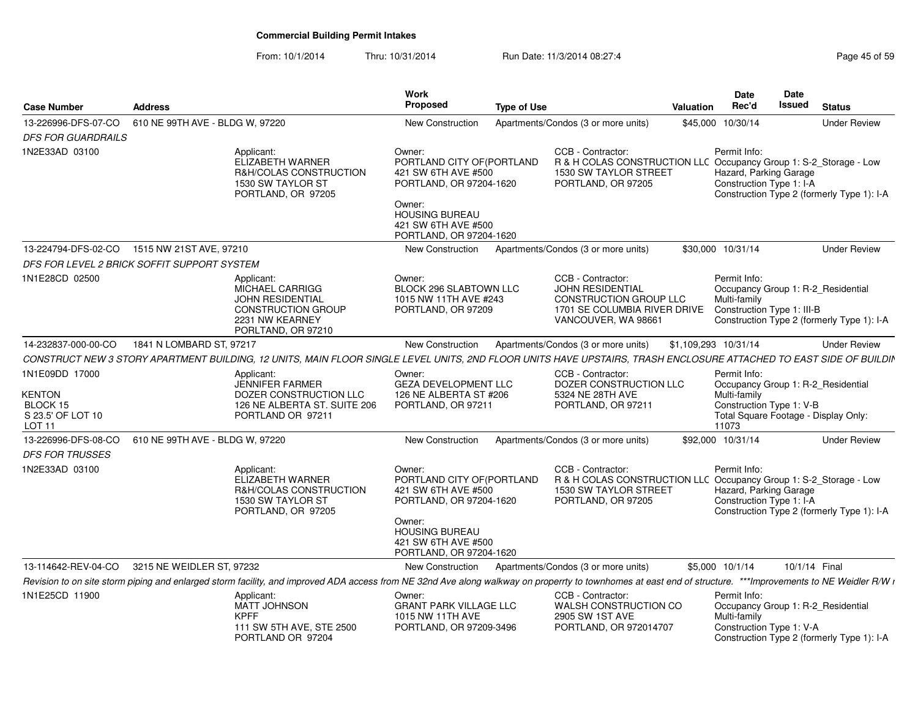|                                                                                |                                 |                                                                                                                                                                                                              | <b>Work</b><br><b>Proposed</b>                                                                                                                                              |                    |                                                                                                                                       |                      | Date                                                                                                                                            | Date<br><b>Issued</b> |                                            |
|--------------------------------------------------------------------------------|---------------------------------|--------------------------------------------------------------------------------------------------------------------------------------------------------------------------------------------------------------|-----------------------------------------------------------------------------------------------------------------------------------------------------------------------------|--------------------|---------------------------------------------------------------------------------------------------------------------------------------|----------------------|-------------------------------------------------------------------------------------------------------------------------------------------------|-----------------------|--------------------------------------------|
| <b>Case Number</b>                                                             | <b>Address</b>                  |                                                                                                                                                                                                              |                                                                                                                                                                             | <b>Type of Use</b> |                                                                                                                                       | Valuation            | Rec'd                                                                                                                                           |                       | <b>Status</b>                              |
| 13-226996-DFS-07-CO                                                            | 610 NE 99TH AVE - BLDG W, 97220 |                                                                                                                                                                                                              | <b>New Construction</b>                                                                                                                                                     |                    | Apartments/Condos (3 or more units)                                                                                                   |                      | \$45,000 10/30/14                                                                                                                               |                       | <b>Under Review</b>                        |
| <b>DFS FOR GUARDRAILS</b>                                                      |                                 |                                                                                                                                                                                                              |                                                                                                                                                                             |                    |                                                                                                                                       |                      |                                                                                                                                                 |                       |                                            |
| 1N2E33AD 03100                                                                 |                                 | Applicant:<br><b>ELIZABETH WARNER</b><br>R&H/COLAS CONSTRUCTION<br>1530 SW TAYLOR ST<br>PORTLAND, OR 97205                                                                                                   | Owner:<br>PORTLAND CITY OF (PORTLAND<br>421 SW 6TH AVE #500<br>PORTLAND, OR 97204-1620<br>Owner:<br><b>HOUSING BUREAU</b><br>421 SW 6TH AVE #500<br>PORTLAND, OR 97204-1620 |                    | CCB - Contractor:<br>R & H COLAS CONSTRUCTION LLC Occupancy Group 1: S-2_Storage - Low<br>1530 SW TAYLOR STREET<br>PORTLAND, OR 97205 |                      | Permit Info:<br>Hazard, Parking Garage<br>Construction Type 1: I-A                                                                              |                       | Construction Type 2 (formerly Type 1): I-A |
| 13-224794-DFS-02-CO                                                            | 1515 NW 21ST AVE, 97210         |                                                                                                                                                                                                              | New Construction                                                                                                                                                            |                    | Apartments/Condos (3 or more units)                                                                                                   |                      | \$30,000 10/31/14                                                                                                                               |                       | <b>Under Review</b>                        |
| DFS FOR LEVEL 2 BRICK SOFFIT SUPPORT SYSTEM                                    |                                 |                                                                                                                                                                                                              |                                                                                                                                                                             |                    |                                                                                                                                       |                      |                                                                                                                                                 |                       |                                            |
| 1N1E28CD 02500                                                                 |                                 | Applicant:<br><b>MICHAEL CARRIGG</b><br><b>JOHN RESIDENTIAL</b><br><b>CONSTRUCTION GROUP</b><br>2231 NW KEARNEY<br>PORLTAND, OR 97210                                                                        | Owner:<br>BLOCK 296 SLABTOWN LLC<br>1015 NW 11TH AVE #243<br>PORTLAND, OR 97209                                                                                             |                    | CCB - Contractor:<br><b>JOHN RESIDENTIAL</b><br>CONSTRUCTION GROUP LLC<br>1701 SE COLUMBIA RIVER DRIVE<br>VANCOUVER, WA 98661         |                      | Permit Info:<br>Occupancy Group 1: R-2_Residential<br>Multi-family<br>Construction Type 1: III-B                                                |                       | Construction Type 2 (formerly Type 1): I-A |
| 14-232837-000-00-CO                                                            | 1841 N LOMBARD ST, 97217        |                                                                                                                                                                                                              | New Construction                                                                                                                                                            |                    | Apartments/Condos (3 or more units)                                                                                                   | \$1,109,293 10/31/14 |                                                                                                                                                 |                       | <b>Under Review</b>                        |
|                                                                                |                                 | CONSTRUCT NEW 3 STORY APARTMENT BUILDING, 12 UNITS, MAIN FLOOR SINGLE LEVEL UNITS, 2ND FLOOR UNITS HAVE UPSTAIRS, TRASH ENCLOSURE ATTACHED TO EAST SIDE OF BUILDIN                                           |                                                                                                                                                                             |                    |                                                                                                                                       |                      |                                                                                                                                                 |                       |                                            |
| 1N1E09DD 17000<br>KENTON<br>BLOCK 15<br>S 23.5' OF LOT 10<br>LOT <sub>11</sub> |                                 | Applicant:<br><b>JENNIFER FARMER</b><br>DOZER CONSTRUCTION LLC<br>126 NE ALBERTA ST. SUITE 206<br>PORTLAND OR 97211                                                                                          | Owner:<br><b>GEZA DEVELOPMENT LLC</b><br>126 NE ALBERTA ST #206<br>PORTLAND, OR 97211                                                                                       |                    | CCB - Contractor:<br>DOZER CONSTRUCTION LLC<br>5324 NE 28TH AVE<br>PORTLAND, OR 97211                                                 |                      | Permit Info:<br>Occupancy Group 1: R-2 Residential<br>Multi-family<br>Construction Type 1: V-B<br>Total Square Footage - Display Only:<br>11073 |                       |                                            |
| 13-226996-DFS-08-CO                                                            | 610 NE 99TH AVE - BLDG W, 97220 |                                                                                                                                                                                                              | New Construction                                                                                                                                                            |                    | Apartments/Condos (3 or more units)                                                                                                   |                      | \$92,000 10/31/14                                                                                                                               |                       | <b>Under Review</b>                        |
| <b>DFS FOR TRUSSES</b>                                                         |                                 |                                                                                                                                                                                                              |                                                                                                                                                                             |                    |                                                                                                                                       |                      |                                                                                                                                                 |                       |                                            |
| 1N2E33AD 03100                                                                 |                                 | Applicant:<br>ELIZABETH WARNER<br>R&H/COLAS CONSTRUCTION<br>1530 SW TAYLOR ST<br>PORTLAND, OR 97205                                                                                                          | Owner:<br>PORTLAND CITY OF (PORTLAND<br>421 SW 6TH AVE #500<br>PORTLAND, OR 97204-1620<br>Owner:<br><b>HOUSING BUREAU</b><br>421 SW 6TH AVE #500<br>PORTLAND, OR 97204-1620 |                    | CCB - Contractor:<br>R & H COLAS CONSTRUCTION LLC Occupancy Group 1: S-2_Storage - Low<br>1530 SW TAYLOR STREET<br>PORTLAND, OR 97205 |                      | Permit Info:<br>Hazard, Parking Garage<br>Construction Type 1: I-A                                                                              |                       | Construction Type 2 (formerly Type 1): I-A |
| 13-114642-REV-04-CO                                                            | 3215 NE WEIDLER ST, 97232       |                                                                                                                                                                                                              | New Construction                                                                                                                                                            |                    | Apartments/Condos (3 or more units)                                                                                                   |                      | \$5,000 10/1/14                                                                                                                                 | 10/1/14 Final         |                                            |
|                                                                                |                                 | Revision to on site storm piping and enlarged storm facility, and improved ADA access from NE 32nd Ave along walkway on properrty to townhomes at east end of structure. ***Improvements to NE Weidler R/W i |                                                                                                                                                                             |                    |                                                                                                                                       |                      |                                                                                                                                                 |                       |                                            |
| 1N1E25CD 11900                                                                 |                                 | Applicant:<br>MATT JOHNSON<br><b>KPFF</b><br>111 SW 5TH AVE, STE 2500<br>PORTLAND OR 97204                                                                                                                   | Owner:<br><b>GRANT PARK VILLAGE LLC</b><br>1015 NW 11TH AVE<br>PORTLAND, OR 97209-3496                                                                                      |                    | CCB - Contractor:<br>WALSH CONSTRUCTION CO<br>2905 SW 1ST AVE<br>PORTLAND, OR 972014707                                               |                      | Permit Info:<br>Occupancy Group 1: R-2_Residential<br>Multi-family<br>Construction Type 1: V-A                                                  |                       | Construction Type 2 (formerly Type 1): I-A |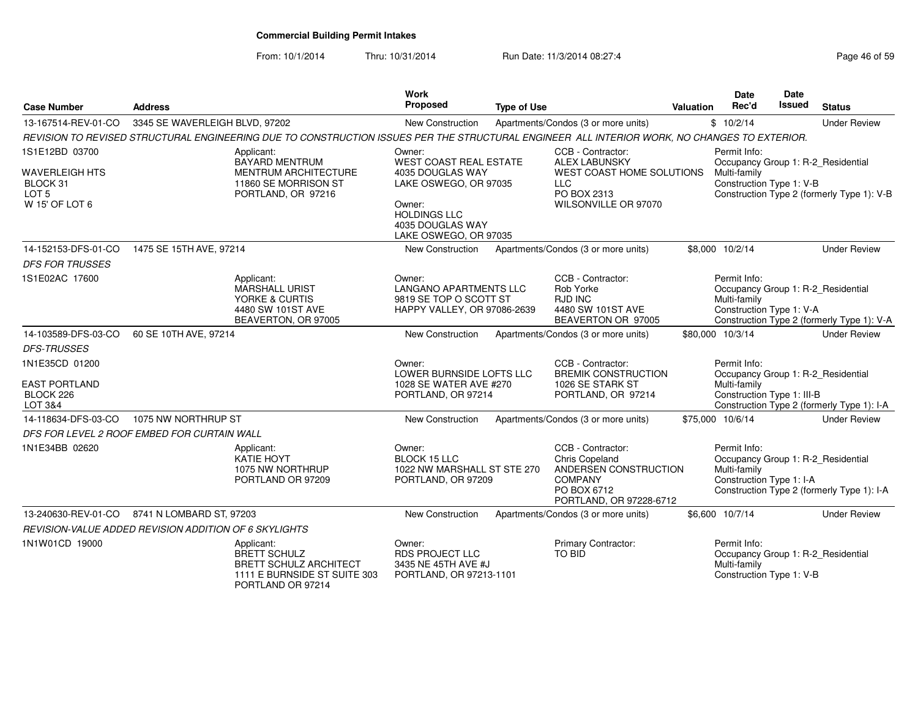| <b>Case Number</b>                                                      | <b>Address</b>                                        |                                                                                                                                              | <b>Work</b><br>Proposed                                                                                               | <b>Type of Use</b> |                                                                                                                             | Valuation | Date<br>Rec'd                                              | Date<br>Issued | <b>Status</b>                                                                    |
|-------------------------------------------------------------------------|-------------------------------------------------------|----------------------------------------------------------------------------------------------------------------------------------------------|-----------------------------------------------------------------------------------------------------------------------|--------------------|-----------------------------------------------------------------------------------------------------------------------------|-----------|------------------------------------------------------------|----------------|----------------------------------------------------------------------------------|
| 13-167514-REV-01-CO                                                     | 3345 SE WAVERLEIGH BLVD, 97202                        |                                                                                                                                              | <b>New Construction</b>                                                                                               |                    | Apartments/Condos (3 or more units)                                                                                         |           | \$10/2/14                                                  |                | <b>Under Review</b>                                                              |
|                                                                         |                                                       | REVISION TO REVISED STRUCTURAL ENGINEERING DUE TO CONSTRUCTION ISSUES PER THE STRUCTURAL ENGINEER ALL INTERIOR WORK, NO CHANGES TO EXTERIOR. |                                                                                                                       |                    |                                                                                                                             |           |                                                            |                |                                                                                  |
| 1S1E12BD 03700<br>WAVERLEIGH HTS<br>BLOCK 31<br>LOT 5<br>W 15' OF LOT 6 |                                                       | Applicant:<br><b>BAYARD MENTRUM</b><br><b>MENTRUM ARCHITECTURE</b><br>11860 SE MORRISON ST<br>PORTLAND, OR 97216                             | Owner:<br><b>WEST COAST REAL ESTATE</b><br>4035 DOUGLAS WAY<br>LAKE OSWEGO, OR 97035<br>Owner:<br><b>HOLDINGS LLC</b> |                    | CCB - Contractor:<br><b>ALEX LABUNSKY</b><br>WEST COAST HOME SOLUTIONS<br><b>LLC</b><br>PO BOX 2313<br>WILSONVILLE OR 97070 |           | Permit Info:<br>Multi-family<br>Construction Type 1: V-B   |                | Occupancy Group 1: R-2_Residential<br>Construction Type 2 (formerly Type 1): V-B |
|                                                                         |                                                       |                                                                                                                                              | 4035 DOUGLAS WAY<br>LAKE OSWEGO, OR 97035                                                                             |                    |                                                                                                                             |           |                                                            |                |                                                                                  |
| 14-152153-DFS-01-CO                                                     | 1475 SE 15TH AVE, 97214                               |                                                                                                                                              | New Construction                                                                                                      |                    | Apartments/Condos (3 or more units)                                                                                         |           | \$8,000 10/2/14                                            |                | <b>Under Review</b>                                                              |
| <b>DFS FOR TRUSSES</b>                                                  |                                                       |                                                                                                                                              |                                                                                                                       |                    |                                                                                                                             |           |                                                            |                |                                                                                  |
| 1S1E02AC 17600                                                          |                                                       | Applicant:<br><b>MARSHALL URIST</b><br>YORKE & CURTIS<br>4480 SW 101ST AVE<br>BEAVERTON, OR 97005                                            | Owner:<br><b>LANGANO APARTMENTS LLC</b><br>9819 SE TOP O SCOTT ST<br>HAPPY VALLEY, OR 97086-2639                      |                    | CCB - Contractor:<br>Rob Yorke<br><b>RJD INC</b><br>4480 SW 101ST AVE<br>BEAVERTON OR 97005                                 |           | Permit Info:<br>Multi-family<br>Construction Type 1: V-A   |                | Occupancy Group 1: R-2_Residential<br>Construction Type 2 (formerly Type 1): V-A |
| 14-103589-DFS-03-CO                                                     | 60 SE 10TH AVE, 97214                                 |                                                                                                                                              | New Construction                                                                                                      |                    | Apartments/Condos (3 or more units)                                                                                         |           | \$80,000 10/3/14                                           |                | <b>Under Review</b>                                                              |
| <b>DFS-TRUSSES</b>                                                      |                                                       |                                                                                                                                              |                                                                                                                       |                    |                                                                                                                             |           |                                                            |                |                                                                                  |
| 1N1E35CD 01200<br><b>EAST PORTLAND</b><br>BLOCK 226<br>LOT 3&4          |                                                       |                                                                                                                                              | Owner:<br>LOWER BURNSIDE LOFTS LLC<br>1028 SE WATER AVE #270<br>PORTLAND, OR 97214                                    |                    | CCB - Contractor:<br><b>BREMIK CONSTRUCTION</b><br>1026 SE STARK ST<br>PORTLAND, OR 97214                                   |           | Permit Info:<br>Multi-family<br>Construction Type 1: III-B |                | Occupancy Group 1: R-2_Residential<br>Construction Type 2 (formerly Type 1): I-A |
| 14-118634-DFS-03-CO                                                     | 1075 NW NORTHRUP ST                                   |                                                                                                                                              | New Construction                                                                                                      |                    | Apartments/Condos (3 or more units)                                                                                         |           | \$75,000 10/6/14                                           |                | <b>Under Review</b>                                                              |
|                                                                         | DFS FOR LEVEL 2 ROOF EMBED FOR CURTAIN WALL           |                                                                                                                                              |                                                                                                                       |                    |                                                                                                                             |           |                                                            |                |                                                                                  |
| 1N1E34BB 02620                                                          |                                                       | Applicant:<br><b>KATIE HOYT</b><br>1075 NW NORTHRUP<br>PORTLAND OR 97209                                                                     | Owner:<br><b>BLOCK 15 LLC</b><br>1022 NW MARSHALL ST STE 270<br>PORTLAND, OR 97209                                    |                    | CCB - Contractor:<br>Chris Copeland<br>ANDERSEN CONSTRUCTION<br><b>COMPANY</b><br>PO BOX 6712<br>PORTLAND, OR 97228-6712    |           | Permit Info:<br>Multi-family<br>Construction Type 1: I-A   |                | Occupancy Group 1: R-2_Residential<br>Construction Type 2 (formerly Type 1): I-A |
| 13-240630-REV-01-CO                                                     | 8741 N LOMBARD ST, 97203                              |                                                                                                                                              | New Construction                                                                                                      |                    | Apartments/Condos (3 or more units)                                                                                         |           | \$6,600 10/7/14                                            |                | <b>Under Review</b>                                                              |
|                                                                         | REVISION-VALUE ADDED REVISION ADDITION OF 6 SKYLIGHTS |                                                                                                                                              |                                                                                                                       |                    |                                                                                                                             |           |                                                            |                |                                                                                  |
| 1N1W01CD 19000                                                          |                                                       | Applicant:<br><b>BRETT SCHULZ</b><br><b>BRETT SCHULZ ARCHITECT</b><br>1111 E BURNSIDE ST SUITE 303<br>PORTLAND OR 97214                      | Owner:<br><b>RDS PROJECT LLC</b><br>3435 NE 45TH AVE #J<br>PORTLAND, OR 97213-1101                                    |                    | Primary Contractor:<br>TO BID                                                                                               |           | Permit Info:<br>Multi-family<br>Construction Type 1: V-B   |                | Occupancy Group 1: R-2_Residential                                               |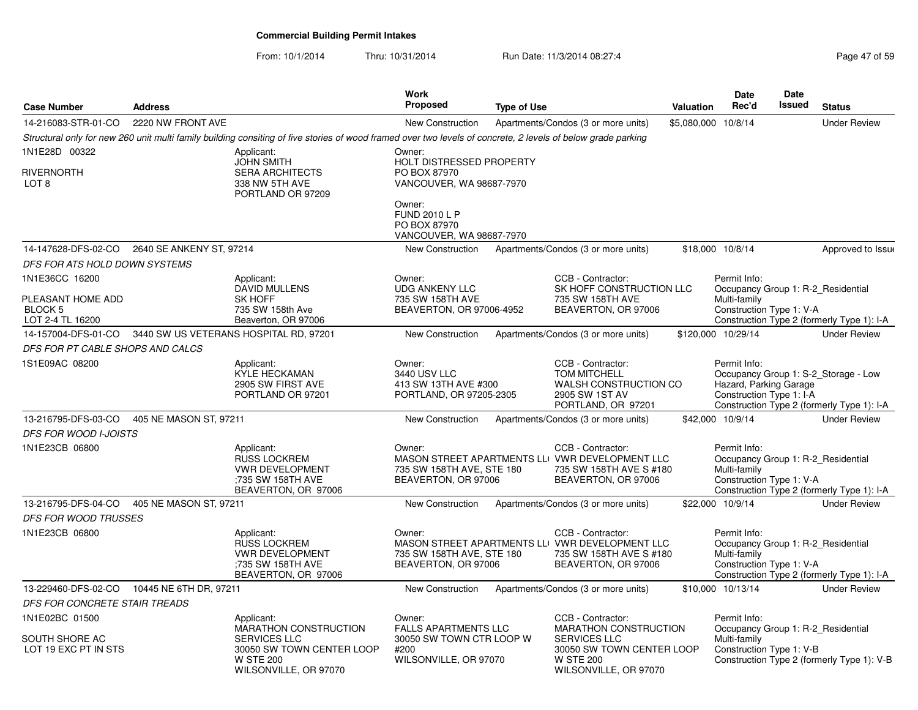From: 10/1/2014

| Page 47 of 59 |  |  |  |  |  |
|---------------|--|--|--|--|--|
|---------------|--|--|--|--|--|

| <b>Case Number</b>                      | <b>Address</b>           |                                                                                                                                                              | Work<br><b>Proposed</b>                                                    | <b>Type of Use</b> |                                                                                                                        | <b>Valuation</b>    | <b>Date</b><br>Rec'd                                               | <b>Date</b><br>Issued | <b>Status</b>                                                                      |
|-----------------------------------------|--------------------------|--------------------------------------------------------------------------------------------------------------------------------------------------------------|----------------------------------------------------------------------------|--------------------|------------------------------------------------------------------------------------------------------------------------|---------------------|--------------------------------------------------------------------|-----------------------|------------------------------------------------------------------------------------|
| 14-216083-STR-01-CO                     | 2220 NW FRONT AVE        |                                                                                                                                                              | New Construction                                                           |                    | Apartments/Condos (3 or more units)                                                                                    | \$5,080,000 10/8/14 |                                                                    |                       | <b>Under Review</b>                                                                |
|                                         |                          | Structural only for new 260 unit multi family building consiting of five stories of wood framed over two levels of concrete, 2 levels of below grade parking |                                                                            |                    |                                                                                                                        |                     |                                                                    |                       |                                                                                    |
| 1N1E28D 00322                           |                          | Applicant:<br><b>JOHN SMITH</b>                                                                                                                              | Owner:<br><b>HOLT DISTRESSED PROPERTY</b>                                  |                    |                                                                                                                        |                     |                                                                    |                       |                                                                                    |
| RIVERNORTH<br>LOT 8                     |                          | <b>SERA ARCHITECTS</b><br>338 NW 5TH AVE<br>PORTLAND OR 97209                                                                                                | PO BOX 87970<br>VANCOUVER, WA 98687-7970                                   |                    |                                                                                                                        |                     |                                                                    |                       |                                                                                    |
|                                         |                          |                                                                                                                                                              | Owner:<br><b>FUND 2010 L P</b><br>PO BOX 87970<br>VANCOUVER, WA 98687-7970 |                    |                                                                                                                        |                     |                                                                    |                       |                                                                                    |
| 14-147628-DFS-02-CO                     | 2640 SE ANKENY ST, 97214 |                                                                                                                                                              | New Construction                                                           |                    | Apartments/Condos (3 or more units)                                                                                    |                     | \$18,000 10/8/14                                                   |                       | Approved to Issue                                                                  |
| DFS FOR ATS HOLD DOWN SYSTEMS           |                          |                                                                                                                                                              |                                                                            |                    |                                                                                                                        |                     |                                                                    |                       |                                                                                    |
| 1N1E36CC 16200                          |                          | Applicant:                                                                                                                                                   | Owner:                                                                     |                    | CCB - Contractor:                                                                                                      |                     | Permit Info:                                                       |                       |                                                                                    |
|                                         |                          | <b>DAVID MULLENS</b><br><b>SK HOFF</b>                                                                                                                       | <b>UDG ANKENY LLC</b><br>735 SW 158TH AVE                                  |                    | SK HOFF CONSTRUCTION LLC                                                                                               |                     |                                                                    |                       | Occupancy Group 1: R-2 Residential                                                 |
| PLEASANT HOME ADD<br>BLOCK <sub>5</sub> |                          | 735 SW 158th Ave                                                                                                                                             | BEAVERTON, OR 97006-4952                                                   |                    | 735 SW 158TH AVE<br>BEAVERTON, OR 97006                                                                                |                     | Multi-family<br>Construction Type 1: V-A                           |                       |                                                                                    |
| LOT 2-4 TL 16200                        |                          | Beaverton, OR 97006                                                                                                                                          |                                                                            |                    |                                                                                                                        |                     |                                                                    |                       | Construction Type 2 (formerly Type 1): I-A                                         |
| 14-157004-DFS-01-CO                     |                          | 3440 SW US VETERANS HOSPITAL RD, 97201                                                                                                                       | New Construction                                                           |                    | Apartments/Condos (3 or more units)                                                                                    |                     | \$120,000 10/29/14                                                 |                       | <b>Under Review</b>                                                                |
| DFS FOR PT CABLE SHOPS AND CALCS        |                          |                                                                                                                                                              |                                                                            |                    |                                                                                                                        |                     |                                                                    |                       |                                                                                    |
| 1S1E09AC 08200                          |                          | Applicant:<br>KYLE HECKAMAN<br>2905 SW FIRST AVE<br>PORTLAND OR 97201                                                                                        | Owner:<br>3440 USV LLC<br>413 SW 13TH AVE #300<br>PORTLAND, OR 97205-2305  |                    | CCB - Contractor:<br><b>TOM MITCHELL</b><br>WALSH CONSTRUCTION CO<br>2905 SW 1ST AV<br>PORTLAND, OR 97201              |                     | Permit Info:<br>Hazard, Parking Garage<br>Construction Type 1: I-A |                       | Occupancy Group 1: S-2_Storage - Low<br>Construction Type 2 (formerly Type 1): I-A |
| 13-216795-DFS-03-CO                     | 405 NE MASON ST, 97211   |                                                                                                                                                              | <b>New Construction</b>                                                    |                    | Apartments/Condos (3 or more units)                                                                                    |                     | \$42,000 10/9/14                                                   |                       | <b>Under Review</b>                                                                |
| <b>DFS FOR WOOD I-JOISTS</b>            |                          |                                                                                                                                                              |                                                                            |                    |                                                                                                                        |                     |                                                                    |                       |                                                                                    |
| 1N1E23CB 06800                          |                          | Applicant:<br><b>RUSS LOCKREM</b><br><b>VWR DEVELOPMENT</b><br>:735 SW 158TH AVE<br>BEAVERTON, OR 97006                                                      | Owner:<br>735 SW 158TH AVE, STE 180<br>BEAVERTON, OR 97006                 |                    | CCB - Contractor:<br>MASON STREET APARTMENTS LLI VWR DEVELOPMENT LLC<br>735 SW 158TH AVE S #180<br>BEAVERTON, OR 97006 |                     | Permit Info:<br>Multi-family<br>Construction Type 1: V-A           |                       | Occupancy Group 1: R-2 Residential<br>Construction Type 2 (formerly Type 1): I-A   |
| 13-216795-DFS-04-CO                     | 405 NE MASON ST, 97211   |                                                                                                                                                              | New Construction                                                           |                    | Apartments/Condos (3 or more units)                                                                                    |                     | \$22,000 10/9/14                                                   |                       | <b>Under Review</b>                                                                |
| <b>DFS FOR WOOD TRUSSES</b>             |                          |                                                                                                                                                              |                                                                            |                    |                                                                                                                        |                     |                                                                    |                       |                                                                                    |
| 1N1E23CB 06800                          |                          | Applicant:<br><b>RUSS LOCKREM</b><br><b>VWR DEVELOPMENT</b><br>:735 SW 158TH AVE<br>BEAVERTON, OR 97006                                                      | Owner:<br>735 SW 158TH AVE, STE 180<br>BEAVERTON, OR 97006                 |                    | CCB - Contractor:<br>MASON STREET APARTMENTS LLI VWR DEVELOPMENT LLC<br>735 SW 158TH AVE S #180<br>BEAVERTON, OR 97006 |                     | Permit Info:<br>Multi-family<br>Construction Type 1: V-A           |                       | Occupancy Group 1: R-2_Residential<br>Construction Type 2 (formerly Type 1): I-A   |
| 13-229460-DFS-02-CO                     | 10445 NE 6TH DR, 97211   |                                                                                                                                                              | <b>New Construction</b>                                                    |                    | Apartments/Condos (3 or more units)                                                                                    |                     | \$10.000 10/13/14                                                  |                       | <b>Under Review</b>                                                                |
| DFS FOR CONCRETE STAIR TREADS           |                          |                                                                                                                                                              |                                                                            |                    |                                                                                                                        |                     |                                                                    |                       |                                                                                    |
| 1N1E02BC 01500                          |                          | Applicant:<br>MARATHON CONSTRUCTION                                                                                                                          | Owner:<br><b>FALLS APARTMENTS LLC</b>                                      |                    | CCB - Contractor:<br><b>MARATHON CONSTRUCTION</b>                                                                      |                     | Permit Info:                                                       |                       | Occupancy Group 1: R-2 Residential                                                 |
| SOUTH SHORE AC<br>LOT 19 EXC PT IN STS  |                          | <b>SERVICES LLC</b><br>30050 SW TOWN CENTER LOOP<br><b>W STE 200</b><br>WILSONVILLE, OR 97070                                                                | 30050 SW TOWN CTR LOOP W<br>#200<br>WILSONVILLE, OR 97070                  |                    | <b>SERVICES LLC</b><br>30050 SW TOWN CENTER LOOP<br><b>W STE 200</b><br>WILSONVILLE, OR 97070                          |                     | Multi-family<br>Construction Type 1: V-B                           |                       | Construction Type 2 (formerly Type 1): V-B                                         |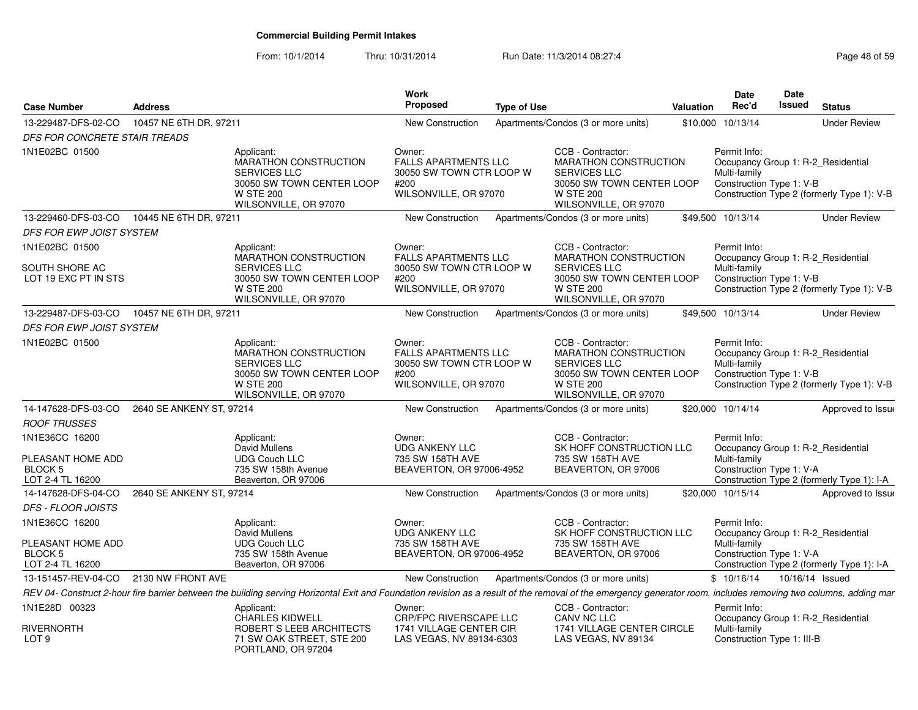|                                                                    |                          |                                                                                                                                                                                                                  | <b>Work</b>                                                                                        |                    |                                                                                                                                             |           | <b>Date</b>                              | Date                       |                                                                                  |
|--------------------------------------------------------------------|--------------------------|------------------------------------------------------------------------------------------------------------------------------------------------------------------------------------------------------------------|----------------------------------------------------------------------------------------------------|--------------------|---------------------------------------------------------------------------------------------------------------------------------------------|-----------|------------------------------------------|----------------------------|----------------------------------------------------------------------------------|
| <b>Case Number</b>                                                 | <b>Address</b>           |                                                                                                                                                                                                                  | Proposed                                                                                           | <b>Type of Use</b> |                                                                                                                                             | Valuation | Rec'd                                    | Issued                     | <b>Status</b>                                                                    |
| 13-229487-DFS-02-CO                                                | 10457 NE 6TH DR, 97211   |                                                                                                                                                                                                                  | <b>New Construction</b>                                                                            |                    | Apartments/Condos (3 or more units)                                                                                                         | \$10,000  | 10/13/14                                 |                            | <b>Under Review</b>                                                              |
| DFS FOR CONCRETE STAIR TREADS                                      |                          |                                                                                                                                                                                                                  |                                                                                                    |                    |                                                                                                                                             |           |                                          |                            |                                                                                  |
| 1N1E02BC 01500                                                     |                          | Applicant:<br>MARATHON CONSTRUCTION<br>SERVICES LLC<br>30050 SW TOWN CENTER LOOP<br><b>W STE 200</b><br>WILSONVILLE, OR 97070                                                                                    | Owner:<br><b>FALLS APARTMENTS LLC</b><br>30050 SW TOWN CTR LOOP W<br>#200<br>WILSONVILLE, OR 97070 |                    | CCB - Contractor:<br>MARATHON CONSTRUCTION<br><b>SERVICES LLC</b><br>30050 SW TOWN CENTER LOOP<br><b>W STE 200</b><br>WILSONVILLE, OR 97070 |           | Permit Info:<br>Multi-family             | Construction Type 1: V-B   | Occupancy Group 1: R-2_Residential<br>Construction Type 2 (formerly Type 1): V-B |
| 13-229460-DFS-03-CO                                                | 10445 NE 6TH DR, 97211   |                                                                                                                                                                                                                  | New Construction                                                                                   |                    | Apartments/Condos (3 or more units)                                                                                                         |           | \$49,500 10/13/14                        |                            | <b>Under Review</b>                                                              |
| DFS FOR EWP JOIST SYSTEM                                           |                          |                                                                                                                                                                                                                  |                                                                                                    |                    |                                                                                                                                             |           |                                          |                            |                                                                                  |
| 1N1E02BC 01500<br>SOUTH SHORE AC<br>LOT 19 EXC PT IN STS           |                          | Applicant:<br><b>MARATHON CONSTRUCTION</b><br><b>SERVICES LLC</b><br>30050 SW TOWN CENTER LOOP                                                                                                                   | Owner:<br><b>FALLS APARTMENTS LLC</b><br>30050 SW TOWN CTR LOOP W<br>#200                          |                    | CCB - Contractor:<br>MARATHON CONSTRUCTION<br><b>SERVICES LLC</b><br>30050 SW TOWN CENTER LOOP                                              |           | Permit Info:<br>Multi-family             | Construction Type 1: V-B   | Occupancy Group 1: R-2 Residential                                               |
|                                                                    |                          | <b>W STE 200</b><br>WILSONVILLE, OR 97070                                                                                                                                                                        | WILSONVILLE, OR 97070                                                                              |                    | <b>W STE 200</b><br>WILSONVILLE, OR 97070                                                                                                   |           |                                          |                            | Construction Type 2 (formerly Type 1): V-B                                       |
| 13-229487-DFS-03-CO                                                | 10457 NE 6TH DR, 97211   |                                                                                                                                                                                                                  | New Construction                                                                                   |                    | Apartments/Condos (3 or more units)                                                                                                         |           | \$49,500 10/13/14                        |                            | <b>Under Review</b>                                                              |
| DFS FOR EWP JOIST SYSTEM                                           |                          |                                                                                                                                                                                                                  |                                                                                                    |                    |                                                                                                                                             |           |                                          |                            |                                                                                  |
| 1N1E02BC 01500                                                     |                          | Applicant:<br>MARATHON CONSTRUCTION<br>SERVICES LLC<br>30050 SW TOWN CENTER LOOP<br><b>W STE 200</b><br>WILSONVILLE, OR 97070                                                                                    | Owner:<br><b>FALLS APARTMENTS LLC</b><br>30050 SW TOWN CTR LOOP W<br>#200<br>WILSONVILLE, OR 97070 |                    | CCB - Contractor:<br>MARATHON CONSTRUCTION<br><b>SERVICES LLC</b><br>30050 SW TOWN CENTER LOOP<br><b>W STE 200</b><br>WILSONVILLE, OR 97070 |           | Permit Info:<br>Multi-family             | Construction Type 1: V-B   | Occupancy Group 1: R-2 Residential<br>Construction Type 2 (formerly Type 1): V-B |
| 14-147628-DFS-03-CO                                                | 2640 SE ANKENY ST, 97214 |                                                                                                                                                                                                                  | New Construction                                                                                   |                    | Apartments/Condos (3 or more units)                                                                                                         |           | \$20,000 10/14/14                        |                            | Approved to Issue                                                                |
| <b>ROOF TRUSSES</b>                                                |                          |                                                                                                                                                                                                                  |                                                                                                    |                    |                                                                                                                                             |           |                                          |                            |                                                                                  |
| 1N1E36CC 16200<br>PLEASANT HOME ADD<br>BLOCK 5<br>LOT 2-4 TL 16200 |                          | Applicant:<br>David Mullens<br><b>UDG Couch LLC</b><br>735 SW 158th Avenue<br>Beaverton, OR 97006                                                                                                                | Owner:<br><b>UDG ANKENY LLC</b><br>735 SW 158TH AVE<br>BEAVERTON, OR 97006-4952                    |                    | CCB - Contractor:<br>SK HOFF CONSTRUCTION LLC<br>735 SW 158TH AVE<br>BEAVERTON, OR 97006                                                    |           | Permit Info:<br>Multi-family             | Construction Type 1: V-A   | Occupancy Group 1: R-2_Residential<br>Construction Type 2 (formerly Type 1): I-A |
| 14-147628-DFS-04-CO                                                | 2640 SE ANKENY ST, 97214 |                                                                                                                                                                                                                  | New Construction                                                                                   |                    | Apartments/Condos (3 or more units)                                                                                                         |           | \$20,000 10/15/14                        |                            | Approved to Issue                                                                |
| DFS - FLOOR JOISTS                                                 |                          |                                                                                                                                                                                                                  |                                                                                                    |                    |                                                                                                                                             |           |                                          |                            |                                                                                  |
| 1N1E36CC 16200                                                     |                          | Applicant:<br>David Mullens                                                                                                                                                                                      | Owner:<br><b>UDG ANKENY LLC</b>                                                                    |                    | CCB - Contractor:<br>SK HOFF CONSTRUCTION LLC                                                                                               |           | Permit Info:                             |                            | Occupancy Group 1: R-2 Residential                                               |
| PLEASANT HOME ADD<br>BLOCK 5<br>LOT 2-4 TL 16200                   |                          | <b>UDG Couch LLC</b><br>735 SW 158th Avenue<br>Beaverton, OR 97006                                                                                                                                               | 735 SW 158TH AVE<br>BEAVERTON, OR 97006-4952                                                       |                    | 735 SW 158TH AVE<br>BEAVERTON, OR 97006                                                                                                     |           | Multi-family<br>Construction Type 1: V-A |                            | Construction Type 2 (formerly Type 1): I-A                                       |
| 13-151457-REV-04-CO                                                | 2130 NW FRONT AVE        |                                                                                                                                                                                                                  | New Construction                                                                                   |                    | Apartments/Condos (3 or more units)                                                                                                         |           | \$10/16/14                               | 10/16/14 Issued            |                                                                                  |
|                                                                    |                          | REV 04- Construct 2-hour fire barrier between the building serving Horizontal Exit and Foundation revision as a result of the removal of the emergency generator room, includes removing two columns, adding mar |                                                                                                    |                    |                                                                                                                                             |           |                                          |                            |                                                                                  |
| 1N1E28D 00323                                                      |                          | Applicant:<br><b>CHARLES KIDWELL</b>                                                                                                                                                                             | Owner:<br><b>CRP/FPC RIVERSCAPE LLC</b>                                                            |                    | CCB - Contractor:<br>CANV NC LLC                                                                                                            |           | Permit Info:                             |                            | Occupancy Group 1: R-2_Residential                                               |
| <b>RIVERNORTH</b><br>LOT <sub>9</sub>                              |                          | ROBERT S LEEB ARCHITECTS<br>71 SW OAK STREET, STE 200<br>PORTLAND, OR 97204                                                                                                                                      | 1741 VILLAGE CENTER CIR<br>LAS VEGAS, NV 89134-6303                                                |                    | 1741 VILLAGE CENTER CIRCLE<br>LAS VEGAS, NV 89134                                                                                           |           | Multi-family                             | Construction Type 1: III-B |                                                                                  |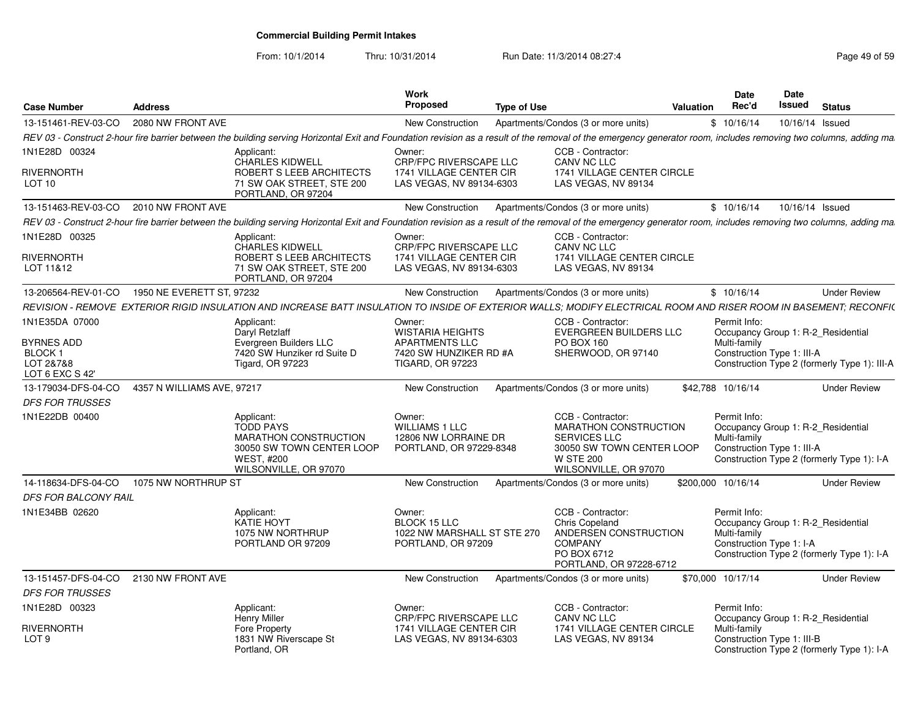From: 10/1/2014

| <b>Case Number</b>                                           | <b>Address</b>                                                                                                                                                                                                    | Work<br><b>Proposed</b>                                                              | <b>Type of Use</b>                                                                                                                          | Valuation | <b>Date</b><br>Rec'd                                       | Date<br>Issued | <b>Status</b>                                                                    |
|--------------------------------------------------------------|-------------------------------------------------------------------------------------------------------------------------------------------------------------------------------------------------------------------|--------------------------------------------------------------------------------------|---------------------------------------------------------------------------------------------------------------------------------------------|-----------|------------------------------------------------------------|----------------|----------------------------------------------------------------------------------|
| 13-151461-REV-03-CO                                          | 2080 NW FRONT AVE                                                                                                                                                                                                 | New Construction                                                                     | Apartments/Condos (3 or more units)                                                                                                         |           | \$10/16/14                                                 |                | 10/16/14 Issued                                                                  |
|                                                              | REV 03 - Construct 2-hour fire barrier between the building serving Horizontal Exit and Foundation revision as a result of the removal of the emergency generator room, includes removing two columns, adding ma  |                                                                                      |                                                                                                                                             |           |                                                            |                |                                                                                  |
| 1N1E28D 00324                                                | Applicant:                                                                                                                                                                                                        | Owner:                                                                               | CCB - Contractor:                                                                                                                           |           |                                                            |                |                                                                                  |
| RIVERNORTH<br>LOT 10                                         | <b>CHARLES KIDWELL</b><br>ROBERT S LEEB ARCHITECTS<br>71 SW OAK STREET, STE 200<br>PORTLAND, OR 97204                                                                                                             | <b>CRP/FPC RIVERSCAPE LLC</b><br>1741 VILLAGE CENTER CIR<br>LAS VEGAS, NV 89134-6303 | CANV NC LLC<br>1741 VILLAGE CENTER CIRCLE<br>LAS VEGAS, NV 89134                                                                            |           |                                                            |                |                                                                                  |
| 13-151463-REV-03-CO                                          | 2010 NW FRONT AVE                                                                                                                                                                                                 | New Construction                                                                     | Apartments/Condos (3 or more units)                                                                                                         |           | \$10/16/14                                                 |                | 10/16/14 Issued                                                                  |
|                                                              | REV 03 - Construct 2-hour fire barrier between the building serving Horizontal Exit and Foundation revision as a result of the removal of the emergency generator room, includes removing two columns, adding ma. |                                                                                      |                                                                                                                                             |           |                                                            |                |                                                                                  |
| 1N1E28D 00325                                                | Applicant:<br><b>CHARLES KIDWELL</b>                                                                                                                                                                              | Owner:<br><b>CRP/FPC RIVERSCAPE LLC</b>                                              | CCB - Contractor:<br>CANV NC LLC                                                                                                            |           |                                                            |                |                                                                                  |
| RIVERNORTH<br>LOT 11&12                                      | ROBERT S LEEB ARCHITECTS<br>71 SW OAK STREET, STE 200<br>PORTLAND, OR 97204                                                                                                                                       | 1741 VILLAGE CENTER CIR<br>LAS VEGAS, NV 89134-6303                                  | 1741 VILLAGE CENTER CIRCLE<br>LAS VEGAS, NV 89134                                                                                           |           |                                                            |                |                                                                                  |
| 13-206564-REV-01-CO                                          | 1950 NE EVERETT ST. 97232                                                                                                                                                                                         | New Construction                                                                     | Apartments/Condos (3 or more units)                                                                                                         |           | \$10/16/14                                                 |                | <b>Under Review</b>                                                              |
|                                                              | REVISION - REMOVE EXTERIOR RIGID INSULATION AND INCREASE BATT INSULATION TO INSIDE OF EXTERIOR WALLS: MODIFY ELECTRICAL ROOM AND RISER ROOM IN BASEMENT: RECONFI(                                                 |                                                                                      |                                                                                                                                             |           |                                                            |                |                                                                                  |
| 1N1E35DA 07000                                               | Applicant:<br>Daryl Retzlaff                                                                                                                                                                                      | Owner:<br><b>WISTARIA HEIGHTS</b>                                                    | CCB - Contractor:<br><b>EVERGREEN BUILDERS LLC</b>                                                                                          |           | Permit Info:                                               |                | Occupancy Group 1: R-2 Residential                                               |
| <b>BYRNES ADD</b><br>BLOCK 1<br>LOT 2&7&8<br>LOT 6 EXC S 42' | Evergreen Builders LLC<br>7420 SW Hunziker rd Suite D<br><b>Tigard, OR 97223</b>                                                                                                                                  | <b>APARTMENTS LLC</b><br>7420 SW HUNZIKER RD #A<br><b>TIGARD, OR 97223</b>           | PO BOX 160<br>SHERWOOD, OR 97140                                                                                                            |           | Multi-family<br>Construction Type 1: III-A                 |                | Construction Type 2 (formerly Type 1): III-A                                     |
| 13-179034-DFS-04-CO                                          | 4357 N WILLIAMS AVE, 97217                                                                                                                                                                                        | New Construction                                                                     | Apartments/Condos (3 or more units)                                                                                                         |           | \$42,788 10/16/14                                          |                | <b>Under Review</b>                                                              |
| <b>DFS FOR TRUSSES</b>                                       |                                                                                                                                                                                                                   |                                                                                      |                                                                                                                                             |           |                                                            |                |                                                                                  |
| 1N1E22DB 00400                                               | Applicant:<br><b>TODD PAYS</b><br>MARATHON CONSTRUCTION<br>30050 SW TOWN CENTER LOOP<br><b>WEST, #200</b><br>WILSONVILLE, OR 97070                                                                                | Owner:<br><b>WILLIAMS 1 LLC</b><br>12806 NW LORRAINE DR<br>PORTLAND, OR 97229-8348   | CCB - Contractor:<br>MARATHON CONSTRUCTION<br><b>SERVICES LLC</b><br>30050 SW TOWN CENTER LOOP<br><b>W STE 200</b><br>WILSONVILLE, OR 97070 |           | Permit Info:<br>Multi-family<br>Construction Type 1: III-A |                | Occupancy Group 1: R-2 Residential<br>Construction Type 2 (formerly Type 1): I-A |
| 14-118634-DFS-04-CO                                          | 1075 NW NORTHRUP ST                                                                                                                                                                                               | New Construction                                                                     | Apartments/Condos (3 or more units)                                                                                                         |           | \$200,000 10/16/14                                         |                | <b>Under Review</b>                                                              |
| DFS FOR BALCONY RAIL                                         |                                                                                                                                                                                                                   |                                                                                      |                                                                                                                                             |           |                                                            |                |                                                                                  |
| 1N1E34BB 02620                                               | Applicant:<br><b>KATIE HOYT</b><br>1075 NW NORTHRUP<br>PORTLAND OR 97209                                                                                                                                          | Owner:<br>BLOCK 15 LLC<br>1022 NW MARSHALL ST STE 270<br>PORTLAND, OR 97209          | CCB - Contractor:<br><b>Chris Copeland</b><br>ANDERSEN CONSTRUCTION<br><b>COMPANY</b><br>PO BOX 6712<br>PORTLAND, OR 97228-6712             |           | Permit Info:<br>Multi-family<br>Construction Type 1: I-A   |                | Occupancy Group 1: R-2 Residential<br>Construction Type 2 (formerly Type 1): I-A |
| 13-151457-DFS-04-CO                                          | 2130 NW FRONT AVE                                                                                                                                                                                                 | New Construction                                                                     | Apartments/Condos (3 or more units)                                                                                                         |           | \$70,000 10/17/14                                          |                | <b>Under Review</b>                                                              |
| <b>DFS FOR TRUSSES</b>                                       |                                                                                                                                                                                                                   |                                                                                      |                                                                                                                                             |           |                                                            |                |                                                                                  |
| 1N1E28D 00323                                                | Applicant:<br><b>Henry Miller</b>                                                                                                                                                                                 | Owner:<br>CRP/FPC RIVERSCAPE LLC                                                     | CCB - Contractor:<br>CANV NC LLC                                                                                                            |           | Permit Info:                                               |                | Occupancy Group 1: R-2 Residential                                               |
| <b>RIVERNORTH</b><br>LOT <sub>9</sub>                        | Fore Property<br>1831 NW Riverscape St<br>Portland, OR                                                                                                                                                            | 1741 VILLAGE CENTER CIR<br>LAS VEGAS, NV 89134-6303                                  | 1741 VILLAGE CENTER CIRCLE<br>LAS VEGAS, NV 89134                                                                                           |           | Multi-family<br>Construction Type 1: III-B                 |                | Construction Type 2 (formerly Type 1): I-A                                       |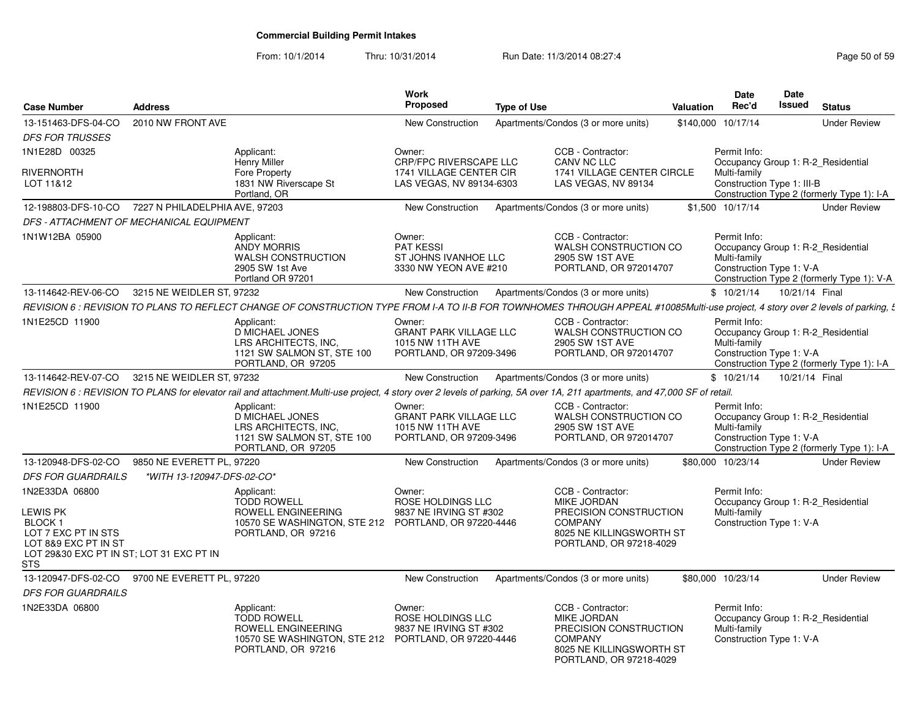| <b>Case Number</b>                                                                                                                      | <b>Address</b>                 |                                                                                                                                      | <b>Work</b><br><b>Proposed</b>                                                         | <b>Type of Use</b>                                                                                                                                                               | <b>Valuation</b> | Date<br>Rec'd                                            | Date<br>Issued | <b>Status</b>                                                                    |
|-----------------------------------------------------------------------------------------------------------------------------------------|--------------------------------|--------------------------------------------------------------------------------------------------------------------------------------|----------------------------------------------------------------------------------------|----------------------------------------------------------------------------------------------------------------------------------------------------------------------------------|------------------|----------------------------------------------------------|----------------|----------------------------------------------------------------------------------|
| 13-151463-DFS-04-CO                                                                                                                     | 2010 NW FRONT AVE              |                                                                                                                                      | <b>New Construction</b>                                                                | Apartments/Condos (3 or more units)                                                                                                                                              | \$140,000        | 10/17/14                                                 |                | <b>Under Review</b>                                                              |
| <b>DFS FOR TRUSSES</b>                                                                                                                  |                                |                                                                                                                                      |                                                                                        |                                                                                                                                                                                  |                  |                                                          |                |                                                                                  |
| 1N1E28D 00325                                                                                                                           |                                | Applicant:<br><b>Henry Miller</b>                                                                                                    | Owner:<br><b>CRP/FPC RIVERSCAPE LLC</b>                                                | CCB - Contractor:<br>CANV NC LLC                                                                                                                                                 |                  | Permit Info:                                             |                | Occupancy Group 1: R-2_Residential                                               |
| <b>RIVERNORTH</b><br>LOT 11&12                                                                                                          |                                | Fore Property<br>1831 NW Riverscape St                                                                                               | 1741 VILLAGE CENTER CIR<br>LAS VEGAS, NV 89134-6303                                    | 1741 VILLAGE CENTER CIRCLE<br>LAS VEGAS, NV 89134                                                                                                                                |                  | Multi-family<br>Construction Type 1: III-B               |                |                                                                                  |
| 12-198803-DFS-10-CO                                                                                                                     | 7227 N PHILADELPHIA AVE, 97203 | Portland, OR                                                                                                                         | New Construction                                                                       | Apartments/Condos (3 or more units)                                                                                                                                              |                  | \$1.500 10/17/14                                         |                | Construction Type 2 (formerly Type 1): I-A<br><b>Under Review</b>                |
| DFS - ATTACHMENT OF MECHANICAL EQUIPMENT                                                                                                |                                |                                                                                                                                      |                                                                                        |                                                                                                                                                                                  |                  |                                                          |                |                                                                                  |
| 1N1W12BA 05900                                                                                                                          |                                | Applicant:                                                                                                                           | Owner:                                                                                 | CCB - Contractor:                                                                                                                                                                |                  | Permit Info:                                             |                |                                                                                  |
|                                                                                                                                         |                                | <b>ANDY MORRIS</b><br><b>WALSH CONSTRUCTION</b><br>2905 SW 1st Ave<br>Portland OR 97201                                              | <b>PAT KESSI</b><br>ST JOHNS IVANHOE LLC<br>3330 NW YEON AVE #210                      | WALSH CONSTRUCTION CO<br>2905 SW 1ST AVE<br>PORTLAND, OR 972014707                                                                                                               |                  | Multi-family<br>Construction Type 1: V-A                 |                | Occupancy Group 1: R-2 Residential<br>Construction Type 2 (formerly Type 1): V-A |
| 13-114642-REV-06-CO                                                                                                                     | 3215 NE WEIDLER ST, 97232      |                                                                                                                                      | New Construction                                                                       | Apartments/Condos (3 or more units)                                                                                                                                              |                  | \$10/21/14                                               | 10/21/14 Final |                                                                                  |
|                                                                                                                                         |                                |                                                                                                                                      |                                                                                        | REVISION 6 : REVISION TO PLANS TO REFLECT CHANGE OF CONSTRUCTION TYPE FROM I-A TO II-B FOR TOWNHOMES THROUGH APPEAL #10085Multi-use project, 4 story over 2 levels of parking, £ |                  |                                                          |                |                                                                                  |
| 1N1E25CD 11900                                                                                                                          |                                | Applicant:<br>D MICHAEL JONES<br>LRS ARCHITECTS. INC.<br>1121 SW SALMON ST, STE 100<br>PORTLAND, OR 97205                            | Owner:<br><b>GRANT PARK VILLAGE LLC</b><br>1015 NW 11TH AVE<br>PORTLAND, OR 97209-3496 | CCB - Contractor:<br>WALSH CONSTRUCTION CO<br>2905 SW 1ST AVE<br>PORTLAND, OR 972014707                                                                                          |                  | Permit Info:<br>Multi-family<br>Construction Type 1: V-A |                | Occupancy Group 1: R-2_Residential<br>Construction Type 2 (formerly Type 1): I-A |
| 13-114642-REV-07-CO                                                                                                                     | 3215 NE WEIDLER ST, 97232      |                                                                                                                                      | New Construction                                                                       | Apartments/Condos (3 or more units)                                                                                                                                              |                  | \$10/21/14                                               | 10/21/14 Final |                                                                                  |
|                                                                                                                                         |                                |                                                                                                                                      |                                                                                        | REVISION 6 : REVISION TO PLANS for elevator rail and attachment.Multi-use project, 4 story over 2 levels of parking, 5A over 1A, 211 apartments, and 47,000 SF of retail.        |                  |                                                          |                |                                                                                  |
| 1N1E25CD 11900                                                                                                                          |                                | Applicant:<br><b>D MICHAEL JONES</b><br>LRS ARCHITECTS, INC.<br>1121 SW SALMON ST, STE 100<br>PORTLAND, OR 97205                     | Owner:<br><b>GRANT PARK VILLAGE LLC</b><br>1015 NW 11TH AVE<br>PORTLAND, OR 97209-3496 | CCB - Contractor:<br>WALSH CONSTRUCTION CO<br>2905 SW 1ST AVE<br>PORTLAND, OR 972014707                                                                                          |                  | Permit Info:<br>Multi-family<br>Construction Type 1: V-A |                | Occupancy Group 1: R-2 Residential<br>Construction Type 2 (formerly Type 1): I-A |
| 13-120948-DFS-02-CO                                                                                                                     | 9850 NE EVERETT PL, 97220      |                                                                                                                                      | New Construction                                                                       | Apartments/Condos (3 or more units)                                                                                                                                              |                  | \$80,000 10/23/14                                        |                | <b>Under Review</b>                                                              |
| <b>DFS FOR GUARDRAILS</b>                                                                                                               | *WITH 13-120947-DFS-02-CO*     |                                                                                                                                      |                                                                                        |                                                                                                                                                                                  |                  |                                                          |                |                                                                                  |
| 1N2E33DA 06800<br>LEWIS PK<br>BLOCK 1<br>LOT 7 EXC PT IN STS<br>LOT 8&9 EXC PT IN ST<br>LOT 29&30 EXC PT IN ST; LOT 31 EXC PT IN<br>STS |                                | Applicant:<br><b>TODD ROWELL</b><br>ROWELL ENGINEERING<br>10570 SE WASHINGTON, STE 212 PORTLAND, OR 97220-4446<br>PORTLAND, OR 97216 | Owner:<br>ROSE HOLDINGS LLC<br>9837 NE IRVING ST #302                                  | CCB - Contractor:<br><b>MIKE JORDAN</b><br>PRECISION CONSTRUCTION<br><b>COMPANY</b><br>8025 NE KILLINGSWORTH ST<br>PORTLAND, OR 97218-4029                                       |                  | Permit Info:<br>Multi-family<br>Construction Type 1: V-A |                | Occupancy Group 1: R-2 Residential                                               |
| 13-120947-DFS-02-CO                                                                                                                     | 9700 NE EVERETT PL, 97220      |                                                                                                                                      | New Construction                                                                       | Apartments/Condos (3 or more units)                                                                                                                                              |                  | \$80.000 10/23/14                                        |                | <b>Under Review</b>                                                              |
| <b>DFS FOR GUARDRAILS</b>                                                                                                               |                                |                                                                                                                                      |                                                                                        |                                                                                                                                                                                  |                  |                                                          |                |                                                                                  |
| 1N2E33DA 06800                                                                                                                          |                                | Applicant:<br><b>TODD ROWELL</b><br>ROWELL ENGINEERING<br>10570 SE WASHINGTON, STE 212 PORTLAND, OR 97220-4446<br>PORTLAND, OR 97216 | Owner:<br>ROSE HOLDINGS LLC<br>9837 NE IRVING ST #302                                  | CCB - Contractor:<br><b>MIKE JORDAN</b><br>PRECISION CONSTRUCTION<br><b>COMPANY</b><br>8025 NE KILLINGSWORTH ST<br>PORTLAND, OR 97218-4029                                       |                  | Permit Info:<br>Multi-family<br>Construction Type 1: V-A |                | Occupancy Group 1: R-2 Residential                                               |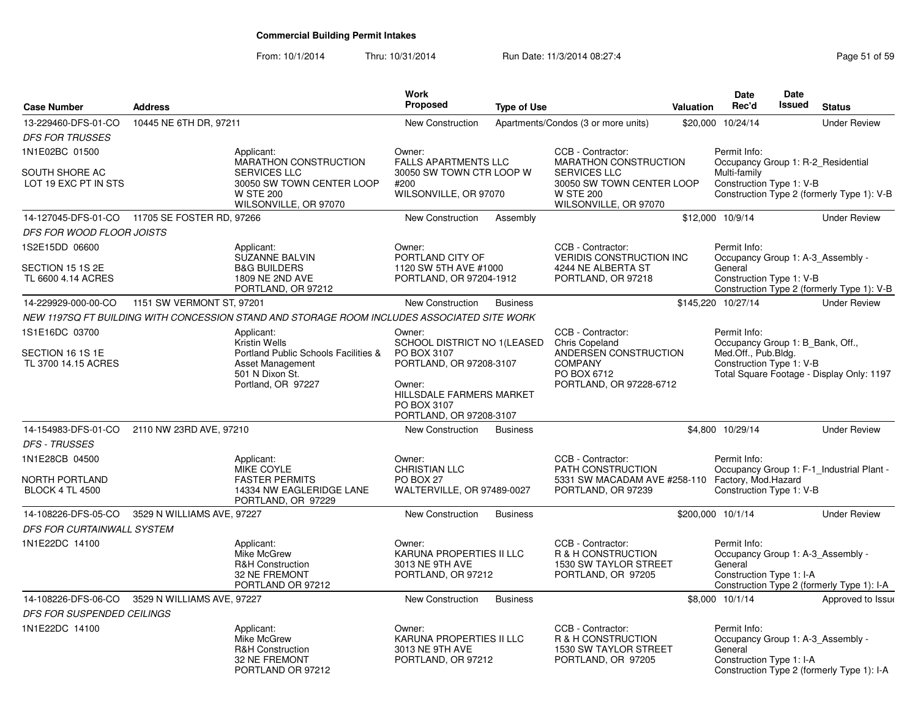| <b>Case Number</b>                            | <b>Address</b>             |                                                                                                       | <b>Work</b><br><b>Proposed</b>                                                           | <b>Type of Use</b> |                                                                                                   | <b>Valuation</b> | Date<br>Rec'd                                                                            | <b>Date</b><br><b>Issued</b> | <b>Status</b>                              |
|-----------------------------------------------|----------------------------|-------------------------------------------------------------------------------------------------------|------------------------------------------------------------------------------------------|--------------------|---------------------------------------------------------------------------------------------------|------------------|------------------------------------------------------------------------------------------|------------------------------|--------------------------------------------|
| 13-229460-DFS-01-CO                           | 10445 NE 6TH DR, 97211     |                                                                                                       | <b>New Construction</b>                                                                  |                    | Apartments/Condos (3 or more units)                                                               |                  | \$20,000 10/24/14                                                                        |                              | <b>Under Review</b>                        |
| <b>DFS FOR TRUSSES</b>                        |                            |                                                                                                       |                                                                                          |                    |                                                                                                   |                  |                                                                                          |                              |                                            |
| 1N1E02BC 01500                                |                            | Applicant:<br>MARATHON CONSTRUCTION                                                                   | Owner:                                                                                   |                    | CCB - Contractor:<br>MARATHON CONSTRUCTION                                                        |                  | Permit Info:                                                                             |                              |                                            |
| SOUTH SHORE AC<br>LOT 19 EXC PT IN STS        |                            | <b>SERVICES LLC</b><br>30050 SW TOWN CENTER LOOP<br><b>W STE 200</b><br>WILSONVILLE, OR 97070         | <b>FALLS APARTMENTS LLC</b><br>30050 SW TOWN CTR LOOP W<br>#200<br>WILSONVILLE, OR 97070 |                    | <b>SERVICES LLC</b><br>30050 SW TOWN CENTER LOOP<br><b>W STE 200</b><br>WILSONVILLE, OR 97070     |                  | Occupancy Group 1: R-2 Residential<br>Multi-family<br>Construction Type 1: V-B           |                              | Construction Type 2 (formerly Type 1): V-B |
| 14-127045-DFS-01-CO 11705 SE FOSTER RD, 97266 |                            |                                                                                                       | New Construction                                                                         | Assembly           |                                                                                                   |                  | \$12,000 10/9/14                                                                         |                              | <b>Under Review</b>                        |
| DFS FOR WOOD FLOOR JOISTS                     |                            |                                                                                                       |                                                                                          |                    |                                                                                                   |                  |                                                                                          |                              |                                            |
| 1S2E15DD 06600                                |                            | Applicant:<br><b>SUZANNE BALVIN</b>                                                                   | Owner:<br>PORTLAND CITY OF                                                               |                    | CCB - Contractor:<br><b>VERIDIS CONSTRUCTION INC.</b>                                             |                  | Permit Info:<br>Occupancy Group 1: A-3_Assembly -                                        |                              |                                            |
| SECTION 15 1S 2E<br>TL 6600 4.14 ACRES        |                            | <b>B&amp;G BUILDERS</b><br>1809 NE 2ND AVE<br>PORTLAND, OR 97212                                      | 1120 SW 5TH AVE #1000<br>PORTLAND, OR 97204-1912                                         |                    | 4244 NE ALBERTA ST<br>PORTLAND, OR 97218                                                          |                  | General<br>Construction Type 1: V-B                                                      |                              | Construction Type 2 (formerly Type 1): V-B |
| 14-229929-000-00-CO                           | 1151 SW VERMONT ST, 97201  |                                                                                                       | New Construction                                                                         | <b>Business</b>    |                                                                                                   |                  | \$145,220 10/27/14                                                                       |                              | <b>Under Review</b>                        |
|                                               |                            | NEW 1197SQ FT BUILDING WITH CONCESSION STAND AND STORAGE ROOM INCLUDES ASSOCIATED SITE WORK           |                                                                                          |                    |                                                                                                   |                  |                                                                                          |                              |                                            |
| 1S1E16DC 03700                                |                            | Applicant:<br><b>Kristin Wells</b>                                                                    | Owner:<br>SCHOOL DISTRICT NO 1 (LEASED                                                   |                    | CCB - Contractor:<br><b>Chris Copeland</b>                                                        |                  | Permit Info:<br>Occupancy Group 1: B_Bank, Off.,                                         |                              |                                            |
| SECTION 16 1S 1E<br>TL 3700 14.15 ACRES       |                            | Portland Public Schools Facilities &<br>Asset Management<br>501 N Dixon St.                           | PO BOX 3107<br>PORTLAND, OR 97208-3107                                                   |                    | ANDERSEN CONSTRUCTION<br><b>COMPANY</b><br>PO BOX 6712                                            |                  | Med.Off., Pub.Bldg.<br>Construction Type 1: V-B                                          |                              | Total Square Footage - Display Only: 1197  |
|                                               |                            | Portland, OR 97227                                                                                    | Owner:<br><b>HILLSDALE FARMERS MARKET</b><br>PO BOX 3107<br>PORTLAND, OR 97208-3107      |                    | PORTLAND, OR 97228-6712                                                                           |                  |                                                                                          |                              |                                            |
| 14-154983-DFS-01-CO                           | 2110 NW 23RD AVE, 97210    |                                                                                                       | New Construction                                                                         | <b>Business</b>    |                                                                                                   |                  | \$4,800 10/29/14                                                                         |                              | <b>Under Review</b>                        |
| <b>DFS - TRUSSES</b>                          |                            |                                                                                                       |                                                                                          |                    |                                                                                                   |                  |                                                                                          |                              |                                            |
| 1N1E28CB 04500                                |                            | Applicant:<br><b>MIKE COYLE</b>                                                                       | Owner:<br><b>CHRISTIAN LLC</b>                                                           |                    | CCB - Contractor:<br>PATH CONSTRUCTION                                                            |                  | Permit Info:                                                                             |                              | Occupancy Group 1: F-1_Industrial Plant -  |
| NORTH PORTLAND<br><b>BLOCK 4 TL 4500</b>      |                            | <b>FASTER PERMITS</b><br>14334 NW EAGLERIDGE LANE<br>PORTLAND, OR 97229                               | PO BOX 27<br>WALTERVILLE, OR 97489-0027                                                  |                    | 5331 SW MACADAM AVE #258-110 Factory, Mod.Hazard<br>PORTLAND, OR 97239                            |                  | Construction Type 1: V-B                                                                 |                              |                                            |
| 14-108226-DFS-05-CO                           | 3529 N WILLIAMS AVE, 97227 |                                                                                                       | <b>New Construction</b>                                                                  | <b>Business</b>    |                                                                                                   |                  | \$200,000 10/1/14                                                                        |                              | <b>Under Review</b>                        |
| DFS FOR CURTAINWALL SYSTEM                    |                            |                                                                                                       |                                                                                          |                    |                                                                                                   |                  |                                                                                          |                              |                                            |
| 1N1E22DC 14100                                |                            | Applicant:<br><b>Mike McGrew</b><br><b>R&amp;H Construction</b><br>32 NE FREMONT<br>PORTLAND OR 97212 | Owner:<br><b>KARUNA PROPERTIES II LLC</b><br>3013 NE 9TH AVE<br>PORTLAND, OR 97212       |                    | CCB - Contractor:<br><b>R &amp; H CONSTRUCTION</b><br>1530 SW TAYLOR STREET<br>PORTLAND, OR 97205 |                  | Permit Info:<br>Occupancy Group 1: A-3_Assembly -<br>General<br>Construction Type 1: I-A |                              | Construction Type 2 (formerly Type 1): I-A |
| 14-108226-DFS-06-CO                           | 3529 N WILLIAMS AVE, 97227 |                                                                                                       | New Construction                                                                         | <b>Business</b>    |                                                                                                   |                  | \$8,000 10/1/14                                                                          |                              | Approved to Issue                          |
| DFS FOR SUSPENDED CEILINGS                    |                            |                                                                                                       |                                                                                          |                    |                                                                                                   |                  |                                                                                          |                              |                                            |
| 1N1E22DC 14100                                |                            | Applicant:<br><b>Mike McGrew</b><br><b>R&amp;H Construction</b><br>32 NE FREMONT<br>PORTLAND OR 97212 | Owner:<br>KARUNA PROPERTIES II LLC<br>3013 NE 9TH AVE<br>PORTLAND, OR 97212              |                    | CCB - Contractor:<br>R & H CONSTRUCTION<br>1530 SW TAYLOR STREET<br>PORTLAND, OR 97205            |                  | Permit Info:<br>Occupancy Group 1: A-3_Assembly -<br>General<br>Construction Type 1: I-A |                              | Construction Type 2 (formerly Type 1): I-A |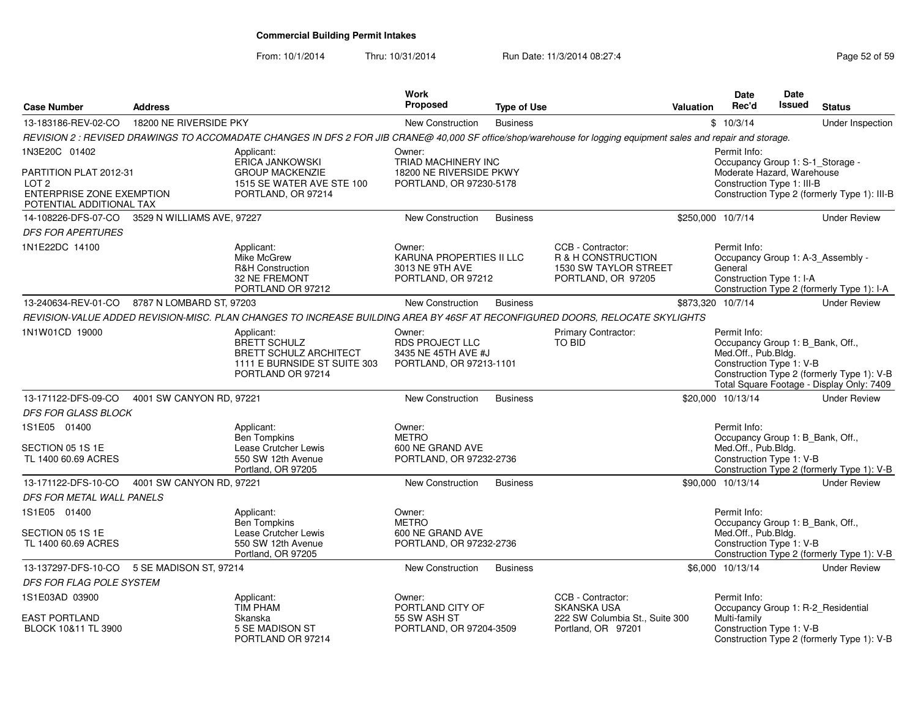From: 10/1/2014

| <b>Case Number</b>                                                                                  | <b>Address</b>             |                                                                                                                                                                 | Work<br><b>Proposed</b>                                                            | <b>Type of Use</b> |                                                                                        | <b>Valuation</b> | Date<br>Rec'd                                                                                       | Date<br>Issued | <b>Status</b>                                                                           |
|-----------------------------------------------------------------------------------------------------|----------------------------|-----------------------------------------------------------------------------------------------------------------------------------------------------------------|------------------------------------------------------------------------------------|--------------------|----------------------------------------------------------------------------------------|------------------|-----------------------------------------------------------------------------------------------------|----------------|-----------------------------------------------------------------------------------------|
| 13-183186-REV-02-CO                                                                                 | 18200 NE RIVERSIDE PKY     |                                                                                                                                                                 | New Construction                                                                   | <b>Business</b>    |                                                                                        |                  | \$10/3/14                                                                                           |                | Under Inspection                                                                        |
|                                                                                                     |                            | REVISION 2 : REVISED DRAWINGS TO ACCOMADATE CHANGES IN DFS 2 FOR JIB CRANE@ 40,000 SF office/shop/warehouse for logging equipment sales and repair and storage. |                                                                                    |                    |                                                                                        |                  |                                                                                                     |                |                                                                                         |
| 1N3E20C 01402                                                                                       |                            | Applicant:                                                                                                                                                      | Owner:                                                                             |                    |                                                                                        |                  | Permit Info:                                                                                        |                |                                                                                         |
| PARTITION PLAT 2012-31<br>LOT <sub>2</sub><br>ENTERPRISE ZONE EXEMPTION<br>POTENTIAL ADDITIONAL TAX |                            | ERICA JANKOWSKI<br><b>GROUP MACKENZIE</b><br>1515 SE WATER AVE STE 100<br>PORTLAND, OR 97214                                                                    | TRIAD MACHINERY INC<br>18200 NE RIVERSIDE PKWY<br>PORTLAND, OR 97230-5178          |                    |                                                                                        |                  | Occupancy Group 1: S-1_Storage -<br>Moderate Hazard, Warehouse<br>Construction Type 1: III-B        |                | Construction Type 2 (formerly Type 1): III-B                                            |
| 14-108226-DFS-07-CO                                                                                 | 3529 N WILLIAMS AVE, 97227 |                                                                                                                                                                 | New Construction                                                                   | <b>Business</b>    |                                                                                        |                  | \$250,000 10/7/14                                                                                   |                | <b>Under Review</b>                                                                     |
| <b>DFS FOR APERTURES</b>                                                                            |                            |                                                                                                                                                                 |                                                                                    |                    |                                                                                        |                  |                                                                                                     |                |                                                                                         |
| 1N1E22DC 14100                                                                                      |                            | Applicant:<br>Mike McGrew<br><b>R&amp;H Construction</b><br>32 NE FREMONT<br>PORTLAND OR 97212                                                                  | Owner:<br>KARUNA PROPERTIES II LLC<br>3013 NE 9TH AVE<br>PORTLAND, OR 97212        |                    | CCB - Contractor:<br>R & H CONSTRUCTION<br>1530 SW TAYLOR STREET<br>PORTLAND, OR 97205 |                  | Permit Info:<br>Occupancy Group 1: A-3_Assembly -<br>General<br>Construction Type 1: I-A            |                | Construction Type 2 (formerly Type 1): I-A                                              |
| 13-240634-REV-01-CO 8787 N LOMBARD ST, 97203                                                        |                            |                                                                                                                                                                 | New Construction                                                                   | <b>Business</b>    |                                                                                        |                  | \$873,320 10/7/14                                                                                   |                | <b>Under Review</b>                                                                     |
|                                                                                                     |                            | REVISION-VALUE ADDED REVISION-MISC. PLAN CHANGES TO INCREASE BUILDING AREA BY 46SF AT RECONFIGURED DOORS, RELOCATE SKYLIGHTS                                    |                                                                                    |                    |                                                                                        |                  |                                                                                                     |                |                                                                                         |
| 1N1W01CD 19000                                                                                      |                            | Applicant:<br>BRETT SCHULZ<br><b>BRETT SCHULZ ARCHITECT</b><br>1111 E BURNSIDE ST SUITE 303<br>PORTLAND OR 97214                                                | Owner:<br><b>RDS PROJECT LLC</b><br>3435 NE 45TH AVE #J<br>PORTLAND, OR 97213-1101 |                    | Primary Contractor:<br><b>TO BID</b>                                                   |                  | Permit Info:<br>Occupancy Group 1: B_Bank, Off.,<br>Med.Off., Pub.Bldg.<br>Construction Type 1: V-B |                | Construction Type 2 (formerly Type 1): V-B<br>Total Square Footage - Display Only: 7409 |
| 13-171122-DFS-09-CO                                                                                 | 4001 SW CANYON RD, 97221   |                                                                                                                                                                 | <b>New Construction</b>                                                            | <b>Business</b>    |                                                                                        |                  | \$20,000 10/13/14                                                                                   |                | <b>Under Review</b>                                                                     |
| DFS FOR GLASS BLOCK                                                                                 |                            |                                                                                                                                                                 |                                                                                    |                    |                                                                                        |                  |                                                                                                     |                |                                                                                         |
| 1S1E05 01400<br>SECTION 05 1S 1E<br>TL 1400 60.69 ACRES                                             |                            | Applicant:<br><b>Ben Tompkins</b><br>Lease Crutcher Lewis<br>550 SW 12th Avenue<br>Portland, OR 97205                                                           | Owner:<br><b>METRO</b><br>600 NE GRAND AVE<br>PORTLAND, OR 97232-2736              |                    |                                                                                        |                  | Permit Info:<br>Occupancy Group 1: B_Bank, Off.,<br>Med.Off., Pub.Bldg.<br>Construction Type 1: V-B |                | Construction Type 2 (formerly Type 1): V-B                                              |
| 13-171122-DFS-10-CO                                                                                 | 4001 SW CANYON RD, 97221   |                                                                                                                                                                 | <b>New Construction</b>                                                            | <b>Business</b>    |                                                                                        |                  | \$90.000 10/13/14                                                                                   |                | <b>Under Review</b>                                                                     |
| DFS FOR METAL WALL PANELS                                                                           |                            |                                                                                                                                                                 |                                                                                    |                    |                                                                                        |                  |                                                                                                     |                |                                                                                         |
| 1S1E05 01400<br>SECTION 05 1S 1E<br>TL 1400 60.69 ACRES                                             |                            | Applicant:<br><b>Ben Tompkins</b><br>Lease Crutcher Lewis<br>550 SW 12th Avenue<br>Portland, OR 97205                                                           | Owner:<br><b>METRO</b><br>600 NE GRAND AVE<br>PORTLAND, OR 97232-2736              |                    |                                                                                        |                  | Permit Info:<br>Occupancy Group 1: B_Bank, Off.,<br>Med.Off., Pub.Bldg.<br>Construction Type 1: V-B |                | Construction Type 2 (formerly Type 1): V-B                                              |
| 13-137297-DFS-10-CO                                                                                 | 5 SE MADISON ST, 97214     |                                                                                                                                                                 | New Construction                                                                   | <b>Business</b>    |                                                                                        |                  | \$6,000 10/13/14                                                                                    |                | <b>Under Review</b>                                                                     |
| DFS FOR FLAG POLE SYSTEM                                                                            |                            |                                                                                                                                                                 |                                                                                    |                    |                                                                                        |                  |                                                                                                     |                |                                                                                         |
| 1S1E03AD 03900                                                                                      |                            | Applicant:<br><b>TIM PHAM</b>                                                                                                                                   | Owner:<br>PORTLAND CITY OF                                                         |                    | CCB - Contractor:<br><b>SKANSKA USA</b>                                                |                  | Permit Info:<br>Occupancy Group 1: R-2_Residential                                                  |                |                                                                                         |
| <b>EAST PORTLAND</b><br>BLOCK 10&11 TL 3900                                                         |                            | Skanska<br>5 SE MADISON ST<br>PORTLAND OR 97214                                                                                                                 | 55 SW ASH ST<br>PORTLAND, OR 97204-3509                                            |                    | 222 SW Columbia St., Suite 300<br>Portland, OR 97201                                   |                  | Multi-family<br>Construction Type 1: V-B                                                            |                | Construction Type 2 (formerly Type 1): V-B                                              |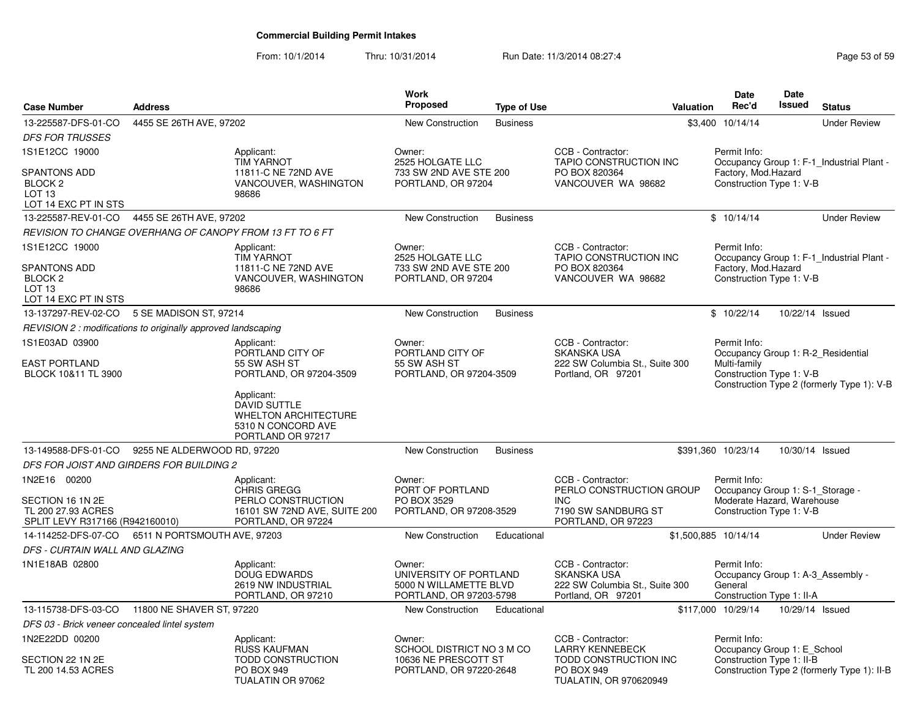| <b>Case Number</b>                                                                                       | <b>Address</b>               |                                                                                                             | Work<br>Proposed                                                                      | <b>Type of Use</b> | Valuation                                                                                                | Date<br>Rec'd                                                                                              | <b>Date</b><br><b>Issued</b> | <b>Status</b>                               |
|----------------------------------------------------------------------------------------------------------|------------------------------|-------------------------------------------------------------------------------------------------------------|---------------------------------------------------------------------------------------|--------------------|----------------------------------------------------------------------------------------------------------|------------------------------------------------------------------------------------------------------------|------------------------------|---------------------------------------------|
| 13-225587-DFS-01-CO                                                                                      | 4455 SE 26TH AVE, 97202      |                                                                                                             | New Construction                                                                      | <b>Business</b>    |                                                                                                          | \$3,400 10/14/14                                                                                           |                              | <b>Under Review</b>                         |
| <b>DFS FOR TRUSSES</b>                                                                                   |                              |                                                                                                             |                                                                                       |                    |                                                                                                          |                                                                                                            |                              |                                             |
| 1S1E12CC 19000                                                                                           |                              | Applicant:<br><b>TIM YARNOT</b>                                                                             | Owner:<br>2525 HOLGATE LLC                                                            |                    | CCB - Contractor:<br>TAPIO CONSTRUCTION INC                                                              | Permit Info:                                                                                               |                              | Occupancy Group 1: F-1 Industrial Plant -   |
| <b>SPANTONS ADD</b><br>BLOCK <sub>2</sub><br>LOT <sub>13</sub><br>LOT 14 EXC PT IN STS                   |                              | 11811-C NE 72ND AVE<br>VANCOUVER, WASHINGTON<br>98686                                                       | 733 SW 2ND AVE STE 200<br>PORTLAND, OR 97204                                          |                    | PO BOX 820364<br>VANCOUVER WA 98682                                                                      | Factory, Mod.Hazard<br>Construction Type 1: V-B                                                            |                              |                                             |
| 13-225587-REV-01-CO                                                                                      | 4455 SE 26TH AVE, 97202      |                                                                                                             | <b>New Construction</b>                                                               | <b>Business</b>    |                                                                                                          | \$10/14/14                                                                                                 |                              | <b>Under Review</b>                         |
|                                                                                                          |                              | REVISION TO CHANGE OVERHANG OF CANOPY FROM 13 FT TO 6 FT                                                    |                                                                                       |                    |                                                                                                          |                                                                                                            |                              |                                             |
| 1S1E12CC 19000<br><b>SPANTONS ADD</b><br>BLOCK <sub>2</sub><br>LOT <sub>13</sub><br>LOT 14 EXC PT IN STS |                              | Applicant:<br><b>TIM YARNOT</b><br>11811-C NE 72ND AVE<br>VANCOUVER, WASHINGTON<br>98686                    | Owner:<br>2525 HOLGATE LLC<br>733 SW 2ND AVE STE 200<br>PORTLAND, OR 97204            |                    | CCB - Contractor:<br>TAPIO CONSTRUCTION INC<br>PO BOX 820364<br>VANCOUVER WA 98682                       | Permit Info:<br>Factory, Mod.Hazard<br>Construction Type 1: V-B                                            |                              | Occupancy Group 1: F-1 Industrial Plant -   |
| 13-137297-REV-02-CO                                                                                      | 5 SE MADISON ST, 97214       |                                                                                                             | <b>New Construction</b>                                                               | <b>Business</b>    |                                                                                                          | \$10/22/14                                                                                                 | 10/22/14 Issued              |                                             |
| REVISION 2 : modifications to originally approved landscaping                                            |                              |                                                                                                             |                                                                                       |                    |                                                                                                          |                                                                                                            |                              |                                             |
| 1S1E03AD 03900                                                                                           |                              | Applicant:<br>PORTLAND CITY OF                                                                              | Owner:<br>PORTLAND CITY OF                                                            |                    | CCB - Contractor:<br>SKANSKA USA                                                                         | Permit Info:                                                                                               |                              | Occupancy Group 1: R-2_Residential          |
| <b>EAST PORTLAND</b><br>BLOCK 10&11 TL 3900                                                              |                              | 55 SW ASH ST<br>PORTLAND, OR 97204-3509                                                                     | 55 SW ASH ST<br>PORTLAND, OR 97204-3509                                               |                    | 222 SW Columbia St., Suite 300<br>Portland, OR 97201                                                     | Multi-family<br>Construction Type 1: V-B                                                                   |                              | Construction Type 2 (formerly Type 1): V-B  |
|                                                                                                          |                              | Applicant:<br><b>DAVID SUTTLE</b><br><b>WHELTON ARCHITECTURE</b><br>5310 N CONCORD AVE<br>PORTLAND OR 97217 |                                                                                       |                    |                                                                                                          |                                                                                                            |                              |                                             |
| 13-149588-DFS-01-CO                                                                                      | 9255 NE ALDERWOOD RD, 97220  |                                                                                                             | New Construction                                                                      | <b>Business</b>    |                                                                                                          | \$391,360 10/23/14                                                                                         |                              | 10/30/14 Issued                             |
| DFS FOR JOIST AND GIRDERS FOR BUILDING 2                                                                 |                              |                                                                                                             |                                                                                       |                    |                                                                                                          |                                                                                                            |                              |                                             |
| 1N2E16 00200<br>SECTION 16 1N 2E<br>TL 200 27.93 ACRES<br>SPLIT LEVY R317166 (R942160010)                |                              | Applicant:<br>CHRIS GREGG<br>PERLO CONSTRUCTION<br>16101 SW 72ND AVE, SUITE 200<br>PORTLAND, OR 97224       | Owner:<br>PORT OF PORTLAND<br>PO BOX 3529<br>PORTLAND, OR 97208-3529                  |                    | CCB - Contractor:<br>PERLO CONSTRUCTION GROUP<br><b>INC</b><br>7190 SW SANDBURG ST<br>PORTLAND, OR 97223 | Permit Info:<br>Occupancy Group 1: S-1_Storage -<br>Moderate Hazard, Warehouse<br>Construction Type 1: V-B |                              |                                             |
| 14-114252-DFS-07-CO                                                                                      | 6511 N PORTSMOUTH AVE, 97203 |                                                                                                             | <b>New Construction</b>                                                               | Educational        |                                                                                                          | \$1,500,885 10/14/14                                                                                       |                              | <b>Under Review</b>                         |
| DFS - CURTAIN WALL AND GLAZING                                                                           |                              |                                                                                                             |                                                                                       |                    |                                                                                                          |                                                                                                            |                              |                                             |
| 1N1E18AB 02800                                                                                           |                              | Applicant:<br><b>DOUG EDWARDS</b><br>2619 NW INDUSTRIAL<br>PORTLAND, OR 97210                               | Owner:<br>UNIVERSITY OF PORTLAND<br>5000 N WILLAMETTE BLVD<br>PORTLAND, OR 97203-5798 |                    | CCB - Contractor:<br><b>SKANSKA USA</b><br>222 SW Columbia St., Suite 300<br>Portland, OR 97201          | Permit Info:<br>General<br>Construction Type 1: II-A                                                       |                              | Occupancy Group 1: A-3 Assembly -           |
| 13-115738-DFS-03-CO 11800 NE SHAVER ST, 97220                                                            |                              |                                                                                                             | <b>New Construction</b>                                                               | Educational        |                                                                                                          | \$117,000 10/29/14                                                                                         | 10/29/14 Issued              |                                             |
| DFS 03 - Brick veneer concealed lintel system                                                            |                              |                                                                                                             |                                                                                       |                    |                                                                                                          |                                                                                                            |                              |                                             |
| 1N2E22DD 00200                                                                                           |                              | Applicant:<br>RUSS KAUFMAN                                                                                  | Owner:<br>SCHOOL DISTRICT NO 3 M CO                                                   |                    | CCB - Contractor:<br><b>LARRY KENNEBECK</b>                                                              | Permit Info:<br>Occupancy Group 1: E_School                                                                |                              |                                             |
| SECTION 22 1N 2E<br>TL 200 14.53 ACRES                                                                   |                              | <b>TODD CONSTRUCTION</b><br>PO BOX 949<br>TUALATIN OR 97062                                                 | 10636 NE PRESCOTT ST<br>PORTLAND, OR 97220-2648                                       |                    | TODD CONSTRUCTION INC<br>PO BOX 949<br>TUALATIN, OR 970620949                                            | Construction Type 1: II-B                                                                                  |                              | Construction Type 2 (formerly Type 1): II-B |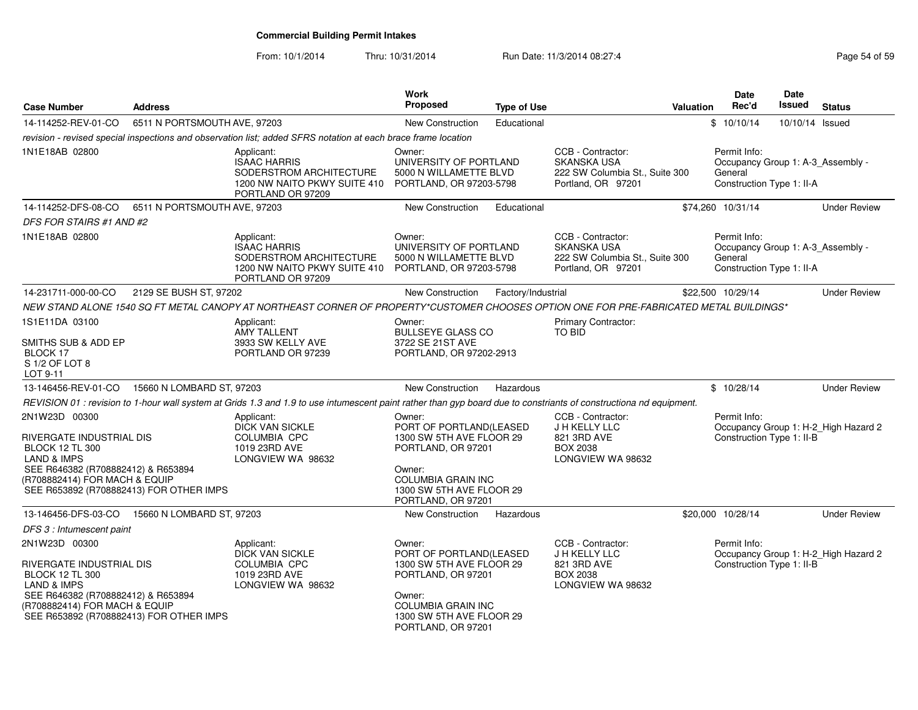From: 10/1/2014

| <b>Case Number</b>                                                                                                                                                                                              | <b>Address</b>               |                                                                                                                                                                    | Work<br><b>Proposed</b>                                                                                                                                                      | <b>Type of Use</b> |                                                                                                 | <b>Valuation</b> | Date<br>Rec'd                                                                             | <b>Date</b><br>Issued | <b>Status</b>                        |
|-----------------------------------------------------------------------------------------------------------------------------------------------------------------------------------------------------------------|------------------------------|--------------------------------------------------------------------------------------------------------------------------------------------------------------------|------------------------------------------------------------------------------------------------------------------------------------------------------------------------------|--------------------|-------------------------------------------------------------------------------------------------|------------------|-------------------------------------------------------------------------------------------|-----------------------|--------------------------------------|
| 14-114252-REV-01-CO                                                                                                                                                                                             | 6511 N PORTSMOUTH AVE, 97203 |                                                                                                                                                                    | New Construction                                                                                                                                                             | Educational        |                                                                                                 |                  | \$10/10/14                                                                                | 10/10/14 Issued       |                                      |
|                                                                                                                                                                                                                 |                              | revision - revised special inspections and observation list; added SFRS notation at each brace frame location                                                      |                                                                                                                                                                              |                    |                                                                                                 |                  |                                                                                           |                       |                                      |
| 1N1E18AB 02800                                                                                                                                                                                                  |                              | Applicant:<br><b>ISAAC HARRIS</b><br>SODERSTROM ARCHITECTURE<br>1200 NW NAITO PKWY SUITE 410<br>PORTLAND OR 97209                                                  | Owner:<br>UNIVERSITY OF PORTLAND<br>5000 N WILLAMETTE BLVD<br>PORTLAND, OR 97203-5798                                                                                        |                    | CCB - Contractor:<br><b>SKANSKA USA</b><br>222 SW Columbia St., Suite 300<br>Portland, OR 97201 |                  | Permit Info:<br>Occupancy Group 1: A-3_Assembly -<br>General<br>Construction Type 1: II-A |                       |                                      |
| 14-114252-DFS-08-CO                                                                                                                                                                                             | 6511 N PORTSMOUTH AVE, 97203 |                                                                                                                                                                    | <b>New Construction</b>                                                                                                                                                      | Educational        |                                                                                                 |                  | \$74,260 10/31/14                                                                         |                       | <b>Under Review</b>                  |
| <b>DFS FOR STAIRS #1 AND #2</b>                                                                                                                                                                                 |                              |                                                                                                                                                                    |                                                                                                                                                                              |                    |                                                                                                 |                  |                                                                                           |                       |                                      |
| 1N1E18AB 02800                                                                                                                                                                                                  |                              | Applicant:<br><b>ISAAC HARRIS</b><br>SODERSTROM ARCHITECTURE<br>1200 NW NAITO PKWY SUITE 410<br>PORTLAND OR 97209                                                  | Owner:<br>UNIVERSITY OF PORTLAND<br>5000 N WILLAMETTE BLVD<br>PORTLAND, OR 97203-5798                                                                                        |                    | CCB - Contractor:<br><b>SKANSKA USA</b><br>222 SW Columbia St., Suite 300<br>Portland, OR 97201 |                  | Permit Info:<br>Occupancy Group 1: A-3_Assembly -<br>General<br>Construction Type 1: II-A |                       |                                      |
| 14-231711-000-00-CO                                                                                                                                                                                             | 2129 SE BUSH ST, 97202       |                                                                                                                                                                    | New Construction                                                                                                                                                             | Factory/Industrial |                                                                                                 |                  | \$22,500 10/29/14                                                                         |                       | <b>Under Review</b>                  |
|                                                                                                                                                                                                                 |                              | NEW STAND ALONE 1540 SQ FT METAL CANOPY AT NORTHEAST CORNER OF PROPERTY*CUSTOMER CHOOSES OPTION ONE FOR PRE-FABRICATED METAL BUILDINGS*                            |                                                                                                                                                                              |                    |                                                                                                 |                  |                                                                                           |                       |                                      |
| 1S1E11DA 03100<br>SMITHS SUB & ADD EP<br>BLOCK 17<br>S 1/2 OF LOT 8<br>LOT 9-11                                                                                                                                 |                              | Applicant:<br><b>AMY TALLENT</b><br>3933 SW KELLY AVE<br>PORTLAND OR 97239                                                                                         | Owner:<br><b>BULLSEYE GLASS CO</b><br>3722 SE 21ST AVE<br>PORTLAND, OR 97202-2913                                                                                            |                    | Primary Contractor:<br><b>TO BID</b>                                                            |                  |                                                                                           |                       |                                      |
| 13-146456-REV-01-CO  15660 N LOMBARD ST, 97203                                                                                                                                                                  |                              |                                                                                                                                                                    | <b>New Construction</b>                                                                                                                                                      | Hazardous          |                                                                                                 |                  | \$10/28/14                                                                                |                       | <b>Under Review</b>                  |
|                                                                                                                                                                                                                 |                              | REVISION 01 : revision to 1-hour wall system at Grids 1.3 and 1.9 to use intumescent paint rather than gyp board due to constriants of constructiona nd equipment. |                                                                                                                                                                              |                    |                                                                                                 |                  |                                                                                           |                       |                                      |
| 2N1W23D 00300<br>RIVERGATE INDUSTRIAL DIS<br><b>BLOCK 12 TL 300</b><br><b>LAND &amp; IMPS</b><br>SEE R646382 (R708882412) & R653894<br>(R708882414) FOR MACH & EQUIP<br>SEE R653892 (R708882413) FOR OTHER IMPS |                              | Applicant:<br><b>DICK VAN SICKLE</b><br><b>COLUMBIA CPC</b><br>1019 23RD AVE<br>LONGVIEW WA 98632                                                                  | Owner:<br>PORT OF PORTLAND(LEASED<br>1300 SW 5TH AVE FLOOR 29<br>PORTLAND, OR 97201<br>Owner:<br><b>COLUMBIA GRAIN INC</b><br>1300 SW 5TH AVE FLOOR 29<br>PORTLAND, OR 97201 |                    | CCB - Contractor:<br>J H KELLY LLC<br>821 3RD AVE<br><b>BOX 2038</b><br>LONGVIEW WA 98632       |                  | Permit Info:<br>Construction Type 1: II-B                                                 |                       | Occupancy Group 1: H-2_High Hazard 2 |
| 13-146456-DFS-03-CO                                                                                                                                                                                             | 15660 N LOMBARD ST, 97203    |                                                                                                                                                                    | <b>New Construction</b>                                                                                                                                                      | Hazardous          |                                                                                                 |                  | \$20,000 10/28/14                                                                         |                       | <b>Under Review</b>                  |
| DFS 3 : Intumescent paint                                                                                                                                                                                       |                              |                                                                                                                                                                    |                                                                                                                                                                              |                    |                                                                                                 |                  |                                                                                           |                       |                                      |
| 2N1W23D 00300<br>RIVERGATE INDUSTRIAL DIS<br><b>BLOCK 12 TL 300</b><br><b>LAND &amp; IMPS</b><br>SEE R646382 (R708882412) & R653894<br>(R708882414) FOR MACH & EQUIP<br>SEE R653892 (R708882413) FOR OTHER IMPS |                              | Applicant:<br><b>DICK VAN SICKLE</b><br><b>COLUMBIA CPC</b><br>1019 23RD AVE<br>LONGVIEW WA 98632                                                                  | Owner:<br>PORT OF PORTLAND(LEASED<br>1300 SW 5TH AVE FLOOR 29<br>PORTLAND, OR 97201<br>Owner:<br><b>COLUMBIA GRAIN INC</b><br>1300 SW 5TH AVE FLOOR 29<br>PORTLAND, OR 97201 |                    | CCB - Contractor:<br>J H KELLY LLC<br>821 3RD AVE<br><b>BOX 2038</b><br>LONGVIEW WA 98632       |                  | Permit Info:<br>Construction Type 1: II-B                                                 |                       | Occupancy Group 1: H-2_High Hazard 2 |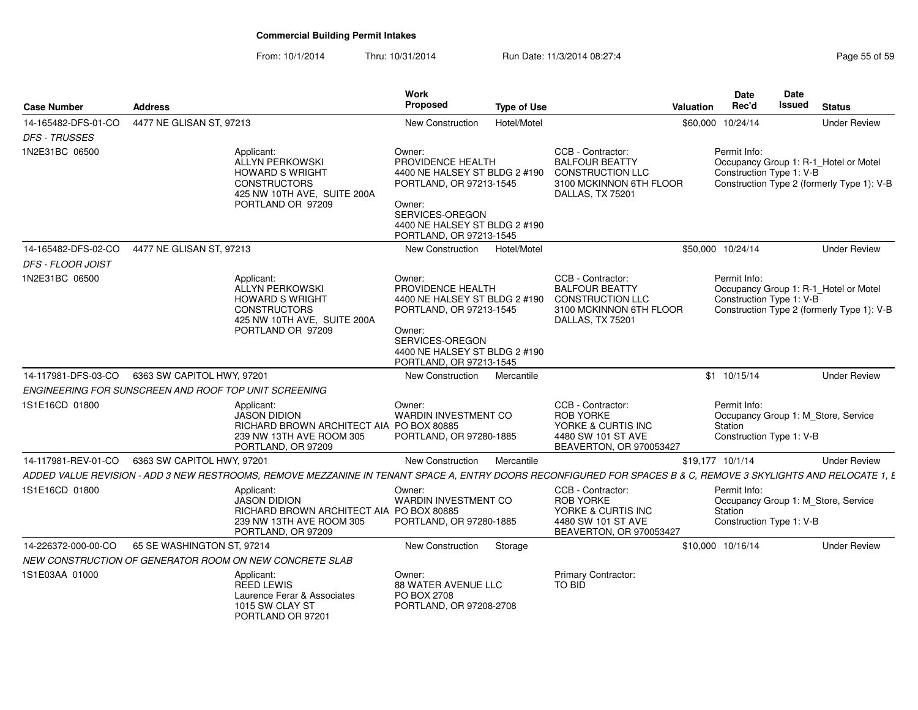| <b>Case Number</b>   | <b>Address</b>                                                                                                                                                  | Work<br><b>Proposed</b>                                                                                                                                                          | <b>Type of Use</b> |                                                                                                                             | Valuation | <b>Date</b><br>Rec'd                                | <b>Date</b><br><b>Issued</b> | <b>Status</b>                                                                       |
|----------------------|-----------------------------------------------------------------------------------------------------------------------------------------------------------------|----------------------------------------------------------------------------------------------------------------------------------------------------------------------------------|--------------------|-----------------------------------------------------------------------------------------------------------------------------|-----------|-----------------------------------------------------|------------------------------|-------------------------------------------------------------------------------------|
| 14-165482-DFS-01-CO  | 4477 NE GLISAN ST, 97213                                                                                                                                        | <b>New Construction</b>                                                                                                                                                          | Hotel/Motel        |                                                                                                                             |           | \$60,000 10/24/14                                   |                              | <b>Under Review</b>                                                                 |
| <b>DFS - TRUSSES</b> |                                                                                                                                                                 |                                                                                                                                                                                  |                    |                                                                                                                             |           |                                                     |                              |                                                                                     |
| 1N2E31BC 06500       | Applicant:<br>ALLYN PERKOWSKI<br><b>HOWARD S WRIGHT</b><br><b>CONSTRUCTORS</b><br>425 NW 10TH AVE, SUITE 200A<br>PORTLAND OR 97209                              | Owner:<br>PROVIDENCE HEALTH<br>4400 NE HALSEY ST BLDG 2 #190<br>PORTLAND, OR 97213-1545<br>Owner:<br>SERVICES-OREGON<br>4400 NE HALSEY ST BLDG 2 #190<br>PORTLAND, OR 97213-1545 |                    | CCB - Contractor:<br><b>BALFOUR BEATTY</b><br><b>CONSTRUCTION LLC</b><br>3100 MCKINNON 6TH FLOOR<br>DALLAS, TX 75201        |           | Permit Info:<br>Construction Type 1: V-B            |                              | Occupancy Group 1: R-1_Hotel or Motel<br>Construction Type 2 (formerly Type 1): V-B |
| 14-165482-DFS-02-CO  | 4477 NE GLISAN ST, 97213                                                                                                                                        | New Construction                                                                                                                                                                 | Hotel/Motel        |                                                                                                                             |           | \$50,000 10/24/14                                   |                              | <b>Under Review</b>                                                                 |
| DFS - FLOOR JOIST    |                                                                                                                                                                 |                                                                                                                                                                                  |                    |                                                                                                                             |           |                                                     |                              |                                                                                     |
| 1N2E31BC 06500       | Applicant:<br>ALLYN PERKOWSKI<br><b>HOWARD S WRIGHT</b><br><b>CONSTRUCTORS</b><br>425 NW 10TH AVE, SUITE 200A<br>PORTLAND OR 97209                              | Owner:<br>PROVIDENCE HEALTH<br>4400 NE HALSEY ST BLDG 2 #190<br>PORTLAND, OR 97213-1545<br>Owner:<br>SERVICES-OREGON<br>4400 NE HALSEY ST BLDG 2 #190<br>PORTLAND, OR 97213-1545 |                    | CCB - Contractor:<br><b>BALFOUR BEATTY</b><br><b>CONSTRUCTION LLC</b><br>3100 MCKINNON 6TH FLOOR<br><b>DALLAS, TX 75201</b> |           | Permit Info:<br>Construction Type 1: V-B            |                              | Occupancy Group 1: R-1_Hotel or Motel<br>Construction Type 2 (formerly Type 1): V-B |
| 14-117981-DFS-03-CO  | 6363 SW CAPITOL HWY, 97201                                                                                                                                      | New Construction                                                                                                                                                                 | Mercantile         |                                                                                                                             |           | $$1$ 10/15/14                                       |                              | <b>Under Review</b>                                                                 |
|                      | ENGINEERING FOR SUNSCREEN AND ROOF TOP UNIT SCREENING                                                                                                           |                                                                                                                                                                                  |                    |                                                                                                                             |           |                                                     |                              |                                                                                     |
| 1S1E16CD 01800       | Applicant:<br><b>JASON DIDION</b><br>RICHARD BROWN ARCHITECT AIA PO BOX 80885<br>239 NW 13TH AVE ROOM 305<br>PORTLAND, OR 97209                                 | Owner:<br>WARDIN INVESTMENT CO<br>PORTLAND, OR 97280-1885                                                                                                                        |                    | CCB - Contractor:<br><b>ROB YORKE</b><br>YORKE & CURTIS INC<br>4480 SW 101 ST AVE<br>BEAVERTON, OR 970053427                |           | Permit Info:<br>Station<br>Construction Type 1: V-B |                              | Occupancy Group 1: M_Store, Service                                                 |
| 14-117981-REV-01-CO  | 6363 SW CAPITOL HWY, 97201                                                                                                                                      | New Construction                                                                                                                                                                 | Mercantile         |                                                                                                                             |           | \$19,177 10/1/14                                    |                              | <b>Under Review</b>                                                                 |
|                      | ADDED VALUE REVISION - ADD 3 NEW RESTROOMS, REMOVE MEZZANINE IN TENANT SPACE A, ENTRY DOORS RECONFIGURED FOR SPACES B & C, REMOVE 3 SKYLIGHTS AND RELOCATE 1, L |                                                                                                                                                                                  |                    |                                                                                                                             |           |                                                     |                              |                                                                                     |
| 1S1E16CD 01800       | Applicant:<br><b>JASON DIDION</b><br>RICHARD BROWN ARCHITECT AIA PO BOX 80885<br>239 NW 13TH AVE ROOM 305<br>PORTLAND, OR 97209                                 | Owner:<br><b>WARDIN INVESTMENT CO</b><br>PORTLAND, OR 97280-1885                                                                                                                 |                    | CCB - Contractor:<br><b>ROB YORKE</b><br>YORKE & CURTIS INC<br>4480 SW 101 ST AVE<br>BEAVERTON, OR 970053427                |           | Permit Info:<br>Station<br>Construction Type 1: V-B |                              | Occupancy Group 1: M_Store, Service                                                 |
| 14-226372-000-00-CO  | 65 SE WASHINGTON ST. 97214                                                                                                                                      | New Construction                                                                                                                                                                 | Storage            |                                                                                                                             |           | \$10,000 10/16/14                                   |                              | <b>Under Review</b>                                                                 |
|                      | NEW CONSTRUCTION OF GENERATOR ROOM ON NEW CONCRETE SLAB                                                                                                         |                                                                                                                                                                                  |                    |                                                                                                                             |           |                                                     |                              |                                                                                     |
| 1S1E03AA 01000       | Applicant:<br>REED LEWIS<br>Laurence Ferar & Associates<br>1015 SW CLAY ST<br>PORTLAND OR 97201                                                                 | Owner:<br>88 WATER AVENUE LLC<br>PO BOX 2708<br>PORTLAND, OR 97208-2708                                                                                                          |                    | <b>Primary Contractor:</b><br>TO BID                                                                                        |           |                                                     |                              |                                                                                     |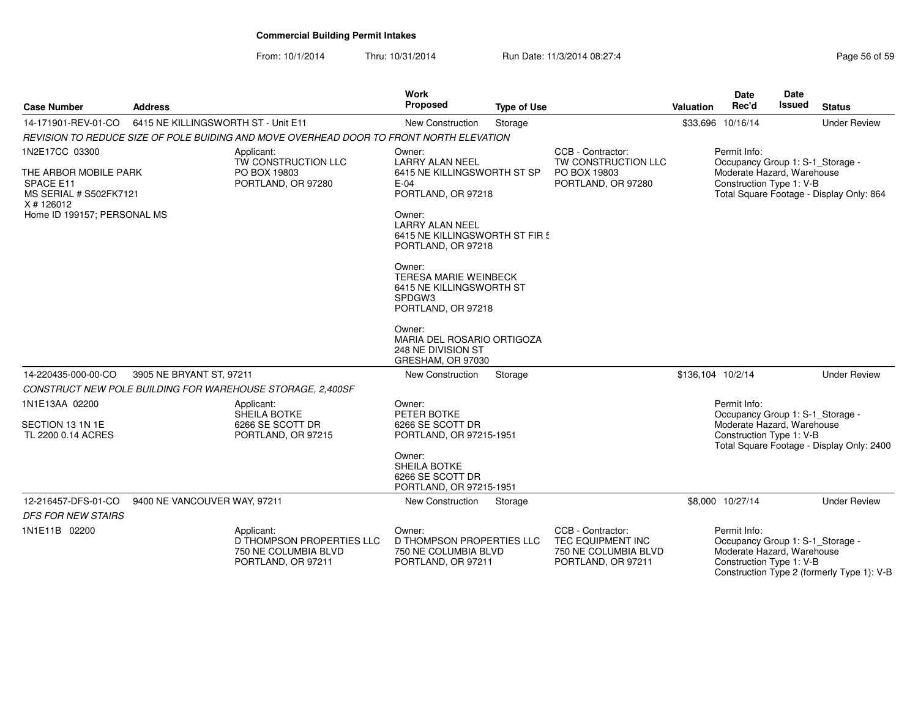| <b>Case Number</b>                                                                                                          | <b>Address</b>                      |                                                                                         | Work<br><b>Proposed</b>                                                                                                                                                                                                                                                                                                                   | <b>Type of Use</b> |                                                                                      | Valuation         | <b>Date</b><br>Rec'd                                                                                       | <b>Date</b><br><b>Issued</b> | <b>Status</b>                              |
|-----------------------------------------------------------------------------------------------------------------------------|-------------------------------------|-----------------------------------------------------------------------------------------|-------------------------------------------------------------------------------------------------------------------------------------------------------------------------------------------------------------------------------------------------------------------------------------------------------------------------------------------|--------------------|--------------------------------------------------------------------------------------|-------------------|------------------------------------------------------------------------------------------------------------|------------------------------|--------------------------------------------|
| 14-171901-REV-01-CO                                                                                                         | 6415 NE KILLINGSWORTH ST - Unit E11 |                                                                                         | <b>New Construction</b>                                                                                                                                                                                                                                                                                                                   | Storage            |                                                                                      |                   | \$33,696 10/16/14                                                                                          |                              | <b>Under Review</b>                        |
|                                                                                                                             |                                     | REVISION TO REDUCE SIZE OF POLE BUIDING AND MOVE OVERHEAD DOOR TO FRONT NORTH ELEVATION |                                                                                                                                                                                                                                                                                                                                           |                    |                                                                                      |                   |                                                                                                            |                              |                                            |
| 1N2E17CC 03300<br>THE ARBOR MOBILE PARK<br>SPACE E11<br>MS SERIAL # S502FK7121<br>X # 126012<br>Home ID 199157; PERSONAL MS |                                     | Applicant:<br>TW CONSTRUCTION LLC<br>PO BOX 19803<br>PORTLAND, OR 97280                 | Owner:<br><b>LARRY ALAN NEEL</b><br>6415 NE KILLINGSWORTH ST SP<br>$E-04$<br>PORTLAND, OR 97218<br>Owner:<br><b>LARRY ALAN NEEL</b><br>6415 NE KILLINGSWORTH ST FIR 5<br>PORTLAND, OR 97218<br>Owner:<br><b>TERESA MARIE WEINBECK</b><br>6415 NE KILLINGSWORTH ST<br>SPDGW3<br>PORTLAND, OR 97218<br>Owner:<br>MARIA DEL ROSARIO ORTIGOZA |                    | CCB - Contractor:<br>TW CONSTRUCTION LLC<br>PO BOX 19803<br>PORTLAND, OR 97280       |                   | Permit Info:<br>Occupancy Group 1: S-1_Storage -<br>Moderate Hazard, Warehouse<br>Construction Type 1: V-B |                              | Total Square Footage - Display Only: 864   |
| 14-220435-000-00-CO                                                                                                         | 3905 NE BRYANT ST, 97211            |                                                                                         | 248 NE DIVISION ST<br>GRESHAM, OR 97030<br>New Construction                                                                                                                                                                                                                                                                               | Storage            |                                                                                      | \$136,104 10/2/14 |                                                                                                            |                              | <b>Under Review</b>                        |
|                                                                                                                             |                                     | CONSTRUCT NEW POLE BUILDING FOR WAREHOUSE STORAGE, 2,400SF                              |                                                                                                                                                                                                                                                                                                                                           |                    |                                                                                      |                   |                                                                                                            |                              |                                            |
| 1N1E13AA 02200<br>SECTION 13 1N 1E<br>TL 2200 0.14 ACRES                                                                    |                                     | Applicant:<br>SHEILA BOTKE<br>6266 SE SCOTT DR<br>PORTLAND, OR 97215                    | Owner:<br>PETER BOTKE<br>6266 SE SCOTT DR<br>PORTLAND, OR 97215-1951<br>Owner:<br>SHEILA BOTKE<br>6266 SE SCOTT DR<br>PORTLAND, OR 97215-1951                                                                                                                                                                                             |                    |                                                                                      |                   | Permit Info:<br>Occupancy Group 1: S-1 Storage -<br>Moderate Hazard, Warehouse<br>Construction Type 1: V-B |                              | Total Square Footage - Display Only: 2400  |
| 12-216457-DFS-01-CO<br><b>DFS FOR NEW STAIRS</b>                                                                            | 9400 NE VANCOUVER WAY, 97211        |                                                                                         | New Construction                                                                                                                                                                                                                                                                                                                          | Storage            |                                                                                      |                   | \$8,000 10/27/14                                                                                           |                              | <b>Under Review</b>                        |
| 1N1E11B 02200                                                                                                               |                                     | Applicant:<br>D THOMPSON PROPERTIES LLC<br>750 NE COLUMBIA BLVD<br>PORTLAND, OR 97211   | Owner:<br>D THOMPSON PROPERTIES LLC<br>750 NE COLUMBIA BLVD<br>PORTLAND, OR 97211                                                                                                                                                                                                                                                         |                    | CCB - Contractor:<br>TEC EQUIPMENT INC<br>750 NE COLUMBIA BLVD<br>PORTLAND, OR 97211 |                   | Permit Info:<br>Occupancy Group 1: S-1_Storage -<br>Moderate Hazard, Warehouse<br>Construction Type 1: V-B |                              | Construction Type 2 (formerly Type 1): V-B |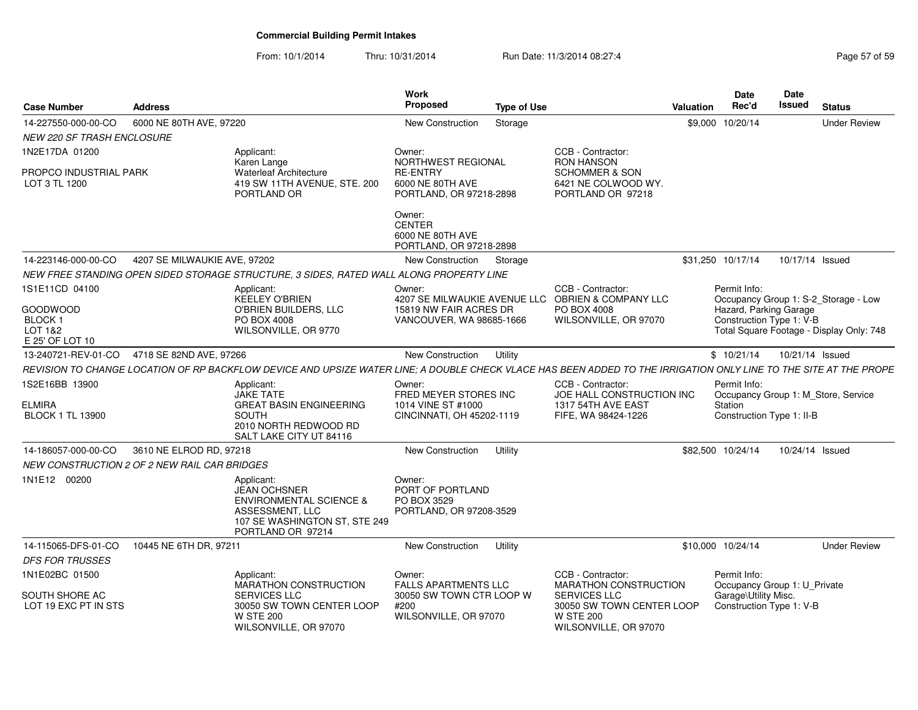| <b>Case Number</b>                                           | <b>Address</b>               |                                                                                                                                                                   | Work<br><b>Proposed</b>                                                            | <b>Type of Use</b> |                                                                                               | Valuation | <b>Date</b><br>Rec'd                                 | Date<br><b>Issued</b> | <b>Status</b>                            |
|--------------------------------------------------------------|------------------------------|-------------------------------------------------------------------------------------------------------------------------------------------------------------------|------------------------------------------------------------------------------------|--------------------|-----------------------------------------------------------------------------------------------|-----------|------------------------------------------------------|-----------------------|------------------------------------------|
| 14-227550-000-00-CO                                          | 6000 NE 80TH AVE, 97220      |                                                                                                                                                                   | New Construction                                                                   | Storage            |                                                                                               |           | \$9,000 10/20/14                                     |                       | <b>Under Review</b>                      |
| <b>NEW 220 SF TRASH ENCLOSURE</b>                            |                              |                                                                                                                                                                   |                                                                                    |                    |                                                                                               |           |                                                      |                       |                                          |
| 1N2E17DA 01200                                               |                              | Applicant:<br>Karen Lange                                                                                                                                         | Owner:<br>NORTHWEST REGIONAL                                                       |                    | CCB - Contractor:<br><b>RON HANSON</b>                                                        |           |                                                      |                       |                                          |
| PROPCO INDUSTRIAL PARK<br>LOT 3 TL 1200                      |                              | <b>Waterleaf Architecture</b><br>419 SW 11TH AVENUE, STE. 200<br>PORTLAND OR                                                                                      | <b>RE-ENTRY</b><br>6000 NE 80TH AVE<br>PORTLAND, OR 97218-2898                     |                    | <b>SCHOMMER &amp; SON</b><br>6421 NE COLWOOD WY.<br>PORTLAND OR 97218                         |           |                                                      |                       |                                          |
|                                                              |                              |                                                                                                                                                                   | Owner:<br><b>CENTER</b><br>6000 NE 80TH AVE<br>PORTLAND, OR 97218-2898             |                    |                                                                                               |           |                                                      |                       |                                          |
| 14-223146-000-00-CO                                          | 4207 SE MILWAUKIE AVE, 97202 |                                                                                                                                                                   | New Construction                                                                   | Storage            |                                                                                               |           | \$31,250 10/17/14                                    | 10/17/14 Issued       |                                          |
|                                                              |                              | NEW FREE STANDING OPEN SIDED STORAGE STRUCTURE, 3 SIDES, RATED WALL ALONG PROPERTY LINE                                                                           |                                                                                    |                    |                                                                                               |           |                                                      |                       |                                          |
| 1S1E11CD 04100                                               |                              | Applicant:<br><b>KEELEY O'BRIEN</b>                                                                                                                               | Owner:<br>4207 SE MILWAUKIE AVENUE LLC                                             |                    | CCB - Contractor:<br><b>OBRIEN &amp; COMPANY LLC</b>                                          |           | Permit Info:                                         |                       | Occupancy Group 1: S-2_Storage - Low     |
| GOODWOOD<br>BLOCK <sub>1</sub><br>LOT 1&2<br>E 25' OF LOT 10 |                              | O'BRIEN BUILDERS, LLC<br>PO BOX 4008<br>WILSONVILLE, OR 9770                                                                                                      | 15819 NW FAIR ACRES DR<br>VANCOUVER, WA 98685-1666                                 |                    | PO BOX 4008<br>WILSONVILLE, OR 97070                                                          |           | Hazard, Parking Garage<br>Construction Type 1: V-B   |                       | Total Square Footage - Display Only: 748 |
| 13-240721-REV-01-CO                                          | 4718 SE 82ND AVE, 97266      |                                                                                                                                                                   | New Construction                                                                   | Utility            |                                                                                               |           | \$10/21/14                                           | 10/21/14 Issued       |                                          |
|                                                              |                              | REVISION TO CHANGE LOCATION OF RP BACKFLOW DEVICE AND UPSIZE WATER LINE; A DOUBLE CHECK VLACE HAS BEEN ADDED TO THE IRRIGATION ONLY LINE TO THE SITE AT THE PROPE |                                                                                    |                    |                                                                                               |           |                                                      |                       |                                          |
| 1S2E16BB 13900<br><b>ELMIRA</b><br><b>BLOCK 1 TL 13900</b>   |                              | Applicant:<br><b>JAKE TATE</b><br><b>GREAT BASIN ENGINEERING</b><br><b>SOUTH</b><br>2010 NORTH REDWOOD RD<br>SALT LAKE CITY UT 84116                              | Owner:<br>FRED MEYER STORES INC<br>1014 VINE ST #1000<br>CINCINNATI, OH 45202-1119 |                    | CCB - Contractor:<br>JOE HALL CONSTRUCTION INC<br>1317 54TH AVE EAST<br>FIFE, WA 98424-1226   |           | Permit Info:<br>Station<br>Construction Type 1: II-B |                       | Occupancy Group 1: M_Store, Service      |
| 14-186057-000-00-CO                                          | 3610 NE ELROD RD, 97218      |                                                                                                                                                                   | New Construction                                                                   | Utility            |                                                                                               |           | \$82,500 10/24/14                                    | 10/24/14 Issued       |                                          |
| NEW CONSTRUCTION 2 OF 2 NEW RAIL CAR BRIDGES                 |                              |                                                                                                                                                                   |                                                                                    |                    |                                                                                               |           |                                                      |                       |                                          |
| 1N1E12 00200                                                 |                              | Applicant:<br><b>JEAN OCHSNER</b><br><b>ENVIRONMENTAL SCIENCE &amp;</b><br>ASSESSMENT, LLC<br>107 SE WASHINGTON ST, STE 249<br>PORTLAND OR 97214                  | Owner:<br>PORT OF PORTLAND<br>PO BOX 3529<br>PORTLAND, OR 97208-3529               |                    |                                                                                               |           |                                                      |                       |                                          |
| 14-115065-DFS-01-CO                                          | 10445 NE 6TH DR, 97211       |                                                                                                                                                                   | New Construction                                                                   | Utility            |                                                                                               |           | \$10,000 10/24/14                                    |                       | <b>Under Review</b>                      |
| <b>DFS FOR TRUSSES</b>                                       |                              |                                                                                                                                                                   |                                                                                    |                    |                                                                                               |           |                                                      |                       |                                          |
| 1N1E02BC 01500                                               |                              | Applicant:<br><b>MARATHON CONSTRUCTION</b>                                                                                                                        | Owner:<br><b>FALLS APARTMENTS LLC</b>                                              |                    | CCB - Contractor:<br>MARATHON CONSTRUCTION                                                    |           | Permit Info:<br>Occupancy Group 1: U_Private         |                       |                                          |
| SOUTH SHORE AC<br>LOT 19 EXC PT IN STS                       |                              | <b>SERVICES LLC</b><br>30050 SW TOWN CENTER LOOP<br><b>W STE 200</b><br>WILSONVILLE, OR 97070                                                                     | 30050 SW TOWN CTR LOOP W<br>#200<br>WILSONVILLE, OR 97070                          |                    | <b>SERVICES LLC</b><br>30050 SW TOWN CENTER LOOP<br><b>W STE 200</b><br>WILSONVILLE, OR 97070 |           | Garage\Utility Misc.<br>Construction Type 1: V-B     |                       |                                          |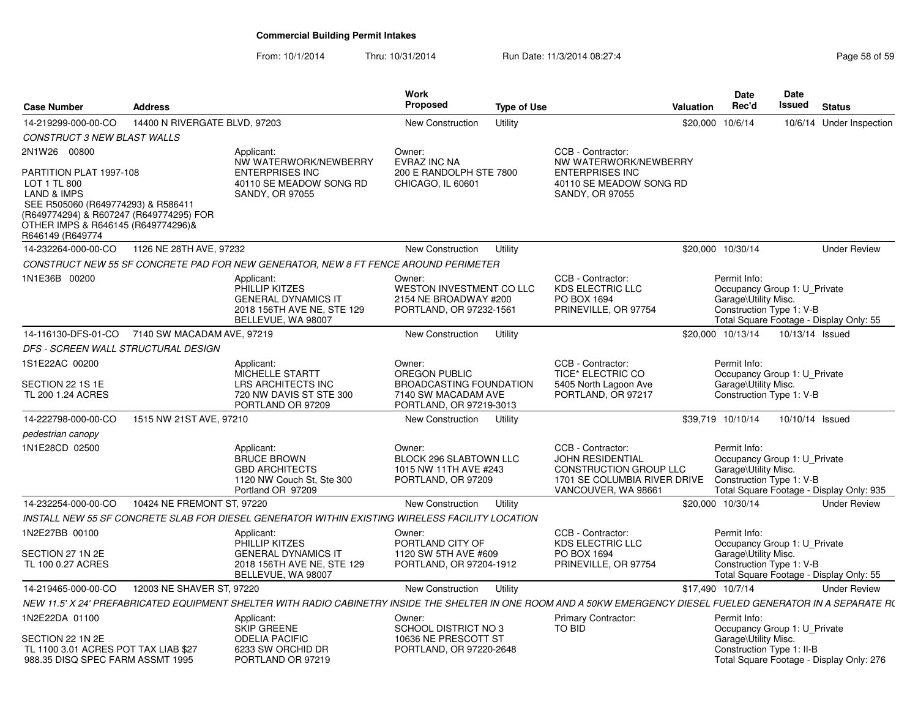| <b>Case Number</b>                                                                                                                                                                                           | <b>Address</b>                |                                                                                                                                                                   | <b>Work</b><br>Proposed                                                                 | <b>Type of Use</b> |                                                                                                                               | Valuation | Date<br>Rec'd                                                                                    | <b>Date</b><br>Issued | <b>Status</b>                            |
|--------------------------------------------------------------------------------------------------------------------------------------------------------------------------------------------------------------|-------------------------------|-------------------------------------------------------------------------------------------------------------------------------------------------------------------|-----------------------------------------------------------------------------------------|--------------------|-------------------------------------------------------------------------------------------------------------------------------|-----------|--------------------------------------------------------------------------------------------------|-----------------------|------------------------------------------|
| 14-219299-000-00-CO                                                                                                                                                                                          | 14400 N RIVERGATE BLVD, 97203 |                                                                                                                                                                   | New Construction                                                                        | Utility            |                                                                                                                               |           | \$20,000 10/6/14                                                                                 |                       | 10/6/14 Under Inspection                 |
| CONSTRUCT 3 NEW BLAST WALLS                                                                                                                                                                                  |                               |                                                                                                                                                                   |                                                                                         |                    |                                                                                                                               |           |                                                                                                  |                       |                                          |
| 2N1W26 00800                                                                                                                                                                                                 |                               | Applicant:                                                                                                                                                        | Owner:                                                                                  |                    | CCB - Contractor:                                                                                                             |           |                                                                                                  |                       |                                          |
| PARTITION PLAT 1997-108<br>LOT 1 TL 800<br><b>LAND &amp; IMPS</b><br>SEE R505060 (R649774293) & R586411<br>(R649774294) & R607247 (R649774295) FOR<br>OTHER IMPS & R646145 (R649774296)&<br>R646149 (R649774 |                               | NW WATERWORK/NEWBERRY<br><b>ENTERPRISES INC</b><br>40110 SE MEADOW SONG RD<br>SANDY, OR 97055                                                                     | <b>EVRAZ INC NA</b><br>200 E RANDOLPH STE 7800<br>CHICAGO, IL 60601                     |                    | NW WATERWORK/NEWBERRY<br><b>ENTERPRISES INC</b><br>40110 SE MEADOW SONG RD<br>SANDY, OR 97055                                 |           |                                                                                                  |                       |                                          |
| 14-232264-000-00-CO                                                                                                                                                                                          | 1126 NE 28TH AVE, 97232       |                                                                                                                                                                   | <b>New Construction</b>                                                                 | Utility            |                                                                                                                               |           | \$20,000 10/30/14                                                                                |                       | <b>Under Review</b>                      |
|                                                                                                                                                                                                              |                               | CONSTRUCT NEW 55 SF CONCRETE PAD FOR NEW GENERATOR, NEW 8 FT FENCE AROUND PERIMETER                                                                               |                                                                                         |                    |                                                                                                                               |           |                                                                                                  |                       |                                          |
| 1N1E36B 00200                                                                                                                                                                                                |                               | Applicant:<br>PHILLIP KITZES<br><b>GENERAL DYNAMICS IT</b><br>2018 156TH AVE NE, STE 129<br>BELLEVUE, WA 98007                                                    | Owner:<br>WESTON INVESTMENT CO LLC<br>2154 NE BROADWAY #200<br>PORTLAND, OR 97232-1561  |                    | CCB - Contractor:<br><b>KDS ELECTRIC LLC</b><br>PO BOX 1694<br>PRINEVILLE, OR 97754                                           |           | Permit Info:<br>Occupancy Group 1: U_Private<br>Garage\Utility Misc.<br>Construction Type 1: V-B |                       | Total Square Footage - Display Only: 55  |
| 14-116130-DFS-01-CO                                                                                                                                                                                          | 7140 SW MACADAM AVE, 97219    |                                                                                                                                                                   | <b>New Construction</b>                                                                 | Utility            |                                                                                                                               |           | \$20,000 10/13/14                                                                                | 10/13/14 Issued       |                                          |
| DFS - SCREEN WALL STRUCTURAL DESIGN                                                                                                                                                                          |                               |                                                                                                                                                                   |                                                                                         |                    |                                                                                                                               |           |                                                                                                  |                       |                                          |
| 1S1E22AC 00200<br>SECTION 22 1S 1E<br>TL 200 1.24 ACRES                                                                                                                                                      |                               | Applicant:<br>MICHELLE STARTT<br>LRS ARCHITECTS INC<br>720 NW DAVIS ST STE 300                                                                                    | Owner:<br><b>OREGON PUBLIC</b><br><b>BROADCASTING FOUNDATION</b><br>7140 SW MACADAM AVE |                    | CCB - Contractor:<br>TICE* ELECTRIC CO<br>5405 North Lagoon Ave<br>PORTLAND, OR 97217                                         |           | Permit Info:<br>Occupancy Group 1: U_Private<br>Garage\Utility Misc.<br>Construction Type 1: V-B |                       |                                          |
|                                                                                                                                                                                                              |                               | PORTLAND OR 97209                                                                                                                                                 | PORTLAND, OR 97219-3013                                                                 |                    |                                                                                                                               |           |                                                                                                  |                       |                                          |
| 14-222798-000-00-CO                                                                                                                                                                                          | 1515 NW 21ST AVE, 97210       |                                                                                                                                                                   | New Construction                                                                        | Utility            |                                                                                                                               |           | \$39,719 10/10/14                                                                                | 10/10/14 Issued       |                                          |
| pedestrian canopy                                                                                                                                                                                            |                               |                                                                                                                                                                   |                                                                                         |                    |                                                                                                                               |           |                                                                                                  |                       |                                          |
| 1N1E28CD 02500                                                                                                                                                                                               |                               | Applicant:<br><b>BRUCE BROWN</b><br><b>GBD ARCHITECTS</b><br>1120 NW Couch St, Ste 300<br>Portland OR 97209                                                       | Owner:<br><b>BLOCK 296 SLABTOWN LLC</b><br>1015 NW 11TH AVE #243<br>PORTLAND, OR 97209  |                    | CCB - Contractor:<br><b>JOHN RESIDENTIAL</b><br>CONSTRUCTION GROUP LLC<br>1701 SE COLUMBIA RIVER DRIVE<br>VANCOUVER, WA 98661 |           | Permit Info:<br>Occupancy Group 1: U_Private<br>Garage\Utility Misc.<br>Construction Type 1: V-B |                       | Total Square Footage - Display Only: 935 |
| 14-232254-000-00-CO                                                                                                                                                                                          | 10424 NE FREMONT ST, 97220    |                                                                                                                                                                   | New Construction                                                                        | Utility            |                                                                                                                               |           | \$20,000 10/30/14                                                                                |                       | <b>Under Review</b>                      |
|                                                                                                                                                                                                              |                               | INSTALL NEW 55 SF CONCRETE SLAB FOR DIESEL GENERATOR WITHIN EXISTING WIRELESS FACILITY LOCATION                                                                   |                                                                                         |                    |                                                                                                                               |           |                                                                                                  |                       |                                          |
| 1N2E27BB 00100                                                                                                                                                                                               |                               | Applicant:<br>PHILLIP KITZES                                                                                                                                      | Owner:<br>PORTLAND CITY OF                                                              |                    | CCB - Contractor:<br><b>KDS ELECTRIC LLC</b>                                                                                  |           | Permit Info:<br>Occupancy Group 1: U_Private                                                     |                       |                                          |
| SECTION 27 1N 2E<br>TL 100 0.27 ACRES                                                                                                                                                                        |                               | <b>GENERAL DYNAMICS IT</b><br>2018 156TH AVE NE, STE 129<br>BELLEVUE, WA 98007                                                                                    | 1120 SW 5TH AVE #609<br>PORTLAND, OR 97204-1912                                         |                    | PO BOX 1694<br>PRINEVILLE, OR 97754                                                                                           |           | Garage\Utility Misc.<br>Construction Type 1: V-B                                                 |                       | Total Square Footage - Display Only: 55  |
| 14-219465-000-00-CO                                                                                                                                                                                          | 12003 NE SHAVER ST, 97220     |                                                                                                                                                                   | <b>New Construction</b>                                                                 | Utility            |                                                                                                                               |           | \$17,490 10/7/14                                                                                 |                       | <b>Under Review</b>                      |
|                                                                                                                                                                                                              |                               | NEW 11.5' X 24' PREFABRICATED EQUIPMENT SHELTER WITH RADIO CABINETRY INSIDE THE SHELTER IN ONE ROOM AND A 50KW EMERGENCY DIESEL FUELED GENERATOR IN A SEPARATE R( |                                                                                         |                    |                                                                                                                               |           |                                                                                                  |                       |                                          |
| 1N2E22DA 01100<br>SECTION 22 1N 2E                                                                                                                                                                           |                               | Applicant:<br>SKIP GREENE<br><b>ODELIA PACIFIC</b>                                                                                                                | Owner:<br>SCHOOL DISTRICT NO 3<br>10636 NE PRESCOTT ST                                  |                    | Primary Contractor:<br>TO BID                                                                                                 |           | Permit Info:<br>Occupancy Group 1: U_Private<br>Garage\Utility Misc.                             |                       |                                          |
| TL 1100 3.01 ACRES POT TAX LIAB \$27<br>988.35 DISQ SPEC FARM ASSMT 1995                                                                                                                                     |                               | 6233 SW ORCHID DR<br>PORTLAND OR 97219                                                                                                                            | PORTLAND, OR 97220-2648                                                                 |                    |                                                                                                                               |           | Construction Type 1: II-B                                                                        |                       | Total Square Footage - Display Only: 276 |